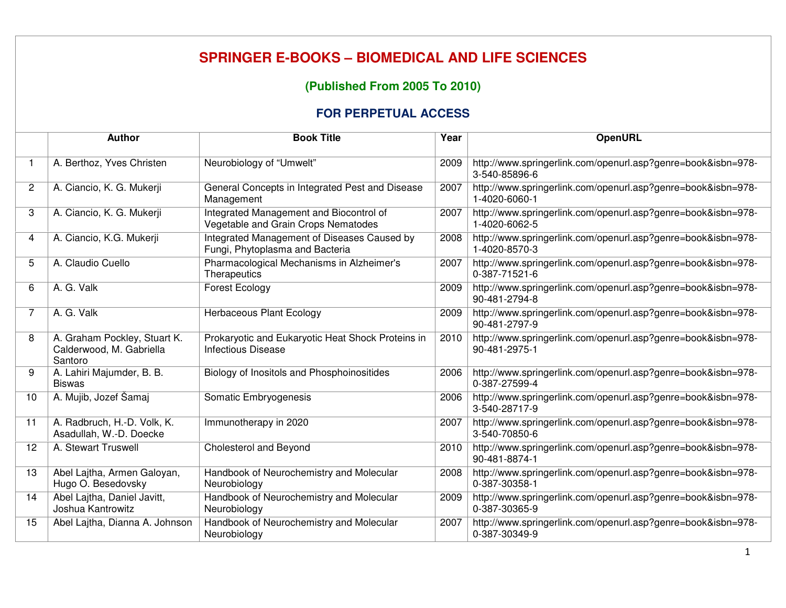## **SPRINGER E-BOOKS – BIOMEDICAL AND LIFE SCIENCES**

## **(Published From 2005 To 2010)**

## **FOR PERPETUAL ACCESS**

|                | <b>Author</b>                                                       | <b>Book Title</b>                                                              | Year | <b>OpenURL</b>                                                                |
|----------------|---------------------------------------------------------------------|--------------------------------------------------------------------------------|------|-------------------------------------------------------------------------------|
| $\overline{1}$ | A. Berthoz, Yves Christen                                           | Neurobiology of "Umwelt"                                                       | 2009 | http://www.springerlink.com/openurl.asp?genre=book&isbn=978-<br>3-540-85896-6 |
| $\overline{c}$ | A. Ciancio, K. G. Mukerji                                           | General Concepts in Integrated Pest and Disease<br>Management                  | 2007 | http://www.springerlink.com/openurl.asp?genre=book&isbn=978-<br>1-4020-6060-1 |
| 3              | A. Ciancio, K. G. Mukerji                                           | Integrated Management and Biocontrol of<br>Vegetable and Grain Crops Nematodes | 2007 | http://www.springerlink.com/openurl.asp?genre=book&isbn=978-<br>1-4020-6062-5 |
| 4              | A. Ciancio, K.G. Mukerji                                            | Integrated Management of Diseases Caused by<br>Fungi, Phytoplasma and Bacteria | 2008 | http://www.springerlink.com/openurl.asp?genre=book&isbn=978-<br>1-4020-8570-3 |
| 5              | A. Claudio Cuello                                                   | Pharmacological Mechanisms in Alzheimer's<br>Therapeutics                      | 2007 | http://www.springerlink.com/openurl.asp?genre=book&isbn=978-<br>0-387-71521-6 |
| 6              | A. G. Valk                                                          | Forest Ecology                                                                 | 2009 | http://www.springerlink.com/openurl.asp?genre=book&isbn=978-<br>90-481-2794-8 |
| 7              | A. G. Valk                                                          | Herbaceous Plant Ecology                                                       | 2009 | http://www.springerlink.com/openurl.asp?genre=book&isbn=978-<br>90-481-2797-9 |
| 8              | A. Graham Pockley, Stuart K.<br>Calderwood, M. Gabriella<br>Santoro | Prokaryotic and Eukaryotic Heat Shock Proteins in<br><b>Infectious Disease</b> | 2010 | http://www.springerlink.com/openurl.asp?genre=book&isbn=978-<br>90-481-2975-1 |
| 9              | A. Lahiri Majumder, B. B.<br><b>Biswas</b>                          | Biology of Inositols and Phosphoinositides                                     | 2006 | http://www.springerlink.com/openurl.asp?genre=book&isbn=978-<br>0-387-27599-4 |
| 10             | A. Mujib, Jozef Šamaj                                               | Somatic Embryogenesis                                                          | 2006 | http://www.springerlink.com/openurl.asp?genre=book&isbn=978-<br>3-540-28717-9 |
| 11             | A. Radbruch, H.-D. Volk, K.<br>Asadullah, W.-D. Doecke              | Immunotherapy in 2020                                                          | 2007 | http://www.springerlink.com/openurl.asp?genre=book&isbn=978-<br>3-540-70850-6 |
| 12             | A. Stewart Truswell                                                 | Cholesterol and Beyond                                                         | 2010 | http://www.springerlink.com/openurl.asp?genre=book&isbn=978-<br>90-481-8874-1 |
| 13             | Abel Lajtha, Armen Galoyan,<br>Hugo O. Besedovsky                   | Handbook of Neurochemistry and Molecular<br>Neurobiology                       | 2008 | http://www.springerlink.com/openurl.asp?genre=book&isbn=978-<br>0-387-30358-1 |
| 14             | Abel Lajtha, Daniel Javitt,<br>Joshua Kantrowitz                    | Handbook of Neurochemistry and Molecular<br>Neurobiology                       | 2009 | http://www.springerlink.com/openurl.asp?genre=book&isbn=978-<br>0-387-30365-9 |
| 15             | Abel Lajtha, Dianna A. Johnson                                      | Handbook of Neurochemistry and Molecular<br>Neurobiology                       | 2007 | http://www.springerlink.com/openurl.asp?genre=book&isbn=978-<br>0-387-30349-9 |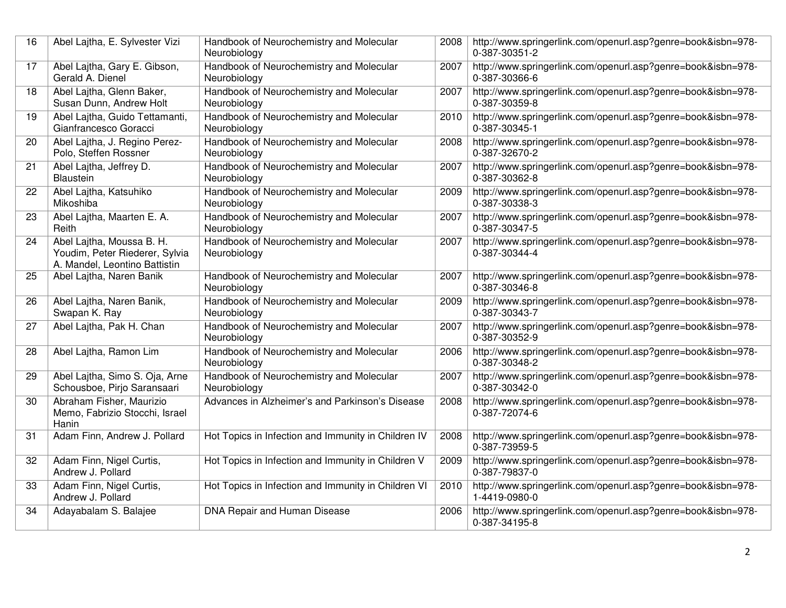| 16 | Abel Lajtha, E. Sylvester Vizi                                                               | Handbook of Neurochemistry and Molecular<br>Neurobiology | 2008 | http://www.springerlink.com/openurl.asp?genre=book&isbn=978-<br>0-387-30351-2 |
|----|----------------------------------------------------------------------------------------------|----------------------------------------------------------|------|-------------------------------------------------------------------------------|
| 17 | Abel Lajtha, Gary E. Gibson,<br>Gerald A. Dienel                                             | Handbook of Neurochemistry and Molecular<br>Neurobiology | 2007 | http://www.springerlink.com/openurl.asp?genre=book&isbn=978-<br>0-387-30366-6 |
| 18 | Abel Lajtha, Glenn Baker,<br>Susan Dunn, Andrew Holt                                         | Handbook of Neurochemistry and Molecular<br>Neurobiology | 2007 | http://www.springerlink.com/openurl.asp?genre=book&isbn=978-<br>0-387-30359-8 |
| 19 | Abel Lajtha, Guido Tettamanti,<br>Gianfrancesco Goracci                                      | Handbook of Neurochemistry and Molecular<br>Neurobiology | 2010 | http://www.springerlink.com/openurl.asp?genre=book&isbn=978-<br>0-387-30345-1 |
| 20 | Abel Lajtha, J. Regino Perez-<br>Polo, Steffen Rossner                                       | Handbook of Neurochemistry and Molecular<br>Neurobiology | 2008 | http://www.springerlink.com/openurl.asp?genre=book&isbn=978-<br>0-387-32670-2 |
| 21 | Abel Lajtha, Jeffrey D.<br>Blaustein                                                         | Handbook of Neurochemistry and Molecular<br>Neurobiology | 2007 | http://www.springerlink.com/openurl.asp?genre=book&isbn=978-<br>0-387-30362-8 |
| 22 | Abel Lajtha, Katsuhiko<br>Mikoshiba                                                          | Handbook of Neurochemistry and Molecular<br>Neurobiology | 2009 | http://www.springerlink.com/openurl.asp?genre=book&isbn=978-<br>0-387-30338-3 |
| 23 | Abel Lajtha, Maarten E. A.<br>Reith                                                          | Handbook of Neurochemistry and Molecular<br>Neurobiology | 2007 | http://www.springerlink.com/openurl.asp?genre=book&isbn=978-<br>0-387-30347-5 |
| 24 | Abel Lajtha, Moussa B. H.<br>Youdim, Peter Riederer, Sylvia<br>A. Mandel, Leontino Battistin | Handbook of Neurochemistry and Molecular<br>Neurobiology | 2007 | http://www.springerlink.com/openurl.asp?genre=book&isbn=978-<br>0-387-30344-4 |
| 25 | Abel Lajtha, Naren Banik                                                                     | Handbook of Neurochemistry and Molecular<br>Neurobiology | 2007 | http://www.springerlink.com/openurl.asp?genre=book&isbn=978-<br>0-387-30346-8 |
| 26 | Abel Lajtha, Naren Banik,<br>Swapan K. Ray                                                   | Handbook of Neurochemistry and Molecular<br>Neurobiology | 2009 | http://www.springerlink.com/openurl.asp?genre=book&isbn=978-<br>0-387-30343-7 |
| 27 | Abel Lajtha, Pak H. Chan                                                                     | Handbook of Neurochemistry and Molecular<br>Neurobiology | 2007 | http://www.springerlink.com/openurl.asp?genre=book&isbn=978-<br>0-387-30352-9 |
| 28 | Abel Lajtha, Ramon Lim                                                                       | Handbook of Neurochemistry and Molecular<br>Neurobiology | 2006 | http://www.springerlink.com/openurl.asp?genre=book&isbn=978-<br>0-387-30348-2 |
| 29 | Abel Lajtha, Simo S. Oja, Arne<br>Schousboe, Pirjo Saransaari                                | Handbook of Neurochemistry and Molecular<br>Neurobiology | 2007 | http://www.springerlink.com/openurl.asp?genre=book&isbn=978-<br>0-387-30342-0 |
| 30 | Abraham Fisher, Maurizio<br>Memo, Fabrizio Stocchi, Israel<br>Hanin                          | Advances in Alzheimer's and Parkinson's Disease          | 2008 | http://www.springerlink.com/openurl.asp?genre=book&isbn=978-<br>0-387-72074-6 |
| 31 | Adam Finn, Andrew J. Pollard                                                                 | Hot Topics in Infection and Immunity in Children IV      | 2008 | http://www.springerlink.com/openurl.asp?genre=book&isbn=978-<br>0-387-73959-5 |
| 32 | Adam Finn, Nigel Curtis,<br>Andrew J. Pollard                                                | Hot Topics in Infection and Immunity in Children V       | 2009 | http://www.springerlink.com/openurl.asp?genre=book&isbn=978-<br>0-387-79837-0 |
| 33 | Adam Finn, Nigel Curtis,<br>Andrew J. Pollard                                                | Hot Topics in Infection and Immunity in Children VI      | 2010 | http://www.springerlink.com/openurl.asp?genre=book&isbn=978-<br>1-4419-0980-0 |
| 34 | Adayabalam S. Balajee                                                                        | DNA Repair and Human Disease                             | 2006 | http://www.springerlink.com/openurl.asp?genre=book&isbn=978-<br>0-387-34195-8 |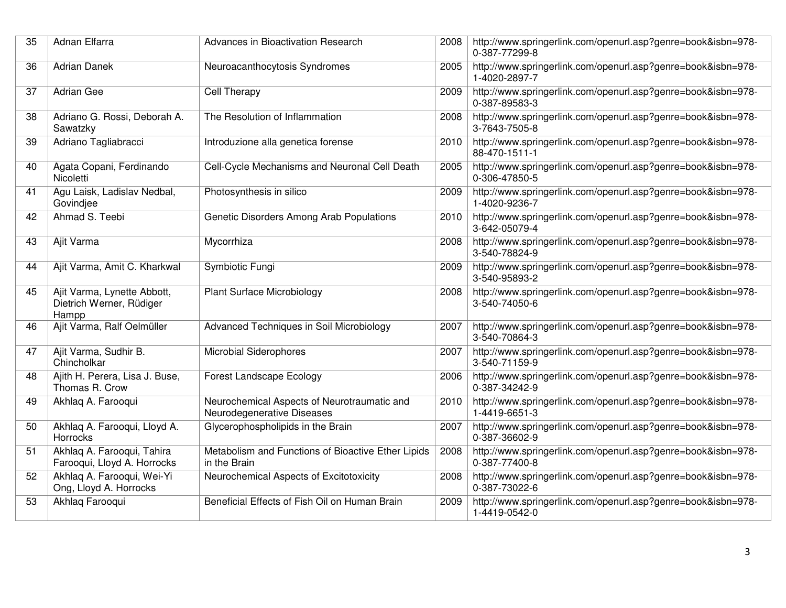| 35 | Adnan Elfarra                                                    | Advances in Bioactivation Research                                        | 2008 | http://www.springerlink.com/openurl.asp?genre=book&isbn=978-<br>0-387-77299-8 |
|----|------------------------------------------------------------------|---------------------------------------------------------------------------|------|-------------------------------------------------------------------------------|
| 36 | <b>Adrian Danek</b>                                              | Neuroacanthocytosis Syndromes                                             | 2005 | http://www.springerlink.com/openurl.asp?genre=book&isbn=978-<br>1-4020-2897-7 |
| 37 | <b>Adrian Gee</b>                                                | Cell Therapy                                                              | 2009 | http://www.springerlink.com/openurl.asp?genre=book&isbn=978-<br>0-387-89583-3 |
| 38 | Adriano G. Rossi, Deborah A.<br>Sawatzky                         | The Resolution of Inflammation                                            | 2008 | http://www.springerlink.com/openurl.asp?genre=book&isbn=978-<br>3-7643-7505-8 |
| 39 | Adriano Tagliabracci                                             | Introduzione alla genetica forense                                        | 2010 | http://www.springerlink.com/openurl.asp?genre=book&isbn=978-<br>88-470-1511-1 |
| 40 | Agata Copani, Ferdinando<br>Nicoletti                            | Cell-Cycle Mechanisms and Neuronal Cell Death                             | 2005 | http://www.springerlink.com/openurl.asp?genre=book&isbn=978-<br>0-306-47850-5 |
| 41 | Agu Laisk, Ladislav Nedbal,<br>Govindjee                         | Photosynthesis in silico                                                  | 2009 | http://www.springerlink.com/openurl.asp?genre=book&isbn=978-<br>1-4020-9236-7 |
| 42 | Ahmad S. Teebi                                                   | Genetic Disorders Among Arab Populations                                  | 2010 | http://www.springerlink.com/openurl.asp?genre=book&isbn=978-<br>3-642-05079-4 |
| 43 | Ajit Varma                                                       | Mycorrhiza                                                                | 2008 | http://www.springerlink.com/openurl.asp?genre=book&isbn=978-<br>3-540-78824-9 |
| 44 | Ajit Varma, Amit C. Kharkwal                                     | Symbiotic Fungi                                                           | 2009 | http://www.springerlink.com/openurl.asp?genre=book&isbn=978-<br>3-540-95893-2 |
| 45 | Ajit Varma, Lynette Abbott,<br>Dietrich Werner, Rüdiger<br>Hampp | <b>Plant Surface Microbiology</b>                                         | 2008 | http://www.springerlink.com/openurl.asp?genre=book&isbn=978-<br>3-540-74050-6 |
| 46 | Ajit Varma, Ralf Oelmüller                                       | Advanced Techniques in Soil Microbiology                                  | 2007 | http://www.springerlink.com/openurl.asp?genre=book&isbn=978-<br>3-540-70864-3 |
| 47 | Ajit Varma, Sudhir B.<br>Chincholkar                             | <b>Microbial Siderophores</b>                                             | 2007 | http://www.springerlink.com/openurl.asp?genre=book&isbn=978-<br>3-540-71159-9 |
| 48 | Ajith H. Perera, Lisa J. Buse,<br>Thomas R. Crow                 | Forest Landscape Ecology                                                  | 2006 | http://www.springerlink.com/openurl.asp?genre=book&isbn=978-<br>0-387-34242-9 |
| 49 | Akhlaq A. Farooqui                                               | Neurochemical Aspects of Neurotraumatic and<br>Neurodegenerative Diseases | 2010 | http://www.springerlink.com/openurl.asp?genre=book&isbn=978-<br>1-4419-6651-3 |
| 50 | Akhlaq A. Farooqui, Lloyd A.<br>Horrocks                         | Glycerophospholipids in the Brain                                         | 2007 | http://www.springerlink.com/openurl.asp?genre=book&isbn=978-<br>0-387-36602-9 |
| 51 | Akhlaq A. Farooqui, Tahira<br>Farooqui, Lloyd A. Horrocks        | Metabolism and Functions of Bioactive Ether Lipids<br>in the Brain        | 2008 | http://www.springerlink.com/openurl.asp?genre=book&isbn=978-<br>0-387-77400-8 |
| 52 | Akhlaq A. Farooqui, Wei-Yi<br>Ong, Lloyd A. Horrocks             | Neurochemical Aspects of Excitotoxicity                                   | 2008 | http://www.springerlink.com/openurl.asp?genre=book&isbn=978-<br>0-387-73022-6 |
| 53 | Akhlaq Farooqui                                                  | Beneficial Effects of Fish Oil on Human Brain                             | 2009 | http://www.springerlink.com/openurl.asp?genre=book&isbn=978-<br>1-4419-0542-0 |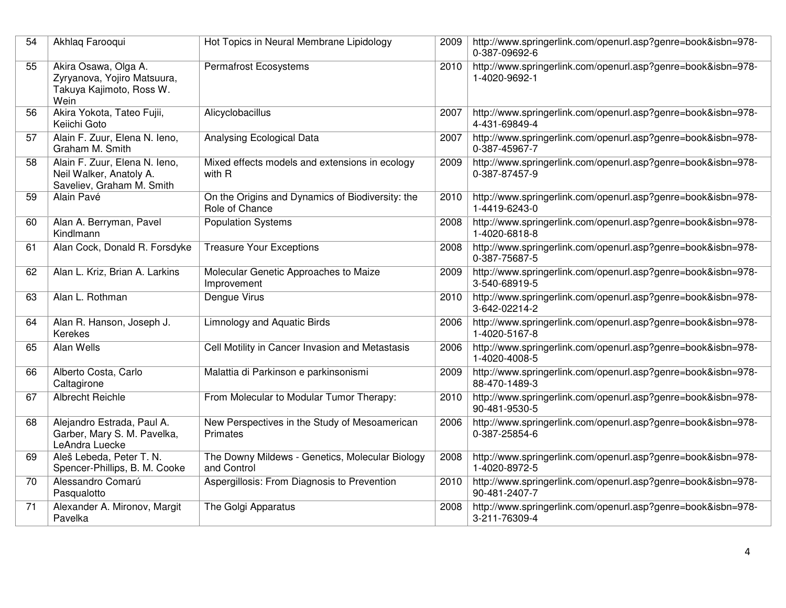| 54 | Akhlaq Farooqui                                                                         | Hot Topics in Neural Membrane Lipidology                           | 2009 | http://www.springerlink.com/openurl.asp?genre=book&isbn=978-<br>0-387-09692-6 |
|----|-----------------------------------------------------------------------------------------|--------------------------------------------------------------------|------|-------------------------------------------------------------------------------|
| 55 | Akira Osawa, Olga A.<br>Zyryanova, Yojiro Matsuura,<br>Takuya Kajimoto, Ross W.<br>Wein | <b>Permafrost Ecosystems</b>                                       | 2010 | http://www.springerlink.com/openurl.asp?genre=book&isbn=978-<br>1-4020-9692-1 |
| 56 | Akira Yokota, Tateo Fujii,<br>Keiichi Goto                                              | Alicyclobacillus                                                   | 2007 | http://www.springerlink.com/openurl.asp?genre=book&isbn=978-<br>4-431-69849-4 |
| 57 | Alain F. Zuur, Elena N. leno,<br>Graham M. Smith                                        | Analysing Ecological Data                                          | 2007 | http://www.springerlink.com/openurl.asp?genre=book&isbn=978-<br>0-387-45967-7 |
| 58 | Alain F. Zuur, Elena N. Ieno,<br>Neil Walker, Anatoly A.<br>Saveliev, Graham M. Smith   | Mixed effects models and extensions in ecology<br>with R           | 2009 | http://www.springerlink.com/openurl.asp?genre=book&isbn=978-<br>0-387-87457-9 |
| 59 | Alain Pavé                                                                              | On the Origins and Dynamics of Biodiversity: the<br>Role of Chance | 2010 | http://www.springerlink.com/openurl.asp?genre=book&isbn=978-<br>1-4419-6243-0 |
| 60 | Alan A. Berryman, Pavel<br>Kindlmann                                                    | <b>Population Systems</b>                                          | 2008 | http://www.springerlink.com/openurl.asp?genre=book&isbn=978-<br>1-4020-6818-8 |
| 61 | Alan Cock, Donald R. Forsdyke                                                           | <b>Treasure Your Exceptions</b>                                    | 2008 | http://www.springerlink.com/openurl.asp?genre=book&isbn=978-<br>0-387-75687-5 |
| 62 | Alan L. Kriz, Brian A. Larkins                                                          | Molecular Genetic Approaches to Maize<br>Improvement               | 2009 | http://www.springerlink.com/openurl.asp?genre=book&isbn=978-<br>3-540-68919-5 |
| 63 | Alan L. Rothman                                                                         | Dengue Virus                                                       | 2010 | http://www.springerlink.com/openurl.asp?genre=book&isbn=978-<br>3-642-02214-2 |
| 64 | Alan R. Hanson, Joseph J.<br>Kerekes                                                    | <b>Limnology and Aquatic Birds</b>                                 | 2006 | http://www.springerlink.com/openurl.asp?genre=book&isbn=978-<br>1-4020-5167-8 |
| 65 | Alan Wells                                                                              | Cell Motility in Cancer Invasion and Metastasis                    | 2006 | http://www.springerlink.com/openurl.asp?genre=book&isbn=978-<br>1-4020-4008-5 |
| 66 | Alberto Costa, Carlo<br>Caltagirone                                                     | Malattia di Parkinson e parkinsonismi                              | 2009 | http://www.springerlink.com/openurl.asp?genre=book&isbn=978-<br>88-470-1489-3 |
| 67 | Albrecht Reichle                                                                        | From Molecular to Modular Tumor Therapy:                           | 2010 | http://www.springerlink.com/openurl.asp?genre=book&isbn=978-<br>90-481-9530-5 |
| 68 | Alejandro Estrada, Paul A.<br>Garber, Mary S. M. Pavelka,<br>LeAndra Luecke             | New Perspectives in the Study of Mesoamerican<br><b>Primates</b>   | 2006 | http://www.springerlink.com/openurl.asp?genre=book&isbn=978-<br>0-387-25854-6 |
| 69 | Aleš Lebeda, Peter T. N.<br>Spencer-Phillips, B. M. Cooke                               | The Downy Mildews - Genetics, Molecular Biology<br>and Control     | 2008 | http://www.springerlink.com/openurl.asp?genre=book&isbn=978-<br>1-4020-8972-5 |
| 70 | Alessandro Comarú<br>Pasqualotto                                                        | Aspergillosis: From Diagnosis to Prevention                        | 2010 | http://www.springerlink.com/openurl.asp?genre=book&isbn=978-<br>90-481-2407-7 |
| 71 | Alexander A. Mironov, Margit<br>Pavelka                                                 | The Golgi Apparatus                                                | 2008 | http://www.springerlink.com/openurl.asp?genre=book&isbn=978-<br>3-211-76309-4 |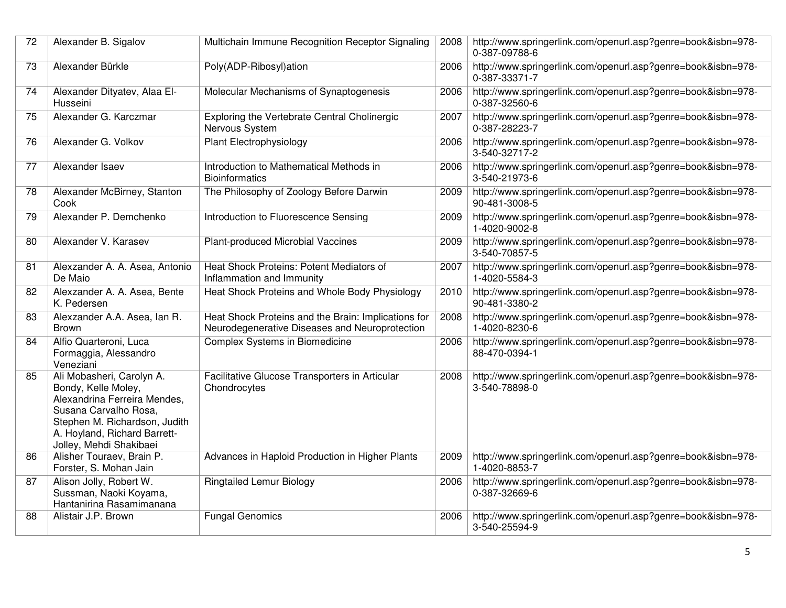| 72 | Alexander B. Sigalov                                                                                                                                                                                  | Multichain Immune Recognition Receptor Signaling                                                      | 2008 | http://www.springerlink.com/openurl.asp?genre=book&isbn=978-<br>0-387-09788-6 |
|----|-------------------------------------------------------------------------------------------------------------------------------------------------------------------------------------------------------|-------------------------------------------------------------------------------------------------------|------|-------------------------------------------------------------------------------|
| 73 | Alexander Bürkle                                                                                                                                                                                      | Poly(ADP-Ribosyl)ation                                                                                | 2006 | http://www.springerlink.com/openurl.asp?genre=book&isbn=978-<br>0-387-33371-7 |
| 74 | Alexander Dityatev, Alaa El-<br>Husseini                                                                                                                                                              | Molecular Mechanisms of Synaptogenesis                                                                | 2006 | http://www.springerlink.com/openurl.asp?genre=book&isbn=978-<br>0-387-32560-6 |
| 75 | Alexander G. Karczmar                                                                                                                                                                                 | Exploring the Vertebrate Central Cholinergic<br>Nervous System                                        | 2007 | http://www.springerlink.com/openurl.asp?genre=book&isbn=978-<br>0-387-28223-7 |
| 76 | Alexander G. Volkov                                                                                                                                                                                   | <b>Plant Electrophysiology</b>                                                                        | 2006 | http://www.springerlink.com/openurl.asp?genre=book&isbn=978-<br>3-540-32717-2 |
| 77 | Alexander Isaev                                                                                                                                                                                       | Introduction to Mathematical Methods in<br><b>Bioinformatics</b>                                      | 2006 | http://www.springerlink.com/openurl.asp?genre=book&isbn=978-<br>3-540-21973-6 |
| 78 | Alexander McBirney, Stanton<br>Cook                                                                                                                                                                   | The Philosophy of Zoology Before Darwin                                                               | 2009 | http://www.springerlink.com/openurl.asp?genre=book&isbn=978-<br>90-481-3008-5 |
| 79 | Alexander P. Demchenko                                                                                                                                                                                | Introduction to Fluorescence Sensing                                                                  | 2009 | http://www.springerlink.com/openurl.asp?genre=book&isbn=978-<br>1-4020-9002-8 |
| 80 | Alexander V. Karasev                                                                                                                                                                                  | Plant-produced Microbial Vaccines                                                                     | 2009 | http://www.springerlink.com/openurl.asp?genre=book&isbn=978-<br>3-540-70857-5 |
| 81 | Alexzander A. A. Asea, Antonio<br>De Maio                                                                                                                                                             | Heat Shock Proteins: Potent Mediators of<br>Inflammation and Immunity                                 | 2007 | http://www.springerlink.com/openurl.asp?genre=book&isbn=978-<br>1-4020-5584-3 |
| 82 | Alexzander A. A. Asea, Bente<br>K. Pedersen                                                                                                                                                           | Heat Shock Proteins and Whole Body Physiology                                                         | 2010 | http://www.springerlink.com/openurl.asp?genre=book&isbn=978-<br>90-481-3380-2 |
| 83 | Alexzander A.A. Asea, Ian R.<br><b>Brown</b>                                                                                                                                                          | Heat Shock Proteins and the Brain: Implications for<br>Neurodegenerative Diseases and Neuroprotection | 2008 | http://www.springerlink.com/openurl.asp?genre=book&isbn=978-<br>1-4020-8230-6 |
| 84 | Alfio Quarteroni, Luca<br>Formaggia, Alessandro<br>Veneziani                                                                                                                                          | Complex Systems in Biomedicine                                                                        | 2006 | http://www.springerlink.com/openurl.asp?genre=book&isbn=978-<br>88-470-0394-1 |
| 85 | Ali Mobasheri, Carolyn A.<br>Bondy, Kelle Moley,<br>Alexandrina Ferreira Mendes,<br>Susana Carvalho Rosa,<br>Stephen M. Richardson, Judith<br>A. Hoyland, Richard Barrett-<br>Jolley, Mehdi Shakibaei | Facilitative Glucose Transporters in Articular<br>Chondrocytes                                        | 2008 | http://www.springerlink.com/openurl.asp?genre=book&isbn=978-<br>3-540-78898-0 |
| 86 | Alisher Touraev, Brain P.<br>Forster, S. Mohan Jain                                                                                                                                                   | Advances in Haploid Production in Higher Plants                                                       | 2009 | http://www.springerlink.com/openurl.asp?genre=book&isbn=978-<br>1-4020-8853-7 |
| 87 | Alison Jolly, Robert W.<br>Sussman, Naoki Koyama,<br>Hantanirina Rasamimanana                                                                                                                         | <b>Ringtailed Lemur Biology</b>                                                                       | 2006 | http://www.springerlink.com/openurl.asp?genre=book&isbn=978-<br>0-387-32669-6 |
| 88 | Alistair J.P. Brown                                                                                                                                                                                   | <b>Fungal Genomics</b>                                                                                | 2006 | http://www.springerlink.com/openurl.asp?genre=book&isbn=978-<br>3-540-25594-9 |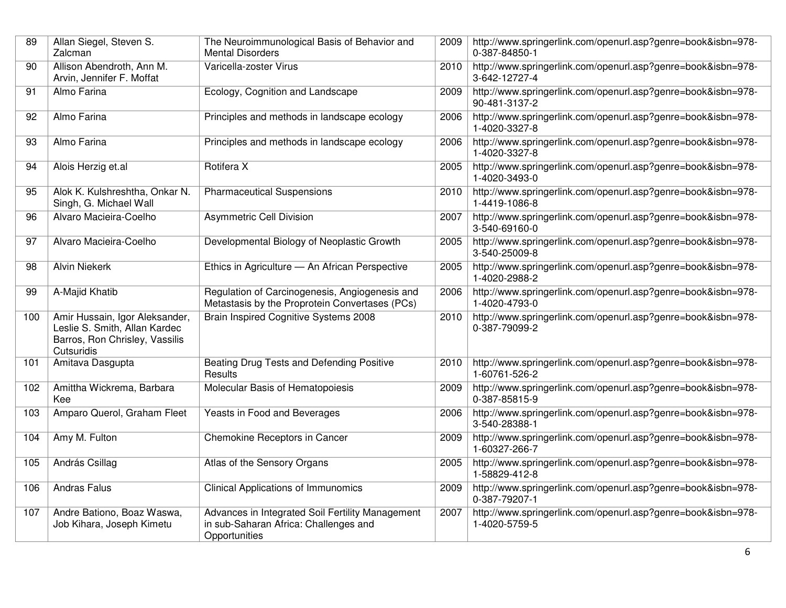| 89  | Allan Siegel, Steven S.<br>Zalcman                                                                              | The Neuroimmunological Basis of Behavior and<br><b>Mental Disorders</b>                                    | 2009 | http://www.springerlink.com/openurl.asp?genre=book&isbn=978-<br>0-387-84850-1 |
|-----|-----------------------------------------------------------------------------------------------------------------|------------------------------------------------------------------------------------------------------------|------|-------------------------------------------------------------------------------|
| 90  | Allison Abendroth, Ann M.<br>Arvin, Jennifer F. Moffat                                                          | Varicella-zoster Virus                                                                                     | 2010 | http://www.springerlink.com/openurl.asp?genre=book&isbn=978-<br>3-642-12727-4 |
| 91  | Almo Farina                                                                                                     | Ecology, Cognition and Landscape                                                                           | 2009 | http://www.springerlink.com/openurl.asp?genre=book&isbn=978-<br>90-481-3137-2 |
| 92  | Almo Farina                                                                                                     | Principles and methods in landscape ecology                                                                | 2006 | http://www.springerlink.com/openurl.asp?genre=book&isbn=978-<br>1-4020-3327-8 |
| 93  | Almo Farina                                                                                                     | Principles and methods in landscape ecology                                                                | 2006 | http://www.springerlink.com/openurl.asp?genre=book&isbn=978-<br>1-4020-3327-8 |
| 94  | Alois Herzig et.al                                                                                              | Rotifera X                                                                                                 | 2005 | http://www.springerlink.com/openurl.asp?genre=book&isbn=978-<br>1-4020-3493-0 |
| 95  | Alok K. Kulshreshtha, Onkar N.<br>Singh, G. Michael Wall                                                        | <b>Pharmaceutical Suspensions</b>                                                                          | 2010 | http://www.springerlink.com/openurl.asp?genre=book&isbn=978-<br>1-4419-1086-8 |
| 96  | Alvaro Macieira-Coelho                                                                                          | <b>Asymmetric Cell Division</b>                                                                            | 2007 | http://www.springerlink.com/openurl.asp?genre=book&isbn=978-<br>3-540-69160-0 |
| 97  | Alvaro Macieira-Coelho                                                                                          | Developmental Biology of Neoplastic Growth                                                                 | 2005 | http://www.springerlink.com/openurl.asp?genre=book&isbn=978-<br>3-540-25009-8 |
| 98  | <b>Alvin Niekerk</b>                                                                                            | Ethics in Agriculture - An African Perspective                                                             | 2005 | http://www.springerlink.com/openurl.asp?genre=book&isbn=978-<br>1-4020-2988-2 |
| 99  | A-Majid Khatib                                                                                                  | Regulation of Carcinogenesis, Angiogenesis and<br>Metastasis by the Proprotein Convertases (PCs)           | 2006 | http://www.springerlink.com/openurl.asp?genre=book&isbn=978-<br>1-4020-4793-0 |
| 100 | Amir Hussain, Igor Aleksander,<br>Leslie S. Smith, Allan Kardec<br>Barros, Ron Chrisley, Vassilis<br>Cutsuridis | Brain Inspired Cognitive Systems 2008                                                                      | 2010 | http://www.springerlink.com/openurl.asp?genre=book&isbn=978-<br>0-387-79099-2 |
| 101 | Amitava Dasgupta                                                                                                | Beating Drug Tests and Defending Positive<br>Results                                                       | 2010 | http://www.springerlink.com/openurl.asp?genre=book&isbn=978-<br>1-60761-526-2 |
| 102 | Amittha Wickrema, Barbara<br>Kee                                                                                | Molecular Basis of Hematopoiesis                                                                           | 2009 | http://www.springerlink.com/openurl.asp?genre=book&isbn=978-<br>0-387-85815-9 |
| 103 | Amparo Querol, Graham Fleet                                                                                     | Yeasts in Food and Beverages                                                                               | 2006 | http://www.springerlink.com/openurl.asp?genre=book&isbn=978-<br>3-540-28388-1 |
| 104 | Amy M. Fulton                                                                                                   | Chemokine Receptors in Cancer                                                                              | 2009 | http://www.springerlink.com/openurl.asp?genre=book&isbn=978-<br>1-60327-266-7 |
| 105 | András Csillag                                                                                                  | Atlas of the Sensory Organs                                                                                | 2005 | http://www.springerlink.com/openurl.asp?genre=book&isbn=978-<br>1-58829-412-8 |
| 106 | <b>Andras Falus</b>                                                                                             | <b>Clinical Applications of Immunomics</b>                                                                 | 2009 | http://www.springerlink.com/openurl.asp?genre=book&isbn=978-<br>0-387-79207-1 |
| 107 | Andre Bationo, Boaz Waswa,<br>Job Kihara, Joseph Kimetu                                                         | Advances in Integrated Soil Fertility Management<br>in sub-Saharan Africa: Challenges and<br>Opportunities | 2007 | http://www.springerlink.com/openurl.asp?genre=book&isbn=978-<br>1-4020-5759-5 |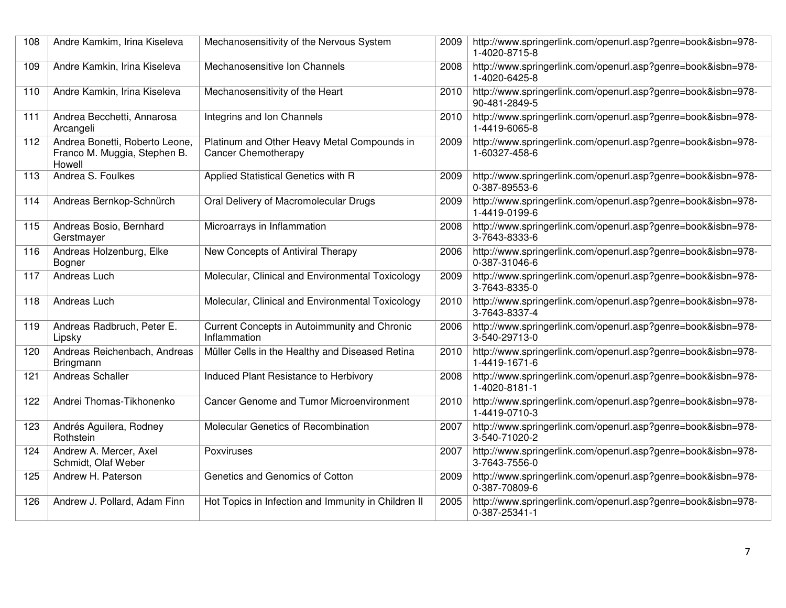| 108 | Andre Kamkim, Irina Kiseleva                                             | Mechanosensitivity of the Nervous System                                  | 2009 | http://www.springerlink.com/openurl.asp?genre=book&isbn=978-<br>1-4020-8715-8 |
|-----|--------------------------------------------------------------------------|---------------------------------------------------------------------------|------|-------------------------------------------------------------------------------|
| 109 | Andre Kamkin, Irina Kiseleva                                             | Mechanosensitive Ion Channels                                             | 2008 | http://www.springerlink.com/openurl.asp?genre=book&isbn=978-<br>1-4020-6425-8 |
| 110 | Andre Kamkin, Irina Kiseleva                                             | Mechanosensitivity of the Heart                                           | 2010 | http://www.springerlink.com/openurl.asp?genre=book&isbn=978-<br>90-481-2849-5 |
| 111 | Andrea Becchetti, Annarosa<br>Arcangeli                                  | Integrins and Ion Channels                                                | 2010 | http://www.springerlink.com/openurl.asp?genre=book&isbn=978-<br>1-4419-6065-8 |
| 112 | Andrea Bonetti, Roberto Leone,<br>Franco M. Muggia, Stephen B.<br>Howell | Platinum and Other Heavy Metal Compounds in<br><b>Cancer Chemotherapy</b> | 2009 | http://www.springerlink.com/openurl.asp?genre=book&isbn=978-<br>1-60327-458-6 |
| 113 | Andrea S. Foulkes                                                        | Applied Statistical Genetics with R                                       | 2009 | http://www.springerlink.com/openurl.asp?genre=book&isbn=978-<br>0-387-89553-6 |
| 114 | Andreas Bernkop-Schnürch                                                 | Oral Delivery of Macromolecular Drugs                                     | 2009 | http://www.springerlink.com/openurl.asp?genre=book&isbn=978-<br>1-4419-0199-6 |
| 115 | Andreas Bosio, Bernhard<br>Gerstmayer                                    | Microarrays in Inflammation                                               | 2008 | http://www.springerlink.com/openurl.asp?genre=book&isbn=978-<br>3-7643-8333-6 |
| 116 | Andreas Holzenburg, Elke<br>Bogner                                       | New Concepts of Antiviral Therapy                                         | 2006 | http://www.springerlink.com/openurl.asp?genre=book&isbn=978-<br>0-387-31046-6 |
| 117 | Andreas Luch                                                             | Molecular, Clinical and Environmental Toxicology                          | 2009 | http://www.springerlink.com/openurl.asp?genre=book&isbn=978-<br>3-7643-8335-0 |
| 118 | Andreas Luch                                                             | Molecular, Clinical and Environmental Toxicology                          | 2010 | http://www.springerlink.com/openurl.asp?genre=book&isbn=978-<br>3-7643-8337-4 |
| 119 | Andreas Radbruch, Peter E.<br>Lipsky                                     | Current Concepts in Autoimmunity and Chronic<br>Inflammation              | 2006 | http://www.springerlink.com/openurl.asp?genre=book&isbn=978-<br>3-540-29713-0 |
| 120 | Andreas Reichenbach, Andreas<br>Bringmann                                | Müller Cells in the Healthy and Diseased Retina                           | 2010 | http://www.springerlink.com/openurl.asp?genre=book&isbn=978-<br>1-4419-1671-6 |
| 121 | Andreas Schaller                                                         | Induced Plant Resistance to Herbivory                                     | 2008 | http://www.springerlink.com/openurl.asp?genre=book&isbn=978-<br>1-4020-8181-1 |
| 122 | Andrei Thomas-Tikhonenko                                                 | <b>Cancer Genome and Tumor Microenvironment</b>                           | 2010 | http://www.springerlink.com/openurl.asp?genre=book&isbn=978-<br>1-4419-0710-3 |
| 123 | Andrés Aguilera, Rodney<br>Rothstein                                     | Molecular Genetics of Recombination                                       | 2007 | http://www.springerlink.com/openurl.asp?genre=book&isbn=978-<br>3-540-71020-2 |
| 124 | Andrew A. Mercer, Axel<br>Schmidt, Olaf Weber                            | Poxviruses                                                                | 2007 | http://www.springerlink.com/openurl.asp?genre=book&isbn=978-<br>3-7643-7556-0 |
| 125 | Andrew H. Paterson                                                       | Genetics and Genomics of Cotton                                           | 2009 | http://www.springerlink.com/openurl.asp?genre=book&isbn=978-<br>0-387-70809-6 |
| 126 | Andrew J. Pollard, Adam Finn                                             | Hot Topics in Infection and Immunity in Children II                       | 2005 | http://www.springerlink.com/openurl.asp?genre=book&isbn=978-<br>0-387-25341-1 |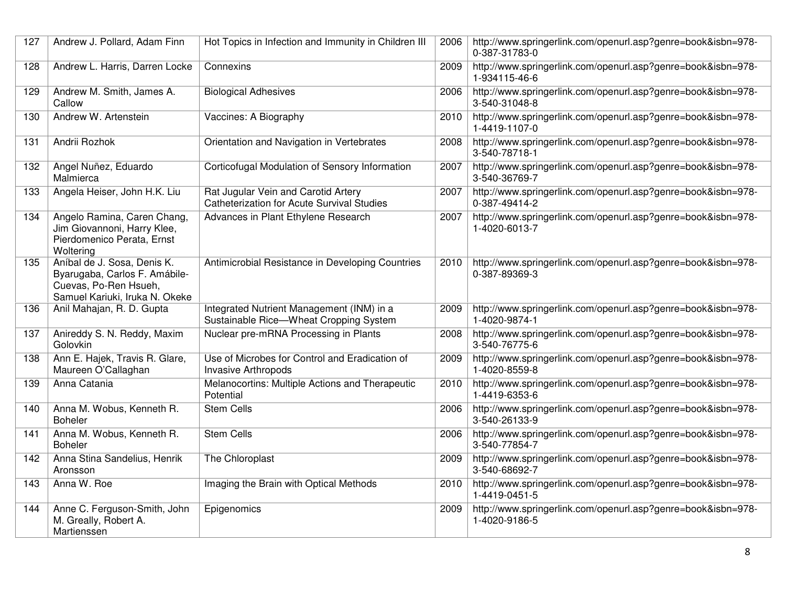| 127 | Andrew J. Pollard, Adam Finn                                                                                            | Hot Topics in Infection and Immunity in Children III                                     | 2006 | http://www.springerlink.com/openurl.asp?genre=book&isbn=978-<br>0-387-31783-0 |
|-----|-------------------------------------------------------------------------------------------------------------------------|------------------------------------------------------------------------------------------|------|-------------------------------------------------------------------------------|
| 128 | Andrew L. Harris, Darren Locke                                                                                          | Connexins                                                                                | 2009 | http://www.springerlink.com/openurl.asp?genre=book&isbn=978-<br>1-934115-46-6 |
| 129 | Andrew M. Smith, James A.<br>Callow                                                                                     | <b>Biological Adhesives</b>                                                              | 2006 | http://www.springerlink.com/openurl.asp?genre=book&isbn=978-<br>3-540-31048-8 |
| 130 | Andrew W. Artenstein                                                                                                    | Vaccines: A Biography                                                                    | 2010 | http://www.springerlink.com/openurl.asp?genre=book&isbn=978-<br>1-4419-1107-0 |
| 131 | Andrii Rozhok                                                                                                           | Orientation and Navigation in Vertebrates                                                | 2008 | http://www.springerlink.com/openurl.asp?genre=book&isbn=978-<br>3-540-78718-1 |
| 132 | Angel Nuñez, Eduardo<br>Malmierca                                                                                       | Corticofugal Modulation of Sensory Information                                           | 2007 | http://www.springerlink.com/openurl.asp?genre=book&isbn=978-<br>3-540-36769-7 |
| 133 | Angela Heiser, John H.K. Liu                                                                                            | Rat Jugular Vein and Carotid Artery<br><b>Catheterization for Acute Survival Studies</b> | 2007 | http://www.springerlink.com/openurl.asp?genre=book&isbn=978-<br>0-387-49414-2 |
| 134 | Angelo Ramina, Caren Chang,<br>Jim Giovannoni, Harry Klee,<br>Pierdomenico Perata, Ernst<br>Woltering                   | Advances in Plant Ethylene Research                                                      | 2007 | http://www.springerlink.com/openurl.asp?genre=book&isbn=978-<br>1-4020-6013-7 |
| 135 | Aníbal de J. Sosa, Denis K.<br>Byarugaba, Carlos F. Amábile-<br>Cuevas, Po-Ren Hsueh,<br>Samuel Kariuki, Iruka N. Okeke | Antimicrobial Resistance in Developing Countries                                         | 2010 | http://www.springerlink.com/openurl.asp?genre=book&isbn=978-<br>0-387-89369-3 |
| 136 | Anil Mahajan, R. D. Gupta                                                                                               | Integrated Nutrient Management (INM) in a<br>Sustainable Rice-Wheat Cropping System      | 2009 | http://www.springerlink.com/openurl.asp?genre=book&isbn=978-<br>1-4020-9874-1 |
| 137 | Anireddy S. N. Reddy, Maxim<br>Golovkin                                                                                 | Nuclear pre-mRNA Processing in Plants                                                    | 2008 | http://www.springerlink.com/openurl.asp?genre=book&isbn=978-<br>3-540-76775-6 |
| 138 | Ann E. Hajek, Travis R. Glare,<br>Maureen O'Callaghan                                                                   | Use of Microbes for Control and Eradication of<br><b>Invasive Arthropods</b>             | 2009 | http://www.springerlink.com/openurl.asp?genre=book&isbn=978-<br>1-4020-8559-8 |
| 139 | Anna Catania                                                                                                            | Melanocortins: Multiple Actions and Therapeutic<br>Potential                             | 2010 | http://www.springerlink.com/openurl.asp?genre=book&isbn=978-<br>1-4419-6353-6 |
| 140 | Anna M. Wobus, Kenneth R.<br><b>Boheler</b>                                                                             | <b>Stem Cells</b>                                                                        | 2006 | http://www.springerlink.com/openurl.asp?genre=book&isbn=978-<br>3-540-26133-9 |
| 141 | Anna M. Wobus, Kenneth R.<br><b>Boheler</b>                                                                             | <b>Stem Cells</b>                                                                        | 2006 | http://www.springerlink.com/openurl.asp?genre=book&isbn=978-<br>3-540-77854-7 |
| 142 | Anna Stina Sandelius, Henrik<br>Aronsson                                                                                | The Chloroplast                                                                          | 2009 | http://www.springerlink.com/openurl.asp?genre=book&isbn=978-<br>3-540-68692-7 |
| 143 | Anna W. Roe                                                                                                             | Imaging the Brain with Optical Methods                                                   | 2010 | http://www.springerlink.com/openurl.asp?genre=book&isbn=978-<br>1-4419-0451-5 |
| 144 | Anne C. Ferguson-Smith, John<br>M. Greally, Robert A.<br>Martienssen                                                    | Epigenomics                                                                              | 2009 | http://www.springerlink.com/openurl.asp?genre=book&isbn=978-<br>1-4020-9186-5 |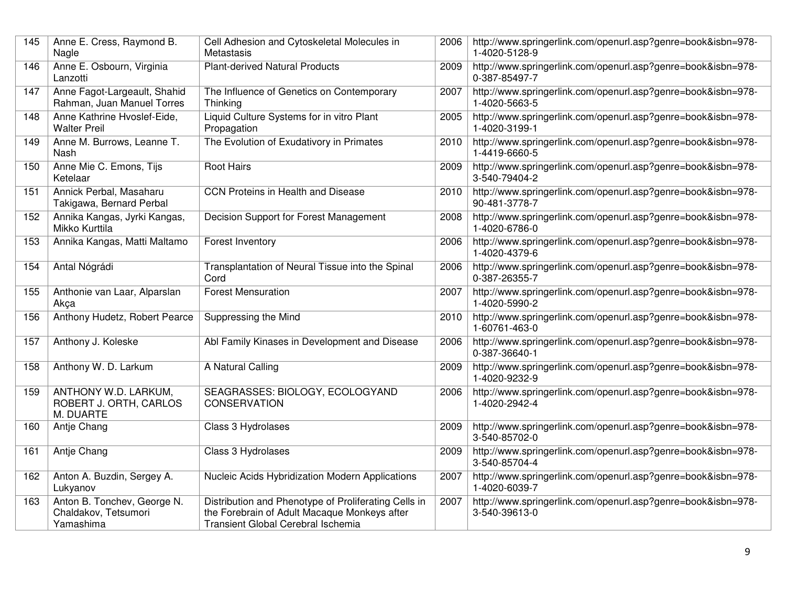| 145 | Anne E. Cress, Raymond B.<br>Nagle                               | Cell Adhesion and Cytoskeletal Molecules in<br>Metastasis                                                                                  | 2006 | http://www.springerlink.com/openurl.asp?genre=book&isbn=978-<br>1-4020-5128-9 |
|-----|------------------------------------------------------------------|--------------------------------------------------------------------------------------------------------------------------------------------|------|-------------------------------------------------------------------------------|
| 146 | Anne E. Osbourn, Virginia<br>Lanzotti                            | <b>Plant-derived Natural Products</b>                                                                                                      | 2009 | http://www.springerlink.com/openurl.asp?genre=book&isbn=978-<br>0-387-85497-7 |
| 147 | Anne Fagot-Largeault, Shahid<br>Rahman, Juan Manuel Torres       | The Influence of Genetics on Contemporary<br>Thinking                                                                                      | 2007 | http://www.springerlink.com/openurl.asp?genre=book&isbn=978-<br>1-4020-5663-5 |
| 148 | Anne Kathrine Hvoslef-Eide,<br><b>Walter Preil</b>               | Liquid Culture Systems for in vitro Plant<br>Propagation                                                                                   | 2005 | http://www.springerlink.com/openurl.asp?genre=book&isbn=978-<br>1-4020-3199-1 |
| 149 | Anne M. Burrows, Leanne T.<br>Nash                               | The Evolution of Exudativory in Primates                                                                                                   | 2010 | http://www.springerlink.com/openurl.asp?genre=book&isbn=978-<br>1-4419-6660-5 |
| 150 | Anne Mie C. Emons, Tijs<br>Ketelaar                              | <b>Root Hairs</b>                                                                                                                          | 2009 | http://www.springerlink.com/openurl.asp?genre=book&isbn=978-<br>3-540-79404-2 |
| 151 | Annick Perbal, Masaharu<br>Takigawa, Bernard Perbal              | <b>CCN Proteins in Health and Disease</b>                                                                                                  | 2010 | http://www.springerlink.com/openurl.asp?genre=book&isbn=978-<br>90-481-3778-7 |
| 152 | Annika Kangas, Jyrki Kangas,<br>Mikko Kurttila                   | Decision Support for Forest Management                                                                                                     | 2008 | http://www.springerlink.com/openurl.asp?genre=book&isbn=978-<br>1-4020-6786-0 |
| 153 | Annika Kangas, Matti Maltamo                                     | Forest Inventory                                                                                                                           | 2006 | http://www.springerlink.com/openurl.asp?genre=book&isbn=978-<br>1-4020-4379-6 |
| 154 | Antal Nógrádi                                                    | Transplantation of Neural Tissue into the Spinal<br>Cord                                                                                   | 2006 | http://www.springerlink.com/openurl.asp?genre=book&isbn=978-<br>0-387-26355-7 |
| 155 | Anthonie van Laar, Alparslan<br>Akca                             | <b>Forest Mensuration</b>                                                                                                                  | 2007 | http://www.springerlink.com/openurl.asp?genre=book&isbn=978-<br>1-4020-5990-2 |
| 156 | Anthony Hudetz, Robert Pearce                                    | Suppressing the Mind                                                                                                                       | 2010 | http://www.springerlink.com/openurl.asp?genre=book&isbn=978-<br>1-60761-463-0 |
| 157 | Anthony J. Koleske                                               | Abl Family Kinases in Development and Disease                                                                                              | 2006 | http://www.springerlink.com/openurl.asp?genre=book&isbn=978-<br>0-387-36640-1 |
| 158 | Anthony W. D. Larkum                                             | A Natural Calling                                                                                                                          | 2009 | http://www.springerlink.com/openurl.asp?genre=book&isbn=978-<br>1-4020-9232-9 |
| 159 | ANTHONY W.D. LARKUM,<br>ROBERT J. ORTH, CARLOS<br>M. DUARTE      | SEAGRASSES: BIOLOGY, ECOLOGYAND<br><b>CONSERVATION</b>                                                                                     | 2006 | http://www.springerlink.com/openurl.asp?genre=book&isbn=978-<br>1-4020-2942-4 |
| 160 | Antje Chang                                                      | Class 3 Hydrolases                                                                                                                         | 2009 | http://www.springerlink.com/openurl.asp?genre=book&isbn=978-<br>3-540-85702-0 |
| 161 | Antje Chang                                                      | Class 3 Hydrolases                                                                                                                         | 2009 | http://www.springerlink.com/openurl.asp?genre=book&isbn=978-<br>3-540-85704-4 |
| 162 | Anton A. Buzdin, Sergey A.<br>Lukyanov                           | Nucleic Acids Hybridization Modern Applications                                                                                            | 2007 | http://www.springerlink.com/openurl.asp?genre=book&isbn=978-<br>1-4020-6039-7 |
| 163 | Anton B. Tonchev, George N.<br>Chaldakov, Tetsumori<br>Yamashima | Distribution and Phenotype of Proliferating Cells in<br>the Forebrain of Adult Macaque Monkeys after<br>Transient Global Cerebral Ischemia | 2007 | http://www.springerlink.com/openurl.asp?genre=book&isbn=978-<br>3-540-39613-0 |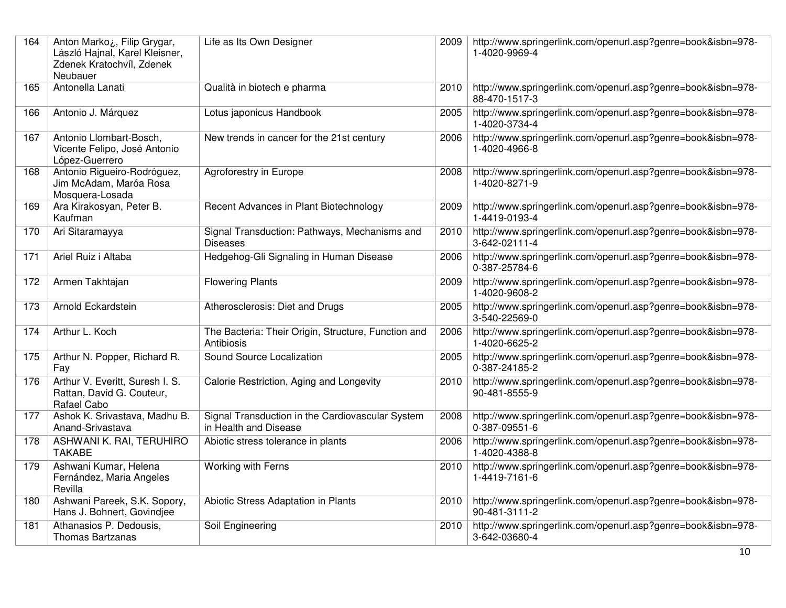| 164 | Anton Marko ¿, Filip Grygar,<br>László Hajnal, Karel Kleisner,<br>Zdenek Kratochvíl, Zdenek<br>Neubauer | Life as Its Own Designer                                                  | 2009 | http://www.springerlink.com/openurl.asp?genre=book&isbn=978-<br>1-4020-9969-4 |
|-----|---------------------------------------------------------------------------------------------------------|---------------------------------------------------------------------------|------|-------------------------------------------------------------------------------|
| 165 | Antonella Lanati                                                                                        | Qualità in biotech e pharma                                               | 2010 | http://www.springerlink.com/openurl.asp?genre=book&isbn=978-<br>88-470-1517-3 |
| 166 | Antonio J. Márquez                                                                                      | Lotus japonicus Handbook                                                  | 2005 | http://www.springerlink.com/openurl.asp?genre=book&isbn=978-<br>1-4020-3734-4 |
| 167 | Antonio Llombart-Bosch,<br>Vicente Felipo, José Antonio<br>López-Guerrero                               | New trends in cancer for the 21st century                                 | 2006 | http://www.springerlink.com/openurl.asp?genre=book&isbn=978-<br>1-4020-4966-8 |
| 168 | Antonio Rigueiro-Rodróguez,<br>Jim McAdam, Maróa Rosa<br>Mosquera-Losada                                | Agroforestry in Europe                                                    | 2008 | http://www.springerlink.com/openurl.asp?genre=book&isbn=978-<br>1-4020-8271-9 |
| 169 | Ara Kirakosyan, Peter B.<br>Kaufman                                                                     | Recent Advances in Plant Biotechnology                                    | 2009 | http://www.springerlink.com/openurl.asp?genre=book&isbn=978-<br>1-4419-0193-4 |
| 170 | Ari Sitaramayya                                                                                         | Signal Transduction: Pathways, Mechanisms and<br><b>Diseases</b>          | 2010 | http://www.springerlink.com/openurl.asp?genre=book&isbn=978-<br>3-642-02111-4 |
| 171 | Ariel Ruiz i Altaba                                                                                     | Hedgehog-Gli Signaling in Human Disease                                   | 2006 | http://www.springerlink.com/openurl.asp?genre=book&isbn=978-<br>0-387-25784-6 |
| 172 | Armen Takhtajan                                                                                         | <b>Flowering Plants</b>                                                   | 2009 | http://www.springerlink.com/openurl.asp?genre=book&isbn=978-<br>1-4020-9608-2 |
| 173 | Arnold Eckardstein                                                                                      | Atherosclerosis: Diet and Drugs                                           | 2005 | http://www.springerlink.com/openurl.asp?genre=book&isbn=978-<br>3-540-22569-0 |
| 174 | Arthur L. Koch                                                                                          | The Bacteria: Their Origin, Structure, Function and<br>Antibiosis         | 2006 | http://www.springerlink.com/openurl.asp?genre=book&isbn=978-<br>1-4020-6625-2 |
| 175 | Arthur N. Popper, Richard R.<br>Fay                                                                     | Sound Source Localization                                                 | 2005 | http://www.springerlink.com/openurl.asp?genre=book&isbn=978-<br>0-387-24185-2 |
| 176 | Arthur V. Everitt, Suresh I. S.<br>Rattan, David G. Couteur,<br>Rafael Cabo                             | Calorie Restriction, Aging and Longevity                                  | 2010 | http://www.springerlink.com/openurl.asp?genre=book&isbn=978-<br>90-481-8555-9 |
| 177 | Ashok K. Srivastava, Madhu B.<br>Anand-Srivastava                                                       | Signal Transduction in the Cardiovascular System<br>in Health and Disease | 2008 | http://www.springerlink.com/openurl.asp?genre=book&isbn=978-<br>0-387-09551-6 |
| 178 | ASHWANI K. RAI, TERUHIRO<br><b>TAKABE</b>                                                               | Abiotic stress tolerance in plants                                        | 2006 | http://www.springerlink.com/openurl.asp?genre=book&isbn=978-<br>1-4020-4388-8 |
| 179 | Ashwani Kumar, Helena<br>Fernández, Maria Angeles<br>Revilla                                            | Working with Ferns                                                        | 2010 | http://www.springerlink.com/openurl.asp?genre=book&isbn=978-<br>1-4419-7161-6 |
| 180 | Ashwani Pareek, S.K. Sopory,<br>Hans J. Bohnert, Govindjee                                              | Abiotic Stress Adaptation in Plants                                       | 2010 | http://www.springerlink.com/openurl.asp?genre=book&isbn=978-<br>90-481-3111-2 |
| 181 | Athanasios P. Dedousis,<br>Thomas Bartzanas                                                             | Soil Engineering                                                          | 2010 | http://www.springerlink.com/openurl.asp?genre=book&isbn=978-<br>3-642-03680-4 |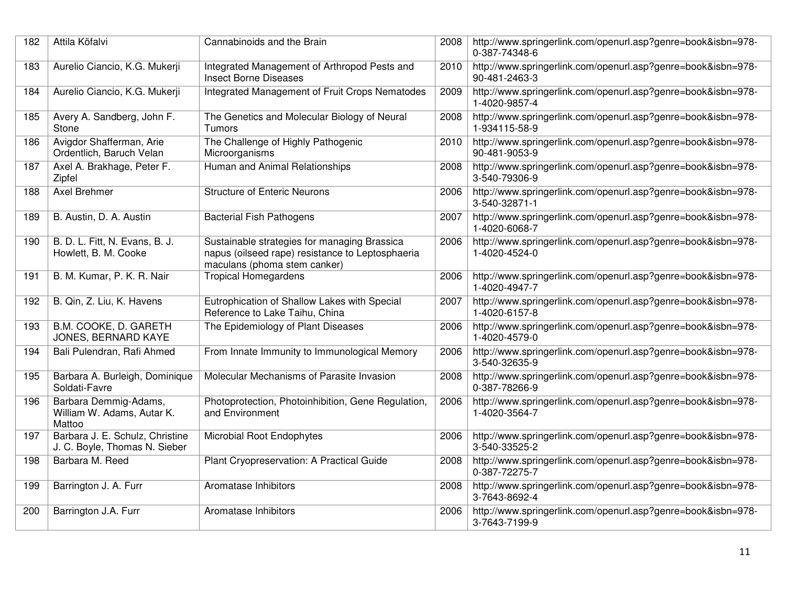| 182 | Attila Köfalvi                                                   | Cannabinoids and the Brain                                                                                                       | 2008 | http://www.springerlink.com/openurl.asp?genre=book&isbn=978-<br>0-387-74348-6 |
|-----|------------------------------------------------------------------|----------------------------------------------------------------------------------------------------------------------------------|------|-------------------------------------------------------------------------------|
| 183 | Aurelio Ciancio, K.G. Mukerji                                    | Integrated Management of Arthropod Pests and<br><b>Insect Borne Diseases</b>                                                     | 2010 | http://www.springerlink.com/openurl.asp?genre=book&isbn=978-<br>90-481-2463-3 |
| 184 | Aurelio Ciancio, K.G. Mukerji                                    | Integrated Management of Fruit Crops Nematodes                                                                                   | 2009 | http://www.springerlink.com/openurl.asp?genre=book&isbn=978-<br>1-4020-9857-4 |
| 185 | Avery A. Sandberg, John F.<br>Stone                              | The Genetics and Molecular Biology of Neural<br>Tumors                                                                           | 2008 | http://www.springerlink.com/openurl.asp?genre=book&isbn=978-<br>1-934115-58-9 |
| 186 | Avigdor Shafferman, Arie<br>Ordentlich, Baruch Velan             | The Challenge of Highly Pathogenic<br>Microorganisms                                                                             | 2010 | http://www.springerlink.com/openurl.asp?genre=book&isbn=978-<br>90-481-9053-9 |
| 187 | Axel A. Brakhage, Peter F.<br>Zipfel                             | Human and Animal Relationships                                                                                                   | 2008 | http://www.springerlink.com/openurl.asp?genre=book&isbn=978-<br>3-540-79306-9 |
| 188 | <b>Axel Brehmer</b>                                              | <b>Structure of Enteric Neurons</b>                                                                                              | 2006 | http://www.springerlink.com/openurl.asp?genre=book&isbn=978-<br>3-540-32871-1 |
| 189 | B. Austin, D. A. Austin                                          | <b>Bacterial Fish Pathogens</b>                                                                                                  | 2007 | http://www.springerlink.com/openurl.asp?genre=book&isbn=978-<br>1-4020-6068-7 |
| 190 | B. D. L. Fitt, N. Evans, B. J.<br>Howlett, B. M. Cooke           | Sustainable strategies for managing Brassica<br>napus (oilseed rape) resistance to Leptosphaeria<br>maculans (phoma stem canker) | 2006 | http://www.springerlink.com/openurl.asp?genre=book&isbn=978-<br>1-4020-4524-0 |
| 191 | B. M. Kumar, P. K. R. Nair                                       | <b>Tropical Homegardens</b>                                                                                                      | 2006 | http://www.springerlink.com/openurl.asp?genre=book&isbn=978-<br>1-4020-4947-7 |
| 192 | B. Qin, Z. Liu, K. Havens                                        | Eutrophication of Shallow Lakes with Special<br>Reference to Lake Taihu, China                                                   | 2007 | http://www.springerlink.com/openurl.asp?genre=book&isbn=978-<br>1-4020-6157-8 |
| 193 | B.M. COOKE, D. GARETH<br>JONES, BERNARD KAYE                     | The Epidemiology of Plant Diseases                                                                                               | 2006 | http://www.springerlink.com/openurl.asp?genre=book&isbn=978-<br>1-4020-4579-0 |
| 194 | Bali Pulendran, Rafi Ahmed                                       | From Innate Immunity to Immunological Memory                                                                                     | 2006 | http://www.springerlink.com/openurl.asp?genre=book&isbn=978-<br>3-540-32635-9 |
| 195 | Barbara A. Burleigh, Dominique<br>Soldati-Favre                  | Molecular Mechanisms of Parasite Invasion                                                                                        | 2008 | http://www.springerlink.com/openurl.asp?genre=book&isbn=978-<br>0-387-78266-9 |
| 196 | Barbara Demmig-Adams,<br>William W. Adams, Autar K.<br>Mattoo    | Photoprotection, Photoinhibition, Gene Regulation,<br>and Environment                                                            | 2006 | http://www.springerlink.com/openurl.asp?genre=book&isbn=978-<br>1-4020-3564-7 |
| 197 | Barbara J. E. Schulz, Christine<br>J. C. Boyle, Thomas N. Sieber | Microbial Root Endophytes                                                                                                        | 2006 | http://www.springerlink.com/openurl.asp?genre=book&isbn=978-<br>3-540-33525-2 |
| 198 | Barbara M. Reed                                                  | Plant Cryopreservation: A Practical Guide                                                                                        | 2008 | http://www.springerlink.com/openurl.asp?genre=book&isbn=978-<br>0-387-72275-7 |
| 199 | Barrington J. A. Furr                                            | Aromatase Inhibitors                                                                                                             | 2008 | http://www.springerlink.com/openurl.asp?genre=book&isbn=978-<br>3-7643-8692-4 |
| 200 | Barrington J.A. Furr                                             | Aromatase Inhibitors                                                                                                             | 2006 | http://www.springerlink.com/openurl.asp?genre=book&isbn=978-<br>3-7643-7199-9 |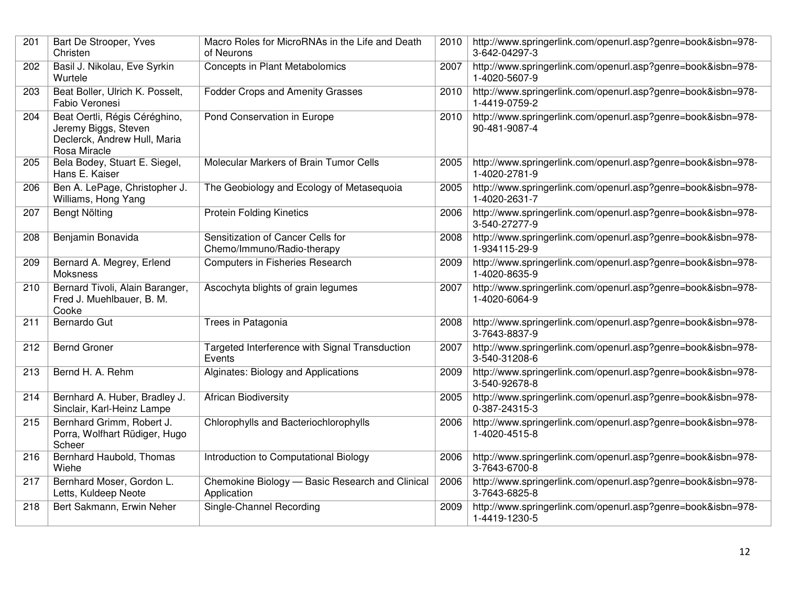| 201 | Bart De Strooper, Yves<br>Christen                                                                    | Macro Roles for MicroRNAs in the Life and Death<br>of Neurons   | 2010 | http://www.springerlink.com/openurl.asp?genre=book&isbn=978-<br>3-642-04297-3 |
|-----|-------------------------------------------------------------------------------------------------------|-----------------------------------------------------------------|------|-------------------------------------------------------------------------------|
| 202 | Basil J. Nikolau, Eve Syrkin<br>Wurtele                                                               | Concepts in Plant Metabolomics                                  | 2007 | http://www.springerlink.com/openurl.asp?genre=book&isbn=978-<br>1-4020-5607-9 |
| 203 | Beat Boller, Ulrich K. Posselt,<br>Fabio Veronesi                                                     | <b>Fodder Crops and Amenity Grasses</b>                         | 2010 | http://www.springerlink.com/openurl.asp?genre=book&isbn=978-<br>1-4419-0759-2 |
| 204 | Beat Oertli, Régis Céréghino,<br>Jeremy Biggs, Steven<br>Declerck, Andrew Hull, Maria<br>Rosa Miracle | Pond Conservation in Europe                                     | 2010 | http://www.springerlink.com/openurl.asp?genre=book&isbn=978-<br>90-481-9087-4 |
| 205 | Bela Bodey, Stuart E. Siegel,<br>Hans E. Kaiser                                                       | Molecular Markers of Brain Tumor Cells                          | 2005 | http://www.springerlink.com/openurl.asp?genre=book&isbn=978-<br>1-4020-2781-9 |
| 206 | Ben A. LePage, Christopher J.<br>Williams, Hong Yang                                                  | The Geobiology and Ecology of Metasequoia                       | 2005 | http://www.springerlink.com/openurl.asp?genre=book&isbn=978-<br>1-4020-2631-7 |
| 207 | Bengt Nölting                                                                                         | <b>Protein Folding Kinetics</b>                                 | 2006 | http://www.springerlink.com/openurl.asp?genre=book&isbn=978-<br>3-540-27277-9 |
| 208 | Benjamin Bonavida                                                                                     | Sensitization of Cancer Cells for<br>Chemo/Immuno/Radio-therapy | 2008 | http://www.springerlink.com/openurl.asp?genre=book&isbn=978-<br>1-934115-29-9 |
| 209 | Bernard A. Megrey, Erlend<br>Moksness                                                                 | Computers in Fisheries Research                                 | 2009 | http://www.springerlink.com/openurl.asp?genre=book&isbn=978-<br>1-4020-8635-9 |
| 210 | Bernard Tivoli, Alain Baranger,<br>Fred J. Muehlbauer, B. M.<br>Cooke                                 | Ascochyta blights of grain legumes                              | 2007 | http://www.springerlink.com/openurl.asp?genre=book&isbn=978-<br>1-4020-6064-9 |
| 211 | Bernardo Gut                                                                                          | Trees in Patagonia                                              | 2008 | http://www.springerlink.com/openurl.asp?genre=book&isbn=978-<br>3-7643-8837-9 |
| 212 | <b>Bernd Groner</b>                                                                                   | Targeted Interference with Signal Transduction<br>Events        | 2007 | http://www.springerlink.com/openurl.asp?genre=book&isbn=978-<br>3-540-31208-6 |
| 213 | Bernd H. A. Rehm                                                                                      | Alginates: Biology and Applications                             | 2009 | http://www.springerlink.com/openurl.asp?genre=book&isbn=978-<br>3-540-92678-8 |
| 214 | Bernhard A. Huber, Bradley J.<br>Sinclair, Karl-Heinz Lampe                                           | <b>African Biodiversity</b>                                     | 2005 | http://www.springerlink.com/openurl.asp?genre=book&isbn=978-<br>0-387-24315-3 |
| 215 | Bernhard Grimm, Robert J.<br>Porra, Wolfhart Rüdiger, Hugo<br>Scheer                                  | Chlorophylls and Bacteriochlorophylls                           | 2006 | http://www.springerlink.com/openurl.asp?genre=book&isbn=978-<br>1-4020-4515-8 |
| 216 | Bernhard Haubold, Thomas<br>Wiehe                                                                     | Introduction to Computational Biology                           | 2006 | http://www.springerlink.com/openurl.asp?genre=book&isbn=978-<br>3-7643-6700-8 |
| 217 | Bernhard Moser, Gordon L.<br>Letts, Kuldeep Neote                                                     | Chemokine Biology - Basic Research and Clinical<br>Application  | 2006 | http://www.springerlink.com/openurl.asp?genre=book&isbn=978-<br>3-7643-6825-8 |
| 218 | Bert Sakmann, Erwin Neher                                                                             | Single-Channel Recording                                        | 2009 | http://www.springerlink.com/openurl.asp?genre=book&isbn=978-<br>1-4419-1230-5 |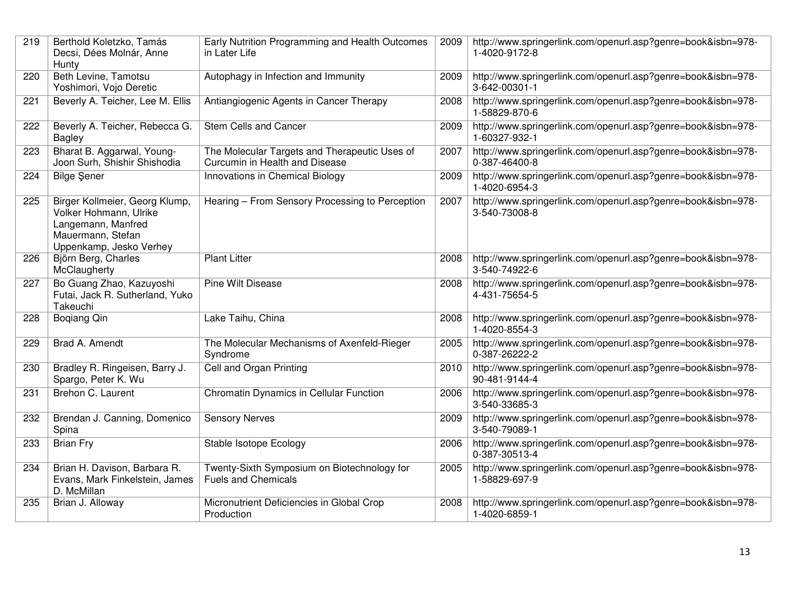| 219 | Berthold Koletzko, Tamás<br>Decsi, Dées Molnár, Anne<br>Hunty                                                                  | Early Nutrition Programming and Health Outcomes<br>in Later Life                | 2009 | http://www.springerlink.com/openurl.asp?genre=book&isbn=978-<br>1-4020-9172-8 |
|-----|--------------------------------------------------------------------------------------------------------------------------------|---------------------------------------------------------------------------------|------|-------------------------------------------------------------------------------|
| 220 | Beth Levine, Tamotsu<br>Yoshimori, Vojo Deretic                                                                                | Autophagy in Infection and Immunity                                             | 2009 | http://www.springerlink.com/openurl.asp?genre=book&isbn=978-<br>3-642-00301-1 |
| 221 | Beverly A. Teicher, Lee M. Ellis                                                                                               | Antiangiogenic Agents in Cancer Therapy                                         | 2008 | http://www.springerlink.com/openurl.asp?genre=book&isbn=978-<br>1-58829-870-6 |
| 222 | Beverly A. Teicher, Rebecca G.<br><b>Bagley</b>                                                                                | <b>Stem Cells and Cancer</b>                                                    | 2009 | http://www.springerlink.com/openurl.asp?genre=book&isbn=978-<br>1-60327-932-1 |
| 223 | Bharat B. Aggarwal, Young-<br>Joon Surh, Shishir Shishodia                                                                     | The Molecular Targets and Therapeutic Uses of<br>Curcumin in Health and Disease | 2007 | http://www.springerlink.com/openurl.asp?genre=book&isbn=978-<br>0-387-46400-8 |
| 224 | <b>Bilge Şener</b>                                                                                                             | Innovations in Chemical Biology                                                 | 2009 | http://www.springerlink.com/openurl.asp?genre=book&isbn=978-<br>1-4020-6954-3 |
| 225 | Birger Kollmeier, Georg Klump,<br>Volker Hohmann, Ulrike<br>Langemann, Manfred<br>Mauermann, Stefan<br>Uppenkamp, Jesko Verhey | Hearing - From Sensory Processing to Perception                                 | 2007 | http://www.springerlink.com/openurl.asp?genre=book&isbn=978-<br>3-540-73008-8 |
| 226 | Björn Berg, Charles<br>McClaugherty                                                                                            | <b>Plant Litter</b>                                                             | 2008 | http://www.springerlink.com/openurl.asp?genre=book&isbn=978-<br>3-540-74922-6 |
| 227 | Bo Guang Zhao, Kazuyoshi<br>Futai, Jack R. Sutherland, Yuko<br>Takeuchi                                                        | <b>Pine Wilt Disease</b>                                                        | 2008 | http://www.springerlink.com/openurl.asp?genre=book&isbn=978-<br>4-431-75654-5 |
| 228 | <b>Bogiang Qin</b>                                                                                                             | Lake Taihu, China                                                               | 2008 | http://www.springerlink.com/openurl.asp?genre=book&isbn=978-<br>1-4020-8554-3 |
| 229 | Brad A. Amendt                                                                                                                 | The Molecular Mechanisms of Axenfeld-Rieger<br>Syndrome                         | 2005 | http://www.springerlink.com/openurl.asp?genre=book&isbn=978-<br>0-387-26222-2 |
| 230 | Bradley R. Ringeisen, Barry J.<br>Spargo, Peter K. Wu                                                                          | Cell and Organ Printing                                                         | 2010 | http://www.springerlink.com/openurl.asp?genre=book&isbn=978-<br>90-481-9144-4 |
| 231 | Brehon C. Laurent                                                                                                              | <b>Chromatin Dynamics in Cellular Function</b>                                  | 2006 | http://www.springerlink.com/openurl.asp?genre=book&isbn=978-<br>3-540-33685-3 |
| 232 | Brendan J. Canning, Domenico<br>Spina                                                                                          | <b>Sensory Nerves</b>                                                           | 2009 | http://www.springerlink.com/openurl.asp?genre=book&isbn=978-<br>3-540-79089-1 |
| 233 | <b>Brian Fry</b>                                                                                                               | Stable Isotope Ecology                                                          | 2006 | http://www.springerlink.com/openurl.asp?genre=book&isbn=978-<br>0-387-30513-4 |
| 234 | Brian H. Davison, Barbara R.<br>Evans, Mark Finkelstein, James<br>D. McMillan                                                  | Twenty-Sixth Symposium on Biotechnology for<br><b>Fuels and Chemicals</b>       | 2005 | http://www.springerlink.com/openurl.asp?genre=book&isbn=978-<br>1-58829-697-9 |
| 235 | Brian J. Alloway                                                                                                               | Micronutrient Deficiencies in Global Crop<br>Production                         | 2008 | http://www.springerlink.com/openurl.asp?genre=book&isbn=978-<br>1-4020-6859-1 |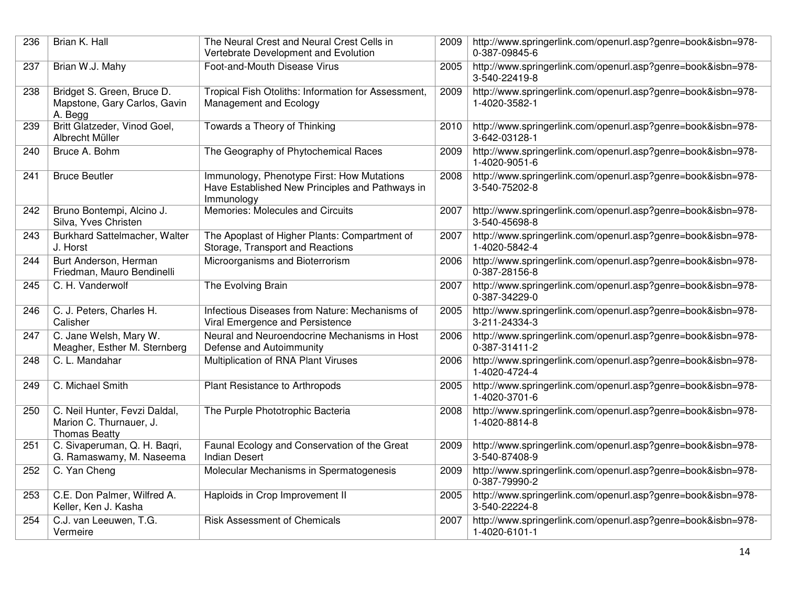| 236 | Brian K. Hall                                                                    | The Neural Crest and Neural Crest Cells in<br>Vertebrate Development and Evolution                          | 2009 | http://www.springerlink.com/openurl.asp?genre=book&isbn=978-<br>0-387-09845-6 |
|-----|----------------------------------------------------------------------------------|-------------------------------------------------------------------------------------------------------------|------|-------------------------------------------------------------------------------|
| 237 | Brian W.J. Mahy                                                                  | Foot-and-Mouth Disease Virus                                                                                | 2005 | http://www.springerlink.com/openurl.asp?genre=book&isbn=978-<br>3-540-22419-8 |
| 238 | Bridget S. Green, Bruce D.<br>Mapstone, Gary Carlos, Gavin<br>A. Begg            | Tropical Fish Otoliths: Information for Assessment,<br>Management and Ecology                               | 2009 | http://www.springerlink.com/openurl.asp?genre=book&isbn=978-<br>1-4020-3582-1 |
| 239 | Britt Glatzeder, Vinod Goel,<br>Albrecht Müller                                  | Towards a Theory of Thinking                                                                                | 2010 | http://www.springerlink.com/openurl.asp?genre=book&isbn=978-<br>3-642-03128-1 |
| 240 | Bruce A. Bohm                                                                    | The Geography of Phytochemical Races                                                                        | 2009 | http://www.springerlink.com/openurl.asp?genre=book&isbn=978-<br>1-4020-9051-6 |
| 241 | <b>Bruce Beutler</b>                                                             | Immunology, Phenotype First: How Mutations<br>Have Established New Principles and Pathways in<br>Immunology | 2008 | http://www.springerlink.com/openurl.asp?genre=book&isbn=978-<br>3-540-75202-8 |
| 242 | Bruno Bontempi, Alcino J.<br>Silva, Yves Christen                                | Memories: Molecules and Circuits                                                                            | 2007 | http://www.springerlink.com/openurl.asp?genre=book&isbn=978-<br>3-540-45698-8 |
| 243 | Burkhard Sattelmacher, Walter<br>J. Horst                                        | The Apoplast of Higher Plants: Compartment of<br>Storage, Transport and Reactions                           | 2007 | http://www.springerlink.com/openurl.asp?genre=book&isbn=978-<br>1-4020-5842-4 |
| 244 | Burt Anderson, Herman<br>Friedman, Mauro Bendinelli                              | Microorganisms and Bioterrorism                                                                             | 2006 | http://www.springerlink.com/openurl.asp?genre=book&isbn=978-<br>0-387-28156-8 |
| 245 | C. H. Vanderwolf                                                                 | The Evolving Brain                                                                                          | 2007 | http://www.springerlink.com/openurl.asp?genre=book&isbn=978-<br>0-387-34229-0 |
| 246 | C. J. Peters, Charles H.<br>Calisher                                             | Infectious Diseases from Nature: Mechanisms of<br>Viral Emergence and Persistence                           | 2005 | http://www.springerlink.com/openurl.asp?genre=book&isbn=978-<br>3-211-24334-3 |
| 247 | C. Jane Welsh, Mary W.<br>Meagher, Esther M. Sternberg                           | Neural and Neuroendocrine Mechanisms in Host<br>Defense and Autoimmunity                                    | 2006 | http://www.springerlink.com/openurl.asp?genre=book&isbn=978-<br>0-387-31411-2 |
| 248 | C. L. Mandahar                                                                   | Multiplication of RNA Plant Viruses                                                                         | 2006 | http://www.springerlink.com/openurl.asp?genre=book&isbn=978-<br>1-4020-4724-4 |
| 249 | C. Michael Smith                                                                 | Plant Resistance to Arthropods                                                                              | 2005 | http://www.springerlink.com/openurl.asp?genre=book&isbn=978-<br>1-4020-3701-6 |
| 250 | C. Neil Hunter, Fevzi Daldal,<br>Marion C. Thurnauer, J.<br><b>Thomas Beatty</b> | The Purple Phototrophic Bacteria                                                                            | 2008 | http://www.springerlink.com/openurl.asp?genre=book&isbn=978-<br>1-4020-8814-8 |
| 251 | C. Sivaperuman, Q. H. Baqri,<br>G. Ramaswamy, M. Naseema                         | Faunal Ecology and Conservation of the Great<br><b>Indian Desert</b>                                        | 2009 | http://www.springerlink.com/openurl.asp?genre=book&isbn=978-<br>3-540-87408-9 |
| 252 | C. Yan Cheng                                                                     | Molecular Mechanisms in Spermatogenesis                                                                     | 2009 | http://www.springerlink.com/openurl.asp?genre=book&isbn=978-<br>0-387-79990-2 |
| 253 | C.E. Don Palmer, Wilfred A.<br>Keller, Ken J. Kasha                              | Haploids in Crop Improvement II                                                                             | 2005 | http://www.springerlink.com/openurl.asp?genre=book&isbn=978-<br>3-540-22224-8 |
| 254 | C.J. van Leeuwen, T.G.<br>Vermeire                                               | <b>Risk Assessment of Chemicals</b>                                                                         | 2007 | http://www.springerlink.com/openurl.asp?genre=book&isbn=978-<br>1-4020-6101-1 |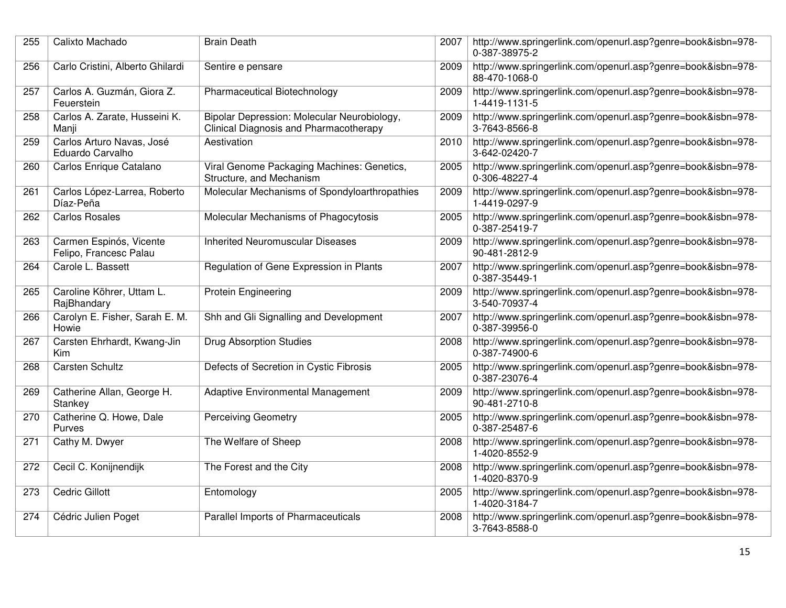| 255 | Calixto Machado                                   | <b>Brain Death</b>                                                                    | 2007 | http://www.springerlink.com/openurl.asp?genre=book&isbn=978-<br>0-387-38975-2 |
|-----|---------------------------------------------------|---------------------------------------------------------------------------------------|------|-------------------------------------------------------------------------------|
| 256 | Carlo Cristini, Alberto Ghilardi                  | Sentire e pensare                                                                     | 2009 | http://www.springerlink.com/openurl.asp?genre=book&isbn=978-<br>88-470-1068-0 |
| 257 | Carlos A. Guzmán, Giora Z.<br>Feuerstein          | <b>Pharmaceutical Biotechnology</b>                                                   | 2009 | http://www.springerlink.com/openurl.asp?genre=book&isbn=978-<br>1-4419-1131-5 |
| 258 | Carlos A. Zarate, Husseini K.<br>Manji            | Bipolar Depression: Molecular Neurobiology,<br>Clinical Diagnosis and Pharmacotherapy | 2009 | http://www.springerlink.com/openurl.asp?genre=book&isbn=978-<br>3-7643-8566-8 |
| 259 | Carlos Arturo Navas, José<br>Eduardo Carvalho     | Aestivation                                                                           | 2010 | http://www.springerlink.com/openurl.asp?genre=book&isbn=978-<br>3-642-02420-7 |
| 260 | Carlos Enrique Catalano                           | Viral Genome Packaging Machines: Genetics,<br>Structure, and Mechanism                | 2005 | http://www.springerlink.com/openurl.asp?genre=book&isbn=978-<br>0-306-48227-4 |
| 261 | Carlos López-Larrea, Roberto<br>Díaz-Peña         | Molecular Mechanisms of Spondyloarthropathies                                         | 2009 | http://www.springerlink.com/openurl.asp?genre=book&isbn=978-<br>1-4419-0297-9 |
| 262 | <b>Carlos Rosales</b>                             | Molecular Mechanisms of Phagocytosis                                                  | 2005 | http://www.springerlink.com/openurl.asp?genre=book&isbn=978-<br>0-387-25419-7 |
| 263 | Carmen Espinós, Vicente<br>Felipo, Francesc Palau | <b>Inherited Neuromuscular Diseases</b>                                               | 2009 | http://www.springerlink.com/openurl.asp?genre=book&isbn=978-<br>90-481-2812-9 |
| 264 | Carole L. Bassett                                 | Regulation of Gene Expression in Plants                                               | 2007 | http://www.springerlink.com/openurl.asp?genre=book&isbn=978-<br>0-387-35449-1 |
| 265 | Caroline Köhrer, Uttam L.<br>RajBhandary          | Protein Engineering                                                                   | 2009 | http://www.springerlink.com/openurl.asp?genre=book&isbn=978-<br>3-540-70937-4 |
| 266 | Carolyn E. Fisher, Sarah E. M.<br>Howie           | Shh and Gli Signalling and Development                                                | 2007 | http://www.springerlink.com/openurl.asp?genre=book&isbn=978-<br>0-387-39956-0 |
| 267 | Carsten Ehrhardt, Kwang-Jin<br>Kim                | <b>Drug Absorption Studies</b>                                                        | 2008 | http://www.springerlink.com/openurl.asp?genre=book&isbn=978-<br>0-387-74900-6 |
| 268 | <b>Carsten Schultz</b>                            | Defects of Secretion in Cystic Fibrosis                                               | 2005 | http://www.springerlink.com/openurl.asp?genre=book&isbn=978-<br>0-387-23076-4 |
| 269 | Catherine Allan, George H.<br>Stankey             | Adaptive Environmental Management                                                     | 2009 | http://www.springerlink.com/openurl.asp?genre=book&isbn=978-<br>90-481-2710-8 |
| 270 | Catherine Q. Howe, Dale<br>Purves                 | <b>Perceiving Geometry</b>                                                            | 2005 | http://www.springerlink.com/openurl.asp?genre=book&isbn=978-<br>0-387-25487-6 |
| 271 | Cathy M. Dwyer                                    | The Welfare of Sheep                                                                  | 2008 | http://www.springerlink.com/openurl.asp?genre=book&isbn=978-<br>1-4020-8552-9 |
| 272 | Cecil C. Konijnendijk                             | The Forest and the City                                                               | 2008 | http://www.springerlink.com/openurl.asp?genre=book&isbn=978-<br>1-4020-8370-9 |
| 273 | Cedric Gillott                                    | Entomology                                                                            | 2005 | http://www.springerlink.com/openurl.asp?genre=book&isbn=978-<br>1-4020-3184-7 |
| 274 | Cédric Julien Poget                               | Parallel Imports of Pharmaceuticals                                                   | 2008 | http://www.springerlink.com/openurl.asp?genre=book&isbn=978-<br>3-7643-8588-0 |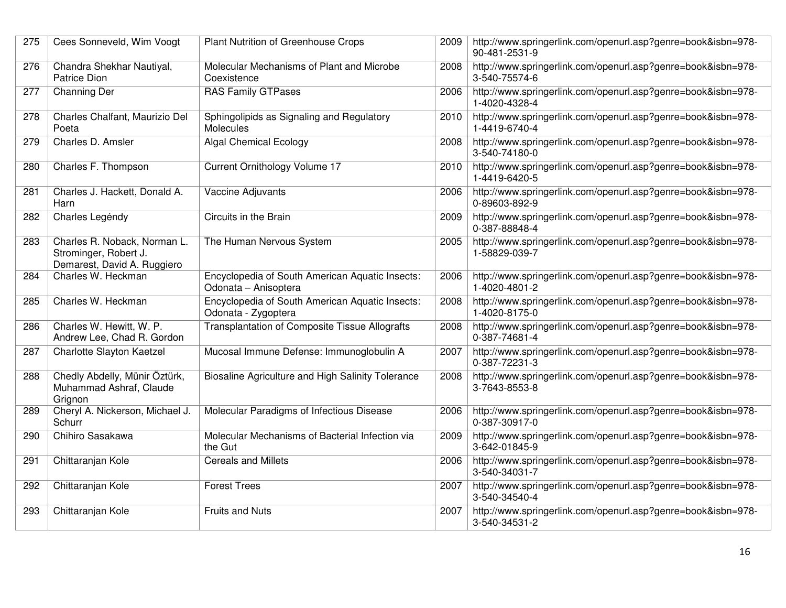| 275 | Cees Sonneveld, Wim Voogt                                                            | Plant Nutrition of Greenhouse Crops                                     | 2009 | http://www.springerlink.com/openurl.asp?genre=book&isbn=978-<br>90-481-2531-9 |
|-----|--------------------------------------------------------------------------------------|-------------------------------------------------------------------------|------|-------------------------------------------------------------------------------|
| 276 | Chandra Shekhar Nautiyal,<br><b>Patrice Dion</b>                                     | Molecular Mechanisms of Plant and Microbe<br>Coexistence                | 2008 | http://www.springerlink.com/openurl.asp?genre=book&isbn=978-<br>3-540-75574-6 |
| 277 | <b>Channing Der</b>                                                                  | <b>RAS Family GTPases</b>                                               | 2006 | http://www.springerlink.com/openurl.asp?genre=book&isbn=978-<br>1-4020-4328-4 |
| 278 | Charles Chalfant, Maurizio Del<br>Poeta                                              | Sphingolipids as Signaling and Regulatory<br><b>Molecules</b>           | 2010 | http://www.springerlink.com/openurl.asp?genre=book&isbn=978-<br>1-4419-6740-4 |
| 279 | Charles D. Amsler                                                                    | <b>Algal Chemical Ecology</b>                                           | 2008 | http://www.springerlink.com/openurl.asp?genre=book&isbn=978-<br>3-540-74180-0 |
| 280 | Charles F. Thompson                                                                  | Current Ornithology Volume 17                                           | 2010 | http://www.springerlink.com/openurl.asp?genre=book&isbn=978-<br>1-4419-6420-5 |
| 281 | Charles J. Hackett, Donald A.<br>Harn                                                | Vaccine Adjuvants                                                       | 2006 | http://www.springerlink.com/openurl.asp?genre=book&isbn=978-<br>0-89603-892-9 |
| 282 | Charles Legéndy                                                                      | Circuits in the Brain                                                   | 2009 | http://www.springerlink.com/openurl.asp?genre=book&isbn=978-<br>0-387-88848-4 |
| 283 | Charles R. Noback, Norman L.<br>Strominger, Robert J.<br>Demarest, David A. Ruggiero | The Human Nervous System                                                | 2005 | http://www.springerlink.com/openurl.asp?genre=book&isbn=978-<br>1-58829-039-7 |
| 284 | Charles W. Heckman                                                                   | Encyclopedia of South American Aquatic Insects:<br>Odonata - Anisoptera | 2006 | http://www.springerlink.com/openurl.asp?genre=book&isbn=978-<br>1-4020-4801-2 |
| 285 | Charles W. Heckman                                                                   | Encyclopedia of South American Aquatic Insects:<br>Odonata - Zygoptera  | 2008 | http://www.springerlink.com/openurl.asp?genre=book&isbn=978-<br>1-4020-8175-0 |
| 286 | Charles W. Hewitt, W. P.<br>Andrew Lee, Chad R. Gordon                               | <b>Transplantation of Composite Tissue Allografts</b>                   | 2008 | http://www.springerlink.com/openurl.asp?genre=book&isbn=978-<br>0-387-74681-4 |
| 287 | Charlotte Slayton Kaetzel                                                            | Mucosal Immune Defense: Immunoglobulin A                                | 2007 | http://www.springerlink.com/openurl.asp?genre=book&isbn=978-<br>0-387-72231-3 |
| 288 | Chedly Abdelly, Münir Öztürk,<br>Muhammad Ashraf, Claude<br>Grignon                  | Biosaline Agriculture and High Salinity Tolerance                       | 2008 | http://www.springerlink.com/openurl.asp?genre=book&isbn=978-<br>3-7643-8553-8 |
| 289 | Cheryl A. Nickerson, Michael J.<br>Schurr                                            | Molecular Paradigms of Infectious Disease                               | 2006 | http://www.springerlink.com/openurl.asp?genre=book&isbn=978-<br>0-387-30917-0 |
| 290 | Chihiro Sasakawa                                                                     | Molecular Mechanisms of Bacterial Infection via<br>the Gut              | 2009 | http://www.springerlink.com/openurl.asp?genre=book&isbn=978-<br>3-642-01845-9 |
| 291 | Chittaranjan Kole                                                                    | <b>Cereals and Millets</b>                                              | 2006 | http://www.springerlink.com/openurl.asp?genre=book&isbn=978-<br>3-540-34031-7 |
| 292 | Chittaranjan Kole                                                                    | <b>Forest Trees</b>                                                     | 2007 | http://www.springerlink.com/openurl.asp?genre=book&isbn=978-<br>3-540-34540-4 |
| 293 | Chittaranjan Kole                                                                    | <b>Fruits and Nuts</b>                                                  | 2007 | http://www.springerlink.com/openurl.asp?genre=book&isbn=978-<br>3-540-34531-2 |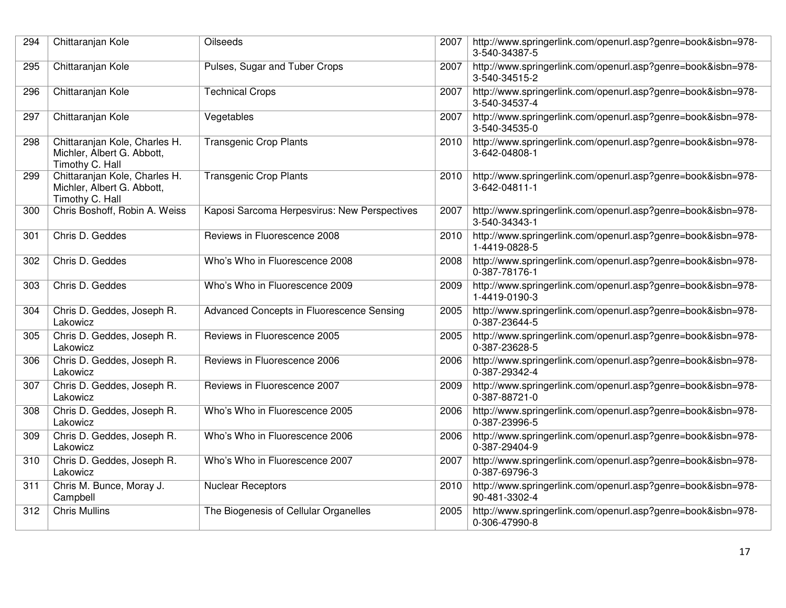| 294 | Chittaranjan Kole                                                              | Oilseeds                                     | 2007 | http://www.springerlink.com/openurl.asp?genre=book&isbn=978-<br>3-540-34387-5 |
|-----|--------------------------------------------------------------------------------|----------------------------------------------|------|-------------------------------------------------------------------------------|
| 295 | Chittaranjan Kole                                                              | Pulses, Sugar and Tuber Crops                | 2007 | http://www.springerlink.com/openurl.asp?genre=book&isbn=978-<br>3-540-34515-2 |
| 296 | Chittaranjan Kole                                                              | <b>Technical Crops</b>                       | 2007 | http://www.springerlink.com/openurl.asp?genre=book&isbn=978-<br>3-540-34537-4 |
| 297 | Chittaranjan Kole                                                              | Vegetables                                   | 2007 | http://www.springerlink.com/openurl.asp?genre=book&isbn=978-<br>3-540-34535-0 |
| 298 | Chittaranjan Kole, Charles H.<br>Michler, Albert G. Abbott,<br>Timothy C. Hall | <b>Transgenic Crop Plants</b>                | 2010 | http://www.springerlink.com/openurl.asp?genre=book&isbn=978-<br>3-642-04808-1 |
| 299 | Chittaranjan Kole, Charles H.<br>Michler, Albert G. Abbott,<br>Timothy C. Hall | <b>Transgenic Crop Plants</b>                | 2010 | http://www.springerlink.com/openurl.asp?genre=book&isbn=978-<br>3-642-04811-1 |
| 300 | Chris Boshoff, Robin A. Weiss                                                  | Kaposi Sarcoma Herpesvirus: New Perspectives | 2007 | http://www.springerlink.com/openurl.asp?genre=book&isbn=978-<br>3-540-34343-1 |
| 301 | Chris D. Geddes                                                                | Reviews in Fluorescence 2008                 | 2010 | http://www.springerlink.com/openurl.asp?genre=book&isbn=978-<br>1-4419-0828-5 |
| 302 | Chris D. Geddes                                                                | Who's Who in Fluorescence 2008               | 2008 | http://www.springerlink.com/openurl.asp?genre=book&isbn=978-<br>0-387-78176-1 |
| 303 | Chris D. Geddes                                                                | Who's Who in Fluorescence 2009               | 2009 | http://www.springerlink.com/openurl.asp?genre=book&isbn=978-<br>1-4419-0190-3 |
| 304 | Chris D. Geddes, Joseph R.<br>Lakowicz                                         | Advanced Concepts in Fluorescence Sensing    | 2005 | http://www.springerlink.com/openurl.asp?genre=book&isbn=978-<br>0-387-23644-5 |
| 305 | Chris D. Geddes, Joseph R.<br>Lakowicz                                         | Reviews in Fluorescence 2005                 | 2005 | http://www.springerlink.com/openurl.asp?genre=book&isbn=978-<br>0-387-23628-5 |
| 306 | Chris D. Geddes, Joseph R.<br>Lakowicz                                         | Reviews in Fluorescence 2006                 | 2006 | http://www.springerlink.com/openurl.asp?genre=book&isbn=978-<br>0-387-29342-4 |
| 307 | Chris D. Geddes, Joseph R.<br>Lakowicz                                         | Reviews in Fluorescence 2007                 | 2009 | http://www.springerlink.com/openurl.asp?genre=book&isbn=978-<br>0-387-88721-0 |
| 308 | Chris D. Geddes, Joseph R.<br>Lakowicz                                         | Who's Who in Fluorescence 2005               | 2006 | http://www.springerlink.com/openurl.asp?genre=book&isbn=978-<br>0-387-23996-5 |
| 309 | Chris D. Geddes, Joseph R.<br>Lakowicz                                         | Who's Who in Fluorescence 2006               | 2006 | http://www.springerlink.com/openurl.asp?genre=book&isbn=978-<br>0-387-29404-9 |
| 310 | Chris D. Geddes, Joseph R.<br>Lakowicz                                         | Who's Who in Fluorescence 2007               | 2007 | http://www.springerlink.com/openurl.asp?genre=book&isbn=978-<br>0-387-69796-3 |
| 311 | Chris M. Bunce, Moray J.<br>Campbell                                           | <b>Nuclear Receptors</b>                     | 2010 | http://www.springerlink.com/openurl.asp?genre=book&isbn=978-<br>90-481-3302-4 |
| 312 | <b>Chris Mullins</b>                                                           | The Biogenesis of Cellular Organelles        | 2005 | http://www.springerlink.com/openurl.asp?genre=book&isbn=978-<br>0-306-47990-8 |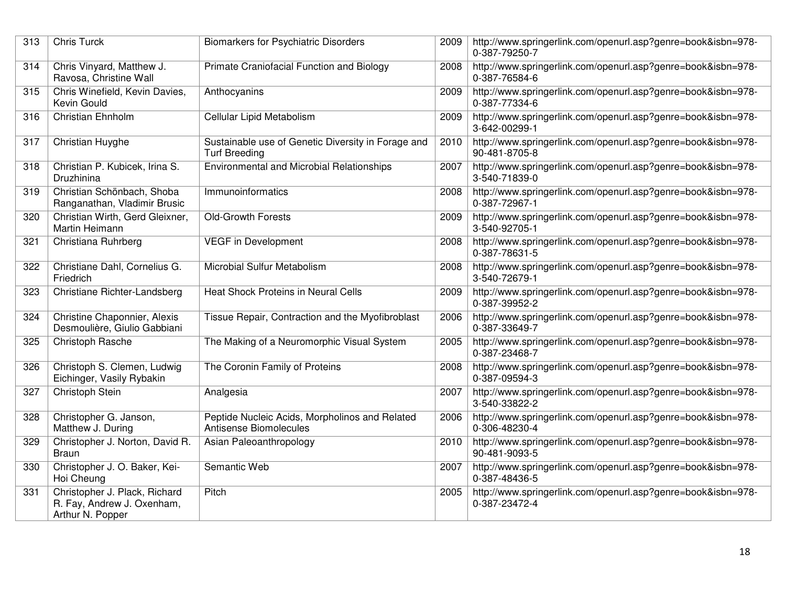| 313 | <b>Chris Turck</b>                                                              | <b>Biomarkers for Psychiatric Disorders</b>                                | 2009 | http://www.springerlink.com/openurl.asp?genre=book&isbn=978-<br>0-387-79250-7 |
|-----|---------------------------------------------------------------------------------|----------------------------------------------------------------------------|------|-------------------------------------------------------------------------------|
| 314 | Chris Vinyard, Matthew J.<br>Ravosa, Christine Wall                             | Primate Craniofacial Function and Biology                                  | 2008 | http://www.springerlink.com/openurl.asp?genre=book&isbn=978-<br>0-387-76584-6 |
| 315 | Chris Winefield, Kevin Davies,<br>Kevin Gould                                   | Anthocyanins                                                               | 2009 | http://www.springerlink.com/openurl.asp?genre=book&isbn=978-<br>0-387-77334-6 |
| 316 | Christian Ehnholm                                                               | Cellular Lipid Metabolism                                                  | 2009 | http://www.springerlink.com/openurl.asp?genre=book&isbn=978-<br>3-642-00299-1 |
| 317 | <b>Christian Huyghe</b>                                                         | Sustainable use of Genetic Diversity in Forage and<br><b>Turf Breeding</b> | 2010 | http://www.springerlink.com/openurl.asp?genre=book&isbn=978-<br>90-481-8705-8 |
| 318 | Christian P. Kubicek, Irina S.<br>Druzhinina                                    | <b>Environmental and Microbial Relationships</b>                           | 2007 | http://www.springerlink.com/openurl.asp?genre=book&isbn=978-<br>3-540-71839-0 |
| 319 | Christian Schönbach, Shoba<br>Ranganathan, Vladimir Brusic                      | Immunoinformatics                                                          | 2008 | http://www.springerlink.com/openurl.asp?genre=book&isbn=978-<br>0-387-72967-1 |
| 320 | Christian Wirth, Gerd Gleixner,<br>Martin Heimann                               | <b>Old-Growth Forests</b>                                                  | 2009 | http://www.springerlink.com/openurl.asp?genre=book&isbn=978-<br>3-540-92705-1 |
| 321 | Christiana Ruhrberg                                                             | <b>VEGF</b> in Development                                                 | 2008 | http://www.springerlink.com/openurl.asp?genre=book&isbn=978-<br>0-387-78631-5 |
| 322 | Christiane Dahl, Cornelius G.<br>Friedrich                                      | Microbial Sulfur Metabolism                                                | 2008 | http://www.springerlink.com/openurl.asp?genre=book&isbn=978-<br>3-540-72679-1 |
| 323 | Christiane Richter-Landsberg                                                    | Heat Shock Proteins in Neural Cells                                        | 2009 | http://www.springerlink.com/openurl.asp?genre=book&isbn=978-<br>0-387-39952-2 |
| 324 | Christine Chaponnier, Alexis<br>Desmoulière, Giulio Gabbiani                    | Tissue Repair, Contraction and the Myofibroblast                           | 2006 | http://www.springerlink.com/openurl.asp?genre=book&isbn=978-<br>0-387-33649-7 |
| 325 | Christoph Rasche                                                                | The Making of a Neuromorphic Visual System                                 | 2005 | http://www.springerlink.com/openurl.asp?genre=book&isbn=978-<br>0-387-23468-7 |
| 326 | Christoph S. Clemen, Ludwig<br>Eichinger, Vasily Rybakin                        | The Coronin Family of Proteins                                             | 2008 | http://www.springerlink.com/openurl.asp?genre=book&isbn=978-<br>0-387-09594-3 |
| 327 | Christoph Stein                                                                 | Analgesia                                                                  | 2007 | http://www.springerlink.com/openurl.asp?genre=book&isbn=978-<br>3-540-33822-2 |
| 328 | Christopher G. Janson,<br>Matthew J. During                                     | Peptide Nucleic Acids, Morpholinos and Related<br>Antisense Biomolecules   | 2006 | http://www.springerlink.com/openurl.asp?genre=book&isbn=978-<br>0-306-48230-4 |
| 329 | Christopher J. Norton, David R.<br><b>Braun</b>                                 | Asian Paleoanthropology                                                    | 2010 | http://www.springerlink.com/openurl.asp?genre=book&isbn=978-<br>90-481-9093-5 |
| 330 | Christopher J. O. Baker, Kei-<br>Hoi Cheung                                     | Semantic Web                                                               | 2007 | http://www.springerlink.com/openurl.asp?genre=book&isbn=978-<br>0-387-48436-5 |
| 331 | Christopher J. Plack, Richard<br>R. Fay, Andrew J. Oxenham,<br>Arthur N. Popper | Pitch                                                                      | 2005 | http://www.springerlink.com/openurl.asp?genre=book&isbn=978-<br>0-387-23472-4 |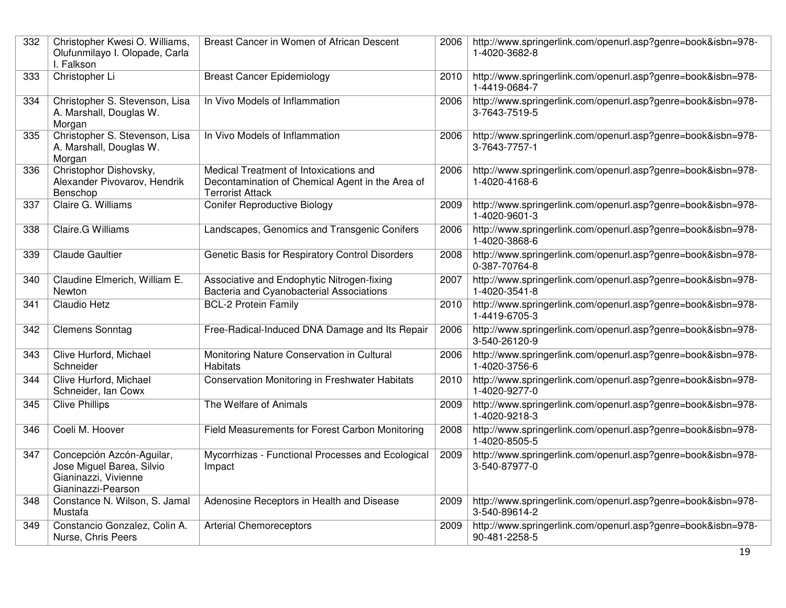| 332 | Christopher Kwesi O. Williams,<br>Olufunmilayo I. Olopade, Carla<br>I. Falkson                       | Breast Cancer in Women of African Descent                                                                             | 2006 | http://www.springerlink.com/openurl.asp?genre=book&isbn=978-<br>1-4020-3682-8 |
|-----|------------------------------------------------------------------------------------------------------|-----------------------------------------------------------------------------------------------------------------------|------|-------------------------------------------------------------------------------|
| 333 | Christopher Li                                                                                       | <b>Breast Cancer Epidemiology</b>                                                                                     | 2010 | http://www.springerlink.com/openurl.asp?genre=book&isbn=978-<br>1-4419-0684-7 |
| 334 | Christopher S. Stevenson, Lisa<br>A. Marshall, Douglas W.<br>Morgan                                  | In Vivo Models of Inflammation                                                                                        | 2006 | http://www.springerlink.com/openurl.asp?genre=book&isbn=978-<br>3-7643-7519-5 |
| 335 | Christopher S. Stevenson, Lisa<br>A. Marshall, Douglas W.<br>Morgan                                  | In Vivo Models of Inflammation                                                                                        | 2006 | http://www.springerlink.com/openurl.asp?genre=book&isbn=978-<br>3-7643-7757-1 |
| 336 | Christophor Dishovsky,<br>Alexander Pivovarov, Hendrik<br>Benschop                                   | Medical Treatment of Intoxications and<br>Decontamination of Chemical Agent in the Area of<br><b>Terrorist Attack</b> | 2006 | http://www.springerlink.com/openurl.asp?genre=book&isbn=978-<br>1-4020-4168-6 |
| 337 | Claire G. Williams                                                                                   | <b>Conifer Reproductive Biology</b>                                                                                   | 2009 | http://www.springerlink.com/openurl.asp?genre=book&isbn=978-<br>1-4020-9601-3 |
| 338 | Claire.G Williams                                                                                    | Landscapes, Genomics and Transgenic Conifers                                                                          | 2006 | http://www.springerlink.com/openurl.asp?genre=book&isbn=978-<br>1-4020-3868-6 |
| 339 | <b>Claude Gaultier</b>                                                                               | Genetic Basis for Respiratory Control Disorders                                                                       | 2008 | http://www.springerlink.com/openurl.asp?genre=book&isbn=978-<br>0-387-70764-8 |
| 340 | Claudine Elmerich, William E.<br><b>Newton</b>                                                       | Associative and Endophytic Nitrogen-fixing<br>Bacteria and Cyanobacterial Associations                                | 2007 | http://www.springerlink.com/openurl.asp?genre=book&isbn=978-<br>1-4020-3541-8 |
| 341 | Claudio Hetz                                                                                         | BCL-2 Protein Family                                                                                                  | 2010 | http://www.springerlink.com/openurl.asp?genre=book&isbn=978-<br>1-4419-6705-3 |
| 342 | <b>Clemens Sonntag</b>                                                                               | Free-Radical-Induced DNA Damage and Its Repair                                                                        | 2006 | http://www.springerlink.com/openurl.asp?genre=book&isbn=978-<br>3-540-26120-9 |
| 343 | Clive Hurford, Michael<br>Schneider                                                                  | Monitoring Nature Conservation in Cultural<br><b>Habitats</b>                                                         | 2006 | http://www.springerlink.com/openurl.asp?genre=book&isbn=978-<br>1-4020-3756-6 |
| 344 | Clive Hurford, Michael<br>Schneider, Ian Cowx                                                        | <b>Conservation Monitoring in Freshwater Habitats</b>                                                                 | 2010 | http://www.springerlink.com/openurl.asp?genre=book&isbn=978-<br>1-4020-9277-0 |
| 345 | <b>Clive Phillips</b>                                                                                | The Welfare of Animals                                                                                                | 2009 | http://www.springerlink.com/openurl.asp?genre=book&isbn=978-<br>1-4020-9218-3 |
| 346 | Coeli M. Hoover                                                                                      | Field Measurements for Forest Carbon Monitoring                                                                       | 2008 | http://www.springerlink.com/openurl.asp?genre=book&isbn=978-<br>1-4020-8505-5 |
| 347 | Concepción Azcón-Aguilar,<br>Jose Miguel Barea, Silvio<br>Gianinazzi, Vivienne<br>Gianinazzi-Pearson | Mycorrhizas - Functional Processes and Ecological<br>Impact                                                           | 2009 | http://www.springerlink.com/openurl.asp?genre=book&isbn=978-<br>3-540-87977-0 |
| 348 | Constance N. Wilson, S. Jamal<br>Mustafa                                                             | Adenosine Receptors in Health and Disease                                                                             | 2009 | http://www.springerlink.com/openurl.asp?genre=book&isbn=978-<br>3-540-89614-2 |
| 349 | Constancio Gonzalez, Colin A.<br>Nurse, Chris Peers                                                  | <b>Arterial Chemoreceptors</b>                                                                                        | 2009 | http://www.springerlink.com/openurl.asp?genre=book&isbn=978-<br>90-481-2258-5 |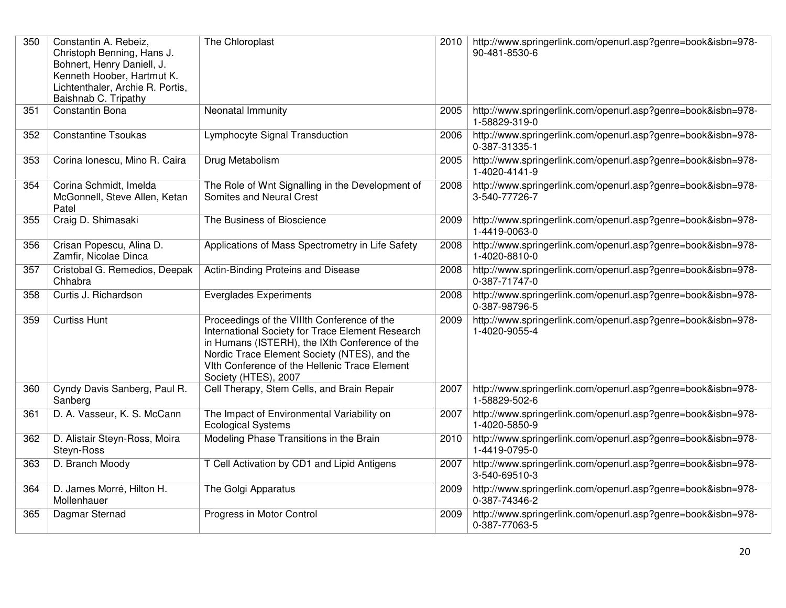| 350 | Constantin A. Rebeiz,<br>Christoph Benning, Hans J.<br>Bohnert, Henry Daniell, J.<br>Kenneth Hoober, Hartmut K.<br>Lichtenthaler, Archie R. Portis,<br>Baishnab C. Tripathy | The Chloroplast                                                                                                                                                                                                                                                            | 2010 | http://www.springerlink.com/openurl.asp?genre=book&isbn=978-<br>90-481-8530-6 |
|-----|-----------------------------------------------------------------------------------------------------------------------------------------------------------------------------|----------------------------------------------------------------------------------------------------------------------------------------------------------------------------------------------------------------------------------------------------------------------------|------|-------------------------------------------------------------------------------|
| 351 | Constantin Bona                                                                                                                                                             | Neonatal Immunity                                                                                                                                                                                                                                                          | 2005 | http://www.springerlink.com/openurl.asp?genre=book&isbn=978-<br>1-58829-319-0 |
| 352 | <b>Constantine Tsoukas</b>                                                                                                                                                  | Lymphocyte Signal Transduction                                                                                                                                                                                                                                             | 2006 | http://www.springerlink.com/openurl.asp?genre=book&isbn=978-<br>0-387-31335-1 |
| 353 | Corina Ionescu, Mino R. Caira                                                                                                                                               | Drug Metabolism                                                                                                                                                                                                                                                            | 2005 | http://www.springerlink.com/openurl.asp?genre=book&isbn=978-<br>1-4020-4141-9 |
| 354 | Corina Schmidt, Imelda<br>McGonnell, Steve Allen, Ketan<br>Patel                                                                                                            | The Role of Wnt Signalling in the Development of<br>Somites and Neural Crest                                                                                                                                                                                               | 2008 | http://www.springerlink.com/openurl.asp?genre=book&isbn=978-<br>3-540-77726-7 |
| 355 | Craig D. Shimasaki                                                                                                                                                          | The Business of Bioscience                                                                                                                                                                                                                                                 | 2009 | http://www.springerlink.com/openurl.asp?genre=book&isbn=978-<br>1-4419-0063-0 |
| 356 | Crisan Popescu, Alina D.<br>Zamfir, Nicolae Dinca                                                                                                                           | Applications of Mass Spectrometry in Life Safety                                                                                                                                                                                                                           | 2008 | http://www.springerlink.com/openurl.asp?genre=book&isbn=978-<br>1-4020-8810-0 |
| 357 | Cristobal G. Remedios, Deepak<br>Chhabra                                                                                                                                    | Actin-Binding Proteins and Disease                                                                                                                                                                                                                                         | 2008 | http://www.springerlink.com/openurl.asp?genre=book&isbn=978-<br>0-387-71747-0 |
| 358 | Curtis J. Richardson                                                                                                                                                        | <b>Everglades Experiments</b>                                                                                                                                                                                                                                              | 2008 | http://www.springerlink.com/openurl.asp?genre=book&isbn=978-<br>0-387-98796-5 |
| 359 | <b>Curtiss Hunt</b>                                                                                                                                                         | Proceedings of the VIIIth Conference of the<br>International Society for Trace Element Research<br>in Humans (ISTERH), the IXth Conference of the<br>Nordic Trace Element Society (NTES), and the<br>Vith Conference of the Hellenic Trace Element<br>Society (HTES), 2007 | 2009 | http://www.springerlink.com/openurl.asp?genre=book&isbn=978-<br>1-4020-9055-4 |
| 360 | Cyndy Davis Sanberg, Paul R.<br>Sanberg                                                                                                                                     | Cell Therapy, Stem Cells, and Brain Repair                                                                                                                                                                                                                                 | 2007 | http://www.springerlink.com/openurl.asp?genre=book&isbn=978-<br>1-58829-502-6 |
| 361 | D. A. Vasseur, K. S. McCann                                                                                                                                                 | The Impact of Environmental Variability on<br><b>Ecological Systems</b>                                                                                                                                                                                                    | 2007 | http://www.springerlink.com/openurl.asp?genre=book&isbn=978-<br>1-4020-5850-9 |
| 362 | D. Alistair Steyn-Ross, Moira<br>Steyn-Ross                                                                                                                                 | Modeling Phase Transitions in the Brain                                                                                                                                                                                                                                    | 2010 | http://www.springerlink.com/openurl.asp?genre=book&isbn=978-<br>1-4419-0795-0 |
| 363 | D. Branch Moody                                                                                                                                                             | T Cell Activation by CD1 and Lipid Antigens                                                                                                                                                                                                                                | 2007 | http://www.springerlink.com/openurl.asp?genre=book&isbn=978-<br>3-540-69510-3 |
| 364 | D. James Morré, Hilton H.<br>Mollenhauer                                                                                                                                    | The Golgi Apparatus                                                                                                                                                                                                                                                        | 2009 | http://www.springerlink.com/openurl.asp?genre=book&isbn=978-<br>0-387-74346-2 |
| 365 | Dagmar Sternad                                                                                                                                                              | Progress in Motor Control                                                                                                                                                                                                                                                  | 2009 | http://www.springerlink.com/openurl.asp?genre=book&isbn=978-<br>0-387-77063-5 |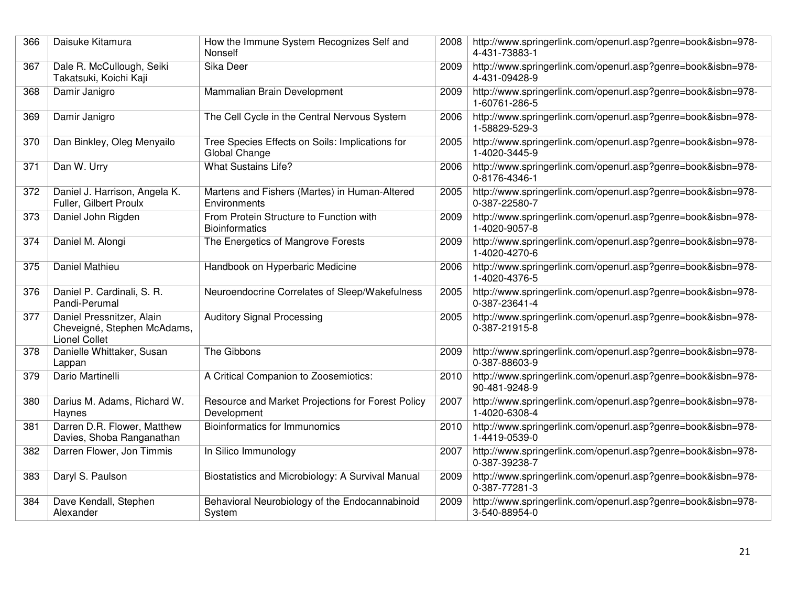| 366 | Daisuke Kitamura                                                                 | How the Immune System Recognizes Self and<br>Nonself             | 2008 | http://www.springerlink.com/openurl.asp?genre=book&isbn=978-<br>4-431-73883-1 |
|-----|----------------------------------------------------------------------------------|------------------------------------------------------------------|------|-------------------------------------------------------------------------------|
| 367 | Dale R. McCullough, Seiki<br>Takatsuki, Koichi Kaji                              | Sika Deer                                                        | 2009 | http://www.springerlink.com/openurl.asp?genre=book&isbn=978-<br>4-431-09428-9 |
| 368 | Damir Janigro                                                                    | Mammalian Brain Development                                      | 2009 | http://www.springerlink.com/openurl.asp?genre=book&isbn=978-<br>1-60761-286-5 |
| 369 | Damir Janigro                                                                    | The Cell Cycle in the Central Nervous System                     | 2006 | http://www.springerlink.com/openurl.asp?genre=book&isbn=978-<br>1-58829-529-3 |
| 370 | Dan Binkley, Oleg Menyailo                                                       | Tree Species Effects on Soils: Implications for<br>Global Change | 2005 | http://www.springerlink.com/openurl.asp?genre=book&isbn=978-<br>1-4020-3445-9 |
| 371 | Dan W. Urry                                                                      | <b>What Sustains Life?</b>                                       | 2006 | http://www.springerlink.com/openurl.asp?genre=book&isbn=978-<br>0-8176-4346-1 |
| 372 | Daniel J. Harrison, Angela K.<br>Fuller, Gilbert Proulx                          | Martens and Fishers (Martes) in Human-Altered<br>Environments    | 2005 | http://www.springerlink.com/openurl.asp?genre=book&isbn=978-<br>0-387-22580-7 |
| 373 | Daniel John Rigden                                                               | From Protein Structure to Function with<br><b>Bioinformatics</b> | 2009 | http://www.springerlink.com/openurl.asp?genre=book&isbn=978-<br>1-4020-9057-8 |
| 374 | Daniel M. Alongi                                                                 | The Energetics of Mangrove Forests                               | 2009 | http://www.springerlink.com/openurl.asp?genre=book&isbn=978-<br>1-4020-4270-6 |
| 375 | Daniel Mathieu                                                                   | Handbook on Hyperbaric Medicine                                  | 2006 | http://www.springerlink.com/openurl.asp?genre=book&isbn=978-<br>1-4020-4376-5 |
| 376 | Daniel P. Cardinali, S. R.<br>Pandi-Perumal                                      | Neuroendocrine Correlates of Sleep/Wakefulness                   | 2005 | http://www.springerlink.com/openurl.asp?genre=book&isbn=978-<br>0-387-23641-4 |
| 377 | Daniel Pressnitzer, Alain<br>Cheveigné, Stephen McAdams,<br><b>Lionel Collet</b> | <b>Auditory Signal Processing</b>                                | 2005 | http://www.springerlink.com/openurl.asp?genre=book&isbn=978-<br>0-387-21915-8 |
| 378 | Danielle Whittaker, Susan<br>Lappan                                              | The Gibbons                                                      | 2009 | http://www.springerlink.com/openurl.asp?genre=book&isbn=978-<br>0-387-88603-9 |
| 379 | Dario Martinelli                                                                 | A Critical Companion to Zoosemiotics:                            | 2010 | http://www.springerlink.com/openurl.asp?genre=book&isbn=978-<br>90-481-9248-9 |
| 380 | Darius M. Adams, Richard W.<br>Haynes                                            | Resource and Market Projections for Forest Policy<br>Development | 2007 | http://www.springerlink.com/openurl.asp?genre=book&isbn=978-<br>1-4020-6308-4 |
| 381 | Darren D.R. Flower, Matthew<br>Davies, Shoba Ranganathan                         | Bioinformatics for Immunomics                                    | 2010 | http://www.springerlink.com/openurl.asp?genre=book&isbn=978-<br>1-4419-0539-0 |
| 382 | Darren Flower, Jon Timmis                                                        | In Silico Immunology                                             | 2007 | http://www.springerlink.com/openurl.asp?genre=book&isbn=978-<br>0-387-39238-7 |
| 383 | Daryl S. Paulson                                                                 | Biostatistics and Microbiology: A Survival Manual                | 2009 | http://www.springerlink.com/openurl.asp?genre=book&isbn=978-<br>0-387-77281-3 |
| 384 | Dave Kendall, Stephen<br>Alexander                                               | Behavioral Neurobiology of the Endocannabinoid<br>System         | 2009 | http://www.springerlink.com/openurl.asp?genre=book&isbn=978-<br>3-540-88954-0 |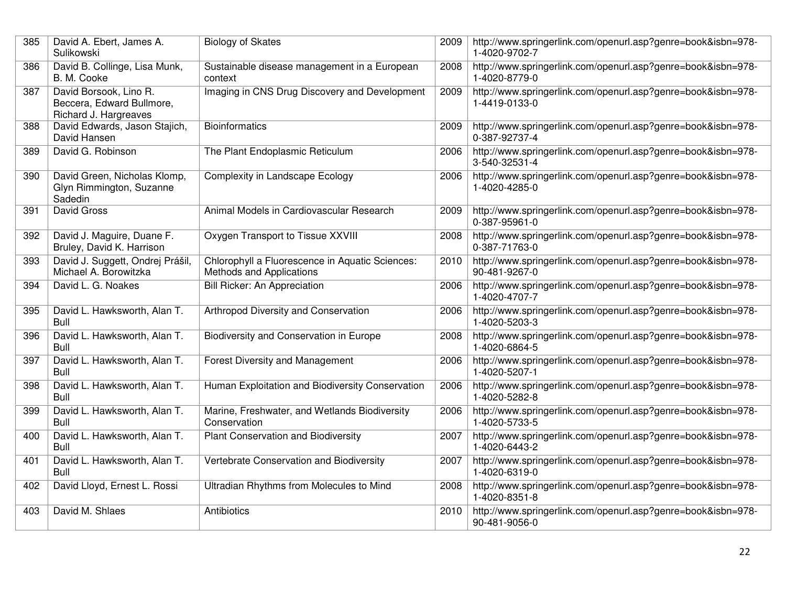| 385 | David A. Ebert, James A.<br>Sulikowski                                       | <b>Biology of Skates</b>                                                    | 2009 | http://www.springerlink.com/openurl.asp?genre=book&isbn=978-<br>1-4020-9702-7 |
|-----|------------------------------------------------------------------------------|-----------------------------------------------------------------------------|------|-------------------------------------------------------------------------------|
| 386 | David B. Collinge, Lisa Munk,<br>B. M. Cooke                                 | Sustainable disease management in a European<br>context                     | 2008 | http://www.springerlink.com/openurl.asp?genre=book&isbn=978-<br>1-4020-8779-0 |
| 387 | David Borsook, Lino R.<br>Beccera, Edward Bullmore,<br>Richard J. Hargreaves | Imaging in CNS Drug Discovery and Development                               | 2009 | http://www.springerlink.com/openurl.asp?genre=book&isbn=978-<br>1-4419-0133-0 |
| 388 | David Edwards, Jason Stajich,<br>David Hansen                                | <b>Bioinformatics</b>                                                       | 2009 | http://www.springerlink.com/openurl.asp?genre=book&isbn=978-<br>0-387-92737-4 |
| 389 | David G. Robinson                                                            | The Plant Endoplasmic Reticulum                                             | 2006 | http://www.springerlink.com/openurl.asp?genre=book&isbn=978-<br>3-540-32531-4 |
| 390 | David Green, Nicholas Klomp,<br>Glyn Rimmington, Suzanne<br>Sadedin          | Complexity in Landscape Ecology                                             | 2006 | http://www.springerlink.com/openurl.asp?genre=book&isbn=978-<br>1-4020-4285-0 |
| 391 | <b>David Gross</b>                                                           | Animal Models in Cardiovascular Research                                    | 2009 | http://www.springerlink.com/openurl.asp?genre=book&isbn=978-<br>0-387-95961-0 |
| 392 | David J. Maguire, Duane F.<br>Bruley, David K. Harrison                      | Oxygen Transport to Tissue XXVIII                                           | 2008 | http://www.springerlink.com/openurl.asp?genre=book&isbn=978-<br>0-387-71763-0 |
| 393 | David J. Suggett, Ondrej Prášil,<br>Michael A. Borowitzka                    | Chlorophyll a Fluorescence in Aquatic Sciences:<br>Methods and Applications | 2010 | http://www.springerlink.com/openurl.asp?genre=book&isbn=978-<br>90-481-9267-0 |
| 394 | David L. G. Noakes                                                           | Bill Ricker: An Appreciation                                                | 2006 | http://www.springerlink.com/openurl.asp?genre=book&isbn=978-<br>1-4020-4707-7 |
| 395 | David L. Hawksworth, Alan T.<br><b>Bull</b>                                  | Arthropod Diversity and Conservation                                        | 2006 | http://www.springerlink.com/openurl.asp?genre=book&isbn=978-<br>1-4020-5203-3 |
| 396 | David L. Hawksworth, Alan T.<br><b>Bull</b>                                  | <b>Biodiversity and Conservation in Europe</b>                              | 2008 | http://www.springerlink.com/openurl.asp?genre=book&isbn=978-<br>1-4020-6864-5 |
| 397 | David L. Hawksworth, Alan T.<br><b>Bull</b>                                  | <b>Forest Diversity and Management</b>                                      | 2006 | http://www.springerlink.com/openurl.asp?genre=book&isbn=978-<br>1-4020-5207-1 |
| 398 | David L. Hawksworth, Alan T.<br>Bull                                         | Human Exploitation and Biodiversity Conservation                            | 2006 | http://www.springerlink.com/openurl.asp?genre=book&isbn=978-<br>1-4020-5282-8 |
| 399 | David L. Hawksworth, Alan T.<br><b>Bull</b>                                  | Marine, Freshwater, and Wetlands Biodiversity<br>Conservation               | 2006 | http://www.springerlink.com/openurl.asp?genre=book&isbn=978-<br>1-4020-5733-5 |
| 400 | David L. Hawksworth, Alan T.<br><b>Bull</b>                                  | Plant Conservation and Biodiversity                                         | 2007 | http://www.springerlink.com/openurl.asp?genre=book&isbn=978-<br>1-4020-6443-2 |
| 401 | David L. Hawksworth, Alan T.<br><b>Bull</b>                                  | Vertebrate Conservation and Biodiversity                                    | 2007 | http://www.springerlink.com/openurl.asp?genre=book&isbn=978-<br>1-4020-6319-0 |
| 402 | David Lloyd, Ernest L. Rossi                                                 | Ultradian Rhythms from Molecules to Mind                                    | 2008 | http://www.springerlink.com/openurl.asp?genre=book&isbn=978-<br>1-4020-8351-8 |
| 403 | David M. Shlaes                                                              | Antibiotics                                                                 | 2010 | http://www.springerlink.com/openurl.asp?genre=book&isbn=978-<br>90-481-9056-0 |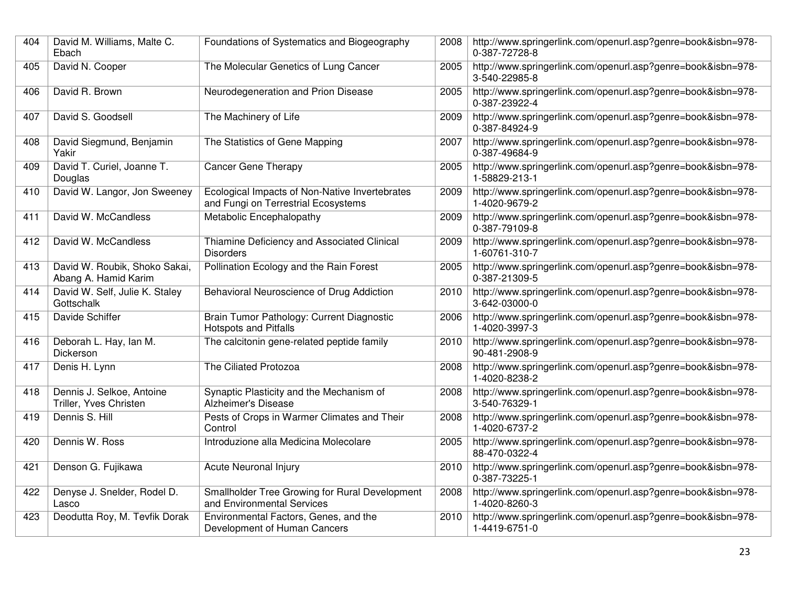| 404 | David M. Williams, Malte C.<br>Ebach                  | Foundations of Systematics and Biogeography                                           | 2008 | http://www.springerlink.com/openurl.asp?genre=book&isbn=978-<br>0-387-72728-8 |
|-----|-------------------------------------------------------|---------------------------------------------------------------------------------------|------|-------------------------------------------------------------------------------|
| 405 | David N. Cooper                                       | The Molecular Genetics of Lung Cancer                                                 | 2005 | http://www.springerlink.com/openurl.asp?genre=book&isbn=978-<br>3-540-22985-8 |
| 406 | David R. Brown                                        | Neurodegeneration and Prion Disease                                                   | 2005 | http://www.springerlink.com/openurl.asp?genre=book&isbn=978-<br>0-387-23922-4 |
| 407 | David S. Goodsell                                     | The Machinery of Life                                                                 | 2009 | http://www.springerlink.com/openurl.asp?genre=book&isbn=978-<br>0-387-84924-9 |
| 408 | David Siegmund, Benjamin<br>Yakir                     | The Statistics of Gene Mapping                                                        | 2007 | http://www.springerlink.com/openurl.asp?genre=book&isbn=978-<br>0-387-49684-9 |
| 409 | David T. Curiel, Joanne T.<br>Douglas                 | <b>Cancer Gene Therapy</b>                                                            | 2005 | http://www.springerlink.com/openurl.asp?genre=book&isbn=978-<br>1-58829-213-1 |
| 410 | David W. Langor, Jon Sweeney                          | Ecological Impacts of Non-Native Invertebrates<br>and Fungi on Terrestrial Ecosystems | 2009 | http://www.springerlink.com/openurl.asp?genre=book&isbn=978-<br>1-4020-9679-2 |
| 411 | David W. McCandless                                   | Metabolic Encephalopathy                                                              | 2009 | http://www.springerlink.com/openurl.asp?genre=book&isbn=978-<br>0-387-79109-8 |
| 412 | David W. McCandless                                   | Thiamine Deficiency and Associated Clinical<br><b>Disorders</b>                       | 2009 | http://www.springerlink.com/openurl.asp?genre=book&isbn=978-<br>1-60761-310-7 |
| 413 | David W. Roubik, Shoko Sakai,<br>Abang A. Hamid Karim | Pollination Ecology and the Rain Forest                                               | 2005 | http://www.springerlink.com/openurl.asp?genre=book&isbn=978-<br>0-387-21309-5 |
| 414 | David W. Self, Julie K. Staley<br>Gottschalk          | Behavioral Neuroscience of Drug Addiction                                             | 2010 | http://www.springerlink.com/openurl.asp?genre=book&isbn=978-<br>3-642-03000-0 |
| 415 | Davide Schiffer                                       | Brain Tumor Pathology: Current Diagnostic<br><b>Hotspots and Pitfalls</b>             | 2006 | http://www.springerlink.com/openurl.asp?genre=book&isbn=978-<br>1-4020-3997-3 |
| 416 | Deborah L. Hay, Ian M.<br>Dickerson                   | The calcitonin gene-related peptide family                                            | 2010 | http://www.springerlink.com/openurl.asp?genre=book&isbn=978-<br>90-481-2908-9 |
| 417 | Denis H. Lynn                                         | The Ciliated Protozoa                                                                 | 2008 | http://www.springerlink.com/openurl.asp?genre=book&isbn=978-<br>1-4020-8238-2 |
| 418 | Dennis J. Selkoe, Antoine<br>Triller, Yves Christen   | Synaptic Plasticity and the Mechanism of<br>Alzheimer's Disease                       | 2008 | http://www.springerlink.com/openurl.asp?genre=book&isbn=978-<br>3-540-76329-1 |
| 419 | Dennis S. Hill                                        | Pests of Crops in Warmer Climates and Their<br>Control                                | 2008 | http://www.springerlink.com/openurl.asp?genre=book&isbn=978-<br>1-4020-6737-2 |
| 420 | Dennis W. Ross                                        | Introduzione alla Medicina Molecolare                                                 | 2005 | http://www.springerlink.com/openurl.asp?genre=book&isbn=978-<br>88-470-0322-4 |
| 421 | Denson G. Fujikawa                                    | Acute Neuronal Injury                                                                 | 2010 | http://www.springerlink.com/openurl.asp?genre=book&isbn=978-<br>0-387-73225-1 |
| 422 | Denyse J. Snelder, Rodel D.<br>Lasco                  | Smallholder Tree Growing for Rural Development<br>and Environmental Services          | 2008 | http://www.springerlink.com/openurl.asp?genre=book&isbn=978-<br>1-4020-8260-3 |
| 423 | Deodutta Roy, M. Tevfik Dorak                         | Environmental Factors, Genes, and the<br>Development of Human Cancers                 | 2010 | http://www.springerlink.com/openurl.asp?genre=book&isbn=978-<br>1-4419-6751-0 |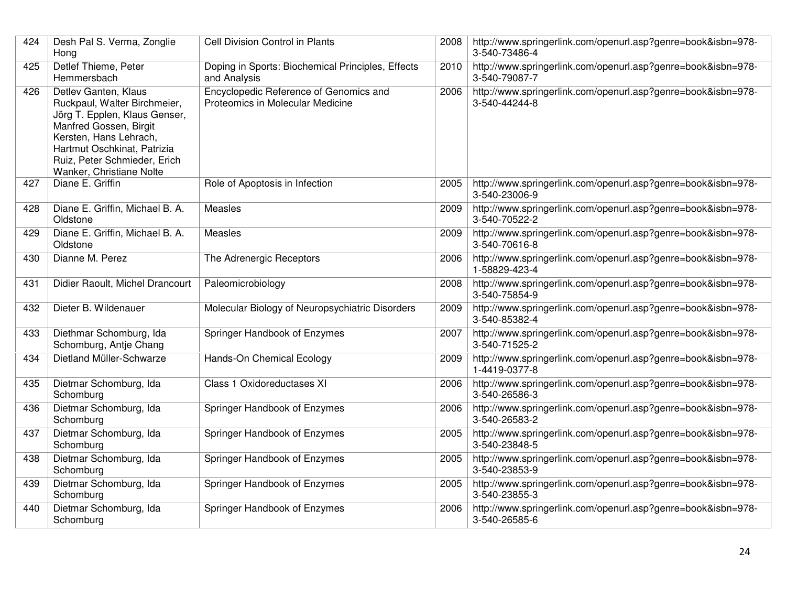| 424 | Desh Pal S. Verma, Zonglie<br>Hong                                                                                                                                                                                                   | <b>Cell Division Control in Plants</b>                                     | 2008 | http://www.springerlink.com/openurl.asp?genre=book&isbn=978-<br>3-540-73486-4 |
|-----|--------------------------------------------------------------------------------------------------------------------------------------------------------------------------------------------------------------------------------------|----------------------------------------------------------------------------|------|-------------------------------------------------------------------------------|
| 425 | Detlef Thieme, Peter<br>Hemmersbach                                                                                                                                                                                                  | Doping in Sports: Biochemical Principles, Effects<br>and Analysis          | 2010 | http://www.springerlink.com/openurl.asp?genre=book&isbn=978-<br>3-540-79087-7 |
| 426 | Detlev Ganten, Klaus<br>Ruckpaul, Walter Birchmeier,<br>Jörg T. Epplen, Klaus Genser,<br>Manfred Gossen, Birgit<br>Kersten, Hans Lehrach,<br>Hartmut Oschkinat, Patrizia<br>Ruiz, Peter Schmieder, Erich<br>Wanker, Christiane Nolte | Encyclopedic Reference of Genomics and<br>Proteomics in Molecular Medicine | 2006 | http://www.springerlink.com/openurl.asp?genre=book&isbn=978-<br>3-540-44244-8 |
| 427 | Diane E. Griffin                                                                                                                                                                                                                     | Role of Apoptosis in Infection                                             | 2005 | http://www.springerlink.com/openurl.asp?genre=book&isbn=978-<br>3-540-23006-9 |
| 428 | Diane E. Griffin, Michael B. A.<br>Oldstone                                                                                                                                                                                          | <b>Measles</b>                                                             | 2009 | http://www.springerlink.com/openurl.asp?genre=book&isbn=978-<br>3-540-70522-2 |
| 429 | Diane E. Griffin, Michael B. A.<br>Oldstone                                                                                                                                                                                          | Measles                                                                    | 2009 | http://www.springerlink.com/openurl.asp?genre=book&isbn=978-<br>3-540-70616-8 |
| 430 | Dianne M. Perez                                                                                                                                                                                                                      | The Adrenergic Receptors                                                   | 2006 | http://www.springerlink.com/openurl.asp?genre=book&isbn=978-<br>1-58829-423-4 |
| 431 | Didier Raoult, Michel Drancourt                                                                                                                                                                                                      | Paleomicrobiology                                                          | 2008 | http://www.springerlink.com/openurl.asp?genre=book&isbn=978-<br>3-540-75854-9 |
| 432 | Dieter B. Wildenauer                                                                                                                                                                                                                 | Molecular Biology of Neuropsychiatric Disorders                            | 2009 | http://www.springerlink.com/openurl.asp?genre=book&isbn=978-<br>3-540-85382-4 |
| 433 | Diethmar Schomburg, Ida<br>Schomburg, Antje Chang                                                                                                                                                                                    | Springer Handbook of Enzymes                                               | 2007 | http://www.springerlink.com/openurl.asp?genre=book&isbn=978-<br>3-540-71525-2 |
| 434 | Dietland Müller-Schwarze                                                                                                                                                                                                             | Hands-On Chemical Ecology                                                  | 2009 | http://www.springerlink.com/openurl.asp?genre=book&isbn=978-<br>1-4419-0377-8 |
| 435 | Dietmar Schomburg, Ida<br>Schomburg                                                                                                                                                                                                  | Class 1 Oxidoreductases XI                                                 | 2006 | http://www.springerlink.com/openurl.asp?genre=book&isbn=978-<br>3-540-26586-3 |
| 436 | Dietmar Schomburg, Ida<br>Schomburg                                                                                                                                                                                                  | Springer Handbook of Enzymes                                               | 2006 | http://www.springerlink.com/openurl.asp?genre=book&isbn=978-<br>3-540-26583-2 |
| 437 | Dietmar Schomburg, Ida<br>Schomburg                                                                                                                                                                                                  | Springer Handbook of Enzymes                                               | 2005 | http://www.springerlink.com/openurl.asp?genre=book&isbn=978-<br>3-540-23848-5 |
| 438 | Dietmar Schomburg, Ida<br>Schomburg                                                                                                                                                                                                  | Springer Handbook of Enzymes                                               | 2005 | http://www.springerlink.com/openurl.asp?genre=book&isbn=978-<br>3-540-23853-9 |
| 439 | Dietmar Schomburg, Ida<br>Schomburg                                                                                                                                                                                                  | Springer Handbook of Enzymes                                               | 2005 | http://www.springerlink.com/openurl.asp?genre=book&isbn=978-<br>3-540-23855-3 |
| 440 | Dietmar Schomburg, Ida<br>Schomburg                                                                                                                                                                                                  | Springer Handbook of Enzymes                                               | 2006 | http://www.springerlink.com/openurl.asp?genre=book&isbn=978-<br>3-540-26585-6 |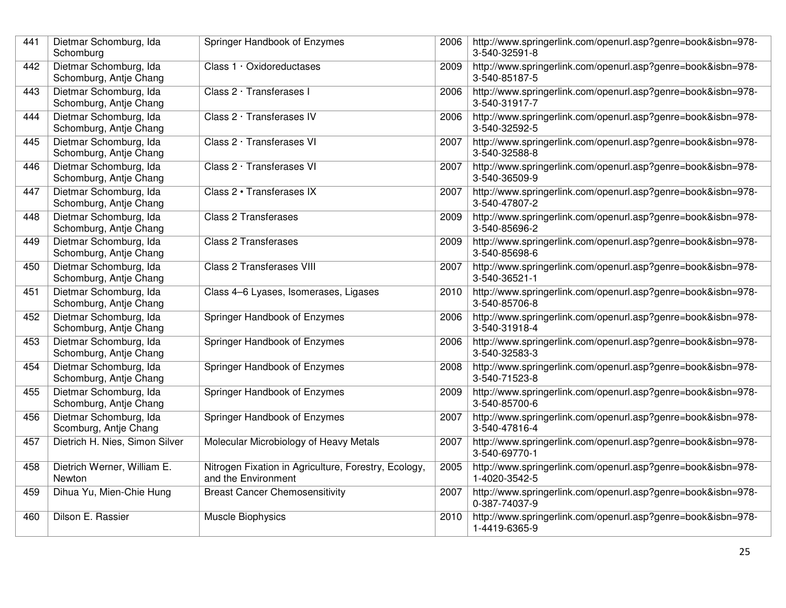| 441 | Dietmar Schomburg, Ida<br>Schomburg              | Springer Handbook of Enzymes                                                | 2006 | http://www.springerlink.com/openurl.asp?genre=book&isbn=978-<br>3-540-32591-8 |
|-----|--------------------------------------------------|-----------------------------------------------------------------------------|------|-------------------------------------------------------------------------------|
| 442 | Dietmar Schomburg, Ida<br>Schomburg, Antje Chang | Class 1 · Oxidoreductases                                                   | 2009 | http://www.springerlink.com/openurl.asp?genre=book&isbn=978-<br>3-540-85187-5 |
| 443 | Dietmar Schomburg, Ida<br>Schomburg, Antje Chang | Class 2 · Transferases I                                                    | 2006 | http://www.springerlink.com/openurl.asp?genre=book&isbn=978-<br>3-540-31917-7 |
| 444 | Dietmar Schomburg, Ida<br>Schomburg, Antje Chang | Class 2 · Transferases IV                                                   | 2006 | http://www.springerlink.com/openurl.asp?genre=book&isbn=978-<br>3-540-32592-5 |
| 445 | Dietmar Schomburg, Ida<br>Schomburg, Antje Chang | Class 2 · Transferases VI                                                   | 2007 | http://www.springerlink.com/openurl.asp?genre=book&isbn=978-<br>3-540-32588-8 |
| 446 | Dietmar Schomburg, Ida<br>Schomburg, Antje Chang | Class 2 · Transferases VI                                                   | 2007 | http://www.springerlink.com/openurl.asp?genre=book&isbn=978-<br>3-540-36509-9 |
| 447 | Dietmar Schomburg, Ida<br>Schomburg, Antje Chang | Class 2 · Transferases IX                                                   | 2007 | http://www.springerlink.com/openurl.asp?genre=book&isbn=978-<br>3-540-47807-2 |
| 448 | Dietmar Schomburg, Ida<br>Schomburg, Antje Chang | <b>Class 2 Transferases</b>                                                 | 2009 | http://www.springerlink.com/openurl.asp?genre=book&isbn=978-<br>3-540-85696-2 |
| 449 | Dietmar Schomburg, Ida<br>Schomburg, Antje Chang | Class 2 Transferases                                                        | 2009 | http://www.springerlink.com/openurl.asp?genre=book&isbn=978-<br>3-540-85698-6 |
| 450 | Dietmar Schomburg, Ida<br>Schomburg, Antje Chang | <b>Class 2 Transferases VIII</b>                                            | 2007 | http://www.springerlink.com/openurl.asp?genre=book&isbn=978-<br>3-540-36521-1 |
| 451 | Dietmar Schomburg, Ida<br>Schomburg, Antje Chang | Class 4-6 Lyases, Isomerases, Ligases                                       | 2010 | http://www.springerlink.com/openurl.asp?genre=book&isbn=978-<br>3-540-85706-8 |
| 452 | Dietmar Schomburg, Ida<br>Schomburg, Antje Chang | Springer Handbook of Enzymes                                                | 2006 | http://www.springerlink.com/openurl.asp?genre=book&isbn=978-<br>3-540-31918-4 |
| 453 | Dietmar Schomburg, Ida<br>Schomburg, Antje Chang | Springer Handbook of Enzymes                                                | 2006 | http://www.springerlink.com/openurl.asp?genre=book&isbn=978-<br>3-540-32583-3 |
| 454 | Dietmar Schomburg, Ida<br>Schomburg, Antje Chang | Springer Handbook of Enzymes                                                | 2008 | http://www.springerlink.com/openurl.asp?genre=book&isbn=978-<br>3-540-71523-8 |
| 455 | Dietmar Schomburg, Ida<br>Schomburg, Antje Chang | Springer Handbook of Enzymes                                                | 2009 | http://www.springerlink.com/openurl.asp?genre=book&isbn=978-<br>3-540-85700-6 |
| 456 | Dietmar Schomburg, Ida<br>Scomburg, Antje Chang  | Springer Handbook of Enzymes                                                | 2007 | http://www.springerlink.com/openurl.asp?genre=book&isbn=978-<br>3-540-47816-4 |
| 457 | Dietrich H. Nies, Simon Silver                   | Molecular Microbiology of Heavy Metals                                      | 2007 | http://www.springerlink.com/openurl.asp?genre=book&isbn=978-<br>3-540-69770-1 |
| 458 | Dietrich Werner, William E.<br>Newton            | Nitrogen Fixation in Agriculture, Forestry, Ecology,<br>and the Environment | 2005 | http://www.springerlink.com/openurl.asp?genre=book&isbn=978-<br>1-4020-3542-5 |
| 459 | Dihua Yu, Mien-Chie Hung                         | <b>Breast Cancer Chemosensitivity</b>                                       | 2007 | http://www.springerlink.com/openurl.asp?genre=book&isbn=978-<br>0-387-74037-9 |
| 460 | Dilson E. Rassier                                | Muscle Biophysics                                                           | 2010 | http://www.springerlink.com/openurl.asp?genre=book&isbn=978-<br>1-4419-6365-9 |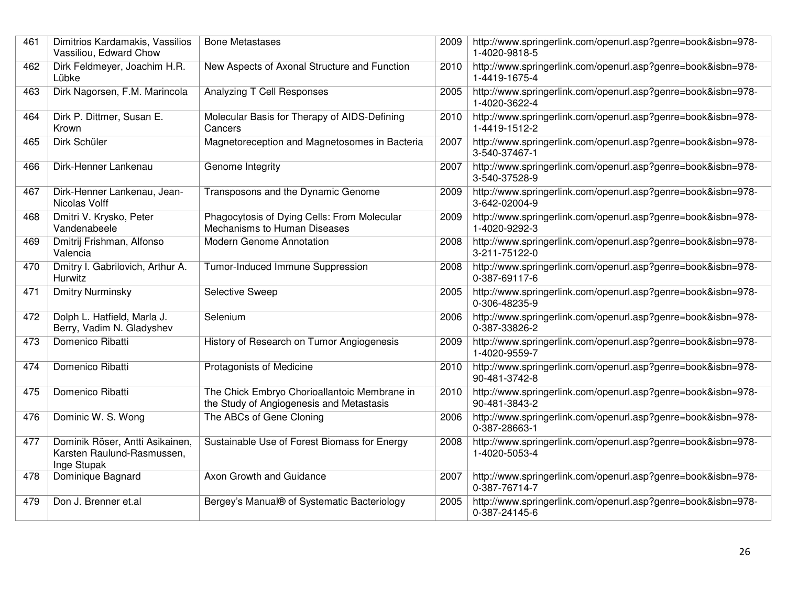| 461 | Dimitrios Kardamakis, Vassilios<br>Vassiliou, Edward Chow                    | <b>Bone Metastases</b>                                                                   | 2009 | http://www.springerlink.com/openurl.asp?genre=book&isbn=978-<br>1-4020-9818-5 |
|-----|------------------------------------------------------------------------------|------------------------------------------------------------------------------------------|------|-------------------------------------------------------------------------------|
| 462 | Dirk Feldmeyer, Joachim H.R.<br>Lübke                                        | New Aspects of Axonal Structure and Function                                             | 2010 | http://www.springerlink.com/openurl.asp?genre=book&isbn=978-<br>1-4419-1675-4 |
| 463 | Dirk Nagorsen, F.M. Marincola                                                | Analyzing T Cell Responses                                                               | 2005 | http://www.springerlink.com/openurl.asp?genre=book&isbn=978-<br>1-4020-3622-4 |
| 464 | Dirk P. Dittmer, Susan E.<br>Krown                                           | Molecular Basis for Therapy of AIDS-Defining<br>Cancers                                  | 2010 | http://www.springerlink.com/openurl.asp?genre=book&isbn=978-<br>1-4419-1512-2 |
| 465 | Dirk Schüler                                                                 | Magnetoreception and Magnetosomes in Bacteria                                            | 2007 | http://www.springerlink.com/openurl.asp?genre=book&isbn=978-<br>3-540-37467-1 |
| 466 | Dirk-Henner Lankenau                                                         | Genome Integrity                                                                         | 2007 | http://www.springerlink.com/openurl.asp?genre=book&isbn=978-<br>3-540-37528-9 |
| 467 | Dirk-Henner Lankenau, Jean-<br>Nicolas Volff                                 | Transposons and the Dynamic Genome                                                       | 2009 | http://www.springerlink.com/openurl.asp?genre=book&isbn=978-<br>3-642-02004-9 |
| 468 | Dmitri V. Krysko, Peter<br>Vandenabeele                                      | Phagocytosis of Dying Cells: From Molecular<br>Mechanisms to Human Diseases              | 2009 | http://www.springerlink.com/openurl.asp?genre=book&isbn=978-<br>1-4020-9292-3 |
| 469 | Dmitrij Frishman, Alfonso<br>Valencia                                        | Modern Genome Annotation                                                                 | 2008 | http://www.springerlink.com/openurl.asp?genre=book&isbn=978-<br>3-211-75122-0 |
| 470 | Dmitry I. Gabrilovich, Arthur A.<br>Hurwitz                                  | Tumor-Induced Immune Suppression                                                         | 2008 | http://www.springerlink.com/openurl.asp?genre=book&isbn=978-<br>0-387-69117-6 |
| 471 | <b>Dmitry Nurminsky</b>                                                      | Selective Sweep                                                                          | 2005 | http://www.springerlink.com/openurl.asp?genre=book&isbn=978-<br>0-306-48235-9 |
| 472 | Dolph L. Hatfield, Marla J.<br>Berry, Vadim N. Gladyshev                     | Selenium                                                                                 | 2006 | http://www.springerlink.com/openurl.asp?genre=book&isbn=978-<br>0-387-33826-2 |
| 473 | Domenico Ribatti                                                             | History of Research on Tumor Angiogenesis                                                | 2009 | http://www.springerlink.com/openurl.asp?genre=book&isbn=978-<br>1-4020-9559-7 |
| 474 | Domenico Ribatti                                                             | Protagonists of Medicine                                                                 | 2010 | http://www.springerlink.com/openurl.asp?genre=book&isbn=978-<br>90-481-3742-8 |
| 475 | Domenico Ribatti                                                             | The Chick Embryo Chorioallantoic Membrane in<br>the Study of Angiogenesis and Metastasis | 2010 | http://www.springerlink.com/openurl.asp?genre=book&isbn=978-<br>90-481-3843-2 |
| 476 | Dominic W. S. Wong                                                           | The ABCs of Gene Cloning                                                                 | 2006 | http://www.springerlink.com/openurl.asp?genre=book&isbn=978-<br>0-387-28663-1 |
| 477 | Dominik Röser, Antti Asikainen,<br>Karsten Raulund-Rasmussen,<br>Inge Stupak | Sustainable Use of Forest Biomass for Energy                                             | 2008 | http://www.springerlink.com/openurl.asp?genre=book&isbn=978-<br>1-4020-5053-4 |
| 478 | Dominique Bagnard                                                            | Axon Growth and Guidance                                                                 | 2007 | http://www.springerlink.com/openurl.asp?genre=book&isbn=978-<br>0-387-76714-7 |
| 479 | Don J. Brenner et.al                                                         | Bergey's Manual® of Systematic Bacteriology                                              | 2005 | http://www.springerlink.com/openurl.asp?genre=book&isbn=978-<br>0-387-24145-6 |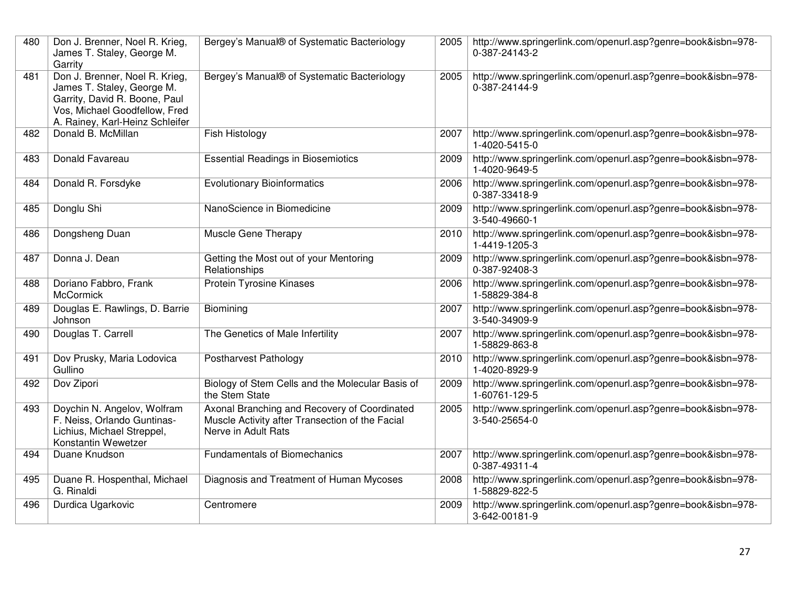| 480 | Don J. Brenner, Noel R. Krieg,<br>James T. Staley, George M.<br>Garrity                                                                                           | Bergey's Manual® of Systematic Bacteriology                                                                            | 2005 | http://www.springerlink.com/openurl.asp?genre=book&isbn=978-<br>0-387-24143-2 |
|-----|-------------------------------------------------------------------------------------------------------------------------------------------------------------------|------------------------------------------------------------------------------------------------------------------------|------|-------------------------------------------------------------------------------|
| 481 | Don J. Brenner, Noel R. Krieg,<br>James T. Staley, George M.<br>Garrity, David R. Boone, Paul<br>Vos, Michael Goodfellow, Fred<br>A. Rainey, Karl-Heinz Schleifer | Bergey's Manual® of Systematic Bacteriology                                                                            | 2005 | http://www.springerlink.com/openurl.asp?genre=book&isbn=978-<br>0-387-24144-9 |
| 482 | Donald B. McMillan                                                                                                                                                | Fish Histology                                                                                                         | 2007 | http://www.springerlink.com/openurl.asp?genre=book&isbn=978-<br>1-4020-5415-0 |
| 483 | Donald Favareau                                                                                                                                                   | <b>Essential Readings in Biosemiotics</b>                                                                              | 2009 | http://www.springerlink.com/openurl.asp?genre=book&isbn=978-<br>1-4020-9649-5 |
| 484 | Donald R. Forsdyke                                                                                                                                                | <b>Evolutionary Bioinformatics</b>                                                                                     | 2006 | http://www.springerlink.com/openurl.asp?genre=book&isbn=978-<br>0-387-33418-9 |
| 485 | Donglu Shi                                                                                                                                                        | NanoScience in Biomedicine                                                                                             | 2009 | http://www.springerlink.com/openurl.asp?genre=book&isbn=978-<br>3-540-49660-1 |
| 486 | Dongsheng Duan                                                                                                                                                    | Muscle Gene Therapy                                                                                                    | 2010 | http://www.springerlink.com/openurl.asp?genre=book&isbn=978-<br>1-4419-1205-3 |
| 487 | Donna J. Dean                                                                                                                                                     | Getting the Most out of your Mentoring<br>Relationships                                                                | 2009 | http://www.springerlink.com/openurl.asp?genre=book&isbn=978-<br>0-387-92408-3 |
| 488 | Doriano Fabbro, Frank<br><b>McCormick</b>                                                                                                                         | <b>Protein Tyrosine Kinases</b>                                                                                        | 2006 | http://www.springerlink.com/openurl.asp?genre=book&isbn=978-<br>1-58829-384-8 |
| 489 | Douglas E. Rawlings, D. Barrie<br>Johnson                                                                                                                         | Biomining                                                                                                              | 2007 | http://www.springerlink.com/openurl.asp?genre=book&isbn=978-<br>3-540-34909-9 |
| 490 | Douglas T. Carrell                                                                                                                                                | The Genetics of Male Infertility                                                                                       | 2007 | http://www.springerlink.com/openurl.asp?genre=book&isbn=978-<br>1-58829-863-8 |
| 491 | Dov Prusky, Maria Lodovica<br>Gullino                                                                                                                             | Postharvest Pathology                                                                                                  | 2010 | http://www.springerlink.com/openurl.asp?genre=book&isbn=978-<br>1-4020-8929-9 |
| 492 | Dov Zipori                                                                                                                                                        | Biology of Stem Cells and the Molecular Basis of<br>the Stem State                                                     | 2009 | http://www.springerlink.com/openurl.asp?genre=book&isbn=978-<br>1-60761-129-5 |
| 493 | Doychin N. Angelov, Wolfram<br>F. Neiss, Orlando Guntinas-<br>Lichius, Michael Streppel,<br>Konstantin Wewetzer                                                   | Axonal Branching and Recovery of Coordinated<br>Muscle Activity after Transection of the Facial<br>Nerve in Adult Rats | 2005 | http://www.springerlink.com/openurl.asp?genre=book&isbn=978-<br>3-540-25654-0 |
| 494 | Duane Knudson                                                                                                                                                     | <b>Fundamentals of Biomechanics</b>                                                                                    | 2007 | http://www.springerlink.com/openurl.asp?genre=book&isbn=978-<br>0-387-49311-4 |
| 495 | Duane R. Hospenthal, Michael<br>G. Rinaldi                                                                                                                        | Diagnosis and Treatment of Human Mycoses                                                                               | 2008 | http://www.springerlink.com/openurl.asp?genre=book&isbn=978-<br>1-58829-822-5 |
| 496 | Durdica Ugarkovic                                                                                                                                                 | Centromere                                                                                                             | 2009 | http://www.springerlink.com/openurl.asp?genre=book&isbn=978-<br>3-642-00181-9 |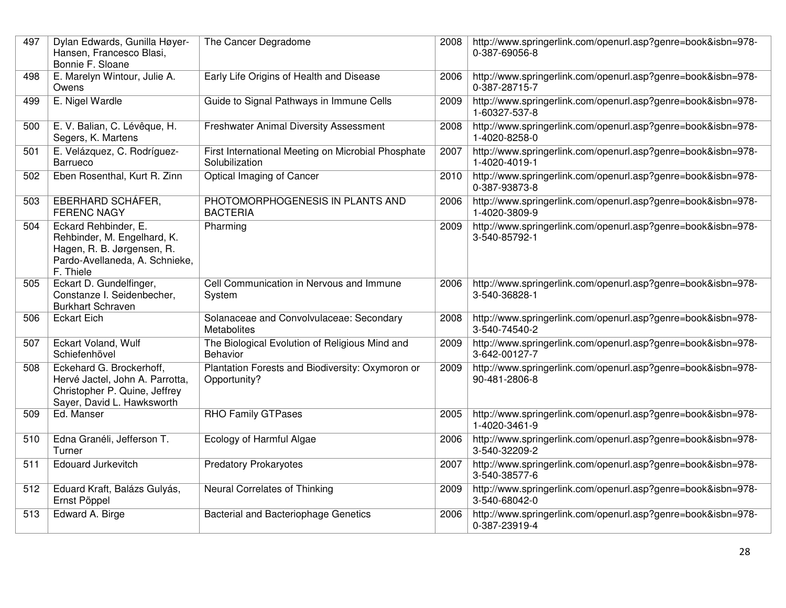| 497 | Dylan Edwards, Gunilla Høyer-<br>Hansen, Francesco Blasi,<br>Bonnie F. Sloane                                                    | The Cancer Degradome                                                 | 2008 | http://www.springerlink.com/openurl.asp?genre=book&isbn=978-<br>0-387-69056-8 |
|-----|----------------------------------------------------------------------------------------------------------------------------------|----------------------------------------------------------------------|------|-------------------------------------------------------------------------------|
| 498 | E. Marelyn Wintour, Julie A.<br>Owens                                                                                            | Early Life Origins of Health and Disease                             | 2006 | http://www.springerlink.com/openurl.asp?genre=book&isbn=978-<br>0-387-28715-7 |
| 499 | E. Nigel Wardle                                                                                                                  | Guide to Signal Pathways in Immune Cells                             | 2009 | http://www.springerlink.com/openurl.asp?genre=book&isbn=978-<br>1-60327-537-8 |
| 500 | E. V. Balian, C. Lévêque, H.<br>Segers, K. Martens                                                                               | <b>Freshwater Animal Diversity Assessment</b>                        | 2008 | http://www.springerlink.com/openurl.asp?genre=book&isbn=978-<br>1-4020-8258-0 |
| 501 | E. Velázquez, C. Rodríguez-<br>Barrueco                                                                                          | First International Meeting on Microbial Phosphate<br>Solubilization | 2007 | http://www.springerlink.com/openurl.asp?genre=book&isbn=978-<br>1-4020-4019-1 |
| 502 | Eben Rosenthal, Kurt R. Zinn                                                                                                     | Optical Imaging of Cancer                                            | 2010 | http://www.springerlink.com/openurl.asp?genre=book&isbn=978-<br>0-387-93873-8 |
| 503 | EBERHARD SCHÁFER,<br><b>FERENC NAGY</b>                                                                                          | PHOTOMORPHOGENESIS IN PLANTS AND<br><b>BACTERIA</b>                  | 2006 | http://www.springerlink.com/openurl.asp?genre=book&isbn=978-<br>1-4020-3809-9 |
| 504 | Eckard Rehbinder, E.<br>Rehbinder, M. Engelhard, K.<br>Hagen, R. B. Jørgensen, R.<br>Pardo-Avellaneda, A. Schnieke,<br>F. Thiele | Pharming                                                             | 2009 | http://www.springerlink.com/openurl.asp?genre=book&isbn=978-<br>3-540-85792-1 |
| 505 | Eckart D. Gundelfinger,<br>Constanze I. Seidenbecher,<br><b>Burkhart Schraven</b>                                                | Cell Communication in Nervous and Immune<br>System                   | 2006 | http://www.springerlink.com/openurl.asp?genre=book&isbn=978-<br>3-540-36828-1 |
| 506 | <b>Eckart Eich</b>                                                                                                               | Solanaceae and Convolvulaceae: Secondary<br>Metabolites              | 2008 | http://www.springerlink.com/openurl.asp?genre=book&isbn=978-<br>3-540-74540-2 |
| 507 | Eckart Voland, Wulf<br>Schiefenhövel                                                                                             | The Biological Evolution of Religious Mind and<br><b>Behavior</b>    | 2009 | http://www.springerlink.com/openurl.asp?genre=book&isbn=978-<br>3-642-00127-7 |
| 508 | Eckehard G. Brockerhoff,<br>Hervé Jactel, John A. Parrotta,<br>Christopher P. Quine, Jeffrey<br>Sayer, David L. Hawksworth       | Plantation Forests and Biodiversity: Oxymoron or<br>Opportunity?     | 2009 | http://www.springerlink.com/openurl.asp?genre=book&isbn=978-<br>90-481-2806-8 |
| 509 | Ed. Manser                                                                                                                       | <b>RHO Family GTPases</b>                                            | 2005 | http://www.springerlink.com/openurl.asp?genre=book&isbn=978-<br>1-4020-3461-9 |
| 510 | Edna Granéli, Jefferson T.<br>Turner                                                                                             | Ecology of Harmful Algae                                             | 2006 | http://www.springerlink.com/openurl.asp?genre=book&isbn=978-<br>3-540-32209-2 |
| 511 | <b>Edouard Jurkevitch</b>                                                                                                        | <b>Predatory Prokaryotes</b>                                         | 2007 | http://www.springerlink.com/openurl.asp?genre=book&isbn=978-<br>3-540-38577-6 |
| 512 | Eduard Kraft, Balázs Gulyás,<br>Ernst Pöppel                                                                                     | Neural Correlates of Thinking                                        | 2009 | http://www.springerlink.com/openurl.asp?genre=book&isbn=978-<br>3-540-68042-0 |
| 513 | Edward A. Birge                                                                                                                  | <b>Bacterial and Bacteriophage Genetics</b>                          | 2006 | http://www.springerlink.com/openurl.asp?genre=book&isbn=978-<br>0-387-23919-4 |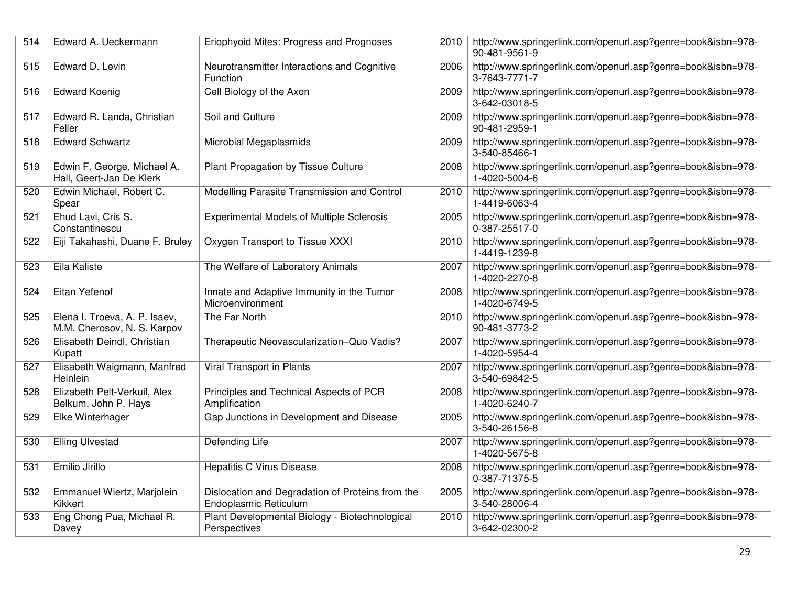| 514 | Edward A. Ueckermann                                         | Eriophyoid Mites: Progress and Prognoses                                  | 2010 | http://www.springerlink.com/openurl.asp?genre=book&isbn=978-<br>90-481-9561-9 |
|-----|--------------------------------------------------------------|---------------------------------------------------------------------------|------|-------------------------------------------------------------------------------|
| 515 | Edward D. Levin                                              | Neurotransmitter Interactions and Cognitive<br>Function                   | 2006 | http://www.springerlink.com/openurl.asp?genre=book&isbn=978-<br>3-7643-7771-7 |
| 516 | <b>Edward Koenig</b>                                         | Cell Biology of the Axon                                                  | 2009 | http://www.springerlink.com/openurl.asp?genre=book&isbn=978-<br>3-642-03018-5 |
| 517 | Edward R. Landa, Christian<br>Feller                         | Soil and Culture                                                          | 2009 | http://www.springerlink.com/openurl.asp?genre=book&isbn=978-<br>90-481-2959-1 |
| 518 | <b>Edward Schwartz</b>                                       | Microbial Megaplasmids                                                    | 2009 | http://www.springerlink.com/openurl.asp?genre=book&isbn=978-<br>3-540-85466-1 |
| 519 | Edwin F. George, Michael A.<br>Hall, Geert-Jan De Klerk      | Plant Propagation by Tissue Culture                                       | 2008 | http://www.springerlink.com/openurl.asp?genre=book&isbn=978-<br>1-4020-5004-6 |
| 520 | Edwin Michael, Robert C.<br>Spear                            | Modelling Parasite Transmission and Control                               | 2010 | http://www.springerlink.com/openurl.asp?genre=book&isbn=978-<br>1-4419-6063-4 |
| 521 | Ehud Lavi, Cris S.<br>Constantinescu                         | <b>Experimental Models of Multiple Sclerosis</b>                          | 2005 | http://www.springerlink.com/openurl.asp?genre=book&isbn=978-<br>0-387-25517-0 |
| 522 | Eiji Takahashi, Duane F. Bruley                              | Oxygen Transport to Tissue XXXI                                           | 2010 | http://www.springerlink.com/openurl.asp?genre=book&isbn=978-<br>1-4419-1239-8 |
| 523 | Eila Kaliste                                                 | The Welfare of Laboratory Animals                                         | 2007 | http://www.springerlink.com/openurl.asp?genre=book&isbn=978-<br>1-4020-2270-8 |
| 524 | Eitan Yefenof                                                | Innate and Adaptive Immunity in the Tumor<br>Microenvironment             | 2008 | http://www.springerlink.com/openurl.asp?genre=book&isbn=978-<br>1-4020-6749-5 |
| 525 | Elena I. Troeva, A. P. Isaev,<br>M.M. Cherosov, N. S. Karpov | The Far North                                                             | 2010 | http://www.springerlink.com/openurl.asp?genre=book&isbn=978-<br>90-481-3773-2 |
| 526 | Elisabeth Deindl, Christian<br>Kupatt                        | Therapeutic Neovascularization-Quo Vadis?                                 | 2007 | http://www.springerlink.com/openurl.asp?genre=book&isbn=978-<br>1-4020-5954-4 |
| 527 | Elisabeth Waigmann, Manfred<br>Heinlein                      | Viral Transport in Plants                                                 | 2007 | http://www.springerlink.com/openurl.asp?genre=book&isbn=978-<br>3-540-69842-5 |
| 528 | Elizabeth Pelt-Verkuil, Alex<br>Belkum, John P. Hays         | Principles and Technical Aspects of PCR<br>Amplification                  | 2008 | http://www.springerlink.com/openurl.asp?genre=book&isbn=978-<br>1-4020-6240-7 |
| 529 | Elke Winterhager                                             | Gap Junctions in Development and Disease                                  | 2005 | http://www.springerlink.com/openurl.asp?genre=book&isbn=978-<br>3-540-26156-8 |
| 530 | <b>Elling Ulvestad</b>                                       | Defending Life                                                            | 2007 | http://www.springerlink.com/openurl.asp?genre=book&isbn=978-<br>1-4020-5675-8 |
| 531 | Emilio Jirillo                                               | <b>Hepatitis C Virus Disease</b>                                          | 2008 | http://www.springerlink.com/openurl.asp?genre=book&isbn=978-<br>0-387-71375-5 |
| 532 | Emmanuel Wiertz, Marjolein<br>Kikkert                        | Dislocation and Degradation of Proteins from the<br>Endoplasmic Reticulum | 2005 | http://www.springerlink.com/openurl.asp?genre=book&isbn=978-<br>3-540-28006-4 |
| 533 | Eng Chong Pua, Michael R.<br>Davey                           | Plant Developmental Biology - Biotechnological<br>Perspectives            | 2010 | http://www.springerlink.com/openurl.asp?genre=book&isbn=978-<br>3-642-02300-2 |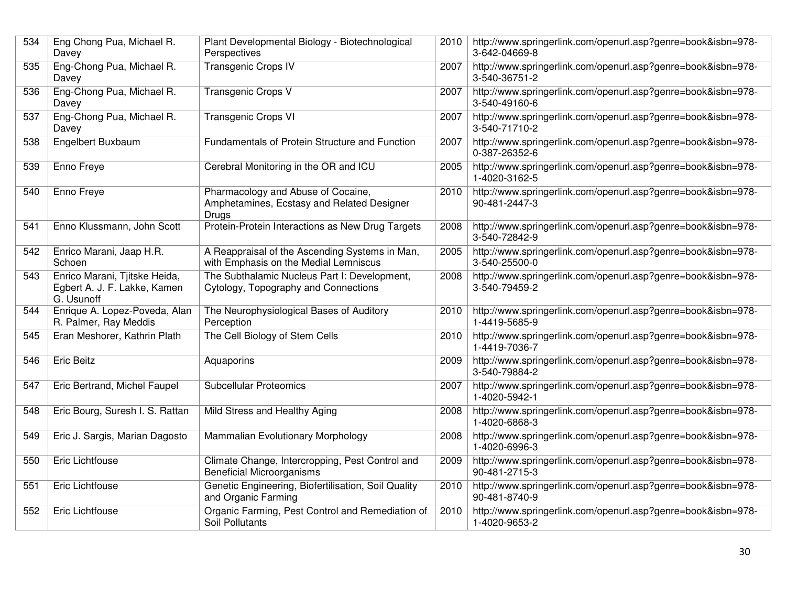| 534 | Eng Chong Pua, Michael R.<br>Davey                                          | Plant Developmental Biology - Biotechnological<br>Perspectives                                   | 2010 | http://www.springerlink.com/openurl.asp?genre=book&isbn=978-<br>3-642-04669-8 |
|-----|-----------------------------------------------------------------------------|--------------------------------------------------------------------------------------------------|------|-------------------------------------------------------------------------------|
| 535 | Eng-Chong Pua, Michael R.<br>Davey                                          | <b>Transgenic Crops IV</b>                                                                       | 2007 | http://www.springerlink.com/openurl.asp?genre=book&isbn=978-<br>3-540-36751-2 |
| 536 | Eng-Chong Pua, Michael R.<br>Davey                                          | Transgenic Crops V                                                                               | 2007 | http://www.springerlink.com/openurl.asp?genre=book&isbn=978-<br>3-540-49160-6 |
| 537 | Eng-Chong Pua, Michael R.<br>Davey                                          | <b>Transgenic Crops VI</b>                                                                       | 2007 | http://www.springerlink.com/openurl.asp?genre=book&isbn=978-<br>3-540-71710-2 |
| 538 | Engelbert Buxbaum                                                           | Fundamentals of Protein Structure and Function                                                   | 2007 | http://www.springerlink.com/openurl.asp?genre=book&isbn=978-<br>0-387-26352-6 |
| 539 | Enno Freye                                                                  | Cerebral Monitoring in the OR and ICU                                                            | 2005 | http://www.springerlink.com/openurl.asp?genre=book&isbn=978-<br>1-4020-3162-5 |
| 540 | Enno Freye                                                                  | Pharmacology and Abuse of Cocaine,<br>Amphetamines, Ecstasy and Related Designer<br><b>Drugs</b> | 2010 | http://www.springerlink.com/openurl.asp?genre=book&isbn=978-<br>90-481-2447-3 |
| 541 | Enno Klussmann, John Scott                                                  | Protein-Protein Interactions as New Drug Targets                                                 | 2008 | http://www.springerlink.com/openurl.asp?genre=book&isbn=978-<br>3-540-72842-9 |
| 542 | Enrico Marani, Jaap H.R.<br>Schoen                                          | A Reappraisal of the Ascending Systems in Man,<br>with Emphasis on the Medial Lemniscus          | 2005 | http://www.springerlink.com/openurl.asp?genre=book&isbn=978-<br>3-540-25500-0 |
| 543 | Enrico Marani, Tjitske Heida,<br>Egbert A. J. F. Lakke, Kamen<br>G. Usunoff | The Subthalamic Nucleus Part I: Development,<br>Cytology, Topography and Connections             | 2008 | http://www.springerlink.com/openurl.asp?genre=book&isbn=978-<br>3-540-79459-2 |
| 544 | Enrique A. Lopez-Poveda, Alan<br>R. Palmer, Ray Meddis                      | The Neurophysiological Bases of Auditory<br>Perception                                           | 2010 | http://www.springerlink.com/openurl.asp?genre=book&isbn=978-<br>1-4419-5685-9 |
| 545 | Eran Meshorer, Kathrin Plath                                                | The Cell Biology of Stem Cells                                                                   | 2010 | http://www.springerlink.com/openurl.asp?genre=book&isbn=978-<br>1-4419-7036-7 |
| 546 | <b>Eric Beitz</b>                                                           | Aquaporins                                                                                       | 2009 | http://www.springerlink.com/openurl.asp?genre=book&isbn=978-<br>3-540-79884-2 |
| 547 | Eric Bertrand, Michel Faupel                                                | <b>Subcellular Proteomics</b>                                                                    | 2007 | http://www.springerlink.com/openurl.asp?genre=book&isbn=978-<br>1-4020-5942-1 |
| 548 | Eric Bourg, Suresh I. S. Rattan                                             | Mild Stress and Healthy Aging                                                                    | 2008 | http://www.springerlink.com/openurl.asp?genre=book&isbn=978-<br>1-4020-6868-3 |
| 549 | Eric J. Sargis, Marian Dagosto                                              | Mammalian Evolutionary Morphology                                                                | 2008 | http://www.springerlink.com/openurl.asp?genre=book&isbn=978-<br>1-4020-6996-3 |
| 550 | <b>Eric Lichtfouse</b>                                                      | Climate Change, Intercropping, Pest Control and<br><b>Beneficial Microorganisms</b>              | 2009 | http://www.springerlink.com/openurl.asp?genre=book&isbn=978-<br>90-481-2715-3 |
| 551 | Eric Lichtfouse                                                             | Genetic Engineering, Biofertilisation, Soil Quality<br>and Organic Farming                       | 2010 | http://www.springerlink.com/openurl.asp?genre=book&isbn=978-<br>90-481-8740-9 |
| 552 | Eric Lichtfouse                                                             | Organic Farming, Pest Control and Remediation of<br>Soil Pollutants                              | 2010 | http://www.springerlink.com/openurl.asp?genre=book&isbn=978-<br>1-4020-9653-2 |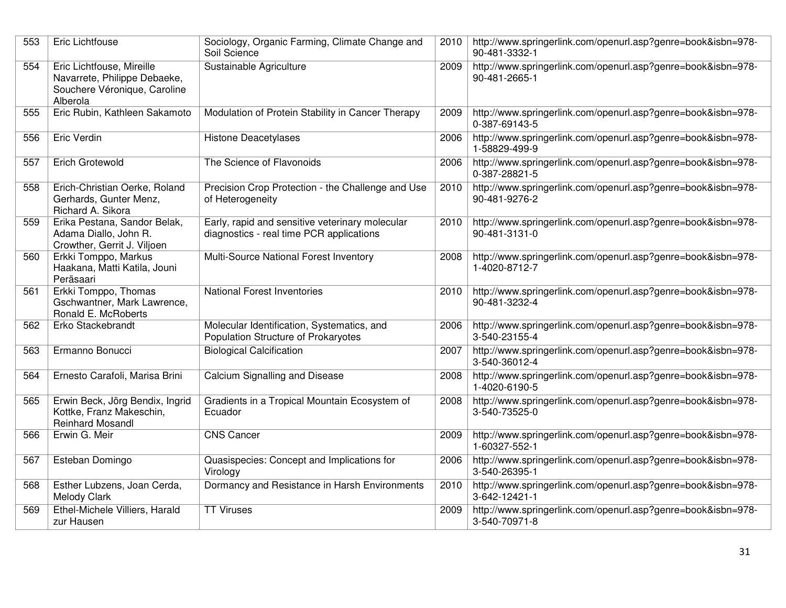| 553 | Eric Lichtfouse                                                                                       | Sociology, Organic Farming, Climate Change and<br>Soil Science                              |      | 2010   http://www.springerlink.com/openurl.asp?genre=book&isbn=978-<br>90-481-3332-1 |
|-----|-------------------------------------------------------------------------------------------------------|---------------------------------------------------------------------------------------------|------|--------------------------------------------------------------------------------------|
| 554 | Eric Lichtfouse, Mireille<br>Navarrete, Philippe Debaeke,<br>Souchere Véronique, Caroline<br>Alberola | Sustainable Agriculture                                                                     | 2009 | http://www.springerlink.com/openurl.asp?genre=book&isbn=978-<br>90-481-2665-1        |
| 555 | Eric Rubin, Kathleen Sakamoto                                                                         | Modulation of Protein Stability in Cancer Therapy                                           | 2009 | http://www.springerlink.com/openurl.asp?genre=book&isbn=978-<br>0-387-69143-5        |
| 556 | Eric Verdin                                                                                           | <b>Histone Deacetylases</b>                                                                 | 2006 | http://www.springerlink.com/openurl.asp?genre=book&isbn=978-<br>1-58829-499-9        |
| 557 | <b>Erich Grotewold</b>                                                                                | The Science of Flavonoids                                                                   | 2006 | http://www.springerlink.com/openurl.asp?genre=book&isbn=978-<br>0-387-28821-5        |
| 558 | Erich-Christian Oerke, Roland<br>Gerhards, Gunter Menz,<br>Richard A. Sikora                          | Precision Crop Protection - the Challenge and Use<br>of Heterogeneity                       | 2010 | http://www.springerlink.com/openurl.asp?genre=book&isbn=978-<br>90-481-9276-2        |
| 559 | Erika Pestana, Sandor Belak,<br>Adama Diallo, John R.<br>Crowther, Gerrit J. Viljoen                  | Early, rapid and sensitive veterinary molecular<br>diagnostics - real time PCR applications | 2010 | http://www.springerlink.com/openurl.asp?genre=book&isbn=978-<br>90-481-3131-0        |
| 560 | Erkki Tomppo, Markus<br>Haakana, Matti Katila, Jouni<br>Peräsaari                                     | Multi-Source National Forest Inventory                                                      | 2008 | http://www.springerlink.com/openurl.asp?genre=book&isbn=978-<br>1-4020-8712-7        |
| 561 | Erkki Tomppo, Thomas<br>Gschwantner, Mark Lawrence,<br>Ronald E. McRoberts                            | <b>National Forest Inventories</b>                                                          | 2010 | http://www.springerlink.com/openurl.asp?genre=book&isbn=978-<br>90-481-3232-4        |
| 562 | Erko Stackebrandt                                                                                     | Molecular Identification, Systematics, and<br>Population Structure of Prokaryotes           | 2006 | http://www.springerlink.com/openurl.asp?genre=book&isbn=978-<br>3-540-23155-4        |
| 563 | Ermanno Bonucci                                                                                       | <b>Biological Calcification</b>                                                             | 2007 | http://www.springerlink.com/openurl.asp?genre=book&isbn=978-<br>3-540-36012-4        |
| 564 | Ernesto Carafoli, Marisa Brini                                                                        | Calcium Signalling and Disease                                                              | 2008 | http://www.springerlink.com/openurl.asp?genre=book&isbn=978-<br>1-4020-6190-5        |
| 565 | Erwin Beck, Jörg Bendix, Ingrid<br>Kottke, Franz Makeschin,<br><b>Reinhard Mosandl</b>                | Gradients in a Tropical Mountain Ecosystem of<br>Ecuador                                    | 2008 | http://www.springerlink.com/openurl.asp?genre=book&isbn=978-<br>3-540-73525-0        |
| 566 | Erwin G. Meir                                                                                         | <b>CNS Cancer</b>                                                                           | 2009 | http://www.springerlink.com/openurl.asp?genre=book&isbn=978-<br>1-60327-552-1        |
| 567 | Esteban Domingo                                                                                       | Quasispecies: Concept and Implications for<br>Virology                                      | 2006 | http://www.springerlink.com/openurl.asp?genre=book&isbn=978-<br>3-540-26395-1        |
| 568 | Esther Lubzens, Joan Cerda,<br><b>Melody Clark</b>                                                    | Dormancy and Resistance in Harsh Environments                                               | 2010 | http://www.springerlink.com/openurl.asp?genre=book&isbn=978-<br>3-642-12421-1        |
| 569 | Ethel-Michele Villiers, Harald<br>zur Hausen                                                          | <b>TT Viruses</b>                                                                           | 2009 | http://www.springerlink.com/openurl.asp?genre=book&isbn=978-<br>3-540-70971-8        |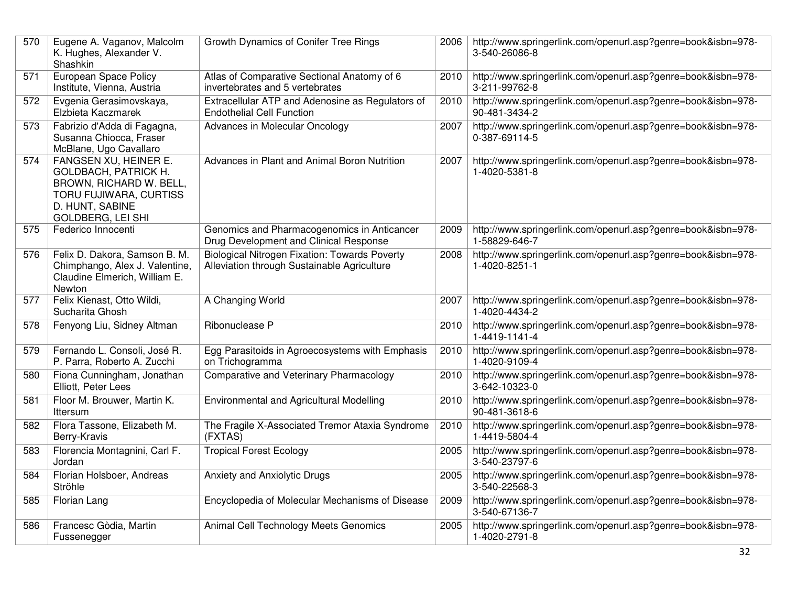| 570 | Eugene A. Vaganov, Malcolm<br>K. Hughes, Alexander V.<br>Shashkin                                                                                 | Growth Dynamics of Conifer Tree Rings                                                               | 2006 | http://www.springerlink.com/openurl.asp?genre=book&isbn=978-<br>3-540-26086-8 |
|-----|---------------------------------------------------------------------------------------------------------------------------------------------------|-----------------------------------------------------------------------------------------------------|------|-------------------------------------------------------------------------------|
| 571 | <b>European Space Policy</b><br>Institute, Vienna, Austria                                                                                        | Atlas of Comparative Sectional Anatomy of 6<br>invertebrates and 5 vertebrates                      | 2010 | http://www.springerlink.com/openurl.asp?genre=book&isbn=978-<br>3-211-99762-8 |
| 572 | Evgenia Gerasimovskaya,<br>Elzbieta Kaczmarek                                                                                                     | Extracellular ATP and Adenosine as Regulators of<br><b>Endothelial Cell Function</b>                | 2010 | http://www.springerlink.com/openurl.asp?genre=book&isbn=978-<br>90-481-3434-2 |
| 573 | Fabrizio d'Adda di Fagagna,<br>Susanna Chiocca, Fraser<br>McBlane, Ugo Cavallaro                                                                  | <b>Advances in Molecular Oncology</b>                                                               | 2007 | http://www.springerlink.com/openurl.asp?genre=book&isbn=978-<br>0-387-69114-5 |
| 574 | FANGSEN XU, HEINER E.<br>GOLDBACH, PATRICK H.<br>BROWN, RICHARD W. BELL,<br>TORU FUJIWARA, CURTISS<br>D. HUNT, SABINE<br><b>GOLDBERG, LEI SHI</b> | Advances in Plant and Animal Boron Nutrition                                                        | 2007 | http://www.springerlink.com/openurl.asp?genre=book&isbn=978-<br>1-4020-5381-8 |
| 575 | Federico Innocenti                                                                                                                                | Genomics and Pharmacogenomics in Anticancer<br>Drug Development and Clinical Response               | 2009 | http://www.springerlink.com/openurl.asp?genre=book&isbn=978-<br>1-58829-646-7 |
| 576 | Felix D. Dakora, Samson B. M.<br>Chimphango, Alex J. Valentine,<br>Claudine Elmerich, William E.<br>Newton                                        | <b>Biological Nitrogen Fixation: Towards Poverty</b><br>Alleviation through Sustainable Agriculture | 2008 | http://www.springerlink.com/openurl.asp?genre=book&isbn=978-<br>1-4020-8251-1 |
| 577 | Felix Kienast, Otto Wildi,<br>Sucharita Ghosh                                                                                                     | A Changing World                                                                                    | 2007 | http://www.springerlink.com/openurl.asp?genre=book&isbn=978-<br>1-4020-4434-2 |
| 578 | Fenyong Liu, Sidney Altman                                                                                                                        | Ribonuclease P                                                                                      | 2010 | http://www.springerlink.com/openurl.asp?genre=book&isbn=978-<br>1-4419-1141-4 |
| 579 | Fernando L. Consoli, José R.<br>P. Parra, Roberto A. Zucchi                                                                                       | Egg Parasitoids in Agroecosystems with Emphasis<br>on Trichogramma                                  | 2010 | http://www.springerlink.com/openurl.asp?genre=book&isbn=978-<br>1-4020-9109-4 |
| 580 | Fiona Cunningham, Jonathan<br>Elliott, Peter Lees                                                                                                 | Comparative and Veterinary Pharmacology                                                             | 2010 | http://www.springerlink.com/openurl.asp?genre=book&isbn=978-<br>3-642-10323-0 |
| 581 | Floor M. Brouwer, Martin K.<br>Ittersum                                                                                                           | <b>Environmental and Agricultural Modelling</b>                                                     | 2010 | http://www.springerlink.com/openurl.asp?genre=book&isbn=978-<br>90-481-3618-6 |
| 582 | Flora Tassone, Elizabeth M.<br>Berry-Kravis                                                                                                       | The Fragile X-Associated Tremor Ataxia Syndrome<br>(FXTAS)                                          | 2010 | http://www.springerlink.com/openurl.asp?genre=book&isbn=978-<br>1-4419-5804-4 |
| 583 | Florencia Montagnini, Carl F.<br>Jordan                                                                                                           | <b>Tropical Forest Ecology</b>                                                                      | 2005 | http://www.springerlink.com/openurl.asp?genre=book&isbn=978-<br>3-540-23797-6 |
| 584 | Florian Holsboer, Andreas<br>Ströhle                                                                                                              | Anxiety and Anxiolytic Drugs                                                                        | 2005 | http://www.springerlink.com/openurl.asp?genre=book&isbn=978-<br>3-540-22568-3 |
| 585 | Florian Lang                                                                                                                                      | Encyclopedia of Molecular Mechanisms of Disease                                                     | 2009 | http://www.springerlink.com/openurl.asp?genre=book&isbn=978-<br>3-540-67136-7 |
| 586 | Francesc Gòdia, Martin<br>Fussenegger                                                                                                             | Animal Cell Technology Meets Genomics                                                               | 2005 | http://www.springerlink.com/openurl.asp?genre=book&isbn=978-<br>1-4020-2791-8 |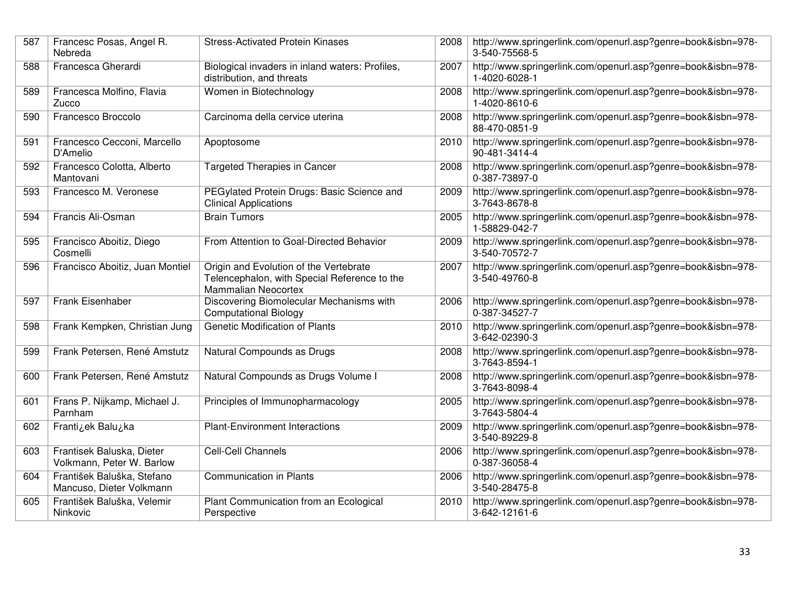| 587 | Francesc Posas, Angel R.<br>Nebreda                    | <b>Stress-Activated Protein Kinases</b>                                                                       | 2008 | http://www.springerlink.com/openurl.asp?genre=book&isbn=978-<br>3-540-75568-5 |
|-----|--------------------------------------------------------|---------------------------------------------------------------------------------------------------------------|------|-------------------------------------------------------------------------------|
| 588 | Francesca Gherardi                                     | Biological invaders in inland waters: Profiles,<br>distribution, and threats                                  | 2007 | http://www.springerlink.com/openurl.asp?genre=book&isbn=978-<br>1-4020-6028-1 |
| 589 | Francesca Molfino, Flavia<br>Zucco                     | Women in Biotechnology                                                                                        | 2008 | http://www.springerlink.com/openurl.asp?genre=book&isbn=978-<br>1-4020-8610-6 |
| 590 | Francesco Broccolo                                     | Carcinoma della cervice uterina                                                                               | 2008 | http://www.springerlink.com/openurl.asp?genre=book&isbn=978-<br>88-470-0851-9 |
| 591 | Francesco Cecconi, Marcello<br>D'Amelio                | Apoptosome                                                                                                    | 2010 | http://www.springerlink.com/openurl.asp?genre=book&isbn=978-<br>90-481-3414-4 |
| 592 | Francesco Colotta, Alberto<br>Mantovani                | <b>Targeted Therapies in Cancer</b>                                                                           | 2008 | http://www.springerlink.com/openurl.asp?genre=book&isbn=978-<br>0-387-73897-0 |
| 593 | Francesco M. Veronese                                  | PEGylated Protein Drugs: Basic Science and<br><b>Clinical Applications</b>                                    | 2009 | http://www.springerlink.com/openurl.asp?genre=book&isbn=978-<br>3-7643-8678-8 |
| 594 | Francis Ali-Osman                                      | <b>Brain Tumors</b>                                                                                           | 2005 | http://www.springerlink.com/openurl.asp?genre=book&isbn=978-<br>1-58829-042-7 |
| 595 | Francisco Aboitiz, Diego<br>Cosmelli                   | From Attention to Goal-Directed Behavior                                                                      | 2009 | http://www.springerlink.com/openurl.asp?genre=book&isbn=978-<br>3-540-70572-7 |
| 596 | Francisco Aboitiz, Juan Montiel                        | Origin and Evolution of the Vertebrate<br>Telencephalon, with Special Reference to the<br>Mammalian Neocortex | 2007 | http://www.springerlink.com/openurl.asp?genre=book&isbn=978-<br>3-540-49760-8 |
| 597 | Frank Eisenhaber                                       | Discovering Biomolecular Mechanisms with<br><b>Computational Biology</b>                                      | 2006 | http://www.springerlink.com/openurl.asp?genre=book&isbn=978-<br>0-387-34527-7 |
| 598 | Frank Kempken, Christian Jung                          | <b>Genetic Modification of Plants</b>                                                                         | 2010 | http://www.springerlink.com/openurl.asp?genre=book&isbn=978-<br>3-642-02390-3 |
| 599 | Frank Petersen, René Amstutz                           | Natural Compounds as Drugs                                                                                    | 2008 | http://www.springerlink.com/openurl.asp?genre=book&isbn=978-<br>3-7643-8594-1 |
| 600 | Frank Petersen, René Amstutz                           | Natural Compounds as Drugs Volume I                                                                           | 2008 | http://www.springerlink.com/openurl.asp?genre=book&isbn=978-<br>3-7643-8098-4 |
| 601 | Frans P. Nijkamp, Michael J.<br>Parnham                | Principles of Immunopharmacology                                                                              | 2005 | http://www.springerlink.com/openurl.asp?genre=book&isbn=978-<br>3-7643-5804-4 |
| 602 | Frantizek Baluzka                                      | <b>Plant-Environment Interactions</b>                                                                         | 2009 | http://www.springerlink.com/openurl.asp?genre=book&isbn=978-<br>3-540-89229-8 |
| 603 | Frantisek Baluska, Dieter<br>Volkmann, Peter W. Barlow | <b>Cell-Cell Channels</b>                                                                                     | 2006 | http://www.springerlink.com/openurl.asp?genre=book&isbn=978-<br>0-387-36058-4 |
| 604 | František Baluška, Stefano<br>Mancuso, Dieter Volkmann | <b>Communication in Plants</b>                                                                                | 2006 | http://www.springerlink.com/openurl.asp?genre=book&isbn=978-<br>3-540-28475-8 |
| 605 | František Baluška, Velemir<br>Ninkovic                 | Plant Communication from an Ecological<br>Perspective                                                         | 2010 | http://www.springerlink.com/openurl.asp?genre=book&isbn=978-<br>3-642-12161-6 |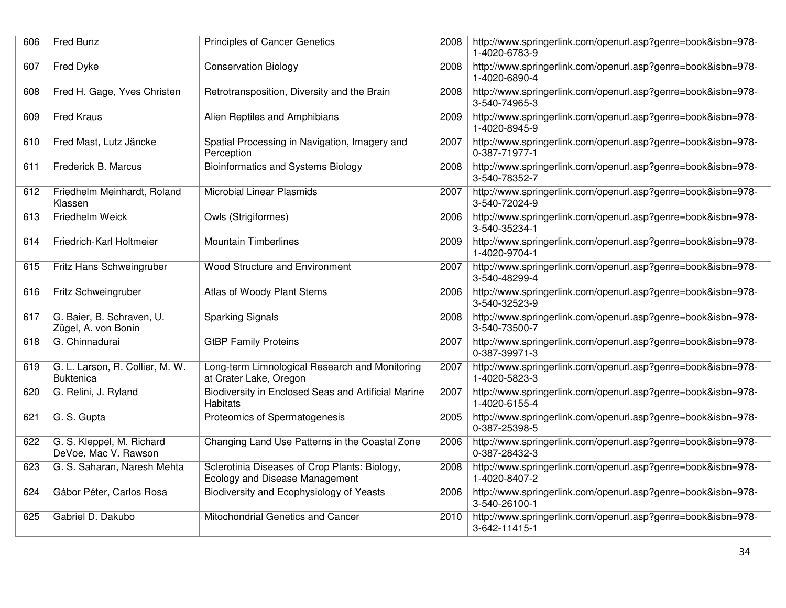| 606 | Fred Bunz                                           | <b>Principles of Cancer Genetics</b>                                            | 2008 | http://www.springerlink.com/openurl.asp?genre=book&isbn=978-<br>1-4020-6783-9 |
|-----|-----------------------------------------------------|---------------------------------------------------------------------------------|------|-------------------------------------------------------------------------------|
| 607 | Fred Dyke                                           | <b>Conservation Biology</b>                                                     | 2008 | http://www.springerlink.com/openurl.asp?genre=book&isbn=978-<br>1-4020-6890-4 |
| 608 | Fred H. Gage, Yves Christen                         | Retrotransposition, Diversity and the Brain                                     | 2008 | http://www.springerlink.com/openurl.asp?genre=book&isbn=978-<br>3-540-74965-3 |
| 609 | <b>Fred Kraus</b>                                   | Alien Reptiles and Amphibians                                                   | 2009 | http://www.springerlink.com/openurl.asp?genre=book&isbn=978-<br>1-4020-8945-9 |
| 610 | Fred Mast, Lutz Jäncke                              | Spatial Processing in Navigation, Imagery and<br>Perception                     | 2007 | http://www.springerlink.com/openurl.asp?genre=book&isbn=978-<br>0-387-71977-1 |
| 611 | Frederick B. Marcus                                 | <b>Bioinformatics and Systems Biology</b>                                       | 2008 | http://www.springerlink.com/openurl.asp?genre=book&isbn=978-<br>3-540-78352-7 |
| 612 | Friedhelm Meinhardt, Roland<br>Klassen              | <b>Microbial Linear Plasmids</b>                                                | 2007 | http://www.springerlink.com/openurl.asp?genre=book&isbn=978-<br>3-540-72024-9 |
| 613 | Friedhelm Weick                                     | <b>Owls (Strigiformes)</b>                                                      | 2006 | http://www.springerlink.com/openurl.asp?genre=book&isbn=978-<br>3-540-35234-1 |
| 614 | Friedrich-Karl Holtmeier                            | <b>Mountain Timberlines</b>                                                     | 2009 | http://www.springerlink.com/openurl.asp?genre=book&isbn=978-<br>1-4020-9704-1 |
| 615 | Fritz Hans Schweingruber                            | Wood Structure and Environment                                                  | 2007 | http://www.springerlink.com/openurl.asp?genre=book&isbn=978-<br>3-540-48299-4 |
| 616 | Fritz Schweingruber                                 | Atlas of Woody Plant Stems                                                      | 2006 | http://www.springerlink.com/openurl.asp?genre=book&isbn=978-<br>3-540-32523-9 |
| 617 | G. Baier, B. Schraven, U.<br>Zügel, A. von Bonin    | <b>Sparking Signals</b>                                                         | 2008 | http://www.springerlink.com/openurl.asp?genre=book&isbn=978-<br>3-540-73500-7 |
| 618 | G. Chinnadurai                                      | <b>GtBP Family Proteins</b>                                                     | 2007 | http://www.springerlink.com/openurl.asp?genre=book&isbn=978-<br>0-387-39971-3 |
| 619 | G. L. Larson, R. Collier, M. W.<br><b>Buktenica</b> | Long-term Limnological Research and Monitoring<br>at Crater Lake, Oregon        | 2007 | http://www.springerlink.com/openurl.asp?genre=book&isbn=978-<br>1-4020-5823-3 |
| 620 | G. Relini, J. Ryland                                | Biodiversity in Enclosed Seas and Artificial Marine<br><b>Habitats</b>          | 2007 | http://www.springerlink.com/openurl.asp?genre=book&isbn=978-<br>1-4020-6155-4 |
| 621 | G. S. Gupta                                         | Proteomics of Spermatogenesis                                                   | 2005 | http://www.springerlink.com/openurl.asp?genre=book&isbn=978-<br>0-387-25398-5 |
| 622 | G. S. Kleppel, M. Richard<br>DeVoe, Mac V. Rawson   | Changing Land Use Patterns in the Coastal Zone                                  | 2006 | http://www.springerlink.com/openurl.asp?genre=book&isbn=978-<br>0-387-28432-3 |
| 623 | G. S. Saharan, Naresh Mehta                         | Sclerotinia Diseases of Crop Plants: Biology,<br>Ecology and Disease Management | 2008 | http://www.springerlink.com/openurl.asp?genre=book&isbn=978-<br>1-4020-8407-2 |
| 624 | Gábor Péter, Carlos Rosa                            | Biodiversity and Ecophysiology of Yeasts                                        | 2006 | http://www.springerlink.com/openurl.asp?genre=book&isbn=978-<br>3-540-26100-1 |
| 625 | Gabriel D. Dakubo                                   | Mitochondrial Genetics and Cancer                                               | 2010 | http://www.springerlink.com/openurl.asp?genre=book&isbn=978-<br>3-642-11415-1 |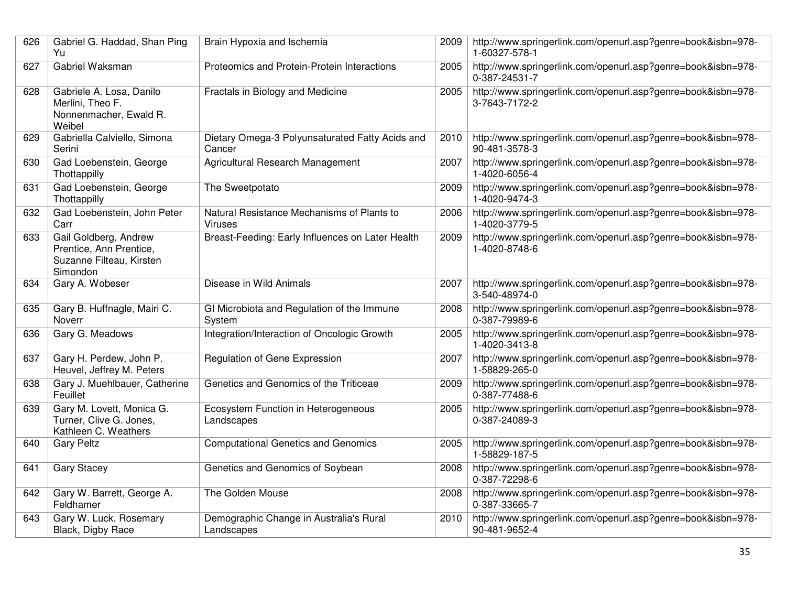| 626 | Gabriel G. Haddad, Shan Ping<br>Yu                                                       | Brain Hypoxia and Ischemia                                   | 2009 | http://www.springerlink.com/openurl.asp?genre=book&isbn=978-<br>1-60327-578-1 |
|-----|------------------------------------------------------------------------------------------|--------------------------------------------------------------|------|-------------------------------------------------------------------------------|
| 627 | Gabriel Waksman                                                                          | Proteomics and Protein-Protein Interactions                  | 2005 | http://www.springerlink.com/openurl.asp?genre=book&isbn=978-<br>0-387-24531-7 |
| 628 | Gabriele A. Losa, Danilo<br>Merlini, Theo F.<br>Nonnenmacher, Ewald R.<br>Weibel         | Fractals in Biology and Medicine                             | 2005 | http://www.springerlink.com/openurl.asp?genre=book&isbn=978-<br>3-7643-7172-2 |
| 629 | Gabriella Calviello, Simona<br>Serini                                                    | Dietary Omega-3 Polyunsaturated Fatty Acids and<br>Cancer    | 2010 | http://www.springerlink.com/openurl.asp?genre=book&isbn=978-<br>90-481-3578-3 |
| 630 | Gad Loebenstein, George<br>Thottappilly                                                  | Agricultural Research Management                             | 2007 | http://www.springerlink.com/openurl.asp?genre=book&isbn=978-<br>1-4020-6056-4 |
| 631 | Gad Loebenstein, George<br>Thottappilly                                                  | The Sweetpotato                                              | 2009 | http://www.springerlink.com/openurl.asp?genre=book&isbn=978-<br>1-4020-9474-3 |
| 632 | Gad Loebenstein, John Peter<br>Carr                                                      | Natural Resistance Mechanisms of Plants to<br><b>Viruses</b> | 2006 | http://www.springerlink.com/openurl.asp?genre=book&isbn=978-<br>1-4020-3779-5 |
| 633 | Gail Goldberg, Andrew<br>Prentice, Ann Prentice,<br>Suzanne Filteau, Kirsten<br>Simondon | Breast-Feeding: Early Influences on Later Health             | 2009 | http://www.springerlink.com/openurl.asp?genre=book&isbn=978-<br>1-4020-8748-6 |
| 634 | Gary A. Wobeser                                                                          | Disease in Wild Animals                                      | 2007 | http://www.springerlink.com/openurl.asp?genre=book&isbn=978-<br>3-540-48974-0 |
| 635 | Gary B. Huffnagle, Mairi C.<br>Noverr                                                    | GI Microbiota and Regulation of the Immune<br>System         | 2008 | http://www.springerlink.com/openurl.asp?genre=book&isbn=978-<br>0-387-79989-6 |
| 636 | Gary G. Meadows                                                                          | Integration/Interaction of Oncologic Growth                  | 2005 | http://www.springerlink.com/openurl.asp?genre=book&isbn=978-<br>1-4020-3413-8 |
| 637 | Gary H. Perdew, John P.<br>Heuvel, Jeffrey M. Peters                                     | Regulation of Gene Expression                                | 2007 | http://www.springerlink.com/openurl.asp?genre=book&isbn=978-<br>1-58829-265-0 |
| 638 | Gary J. Muehlbauer, Catherine<br>Feuillet                                                | Genetics and Genomics of the Triticeae                       | 2009 | http://www.springerlink.com/openurl.asp?genre=book&isbn=978-<br>0-387-77488-6 |
| 639 | Gary M. Lovett, Monica G.<br>Turner, Clive G. Jones,<br>Kathleen C. Weathers             | Ecosystem Function in Heterogeneous<br>Landscapes            | 2005 | http://www.springerlink.com/openurl.asp?genre=book&isbn=978-<br>0-387-24089-3 |
| 640 | <b>Gary Peltz</b>                                                                        | <b>Computational Genetics and Genomics</b>                   | 2005 | http://www.springerlink.com/openurl.asp?genre=book&isbn=978-<br>1-58829-187-5 |
| 641 | <b>Gary Stacey</b>                                                                       | Genetics and Genomics of Soybean                             | 2008 | http://www.springerlink.com/openurl.asp?genre=book&isbn=978-<br>0-387-72298-6 |
| 642 | Gary W. Barrett, George A.<br>Feldhamer                                                  | The Golden Mouse                                             | 2008 | http://www.springerlink.com/openurl.asp?genre=book&isbn=978-<br>0-387-33665-7 |
| 643 | Gary W. Luck, Rosemary<br>Black, Digby Race                                              | Demographic Change in Australia's Rural<br>Landscapes        | 2010 | http://www.springerlink.com/openurl.asp?genre=book&isbn=978-<br>90-481-9652-4 |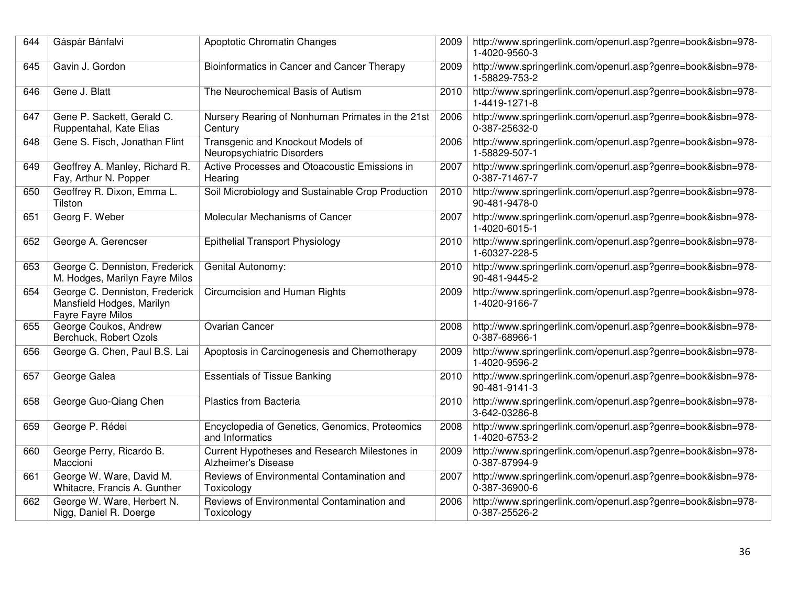| 644 | Gáspár Bánfalvi                                                                         | <b>Apoptotic Chromatin Changes</b>                                   | 2009 | http://www.springerlink.com/openurl.asp?genre=book&isbn=978-<br>1-4020-9560-3 |
|-----|-----------------------------------------------------------------------------------------|----------------------------------------------------------------------|------|-------------------------------------------------------------------------------|
| 645 | Gavin J. Gordon                                                                         | Bioinformatics in Cancer and Cancer Therapy                          | 2009 | http://www.springerlink.com/openurl.asp?genre=book&isbn=978-<br>1-58829-753-2 |
| 646 | Gene J. Blatt                                                                           | The Neurochemical Basis of Autism                                    | 2010 | http://www.springerlink.com/openurl.asp?genre=book&isbn=978-<br>1-4419-1271-8 |
| 647 | Gene P. Sackett, Gerald C.<br>Ruppentahal, Kate Elias                                   | Nursery Rearing of Nonhuman Primates in the 21st<br>Century          | 2006 | http://www.springerlink.com/openurl.asp?genre=book&isbn=978-<br>0-387-25632-0 |
| 648 | Gene S. Fisch, Jonathan Flint                                                           | Transgenic and Knockout Models of<br>Neuropsychiatric Disorders      | 2006 | http://www.springerlink.com/openurl.asp?genre=book&isbn=978-<br>1-58829-507-1 |
| 649 | Geoffrey A. Manley, Richard R.<br>Fay, Arthur N. Popper                                 | Active Processes and Otoacoustic Emissions in<br>Hearing             | 2007 | http://www.springerlink.com/openurl.asp?genre=book&isbn=978-<br>0-387-71467-7 |
| 650 | Geoffrey R. Dixon, Emma L.<br>Tilston                                                   | Soil Microbiology and Sustainable Crop Production                    | 2010 | http://www.springerlink.com/openurl.asp?genre=book&isbn=978-<br>90-481-9478-0 |
| 651 | Georg F. Weber                                                                          | Molecular Mechanisms of Cancer                                       | 2007 | http://www.springerlink.com/openurl.asp?genre=book&isbn=978-<br>1-4020-6015-1 |
| 652 | George A. Gerencser                                                                     | <b>Epithelial Transport Physiology</b>                               | 2010 | http://www.springerlink.com/openurl.asp?genre=book&isbn=978-<br>1-60327-228-5 |
| 653 | George C. Denniston, Frederick<br>M. Hodges, Marilyn Fayre Milos                        | <b>Genital Autonomy:</b>                                             | 2010 | http://www.springerlink.com/openurl.asp?genre=book&isbn=978-<br>90-481-9445-2 |
| 654 | George C. Denniston, Frederick<br>Mansfield Hodges, Marilyn<br><b>Fayre Fayre Milos</b> | Circumcision and Human Rights                                        | 2009 | http://www.springerlink.com/openurl.asp?genre=book&isbn=978-<br>1-4020-9166-7 |
| 655 | George Coukos, Andrew<br>Berchuck, Robert Ozols                                         | <b>Ovarian Cancer</b>                                                | 2008 | http://www.springerlink.com/openurl.asp?genre=book&isbn=978-<br>0-387-68966-1 |
| 656 | George G. Chen, Paul B.S. Lai                                                           | Apoptosis in Carcinogenesis and Chemotherapy                         | 2009 | http://www.springerlink.com/openurl.asp?genre=book&isbn=978-<br>1-4020-9596-2 |
| 657 | George Galea                                                                            | <b>Essentials of Tissue Banking</b>                                  | 2010 | http://www.springerlink.com/openurl.asp?genre=book&isbn=978-<br>90-481-9141-3 |
| 658 | George Guo-Qiang Chen                                                                   | Plastics from Bacteria                                               | 2010 | http://www.springerlink.com/openurl.asp?genre=book&isbn=978-<br>3-642-03286-8 |
| 659 | George P. Rédei                                                                         | Encyclopedia of Genetics, Genomics, Proteomics<br>and Informatics    | 2008 | http://www.springerlink.com/openurl.asp?genre=book&isbn=978-<br>1-4020-6753-2 |
| 660 | George Perry, Ricardo B.<br>Maccioni                                                    | Current Hypotheses and Research Milestones in<br>Alzheimer's Disease | 2009 | http://www.springerlink.com/openurl.asp?genre=book&isbn=978-<br>0-387-87994-9 |
| 661 | George W. Ware, David M.<br>Whitacre, Francis A. Gunther                                | Reviews of Environmental Contamination and<br>Toxicology             | 2007 | http://www.springerlink.com/openurl.asp?genre=book&isbn=978-<br>0-387-36900-6 |
| 662 | George W. Ware, Herbert N.<br>Nigg, Daniel R. Doerge                                    | Reviews of Environmental Contamination and<br>Toxicology             | 2006 | http://www.springerlink.com/openurl.asp?genre=book&isbn=978-<br>0-387-25526-2 |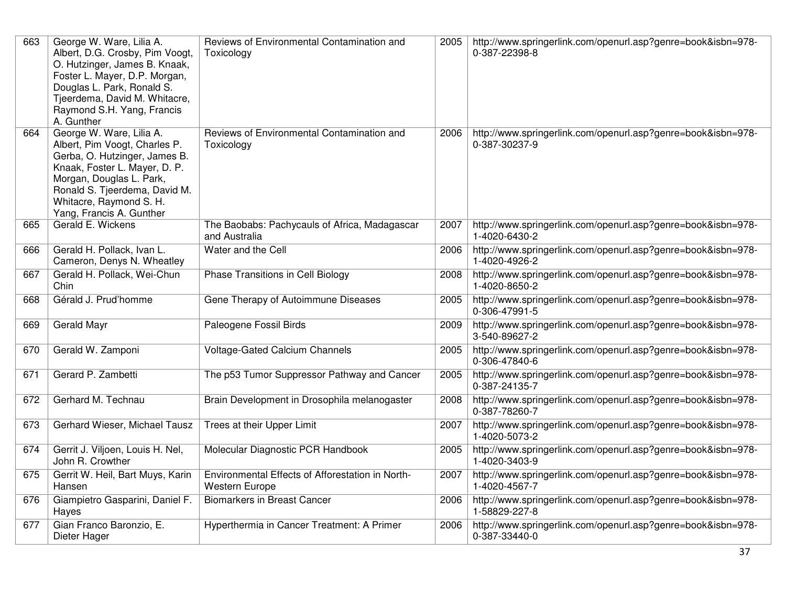| 663 | George W. Ware, Lilia A.<br>Albert, D.G. Crosby, Pim Voogt,<br>O. Hutzinger, James B. Knaak,<br>Foster L. Mayer, D.P. Morgan,<br>Douglas L. Park, Ronald S.<br>Tjeerdema, David M. Whitacre,<br>Raymond S.H. Yang, Francis<br>A. Gunther        | Reviews of Environmental Contamination and<br>Toxicology                  | 2005 | http://www.springerlink.com/openurl.asp?genre=book&isbn=978-<br>0-387-22398-8 |
|-----|-------------------------------------------------------------------------------------------------------------------------------------------------------------------------------------------------------------------------------------------------|---------------------------------------------------------------------------|------|-------------------------------------------------------------------------------|
| 664 | George W. Ware, Lilia A.<br>Albert, Pim Voogt, Charles P.<br>Gerba, O. Hutzinger, James B.<br>Knaak, Foster L. Mayer, D. P.<br>Morgan, Douglas L. Park,<br>Ronald S. Tjeerdema, David M.<br>Whitacre, Raymond S. H.<br>Yang, Francis A. Gunther | Reviews of Environmental Contamination and<br>Toxicology                  | 2006 | http://www.springerlink.com/openurl.asp?genre=book&isbn=978-<br>0-387-30237-9 |
| 665 | Gerald E. Wickens                                                                                                                                                                                                                               | The Baobabs: Pachycauls of Africa, Madagascar<br>and Australia            | 2007 | http://www.springerlink.com/openurl.asp?genre=book&isbn=978-<br>1-4020-6430-2 |
| 666 | Gerald H. Pollack, Ivan L.<br>Cameron, Denys N. Wheatley                                                                                                                                                                                        | Water and the Cell                                                        | 2006 | http://www.springerlink.com/openurl.asp?genre=book&isbn=978-<br>1-4020-4926-2 |
| 667 | Gerald H. Pollack, Wei-Chun<br>Chin                                                                                                                                                                                                             | Phase Transitions in Cell Biology                                         | 2008 | http://www.springerlink.com/openurl.asp?genre=book&isbn=978-<br>1-4020-8650-2 |
| 668 | Gérald J. Prud'homme                                                                                                                                                                                                                            | Gene Therapy of Autoimmune Diseases                                       | 2005 | http://www.springerlink.com/openurl.asp?genre=book&isbn=978-<br>0-306-47991-5 |
| 669 | Gerald Mayr                                                                                                                                                                                                                                     | Paleogene Fossil Birds                                                    | 2009 | http://www.springerlink.com/openurl.asp?genre=book&isbn=978-<br>3-540-89627-2 |
| 670 | Gerald W. Zamponi                                                                                                                                                                                                                               | <b>Voltage-Gated Calcium Channels</b>                                     | 2005 | http://www.springerlink.com/openurl.asp?genre=book&isbn=978-<br>0-306-47840-6 |
| 671 | Gerard P. Zambetti                                                                                                                                                                                                                              | The p53 Tumor Suppressor Pathway and Cancer                               | 2005 | http://www.springerlink.com/openurl.asp?genre=book&isbn=978-<br>0-387-24135-7 |
| 672 | Gerhard M. Technau                                                                                                                                                                                                                              | Brain Development in Drosophila melanogaster                              | 2008 | http://www.springerlink.com/openurl.asp?genre=book&isbn=978-<br>0-387-78260-7 |
| 673 | Gerhard Wieser, Michael Tausz                                                                                                                                                                                                                   | Trees at their Upper Limit                                                | 2007 | http://www.springerlink.com/openurl.asp?genre=book&isbn=978-<br>1-4020-5073-2 |
| 674 | Gerrit J. Viljoen, Louis H. Nel,<br>John R. Crowther                                                                                                                                                                                            | Molecular Diagnostic PCR Handbook                                         | 2005 | http://www.springerlink.com/openurl.asp?genre=book&isbn=978-<br>1-4020-3403-9 |
| 675 | Gerrit W. Heil, Bart Muys, Karin<br>Hansen                                                                                                                                                                                                      | Environmental Effects of Afforestation in North-<br><b>Western Europe</b> | 2007 | http://www.springerlink.com/openurl.asp?genre=book&isbn=978-<br>1-4020-4567-7 |
| 676 | Giampietro Gasparini, Daniel F.<br>Hayes                                                                                                                                                                                                        | <b>Biomarkers in Breast Cancer</b>                                        | 2006 | http://www.springerlink.com/openurl.asp?genre=book&isbn=978-<br>1-58829-227-8 |
| 677 | Gian Franco Baronzio, E.<br>Dieter Hager                                                                                                                                                                                                        | Hyperthermia in Cancer Treatment: A Primer                                | 2006 | http://www.springerlink.com/openurl.asp?genre=book&isbn=978-<br>0-387-33440-0 |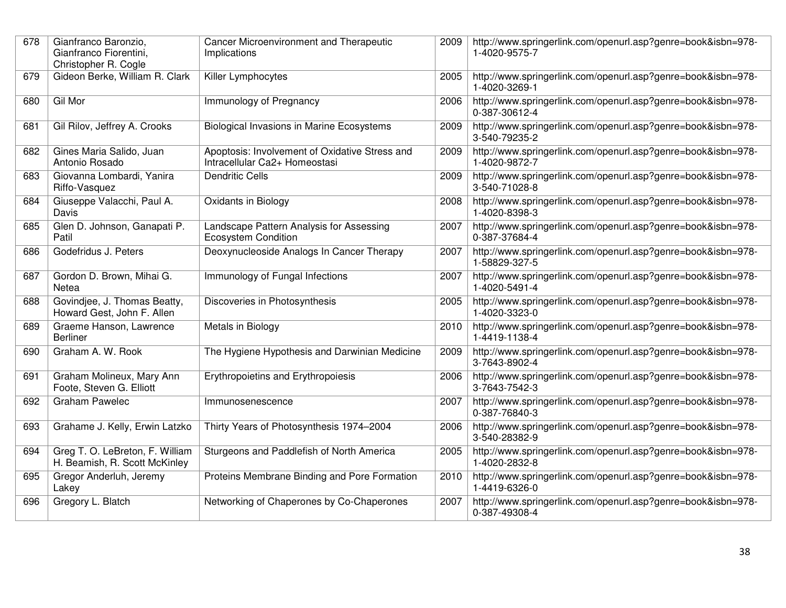| 678 | Gianfranco Baronzio,<br>Gianfranco Fiorentini,<br>Christopher R. Cogle | <b>Cancer Microenvironment and Therapeutic</b><br>Implications                  | 2009 | http://www.springerlink.com/openurl.asp?genre=book&isbn=978-<br>1-4020-9575-7 |
|-----|------------------------------------------------------------------------|---------------------------------------------------------------------------------|------|-------------------------------------------------------------------------------|
| 679 | Gideon Berke, William R. Clark                                         | Killer Lymphocytes                                                              | 2005 | http://www.springerlink.com/openurl.asp?genre=book&isbn=978-<br>1-4020-3269-1 |
| 680 | Gil Mor                                                                | Immunology of Pregnancy                                                         | 2006 | http://www.springerlink.com/openurl.asp?genre=book&isbn=978-<br>0-387-30612-4 |
| 681 | Gil Rilov, Jeffrey A. Crooks                                           | <b>Biological Invasions in Marine Ecosystems</b>                                | 2009 | http://www.springerlink.com/openurl.asp?genre=book&isbn=978-<br>3-540-79235-2 |
| 682 | Gines Maria Salido, Juan<br>Antonio Rosado                             | Apoptosis: Involvement of Oxidative Stress and<br>Intracellular Ca2+ Homeostasi | 2009 | http://www.springerlink.com/openurl.asp?genre=book&isbn=978-<br>1-4020-9872-7 |
| 683 | Giovanna Lombardi, Yanira<br>Riffo-Vasquez                             | <b>Dendritic Cells</b>                                                          | 2009 | http://www.springerlink.com/openurl.asp?genre=book&isbn=978-<br>3-540-71028-8 |
| 684 | Giuseppe Valacchi, Paul A.<br>Davis                                    | Oxidants in Biology                                                             | 2008 | http://www.springerlink.com/openurl.asp?genre=book&isbn=978-<br>1-4020-8398-3 |
| 685 | Glen D. Johnson, Ganapati P.<br>Patil                                  | Landscape Pattern Analysis for Assessing<br><b>Ecosystem Condition</b>          | 2007 | http://www.springerlink.com/openurl.asp?genre=book&isbn=978-<br>0-387-37684-4 |
| 686 | Godefridus J. Peters                                                   | Deoxynucleoside Analogs In Cancer Therapy                                       | 2007 | http://www.springerlink.com/openurl.asp?genre=book&isbn=978-<br>1-58829-327-5 |
| 687 | Gordon D. Brown, Mihai G.<br>Netea                                     | Immunology of Fungal Infections                                                 | 2007 | http://www.springerlink.com/openurl.asp?genre=book&isbn=978-<br>1-4020-5491-4 |
| 688 | Govindjee, J. Thomas Beatty,<br>Howard Gest, John F. Allen             | Discoveries in Photosynthesis                                                   | 2005 | http://www.springerlink.com/openurl.asp?genre=book&isbn=978-<br>1-4020-3323-0 |
| 689 | Graeme Hanson, Lawrence<br><b>Berliner</b>                             | Metals in Biology                                                               | 2010 | http://www.springerlink.com/openurl.asp?genre=book&isbn=978-<br>1-4419-1138-4 |
| 690 | Graham A. W. Rook                                                      | The Hygiene Hypothesis and Darwinian Medicine                                   | 2009 | http://www.springerlink.com/openurl.asp?genre=book&isbn=978-<br>3-7643-8902-4 |
| 691 | Graham Molineux, Mary Ann<br>Foote, Steven G. Elliott                  | Erythropoietins and Erythropoiesis                                              | 2006 | http://www.springerlink.com/openurl.asp?genre=book&isbn=978-<br>3-7643-7542-3 |
| 692 | <b>Graham Pawelec</b>                                                  | Immunosenescence                                                                | 2007 | http://www.springerlink.com/openurl.asp?genre=book&isbn=978-<br>0-387-76840-3 |
| 693 | Grahame J. Kelly, Erwin Latzko                                         | Thirty Years of Photosynthesis 1974-2004                                        | 2006 | http://www.springerlink.com/openurl.asp?genre=book&isbn=978-<br>3-540-28382-9 |
| 694 | Greg T. O. LeBreton, F. William<br>H. Beamish, R. Scott McKinley       | Sturgeons and Paddlefish of North America                                       | 2005 | http://www.springerlink.com/openurl.asp?genre=book&isbn=978-<br>1-4020-2832-8 |
| 695 | Gregor Anderluh, Jeremy<br>Lakey                                       | Proteins Membrane Binding and Pore Formation                                    | 2010 | http://www.springerlink.com/openurl.asp?genre=book&isbn=978-<br>1-4419-6326-0 |
| 696 | Gregory L. Blatch                                                      | Networking of Chaperones by Co-Chaperones                                       | 2007 | http://www.springerlink.com/openurl.asp?genre=book&isbn=978-<br>0-387-49308-4 |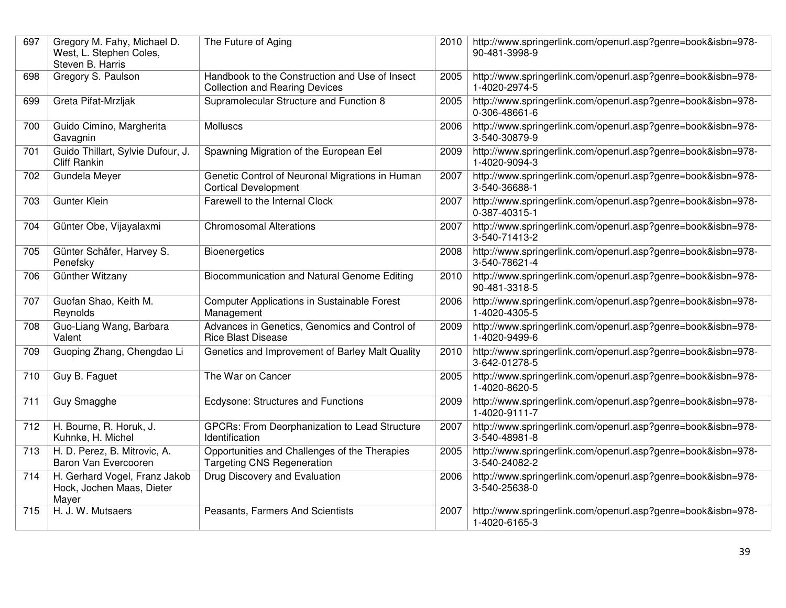| 697 | Gregory M. Fahy, Michael D.<br>West, L. Stephen Coles,<br>Steven B. Harris | The Future of Aging                                                                     | 2010 | http://www.springerlink.com/openurl.asp?genre=book&isbn=978-<br>90-481-3998-9 |
|-----|----------------------------------------------------------------------------|-----------------------------------------------------------------------------------------|------|-------------------------------------------------------------------------------|
| 698 | Gregory S. Paulson                                                         | Handbook to the Construction and Use of Insect<br><b>Collection and Rearing Devices</b> | 2005 | http://www.springerlink.com/openurl.asp?genre=book&isbn=978-<br>1-4020-2974-5 |
| 699 | Greta Pifat-Mrzljak                                                        | Supramolecular Structure and Function 8                                                 | 2005 | http://www.springerlink.com/openurl.asp?genre=book&isbn=978-<br>0-306-48661-6 |
| 700 | Guido Cimino, Margherita<br>Gavagnin                                       | <b>Molluscs</b>                                                                         | 2006 | http://www.springerlink.com/openurl.asp?genre=book&isbn=978-<br>3-540-30879-9 |
| 701 | Guido Thillart, Sylvie Dufour, J.<br><b>Cliff Rankin</b>                   | Spawning Migration of the European Eel                                                  | 2009 | http://www.springerlink.com/openurl.asp?genre=book&isbn=978-<br>1-4020-9094-3 |
| 702 | Gundela Meyer                                                              | Genetic Control of Neuronal Migrations in Human<br><b>Cortical Development</b>          | 2007 | http://www.springerlink.com/openurl.asp?genre=book&isbn=978-<br>3-540-36688-1 |
| 703 | Gunter Klein                                                               | Farewell to the Internal Clock                                                          | 2007 | http://www.springerlink.com/openurl.asp?genre=book&isbn=978-<br>0-387-40315-1 |
| 704 | Günter Obe, Vijayalaxmi                                                    | <b>Chromosomal Alterations</b>                                                          | 2007 | http://www.springerlink.com/openurl.asp?genre=book&isbn=978-<br>3-540-71413-2 |
| 705 | Günter Schäfer, Harvey S.<br>Penefsky                                      | <b>Bioenergetics</b>                                                                    | 2008 | http://www.springerlink.com/openurl.asp?genre=book&isbn=978-<br>3-540-78621-4 |
| 706 | Günther Witzany                                                            | Biocommunication and Natural Genome Editing                                             | 2010 | http://www.springerlink.com/openurl.asp?genre=book&isbn=978-<br>90-481-3318-5 |
| 707 | Guofan Shao, Keith M.<br>Reynolds                                          | <b>Computer Applications in Sustainable Forest</b><br>Management                        | 2006 | http://www.springerlink.com/openurl.asp?genre=book&isbn=978-<br>1-4020-4305-5 |
| 708 | Guo-Liang Wang, Barbara<br>Valent                                          | Advances in Genetics, Genomics and Control of<br><b>Rice Blast Disease</b>              | 2009 | http://www.springerlink.com/openurl.asp?genre=book&isbn=978-<br>1-4020-9499-6 |
| 709 | Guoping Zhang, Chengdao Li                                                 | Genetics and Improvement of Barley Malt Quality                                         | 2010 | http://www.springerlink.com/openurl.asp?genre=book&isbn=978-<br>3-642-01278-5 |
| 710 | Guy B. Faguet                                                              | The War on Cancer                                                                       | 2005 | http://www.springerlink.com/openurl.asp?genre=book&isbn=978-<br>1-4020-8620-5 |
| 711 | Guy Smagghe                                                                | Ecdysone: Structures and Functions                                                      | 2009 | http://www.springerlink.com/openurl.asp?genre=book&isbn=978-<br>1-4020-9111-7 |
| 712 | H. Bourne, R. Horuk, J.<br>Kuhnke, H. Michel                               | <b>GPCRs: From Deorphanization to Lead Structure</b><br>Identification                  | 2007 | http://www.springerlink.com/openurl.asp?genre=book&isbn=978-<br>3-540-48981-8 |
| 713 | H. D. Perez, B. Mitrovic, A.<br>Baron Van Evercooren                       | Opportunities and Challenges of the Therapies<br><b>Targeting CNS Regeneration</b>      | 2005 | http://www.springerlink.com/openurl.asp?genre=book&isbn=978-<br>3-540-24082-2 |
| 714 | H. Gerhard Vogel, Franz Jakob<br>Hock, Jochen Maas, Dieter<br>Mayer        | Drug Discovery and Evaluation                                                           | 2006 | http://www.springerlink.com/openurl.asp?genre=book&isbn=978-<br>3-540-25638-0 |
| 715 | H. J. W. Mutsaers                                                          | Peasants, Farmers And Scientists                                                        | 2007 | http://www.springerlink.com/openurl.asp?genre=book&isbn=978-<br>1-4020-6165-3 |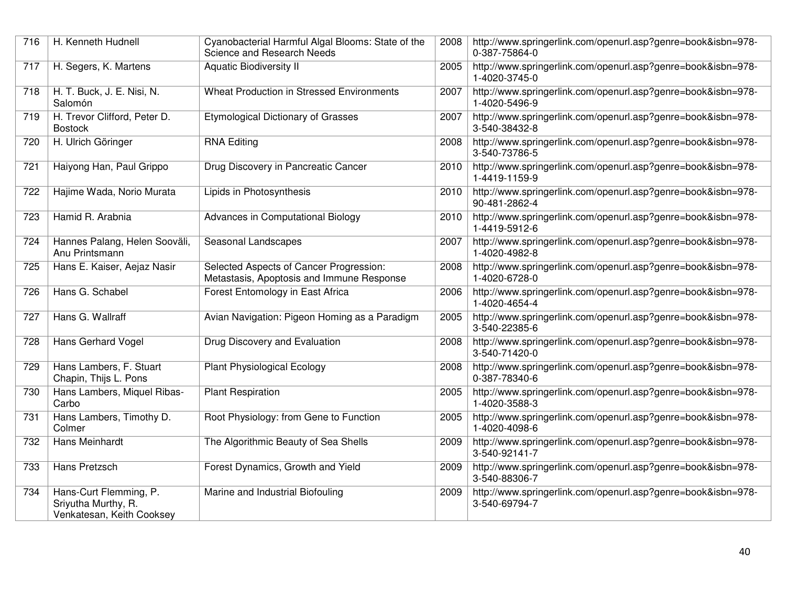| 716 | H. Kenneth Hudnell                                                         | Cyanobacterial Harmful Algal Blooms: State of the<br>Science and Research Needs      | 2008 | http://www.springerlink.com/openurl.asp?genre=book&isbn=978-<br>0-387-75864-0 |
|-----|----------------------------------------------------------------------------|--------------------------------------------------------------------------------------|------|-------------------------------------------------------------------------------|
| 717 | H. Segers, K. Martens                                                      | <b>Aquatic Biodiversity II</b>                                                       | 2005 | http://www.springerlink.com/openurl.asp?genre=book&isbn=978-<br>1-4020-3745-0 |
| 718 | H. T. Buck, J. E. Nisi, N.<br>Salomón                                      | <b>Wheat Production in Stressed Environments</b>                                     | 2007 | http://www.springerlink.com/openurl.asp?genre=book&isbn=978-<br>1-4020-5496-9 |
| 719 | H. Trevor Clifford, Peter D.<br><b>Bostock</b>                             | <b>Etymological Dictionary of Grasses</b>                                            | 2007 | http://www.springerlink.com/openurl.asp?genre=book&isbn=978-<br>3-540-38432-8 |
| 720 | H. Ulrich Göringer                                                         | <b>RNA Editing</b>                                                                   | 2008 | http://www.springerlink.com/openurl.asp?genre=book&isbn=978-<br>3-540-73786-5 |
| 721 | Haiyong Han, Paul Grippo                                                   | Drug Discovery in Pancreatic Cancer                                                  | 2010 | http://www.springerlink.com/openurl.asp?genre=book&isbn=978-<br>1-4419-1159-9 |
| 722 | Hajime Wada, Norio Murata                                                  | Lipids in Photosynthesis                                                             | 2010 | http://www.springerlink.com/openurl.asp?genre=book&isbn=978-<br>90-481-2862-4 |
| 723 | Hamid R. Arabnia                                                           | Advances in Computational Biology                                                    | 2010 | http://www.springerlink.com/openurl.asp?genre=book&isbn=978-<br>1-4419-5912-6 |
| 724 | Hannes Palang, Helen Sooväli,<br>Anu Printsmann                            | Seasonal Landscapes                                                                  | 2007 | http://www.springerlink.com/openurl.asp?genre=book&isbn=978-<br>1-4020-4982-8 |
| 725 | Hans E. Kaiser, Aejaz Nasir                                                | Selected Aspects of Cancer Progression:<br>Metastasis, Apoptosis and Immune Response | 2008 | http://www.springerlink.com/openurl.asp?genre=book&isbn=978-<br>1-4020-6728-0 |
| 726 | Hans G. Schabel                                                            | Forest Entomology in East Africa                                                     | 2006 | http://www.springerlink.com/openurl.asp?genre=book&isbn=978-<br>1-4020-4654-4 |
| 727 | Hans G. Wallraff                                                           | Avian Navigation: Pigeon Homing as a Paradigm                                        | 2005 | http://www.springerlink.com/openurl.asp?genre=book&isbn=978-<br>3-540-22385-6 |
| 728 | Hans Gerhard Vogel                                                         | Drug Discovery and Evaluation                                                        | 2008 | http://www.springerlink.com/openurl.asp?genre=book&isbn=978-<br>3-540-71420-0 |
| 729 | Hans Lambers, F. Stuart<br>Chapin, Thijs L. Pons                           | <b>Plant Physiological Ecology</b>                                                   | 2008 | http://www.springerlink.com/openurl.asp?genre=book&isbn=978-<br>0-387-78340-6 |
| 730 | Hans Lambers, Miquel Ribas-<br>Carbo                                       | <b>Plant Respiration</b>                                                             | 2005 | http://www.springerlink.com/openurl.asp?genre=book&isbn=978-<br>1-4020-3588-3 |
| 731 | Hans Lambers, Timothy D.<br>Colmer                                         | Root Physiology: from Gene to Function                                               | 2005 | http://www.springerlink.com/openurl.asp?genre=book&isbn=978-<br>1-4020-4098-6 |
| 732 | Hans Meinhardt                                                             | The Algorithmic Beauty of Sea Shells                                                 | 2009 | http://www.springerlink.com/openurl.asp?genre=book&isbn=978-<br>3-540-92141-7 |
| 733 | Hans Pretzsch                                                              | Forest Dynamics, Growth and Yield                                                    | 2009 | http://www.springerlink.com/openurl.asp?genre=book&isbn=978-<br>3-540-88306-7 |
| 734 | Hans-Curt Flemming, P.<br>Sriyutha Murthy, R.<br>Venkatesan, Keith Cooksey | Marine and Industrial Biofouling                                                     | 2009 | http://www.springerlink.com/openurl.asp?genre=book&isbn=978-<br>3-540-69794-7 |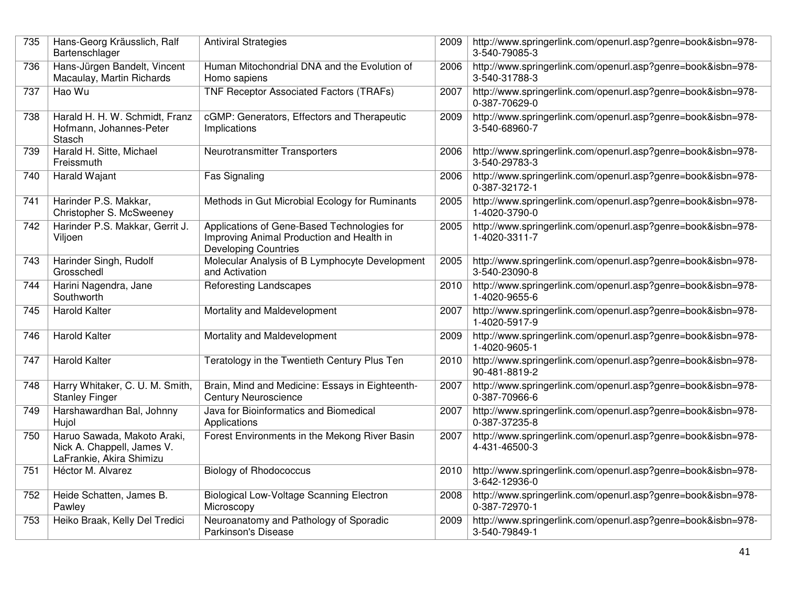| 735 | Hans-Georg Kräusslich, Ralf<br>Bartenschlager                                         | <b>Antiviral Strategies</b>                                                                                             | 2009 | http://www.springerlink.com/openurl.asp?genre=book&isbn=978-<br>3-540-79085-3 |
|-----|---------------------------------------------------------------------------------------|-------------------------------------------------------------------------------------------------------------------------|------|-------------------------------------------------------------------------------|
| 736 | Hans-Jürgen Bandelt, Vincent<br>Macaulay, Martin Richards                             | Human Mitochondrial DNA and the Evolution of<br>Homo sapiens                                                            | 2006 | http://www.springerlink.com/openurl.asp?genre=book&isbn=978-<br>3-540-31788-3 |
| 737 | Hao Wu                                                                                | TNF Receptor Associated Factors (TRAFs)                                                                                 | 2007 | http://www.springerlink.com/openurl.asp?genre=book&isbn=978-<br>0-387-70629-0 |
| 738 | Harald H. H. W. Schmidt, Franz<br>Hofmann, Johannes-Peter<br>Stasch                   | cGMP: Generators, Effectors and Therapeutic<br>Implications                                                             | 2009 | http://www.springerlink.com/openurl.asp?genre=book&isbn=978-<br>3-540-68960-7 |
| 739 | Harald H. Sitte, Michael<br>Freissmuth                                                | Neurotransmitter Transporters                                                                                           | 2006 | http://www.springerlink.com/openurl.asp?genre=book&isbn=978-<br>3-540-29783-3 |
| 740 | Harald Wajant                                                                         | Fas Signaling                                                                                                           | 2006 | http://www.springerlink.com/openurl.asp?genre=book&isbn=978-<br>0-387-32172-1 |
| 741 | Harinder P.S. Makkar,<br>Christopher S. McSweeney                                     | Methods in Gut Microbial Ecology for Ruminants                                                                          | 2005 | http://www.springerlink.com/openurl.asp?genre=book&isbn=978-<br>1-4020-3790-0 |
| 742 | Harinder P.S. Makkar, Gerrit J.<br>Viljoen                                            | Applications of Gene-Based Technologies for<br>Improving Animal Production and Health in<br><b>Developing Countries</b> | 2005 | http://www.springerlink.com/openurl.asp?genre=book&isbn=978-<br>1-4020-3311-7 |
| 743 | Harinder Singh, Rudolf<br>Grosschedl                                                  | Molecular Analysis of B Lymphocyte Development<br>and Activation                                                        | 2005 | http://www.springerlink.com/openurl.asp?genre=book&isbn=978-<br>3-540-23090-8 |
| 744 | Harini Nagendra, Jane<br>Southworth                                                   | <b>Reforesting Landscapes</b>                                                                                           | 2010 | http://www.springerlink.com/openurl.asp?genre=book&isbn=978-<br>1-4020-9655-6 |
| 745 | <b>Harold Kalter</b>                                                                  | Mortality and Maldevelopment                                                                                            | 2007 | http://www.springerlink.com/openurl.asp?genre=book&isbn=978-<br>1-4020-5917-9 |
| 746 | <b>Harold Kalter</b>                                                                  | Mortality and Maldevelopment                                                                                            | 2009 | http://www.springerlink.com/openurl.asp?genre=book&isbn=978-<br>1-4020-9605-1 |
| 747 | <b>Harold Kalter</b>                                                                  | Teratology in the Twentieth Century Plus Ten                                                                            | 2010 | http://www.springerlink.com/openurl.asp?genre=book&isbn=978-<br>90-481-8819-2 |
| 748 | Harry Whitaker, C. U. M. Smith,<br><b>Stanley Finger</b>                              | Brain, Mind and Medicine: Essays in Eighteenth-<br><b>Century Neuroscience</b>                                          | 2007 | http://www.springerlink.com/openurl.asp?genre=book&isbn=978-<br>0-387-70966-6 |
| 749 | Harshawardhan Bal, Johnny<br>Hujol                                                    | Java for Bioinformatics and Biomedical<br>Applications                                                                  | 2007 | http://www.springerlink.com/openurl.asp?genre=book&isbn=978-<br>0-387-37235-8 |
| 750 | Haruo Sawada, Makoto Araki,<br>Nick A. Chappell, James V.<br>LaFrankie, Akira Shimizu | Forest Environments in the Mekong River Basin                                                                           | 2007 | http://www.springerlink.com/openurl.asp?genre=book&isbn=978-<br>4-431-46500-3 |
| 751 | Héctor M. Alvarez                                                                     | <b>Biology of Rhodococcus</b>                                                                                           | 2010 | http://www.springerlink.com/openurl.asp?genre=book&isbn=978-<br>3-642-12936-0 |
| 752 | Heide Schatten, James B.<br>Pawley                                                    | <b>Biological Low-Voltage Scanning Electron</b><br>Microscopy                                                           | 2008 | http://www.springerlink.com/openurl.asp?genre=book&isbn=978-<br>0-387-72970-1 |
| 753 | Heiko Braak, Kelly Del Tredici                                                        | Neuroanatomy and Pathology of Sporadic<br>Parkinson's Disease                                                           | 2009 | http://www.springerlink.com/openurl.asp?genre=book&isbn=978-<br>3-540-79849-1 |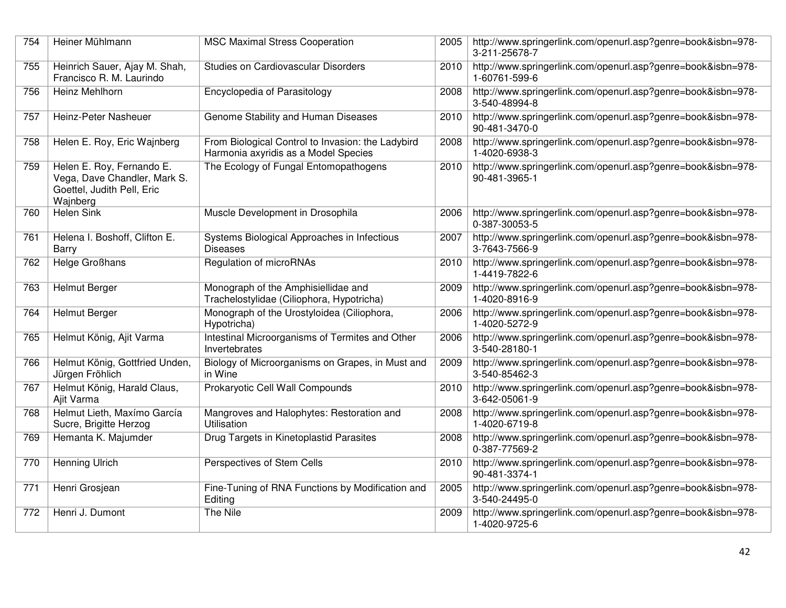| 754 | Heiner Mühlmann                                                                                     | <b>MSC Maximal Stress Cooperation</b>                                                     | 2005 | http://www.springerlink.com/openurl.asp?genre=book&isbn=978-<br>3-211-25678-7 |
|-----|-----------------------------------------------------------------------------------------------------|-------------------------------------------------------------------------------------------|------|-------------------------------------------------------------------------------|
| 755 | Heinrich Sauer, Ajay M. Shah,<br>Francisco R. M. Laurindo                                           | Studies on Cardiovascular Disorders                                                       | 2010 | http://www.springerlink.com/openurl.asp?genre=book&isbn=978-<br>1-60761-599-6 |
| 756 | Heinz Mehlhorn                                                                                      | Encyclopedia of Parasitology                                                              | 2008 | http://www.springerlink.com/openurl.asp?genre=book&isbn=978-<br>3-540-48994-8 |
| 757 | Heinz-Peter Nasheuer                                                                                | Genome Stability and Human Diseases                                                       | 2010 | http://www.springerlink.com/openurl.asp?genre=book&isbn=978-<br>90-481-3470-0 |
| 758 | Helen E. Roy, Eric Wajnberg                                                                         | From Biological Control to Invasion: the Ladybird<br>Harmonia axyridis as a Model Species | 2008 | http://www.springerlink.com/openurl.asp?genre=book&isbn=978-<br>1-4020-6938-3 |
| 759 | Helen E. Roy, Fernando E.<br>Vega, Dave Chandler, Mark S.<br>Goettel, Judith Pell, Eric<br>Wajnberg | The Ecology of Fungal Entomopathogens                                                     | 2010 | http://www.springerlink.com/openurl.asp?genre=book&isbn=978-<br>90-481-3965-1 |
| 760 | <b>Helen Sink</b>                                                                                   | Muscle Development in Drosophila                                                          | 2006 | http://www.springerlink.com/openurl.asp?genre=book&isbn=978-<br>0-387-30053-5 |
| 761 | Helena I. Boshoff, Clifton E.<br>Barry                                                              | Systems Biological Approaches in Infectious<br><b>Diseases</b>                            | 2007 | http://www.springerlink.com/openurl.asp?genre=book&isbn=978-<br>3-7643-7566-9 |
| 762 | Helge Großhans                                                                                      | Regulation of microRNAs                                                                   | 2010 | http://www.springerlink.com/openurl.asp?genre=book&isbn=978-<br>1-4419-7822-6 |
| 763 | <b>Helmut Berger</b>                                                                                | Monograph of the Amphisiellidae and<br>Trachelostylidae (Ciliophora, Hypotricha)          | 2009 | http://www.springerlink.com/openurl.asp?genre=book&isbn=978-<br>1-4020-8916-9 |
| 764 | <b>Helmut Berger</b>                                                                                | Monograph of the Urostyloidea (Ciliophora,<br>Hypotricha)                                 | 2006 | http://www.springerlink.com/openurl.asp?genre=book&isbn=978-<br>1-4020-5272-9 |
| 765 | Helmut König, Ajit Varma                                                                            | Intestinal Microorganisms of Termites and Other<br>Invertebrates                          | 2006 | http://www.springerlink.com/openurl.asp?genre=book&isbn=978-<br>3-540-28180-1 |
| 766 | Helmut König, Gottfried Unden,<br>Jürgen Fröhlich                                                   | Biology of Microorganisms on Grapes, in Must and<br>in Wine                               | 2009 | http://www.springerlink.com/openurl.asp?genre=book&isbn=978-<br>3-540-85462-3 |
| 767 | Helmut König, Harald Claus,<br>Ajit Varma                                                           | Prokaryotic Cell Wall Compounds                                                           | 2010 | http://www.springerlink.com/openurl.asp?genre=book&isbn=978-<br>3-642-05061-9 |
| 768 | Helmut Lieth, Maxímo García<br>Sucre, Brigitte Herzog                                               | Mangroves and Halophytes: Restoration and<br><b>Utilisation</b>                           | 2008 | http://www.springerlink.com/openurl.asp?genre=book&isbn=978-<br>1-4020-6719-8 |
| 769 | Hemanta K. Majumder                                                                                 | Drug Targets in Kinetoplastid Parasites                                                   | 2008 | http://www.springerlink.com/openurl.asp?genre=book&isbn=978-<br>0-387-77569-2 |
| 770 | Henning Ulrich                                                                                      | Perspectives of Stem Cells                                                                | 2010 | http://www.springerlink.com/openurl.asp?genre=book&isbn=978-<br>90-481-3374-1 |
| 771 | Henri Grosjean                                                                                      | Fine-Tuning of RNA Functions by Modification and<br>Editing                               | 2005 | http://www.springerlink.com/openurl.asp?genre=book&isbn=978-<br>3-540-24495-0 |
| 772 | Henri J. Dumont                                                                                     | The Nile                                                                                  | 2009 | http://www.springerlink.com/openurl.asp?genre=book&isbn=978-<br>1-4020-9725-6 |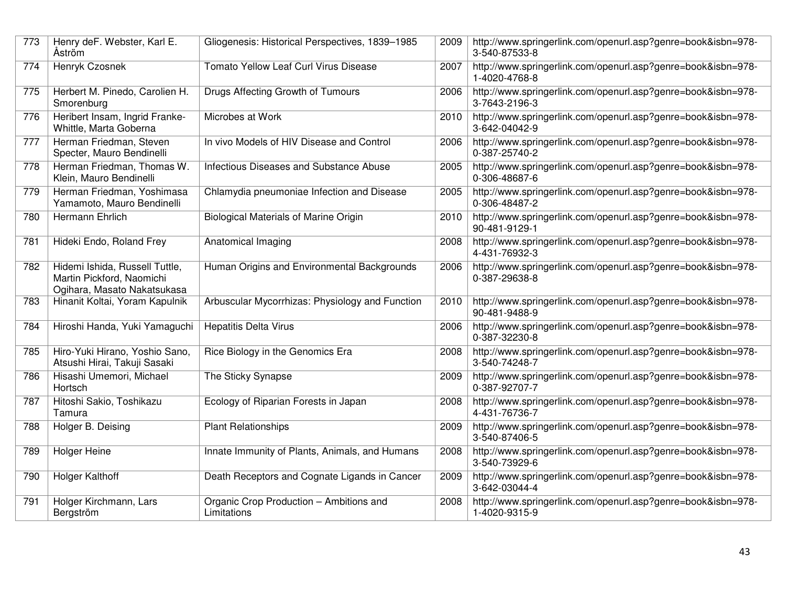| 773 | Henry deF. Webster, Karl E.<br>Åström                                                      | Gliogenesis: Historical Perspectives, 1839-1985        | 2009 | http://www.springerlink.com/openurl.asp?genre=book&isbn=978-<br>3-540-87533-8 |
|-----|--------------------------------------------------------------------------------------------|--------------------------------------------------------|------|-------------------------------------------------------------------------------|
| 774 | Henryk Czosnek                                                                             | Tomato Yellow Leaf Curl Virus Disease                  | 2007 | http://www.springerlink.com/openurl.asp?genre=book&isbn=978-<br>1-4020-4768-8 |
| 775 | Herbert M. Pinedo, Carolien H.<br>Smorenburg                                               | Drugs Affecting Growth of Tumours                      | 2006 | http://www.springerlink.com/openurl.asp?genre=book&isbn=978-<br>3-7643-2196-3 |
| 776 | Heribert Insam, Ingrid Franke-<br>Whittle, Marta Goberna                                   | Microbes at Work                                       | 2010 | http://www.springerlink.com/openurl.asp?genre=book&isbn=978-<br>3-642-04042-9 |
| 777 | Herman Friedman, Steven<br>Specter, Mauro Bendinelli                                       | In vivo Models of HIV Disease and Control              | 2006 | http://www.springerlink.com/openurl.asp?genre=book&isbn=978-<br>0-387-25740-2 |
| 778 | Herman Friedman, Thomas W.<br>Klein, Mauro Bendinelli                                      | Infectious Diseases and Substance Abuse                | 2005 | http://www.springerlink.com/openurl.asp?genre=book&isbn=978-<br>0-306-48687-6 |
| 779 | Herman Friedman, Yoshimasa<br>Yamamoto, Mauro Bendinelli                                   | Chlamydia pneumoniae Infection and Disease             | 2005 | http://www.springerlink.com/openurl.asp?genre=book&isbn=978-<br>0-306-48487-2 |
| 780 | Hermann Ehrlich                                                                            | <b>Biological Materials of Marine Origin</b>           | 2010 | http://www.springerlink.com/openurl.asp?genre=book&isbn=978-<br>90-481-9129-1 |
| 781 | Hideki Endo, Roland Frey                                                                   | Anatomical Imaging                                     | 2008 | http://www.springerlink.com/openurl.asp?genre=book&isbn=978-<br>4-431-76932-3 |
| 782 | Hidemi Ishida, Russell Tuttle,<br>Martin Pickford, Naomichi<br>Ogihara, Masato Nakatsukasa | Human Origins and Environmental Backgrounds            | 2006 | http://www.springerlink.com/openurl.asp?genre=book&isbn=978-<br>0-387-29638-8 |
| 783 | Hinanit Koltai, Yoram Kapulnik                                                             | Arbuscular Mycorrhizas: Physiology and Function        | 2010 | http://www.springerlink.com/openurl.asp?genre=book&isbn=978-<br>90-481-9488-9 |
| 784 | Hiroshi Handa, Yuki Yamaguchi                                                              | <b>Hepatitis Delta Virus</b>                           | 2006 | http://www.springerlink.com/openurl.asp?genre=book&isbn=978-<br>0-387-32230-8 |
| 785 | Hiro-Yuki Hirano, Yoshio Sano,<br>Atsushi Hirai, Takuji Sasaki                             | Rice Biology in the Genomics Era                       | 2008 | http://www.springerlink.com/openurl.asp?genre=book&isbn=978-<br>3-540-74248-7 |
| 786 | Hisashi Umemori, Michael<br>Hortsch                                                        | The Sticky Synapse                                     | 2009 | http://www.springerlink.com/openurl.asp?genre=book&isbn=978-<br>0-387-92707-7 |
| 787 | Hitoshi Sakio, Toshikazu<br>Tamura                                                         | Ecology of Riparian Forests in Japan                   | 2008 | http://www.springerlink.com/openurl.asp?genre=book&isbn=978-<br>4-431-76736-7 |
| 788 | Holger B. Deising                                                                          | <b>Plant Relationships</b>                             | 2009 | http://www.springerlink.com/openurl.asp?genre=book&isbn=978-<br>3-540-87406-5 |
| 789 | <b>Holger Heine</b>                                                                        | Innate Immunity of Plants, Animals, and Humans         | 2008 | http://www.springerlink.com/openurl.asp?genre=book&isbn=978-<br>3-540-73929-6 |
| 790 | Holger Kalthoff                                                                            | Death Receptors and Cognate Ligands in Cancer          | 2009 | http://www.springerlink.com/openurl.asp?genre=book&isbn=978-<br>3-642-03044-4 |
| 791 | Holger Kirchmann, Lars<br>Bergström                                                        | Organic Crop Production - Ambitions and<br>Limitations | 2008 | http://www.springerlink.com/openurl.asp?genre=book&isbn=978-<br>1-4020-9315-9 |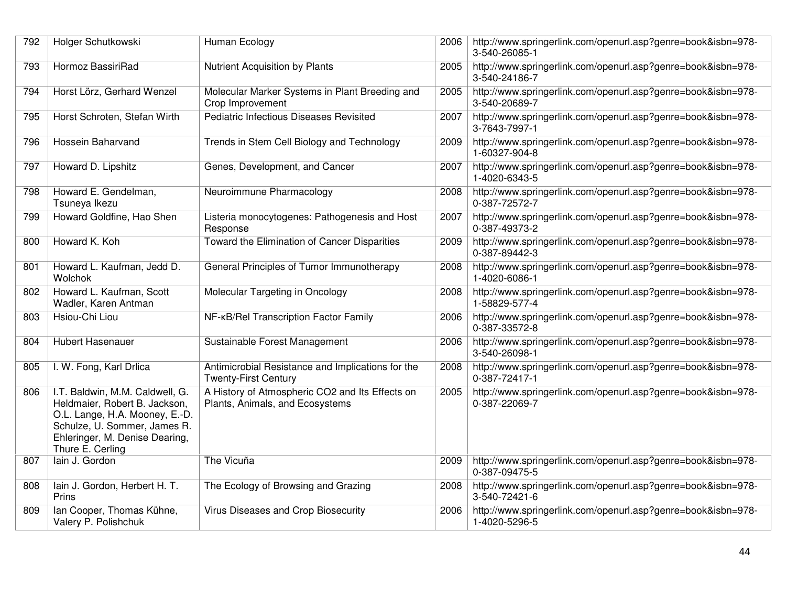| 792 | Holger Schutkowski                                                                                                                                                                       | Human Ecology                                                                      | 2006 | http://www.springerlink.com/openurl.asp?genre=book&isbn=978-<br>3-540-26085-1 |
|-----|------------------------------------------------------------------------------------------------------------------------------------------------------------------------------------------|------------------------------------------------------------------------------------|------|-------------------------------------------------------------------------------|
| 793 | Hormoz BassiriRad                                                                                                                                                                        | Nutrient Acquisition by Plants                                                     | 2005 | http://www.springerlink.com/openurl.asp?genre=book&isbn=978-<br>3-540-24186-7 |
| 794 | Horst Lörz, Gerhard Wenzel                                                                                                                                                               | Molecular Marker Systems in Plant Breeding and<br>Crop Improvement                 | 2005 | http://www.springerlink.com/openurl.asp?genre=book&isbn=978-<br>3-540-20689-7 |
| 795 | Horst Schroten, Stefan Wirth                                                                                                                                                             | Pediatric Infectious Diseases Revisited                                            | 2007 | http://www.springerlink.com/openurl.asp?genre=book&isbn=978-<br>3-7643-7997-1 |
| 796 | Hossein Baharvand                                                                                                                                                                        | Trends in Stem Cell Biology and Technology                                         | 2009 | http://www.springerlink.com/openurl.asp?genre=book&isbn=978-<br>1-60327-904-8 |
| 797 | Howard D. Lipshitz                                                                                                                                                                       | Genes, Development, and Cancer                                                     | 2007 | http://www.springerlink.com/openurl.asp?genre=book&isbn=978-<br>1-4020-6343-5 |
| 798 | Howard E. Gendelman,<br>Tsuneya Ikezu                                                                                                                                                    | Neuroimmune Pharmacology                                                           | 2008 | http://www.springerlink.com/openurl.asp?genre=book&isbn=978-<br>0-387-72572-7 |
| 799 | Howard Goldfine, Hao Shen                                                                                                                                                                | Listeria monocytogenes: Pathogenesis and Host<br>Response                          | 2007 | http://www.springerlink.com/openurl.asp?genre=book&isbn=978-<br>0-387-49373-2 |
| 800 | Howard K. Koh                                                                                                                                                                            | Toward the Elimination of Cancer Disparities                                       | 2009 | http://www.springerlink.com/openurl.asp?genre=book&isbn=978-<br>0-387-89442-3 |
| 801 | Howard L. Kaufman, Jedd D.<br>Wolchok                                                                                                                                                    | General Principles of Tumor Immunotherapy                                          | 2008 | http://www.springerlink.com/openurl.asp?genre=book&isbn=978-<br>1-4020-6086-1 |
| 802 | Howard L. Kaufman, Scott<br>Wadler, Karen Antman                                                                                                                                         | Molecular Targeting in Oncology                                                    | 2008 | http://www.springerlink.com/openurl.asp?genre=book&isbn=978-<br>1-58829-577-4 |
| 803 | Hsiou-Chi Liou                                                                                                                                                                           | NF-KB/Rel Transcription Factor Family                                              | 2006 | http://www.springerlink.com/openurl.asp?genre=book&isbn=978-<br>0-387-33572-8 |
| 804 | <b>Hubert Hasenauer</b>                                                                                                                                                                  | Sustainable Forest Management                                                      | 2006 | http://www.springerlink.com/openurl.asp?genre=book&isbn=978-<br>3-540-26098-1 |
| 805 | I. W. Fong, Karl Drlica                                                                                                                                                                  | Antimicrobial Resistance and Implications for the<br><b>Twenty-First Century</b>   | 2008 | http://www.springerlink.com/openurl.asp?genre=book&isbn=978-<br>0-387-72417-1 |
| 806 | I.T. Baldwin, M.M. Caldwell, G.<br>Heldmaier, Robert B. Jackson,<br>O.L. Lange, H.A. Mooney, E.-D.<br>Schulze, U. Sommer, James R.<br>Ehleringer, M. Denise Dearing,<br>Thure E. Cerling | A History of Atmospheric CO2 and Its Effects on<br>Plants, Animals, and Ecosystems | 2005 | http://www.springerlink.com/openurl.asp?genre=book&isbn=978-<br>0-387-22069-7 |
| 807 | lain J. Gordon                                                                                                                                                                           | The Vicuña                                                                         | 2009 | http://www.springerlink.com/openurl.asp?genre=book&isbn=978-<br>0-387-09475-5 |
| 808 | lain J. Gordon, Herbert H. T.<br>Prins                                                                                                                                                   | The Ecology of Browsing and Grazing                                                | 2008 | http://www.springerlink.com/openurl.asp?genre=book&isbn=978-<br>3-540-72421-6 |
| 809 | Ian Cooper, Thomas Kühne,<br>Valery P. Polishchuk                                                                                                                                        | Virus Diseases and Crop Biosecurity                                                | 2006 | http://www.springerlink.com/openurl.asp?genre=book&isbn=978-<br>1-4020-5296-5 |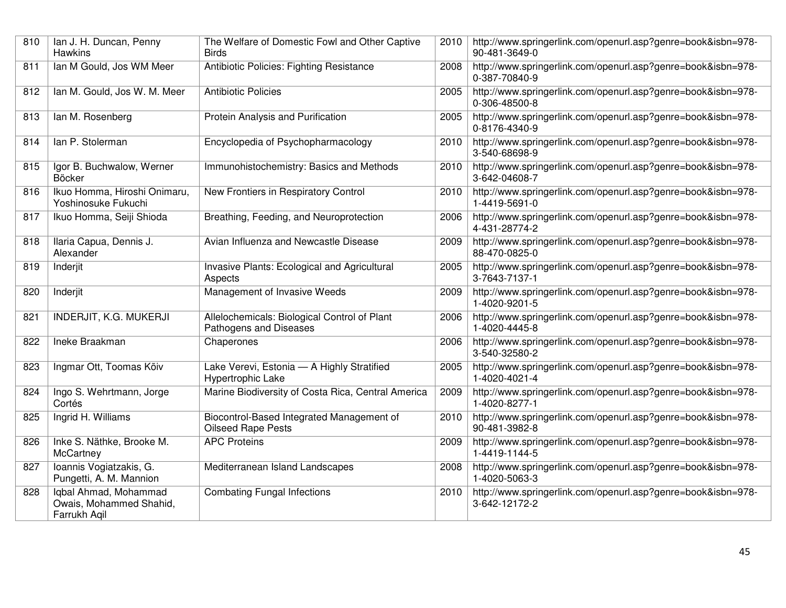| 810 | Ian J. H. Duncan, Penny<br><b>Hawkins</b>                        | The Welfare of Domestic Fowl and Other Captive<br><b>Birds</b>         | 2010 | http://www.springerlink.com/openurl.asp?genre=book&isbn=978-<br>90-481-3649-0 |
|-----|------------------------------------------------------------------|------------------------------------------------------------------------|------|-------------------------------------------------------------------------------|
| 811 | Ian M Gould, Jos WM Meer                                         | Antibiotic Policies: Fighting Resistance                               | 2008 | http://www.springerlink.com/openurl.asp?genre=book&isbn=978-<br>0-387-70840-9 |
| 812 | Ian M. Gould, Jos W. M. Meer                                     | <b>Antibiotic Policies</b>                                             | 2005 | http://www.springerlink.com/openurl.asp?genre=book&isbn=978-<br>0-306-48500-8 |
| 813 | lan M. Rosenberg                                                 | Protein Analysis and Purification                                      | 2005 | http://www.springerlink.com/openurl.asp?genre=book&isbn=978-<br>0-8176-4340-9 |
| 814 | lan P. Stolerman                                                 | Encyclopedia of Psychopharmacology                                     | 2010 | http://www.springerlink.com/openurl.asp?genre=book&isbn=978-<br>3-540-68698-9 |
| 815 | Igor B. Buchwalow, Werner<br>Böcker                              | Immunohistochemistry: Basics and Methods                               | 2010 | http://www.springerlink.com/openurl.asp?genre=book&isbn=978-<br>3-642-04608-7 |
| 816 | Ikuo Homma, Hiroshi Onimaru,<br>Yoshinosuke Fukuchi              | New Frontiers in Respiratory Control                                   | 2010 | http://www.springerlink.com/openurl.asp?genre=book&isbn=978-<br>1-4419-5691-0 |
| 817 | Ikuo Homma, Seiji Shioda                                         | Breathing, Feeding, and Neuroprotection                                | 2006 | http://www.springerlink.com/openurl.asp?genre=book&isbn=978-<br>4-431-28774-2 |
| 818 | Ilaria Capua, Dennis J.<br>Alexander                             | Avian Influenza and Newcastle Disease                                  | 2009 | http://www.springerlink.com/openurl.asp?genre=book&isbn=978-<br>88-470-0825-0 |
| 819 | Inderjit                                                         | Invasive Plants: Ecological and Agricultural<br>Aspects                | 2005 | http://www.springerlink.com/openurl.asp?genre=book&isbn=978-<br>3-7643-7137-1 |
| 820 | Inderjit                                                         | Management of Invasive Weeds                                           | 2009 | http://www.springerlink.com/openurl.asp?genre=book&isbn=978-<br>1-4020-9201-5 |
| 821 | <b>INDERJIT, K.G. MUKERJI</b>                                    | Allelochemicals: Biological Control of Plant<br>Pathogens and Diseases | 2006 | http://www.springerlink.com/openurl.asp?genre=book&isbn=978-<br>1-4020-4445-8 |
| 822 | Ineke Braakman                                                   | Chaperones                                                             | 2006 | http://www.springerlink.com/openurl.asp?genre=book&isbn=978-<br>3-540-32580-2 |
| 823 | Ingmar Ott, Toomas Kõiv                                          | Lake Verevi, Estonia - A Highly Stratified<br>Hypertrophic Lake        | 2005 | http://www.springerlink.com/openurl.asp?genre=book&isbn=978-<br>1-4020-4021-4 |
| 824 | Ingo S. Wehrtmann, Jorge<br>Cortés                               | Marine Biodiversity of Costa Rica, Central America                     | 2009 | http://www.springerlink.com/openurl.asp?genre=book&isbn=978-<br>1-4020-8277-1 |
| 825 | Ingrid H. Williams                                               | Biocontrol-Based Integrated Management of<br><b>Oilseed Rape Pests</b> | 2010 | http://www.springerlink.com/openurl.asp?genre=book&isbn=978-<br>90-481-3982-8 |
| 826 | Inke S. Näthke, Brooke M.<br>McCartney                           | <b>APC Proteins</b>                                                    | 2009 | http://www.springerlink.com/openurl.asp?genre=book&isbn=978-<br>1-4419-1144-5 |
| 827 | Ioannis Vogiatzakis, G.<br>Pungetti, A. M. Mannion               | Mediterranean Island Landscapes                                        | 2008 | http://www.springerlink.com/openurl.asp?genre=book&isbn=978-<br>1-4020-5063-3 |
| 828 | Iqbal Ahmad, Mohammad<br>Owais, Mohammed Shahid,<br>Farrukh Aqil | <b>Combating Fungal Infections</b>                                     | 2010 | http://www.springerlink.com/openurl.asp?genre=book&isbn=978-<br>3-642-12172-2 |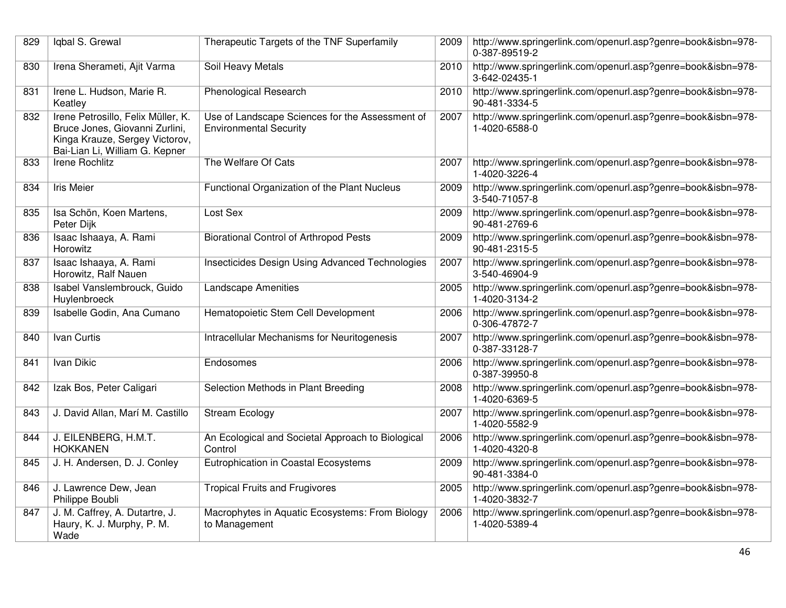| 829 | Igbal S. Grewal                                                                                                                          | Therapeutic Targets of the TNF Superfamily                                       | 2009 | http://www.springerlink.com/openurl.asp?genre=book&isbn=978-<br>0-387-89519-2 |
|-----|------------------------------------------------------------------------------------------------------------------------------------------|----------------------------------------------------------------------------------|------|-------------------------------------------------------------------------------|
| 830 | Irena Sherameti, Ajit Varma                                                                                                              | Soil Heavy Metals                                                                | 2010 | http://www.springerlink.com/openurl.asp?genre=book&isbn=978-<br>3-642-02435-1 |
| 831 | Irene L. Hudson, Marie R.<br>Keatley                                                                                                     | <b>Phenological Research</b>                                                     | 2010 | http://www.springerlink.com/openurl.asp?genre=book&isbn=978-<br>90-481-3334-5 |
| 832 | Irene Petrosillo, Felix Müller, K.<br>Bruce Jones, Giovanni Zurlini,<br>Kinga Krauze, Sergey Victorov,<br>Bai-Lian Li, William G. Kepner | Use of Landscape Sciences for the Assessment of<br><b>Environmental Security</b> | 2007 | http://www.springerlink.com/openurl.asp?genre=book&isbn=978-<br>1-4020-6588-0 |
| 833 | <b>Irene Rochlitz</b>                                                                                                                    | The Welfare Of Cats                                                              | 2007 | http://www.springerlink.com/openurl.asp?genre=book&isbn=978-<br>1-4020-3226-4 |
| 834 | <b>Iris Meier</b>                                                                                                                        | Functional Organization of the Plant Nucleus                                     | 2009 | http://www.springerlink.com/openurl.asp?genre=book&isbn=978-<br>3-540-71057-8 |
| 835 | Isa Schön, Koen Martens,<br>Peter Dijk                                                                                                   | Lost Sex                                                                         | 2009 | http://www.springerlink.com/openurl.asp?genre=book&isbn=978-<br>90-481-2769-6 |
| 836 | Isaac Ishaaya, A. Rami<br>Horowitz                                                                                                       | <b>Biorational Control of Arthropod Pests</b>                                    | 2009 | http://www.springerlink.com/openurl.asp?genre=book&isbn=978-<br>90-481-2315-5 |
| 837 | Isaac Ishaaya, A. Rami<br>Horowitz, Ralf Nauen                                                                                           | Insecticides Design Using Advanced Technologies                                  | 2007 | http://www.springerlink.com/openurl.asp?genre=book&isbn=978-<br>3-540-46904-9 |
| 838 | Isabel Vanslembrouck, Guido<br>Huylenbroeck                                                                                              | <b>Landscape Amenities</b>                                                       | 2005 | http://www.springerlink.com/openurl.asp?genre=book&isbn=978-<br>1-4020-3134-2 |
| 839 | Isabelle Godin, Ana Cumano                                                                                                               | Hematopoietic Stem Cell Development                                              | 2006 | http://www.springerlink.com/openurl.asp?genre=book&isbn=978-<br>0-306-47872-7 |
| 840 | Ivan Curtis                                                                                                                              | Intracellular Mechanisms for Neuritogenesis                                      | 2007 | http://www.springerlink.com/openurl.asp?genre=book&isbn=978-<br>0-387-33128-7 |
| 841 | Ivan Dikic                                                                                                                               | Endosomes                                                                        | 2006 | http://www.springerlink.com/openurl.asp?genre=book&isbn=978-<br>0-387-39950-8 |
| 842 | Izak Bos, Peter Caligari                                                                                                                 | Selection Methods in Plant Breeding                                              | 2008 | http://www.springerlink.com/openurl.asp?genre=book&isbn=978-<br>1-4020-6369-5 |
| 843 | J. David Allan, Marí M. Castillo                                                                                                         | <b>Stream Ecology</b>                                                            | 2007 | http://www.springerlink.com/openurl.asp?genre=book&isbn=978-<br>1-4020-5582-9 |
| 844 | J. EILENBERG, H.M.T.<br><b>HOKKANEN</b>                                                                                                  | An Ecological and Societal Approach to Biological<br>Control                     | 2006 | http://www.springerlink.com/openurl.asp?genre=book&isbn=978-<br>1-4020-4320-8 |
| 845 | J. H. Andersen, D. J. Conley                                                                                                             | Eutrophication in Coastal Ecosystems                                             | 2009 | http://www.springerlink.com/openurl.asp?genre=book&isbn=978-<br>90-481-3384-0 |
| 846 | J. Lawrence Dew, Jean<br>Philippe Boubli                                                                                                 | <b>Tropical Fruits and Frugivores</b>                                            | 2005 | http://www.springerlink.com/openurl.asp?genre=book&isbn=978-<br>1-4020-3832-7 |
| 847 | J. M. Caffrey, A. Dutartre, J.<br>Haury, K. J. Murphy, P. M.<br>Wade                                                                     | Macrophytes in Aquatic Ecosystems: From Biology<br>to Management                 | 2006 | http://www.springerlink.com/openurl.asp?genre=book&isbn=978-<br>1-4020-5389-4 |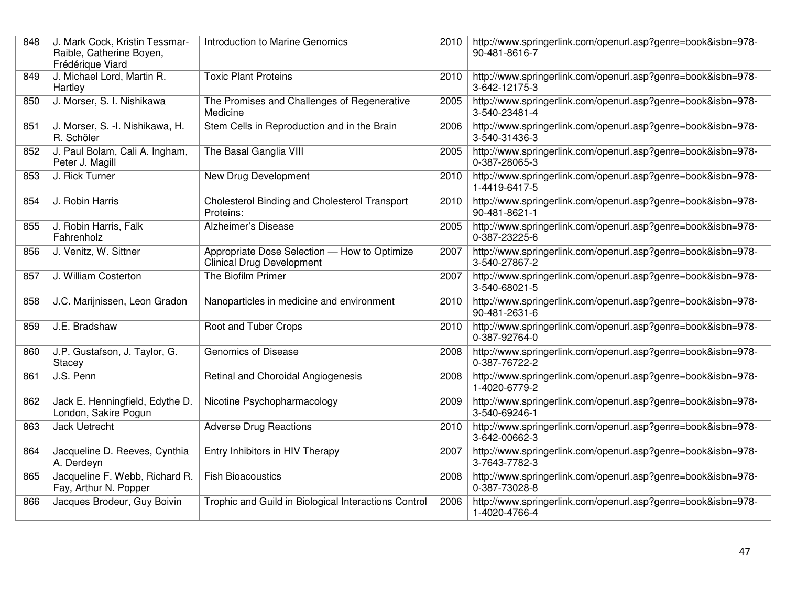| 848 | J. Mark Cock, Kristin Tessmar-<br>Raible, Catherine Boyen,<br>Frédérique Viard | Introduction to Marine Genomics                                                  | 2010 | http://www.springerlink.com/openurl.asp?genre=book&isbn=978-<br>90-481-8616-7 |
|-----|--------------------------------------------------------------------------------|----------------------------------------------------------------------------------|------|-------------------------------------------------------------------------------|
| 849 | J. Michael Lord, Martin R.<br>Hartley                                          | <b>Toxic Plant Proteins</b>                                                      | 2010 | http://www.springerlink.com/openurl.asp?genre=book&isbn=978-<br>3-642-12175-3 |
| 850 | J. Morser, S. I. Nishikawa                                                     | The Promises and Challenges of Regenerative<br>Medicine                          | 2005 | http://www.springerlink.com/openurl.asp?genre=book&isbn=978-<br>3-540-23481-4 |
| 851 | J. Morser, S. - I. Nishikawa, H.<br>R. Schöler                                 | Stem Cells in Reproduction and in the Brain                                      | 2006 | http://www.springerlink.com/openurl.asp?genre=book&isbn=978-<br>3-540-31436-3 |
| 852 | J. Paul Bolam, Cali A. Ingham,<br>Peter J. Magill                              | The Basal Ganglia VIII                                                           | 2005 | http://www.springerlink.com/openurl.asp?genre=book&isbn=978-<br>0-387-28065-3 |
| 853 | J. Rick Turner                                                                 | New Drug Development                                                             | 2010 | http://www.springerlink.com/openurl.asp?genre=book&isbn=978-<br>1-4419-6417-5 |
| 854 | J. Robin Harris                                                                | Cholesterol Binding and Cholesterol Transport<br>Proteins:                       | 2010 | http://www.springerlink.com/openurl.asp?genre=book&isbn=978-<br>90-481-8621-1 |
| 855 | J. Robin Harris, Falk<br>Fahrenholz                                            | Alzheimer's Disease                                                              | 2005 | http://www.springerlink.com/openurl.asp?genre=book&isbn=978-<br>0-387-23225-6 |
| 856 | J. Venitz, W. Sittner                                                          | Appropriate Dose Selection - How to Optimize<br><b>Clinical Drug Development</b> | 2007 | http://www.springerlink.com/openurl.asp?genre=book&isbn=978-<br>3-540-27867-2 |
| 857 | J. William Costerton                                                           | The Biofilm Primer                                                               | 2007 | http://www.springerlink.com/openurl.asp?genre=book&isbn=978-<br>3-540-68021-5 |
| 858 | J.C. Marijnissen, Leon Gradon                                                  | Nanoparticles in medicine and environment                                        | 2010 | http://www.springerlink.com/openurl.asp?genre=book&isbn=978-<br>90-481-2631-6 |
| 859 | J.E. Bradshaw                                                                  | Root and Tuber Crops                                                             | 2010 | http://www.springerlink.com/openurl.asp?genre=book&isbn=978-<br>0-387-92764-0 |
| 860 | J.P. Gustafson, J. Taylor, G.<br>Stacey                                        | Genomics of Disease                                                              | 2008 | http://www.springerlink.com/openurl.asp?genre=book&isbn=978-<br>0-387-76722-2 |
| 861 | J.S. Penn                                                                      | Retinal and Choroidal Angiogenesis                                               | 2008 | http://www.springerlink.com/openurl.asp?genre=book&isbn=978-<br>1-4020-6779-2 |
| 862 | Jack E. Henningfield, Edythe D.<br>London, Sakire Pogun                        | Nicotine Psychopharmacology                                                      | 2009 | http://www.springerlink.com/openurl.asp?genre=book&isbn=978-<br>3-540-69246-1 |
| 863 | <b>Jack Uetrecht</b>                                                           | <b>Adverse Drug Reactions</b>                                                    | 2010 | http://www.springerlink.com/openurl.asp?genre=book&isbn=978-<br>3-642-00662-3 |
| 864 | Jacqueline D. Reeves, Cynthia<br>A. Derdeyn                                    | Entry Inhibitors in HIV Therapy                                                  | 2007 | http://www.springerlink.com/openurl.asp?genre=book&isbn=978-<br>3-7643-7782-3 |
| 865 | Jacqueline F. Webb, Richard R.<br>Fay, Arthur N. Popper                        | <b>Fish Bioacoustics</b>                                                         | 2008 | http://www.springerlink.com/openurl.asp?genre=book&isbn=978-<br>0-387-73028-8 |
| 866 | Jacques Brodeur, Guy Boivin                                                    | Trophic and Guild in Biological Interactions Control                             | 2006 | http://www.springerlink.com/openurl.asp?genre=book&isbn=978-<br>1-4020-4766-4 |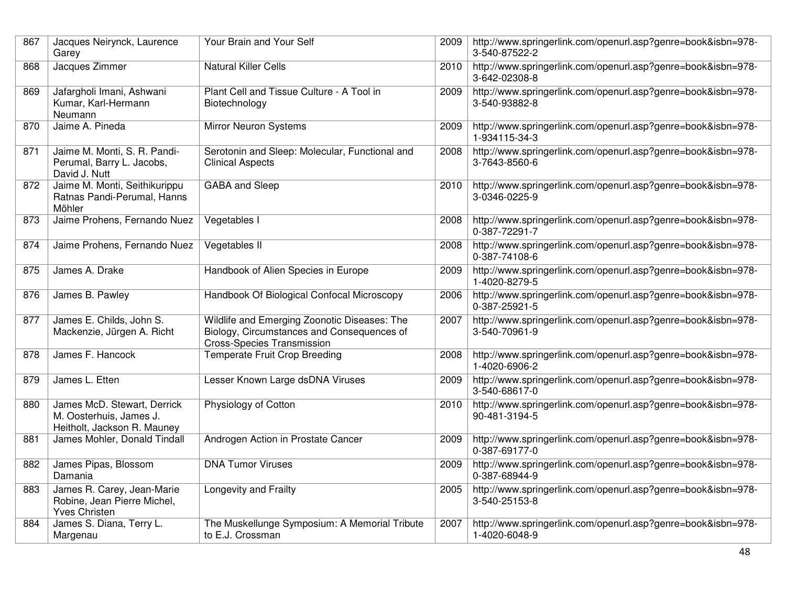| 867 | Jacques Neirynck, Laurence<br>Garey                                                   | Your Brain and Your Self                                                                                                        | 2009 | http://www.springerlink.com/openurl.asp?genre=book&isbn=978-<br>3-540-87522-2 |
|-----|---------------------------------------------------------------------------------------|---------------------------------------------------------------------------------------------------------------------------------|------|-------------------------------------------------------------------------------|
| 868 | Jacques Zimmer                                                                        | <b>Natural Killer Cells</b>                                                                                                     | 2010 | http://www.springerlink.com/openurl.asp?genre=book&isbn=978-<br>3-642-02308-8 |
| 869 | Jafargholi Imani, Ashwani<br>Kumar, Karl-Hermann<br>Neumann                           | Plant Cell and Tissue Culture - A Tool in<br>Biotechnology                                                                      | 2009 | http://www.springerlink.com/openurl.asp?genre=book&isbn=978-<br>3-540-93882-8 |
| 870 | Jaime A. Pineda                                                                       | <b>Mirror Neuron Systems</b>                                                                                                    | 2009 | http://www.springerlink.com/openurl.asp?genre=book&isbn=978-<br>1-934115-34-3 |
| 871 | Jaime M. Monti, S. R. Pandi-<br>Perumal, Barry L. Jacobs,<br>David J. Nutt            | Serotonin and Sleep: Molecular, Functional and<br><b>Clinical Aspects</b>                                                       | 2008 | http://www.springerlink.com/openurl.asp?genre=book&isbn=978-<br>3-7643-8560-6 |
| 872 | Jaime M. Monti, Seithikurippu<br>Ratnas Pandi-Perumal, Hanns<br>Möhler                | <b>GABA</b> and Sleep                                                                                                           | 2010 | http://www.springerlink.com/openurl.asp?genre=book&isbn=978-<br>3-0346-0225-9 |
| 873 | Jaime Prohens, Fernando Nuez                                                          | Vegetables I                                                                                                                    | 2008 | http://www.springerlink.com/openurl.asp?genre=book&isbn=978-<br>0-387-72291-7 |
| 874 | Jaime Prohens, Fernando Nuez                                                          | Vegetables II                                                                                                                   | 2008 | http://www.springerlink.com/openurl.asp?genre=book&isbn=978-<br>0-387-74108-6 |
| 875 | James A. Drake                                                                        | Handbook of Alien Species in Europe                                                                                             | 2009 | http://www.springerlink.com/openurl.asp?genre=book&isbn=978-<br>1-4020-8279-5 |
| 876 | James B. Pawley                                                                       | Handbook Of Biological Confocal Microscopy                                                                                      | 2006 | http://www.springerlink.com/openurl.asp?genre=book&isbn=978-<br>0-387-25921-5 |
| 877 | James E. Childs, John S.<br>Mackenzie, Jürgen A. Richt                                | Wildlife and Emerging Zoonotic Diseases: The<br>Biology, Circumstances and Consequences of<br><b>Cross-Species Transmission</b> | 2007 | http://www.springerlink.com/openurl.asp?genre=book&isbn=978-<br>3-540-70961-9 |
| 878 | James F. Hancock                                                                      | Temperate Fruit Crop Breeding                                                                                                   | 2008 | http://www.springerlink.com/openurl.asp?genre=book&isbn=978-<br>1-4020-6906-2 |
| 879 | James L. Etten                                                                        | Lesser Known Large dsDNA Viruses                                                                                                | 2009 | http://www.springerlink.com/openurl.asp?genre=book&isbn=978-<br>3-540-68617-0 |
| 880 | James McD. Stewart, Derrick<br>M. Oosterhuis, James J.<br>Heitholt, Jackson R. Mauney | Physiology of Cotton                                                                                                            | 2010 | http://www.springerlink.com/openurl.asp?genre=book&isbn=978-<br>90-481-3194-5 |
| 881 | James Mohler, Donald Tindall                                                          | Androgen Action in Prostate Cancer                                                                                              | 2009 | http://www.springerlink.com/openurl.asp?genre=book&isbn=978-<br>0-387-69177-0 |
| 882 | James Pipas, Blossom<br>Damania                                                       | <b>DNA Tumor Viruses</b>                                                                                                        | 2009 | http://www.springerlink.com/openurl.asp?genre=book&isbn=978-<br>0-387-68944-9 |
| 883 | James R. Carey, Jean-Marie<br>Robine, Jean Pierre Michel,<br><b>Yves Christen</b>     | Longevity and Frailty                                                                                                           | 2005 | http://www.springerlink.com/openurl.asp?genre=book&isbn=978-<br>3-540-25153-8 |
| 884 | James S. Diana, Terry L.<br>Margenau                                                  | The Muskellunge Symposium: A Memorial Tribute<br>to E.J. Crossman                                                               | 2007 | http://www.springerlink.com/openurl.asp?genre=book&isbn=978-<br>1-4020-6048-9 |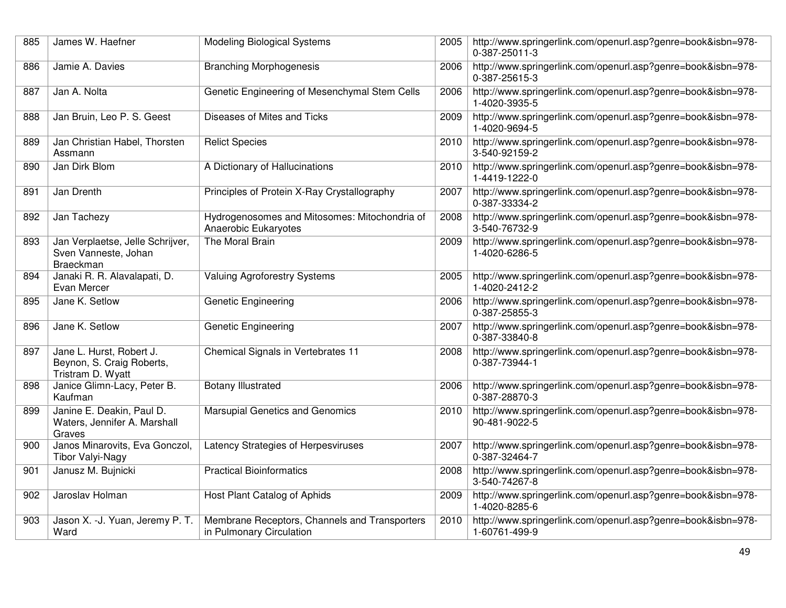| 885 | James W. Haefner                                                           | <b>Modeling Biological Systems</b>                                        | 2005 | http://www.springerlink.com/openurl.asp?genre=book&isbn=978-<br>0-387-25011-3 |
|-----|----------------------------------------------------------------------------|---------------------------------------------------------------------------|------|-------------------------------------------------------------------------------|
| 886 | Jamie A. Davies                                                            | <b>Branching Morphogenesis</b>                                            | 2006 | http://www.springerlink.com/openurl.asp?genre=book&isbn=978-<br>0-387-25615-3 |
| 887 | Jan A. Nolta                                                               | Genetic Engineering of Mesenchymal Stem Cells                             | 2006 | http://www.springerlink.com/openurl.asp?genre=book&isbn=978-<br>1-4020-3935-5 |
| 888 | Jan Bruin, Leo P. S. Geest                                                 | Diseases of Mites and Ticks                                               | 2009 | http://www.springerlink.com/openurl.asp?genre=book&isbn=978-<br>1-4020-9694-5 |
| 889 | Jan Christian Habel, Thorsten<br>Assmann                                   | <b>Relict Species</b>                                                     | 2010 | http://www.springerlink.com/openurl.asp?genre=book&isbn=978-<br>3-540-92159-2 |
| 890 | Jan Dirk Blom                                                              | A Dictionary of Hallucinations                                            | 2010 | http://www.springerlink.com/openurl.asp?genre=book&isbn=978-<br>1-4419-1222-0 |
| 891 | Jan Drenth                                                                 | Principles of Protein X-Ray Crystallography                               | 2007 | http://www.springerlink.com/openurl.asp?genre=book&isbn=978-<br>0-387-33334-2 |
| 892 | Jan Tachezy                                                                | Hydrogenosomes and Mitosomes: Mitochondria of<br>Anaerobic Eukaryotes     | 2008 | http://www.springerlink.com/openurl.asp?genre=book&isbn=978-<br>3-540-76732-9 |
| 893 | Jan Verplaetse, Jelle Schrijver,<br>Sven Vanneste, Johan<br>Braeckman      | The Moral Brain                                                           | 2009 | http://www.springerlink.com/openurl.asp?genre=book&isbn=978-<br>1-4020-6286-5 |
| 894 | Janaki R. R. Alavalapati, D.<br>Evan Mercer                                | <b>Valuing Agroforestry Systems</b>                                       | 2005 | http://www.springerlink.com/openurl.asp?genre=book&isbn=978-<br>1-4020-2412-2 |
| 895 | Jane K. Setlow                                                             | <b>Genetic Engineering</b>                                                | 2006 | http://www.springerlink.com/openurl.asp?genre=book&isbn=978-<br>0-387-25855-3 |
| 896 | Jane K. Setlow                                                             | Genetic Engineering                                                       | 2007 | http://www.springerlink.com/openurl.asp?genre=book&isbn=978-<br>0-387-33840-8 |
| 897 | Jane L. Hurst, Robert J.<br>Beynon, S. Craig Roberts,<br>Tristram D. Wyatt | Chemical Signals in Vertebrates 11                                        | 2008 | http://www.springerlink.com/openurl.asp?genre=book&isbn=978-<br>0-387-73944-1 |
| 898 | Janice Glimn-Lacy, Peter B.<br>Kaufman                                     | <b>Botany Illustrated</b>                                                 | 2006 | http://www.springerlink.com/openurl.asp?genre=book&isbn=978-<br>0-387-28870-3 |
| 899 | Janine E. Deakin, Paul D.<br>Waters, Jennifer A. Marshall<br>Graves        | <b>Marsupial Genetics and Genomics</b>                                    | 2010 | http://www.springerlink.com/openurl.asp?genre=book&isbn=978-<br>90-481-9022-5 |
| 900 | Janos Minarovits, Eva Gonczol,<br><b>Tibor Valyi-Nagy</b>                  | Latency Strategies of Herpesviruses                                       | 2007 | http://www.springerlink.com/openurl.asp?genre=book&isbn=978-<br>0-387-32464-7 |
| 901 | Janusz M. Bujnicki                                                         | <b>Practical Bioinformatics</b>                                           | 2008 | http://www.springerlink.com/openurl.asp?genre=book&isbn=978-<br>3-540-74267-8 |
| 902 | Jaroslav Holman                                                            | Host Plant Catalog of Aphids                                              | 2009 | http://www.springerlink.com/openurl.asp?genre=book&isbn=978-<br>1-4020-8285-6 |
| 903 | Jason X. -J. Yuan, Jeremy P. T.<br>Ward                                    | Membrane Receptors, Channels and Transporters<br>in Pulmonary Circulation | 2010 | http://www.springerlink.com/openurl.asp?genre=book&isbn=978-<br>1-60761-499-9 |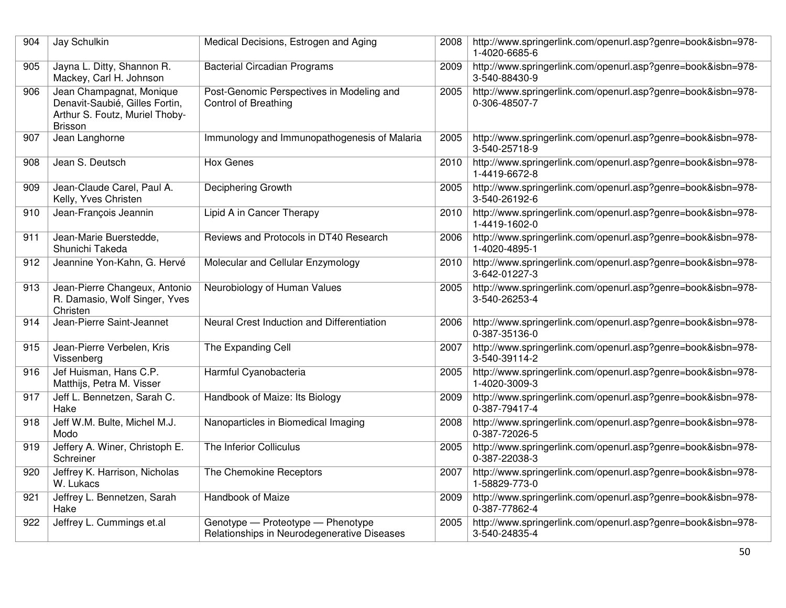| 904 | Jay Schulkin                                                                                                   | Medical Decisions, Estrogen and Aging                                            | 2008 | http://www.springerlink.com/openurl.asp?genre=book&isbn=978-<br>1-4020-6685-6 |
|-----|----------------------------------------------------------------------------------------------------------------|----------------------------------------------------------------------------------|------|-------------------------------------------------------------------------------|
| 905 | Jayna L. Ditty, Shannon R.<br>Mackey, Carl H. Johnson                                                          | <b>Bacterial Circadian Programs</b>                                              | 2009 | http://www.springerlink.com/openurl.asp?genre=book&isbn=978-<br>3-540-88430-9 |
| 906 | Jean Champagnat, Monique<br>Denavit-Saubié, Gilles Fortin,<br>Arthur S. Foutz, Muriel Thoby-<br><b>Brisson</b> | Post-Genomic Perspectives in Modeling and<br><b>Control of Breathing</b>         | 2005 | http://www.springerlink.com/openurl.asp?genre=book&isbn=978-<br>0-306-48507-7 |
| 907 | Jean Langhorne                                                                                                 | Immunology and Immunopathogenesis of Malaria                                     | 2005 | http://www.springerlink.com/openurl.asp?genre=book&isbn=978-<br>3-540-25718-9 |
| 908 | Jean S. Deutsch                                                                                                | <b>Hox Genes</b>                                                                 | 2010 | http://www.springerlink.com/openurl.asp?genre=book&isbn=978-<br>1-4419-6672-8 |
| 909 | Jean-Claude Carel, Paul A.<br>Kelly, Yves Christen                                                             | <b>Deciphering Growth</b>                                                        | 2005 | http://www.springerlink.com/openurl.asp?genre=book&isbn=978-<br>3-540-26192-6 |
| 910 | Jean-François Jeannin                                                                                          | Lipid A in Cancer Therapy                                                        | 2010 | http://www.springerlink.com/openurl.asp?genre=book&isbn=978-<br>1-4419-1602-0 |
| 911 | Jean-Marie Buerstedde,<br>Shunichi Takeda                                                                      | Reviews and Protocols in DT40 Research                                           | 2006 | http://www.springerlink.com/openurl.asp?genre=book&isbn=978-<br>1-4020-4895-1 |
| 912 | Jeannine Yon-Kahn, G. Hervé                                                                                    | Molecular and Cellular Enzymology                                                | 2010 | http://www.springerlink.com/openurl.asp?genre=book&isbn=978-<br>3-642-01227-3 |
| 913 | Jean-Pierre Changeux, Antonio<br>R. Damasio, Wolf Singer, Yves<br>Christen                                     | Neurobiology of Human Values                                                     | 2005 | http://www.springerlink.com/openurl.asp?genre=book&isbn=978-<br>3-540-26253-4 |
| 914 | Jean-Pierre Saint-Jeannet                                                                                      | Neural Crest Induction and Differentiation                                       | 2006 | http://www.springerlink.com/openurl.asp?genre=book&isbn=978-<br>0-387-35136-0 |
| 915 | Jean-Pierre Verbelen, Kris<br>Vissenberg                                                                       | The Expanding Cell                                                               | 2007 | http://www.springerlink.com/openurl.asp?genre=book&isbn=978-<br>3-540-39114-2 |
| 916 | Jef Huisman, Hans C.P.<br>Matthijs, Petra M. Visser                                                            | Harmful Cyanobacteria                                                            | 2005 | http://www.springerlink.com/openurl.asp?genre=book&isbn=978-<br>1-4020-3009-3 |
| 917 | Jeff L. Bennetzen, Sarah C.<br>Hake                                                                            | Handbook of Maize: Its Biology                                                   | 2009 | http://www.springerlink.com/openurl.asp?genre=book&isbn=978-<br>0-387-79417-4 |
| 918 | Jeff W.M. Bulte, Michel M.J.<br>Modo                                                                           | Nanoparticles in Biomedical Imaging                                              | 2008 | http://www.springerlink.com/openurl.asp?genre=book&isbn=978-<br>0-387-72026-5 |
| 919 | Jeffery A. Winer, Christoph E.<br>Schreiner                                                                    | The Inferior Colliculus                                                          | 2005 | http://www.springerlink.com/openurl.asp?genre=book&isbn=978-<br>0-387-22038-3 |
| 920 | Jeffrey K. Harrison, Nicholas<br>W. Lukacs                                                                     | The Chemokine Receptors                                                          | 2007 | http://www.springerlink.com/openurl.asp?genre=book&isbn=978-<br>1-58829-773-0 |
| 921 | Jeffrey L. Bennetzen, Sarah<br>Hake                                                                            | Handbook of Maize                                                                | 2009 | http://www.springerlink.com/openurl.asp?genre=book&isbn=978-<br>0-387-77862-4 |
| 922 | Jeffrey L. Cummings et.al                                                                                      | Genotype - Proteotype - Phenotype<br>Relationships in Neurodegenerative Diseases | 2005 | http://www.springerlink.com/openurl.asp?genre=book&isbn=978-<br>3-540-24835-4 |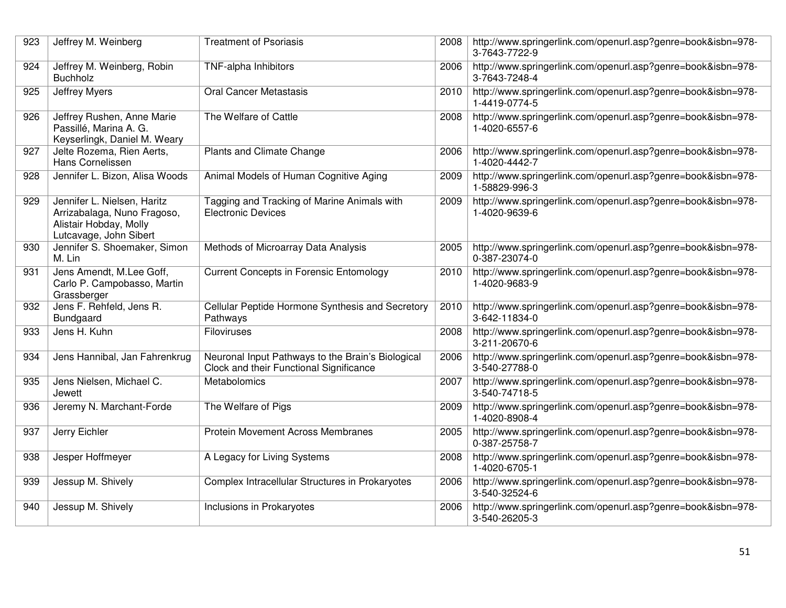| 923 | Jeffrey M. Weinberg                                                                                            | <b>Treatment of Psoriasis</b>                                                                | 2008 | http://www.springerlink.com/openurl.asp?genre=book&isbn=978-<br>3-7643-7722-9 |
|-----|----------------------------------------------------------------------------------------------------------------|----------------------------------------------------------------------------------------------|------|-------------------------------------------------------------------------------|
| 924 | Jeffrey M. Weinberg, Robin<br><b>Buchholz</b>                                                                  | TNF-alpha Inhibitors                                                                         | 2006 | http://www.springerlink.com/openurl.asp?genre=book&isbn=978-<br>3-7643-7248-4 |
| 925 | Jeffrey Myers                                                                                                  | <b>Oral Cancer Metastasis</b>                                                                | 2010 | http://www.springerlink.com/openurl.asp?genre=book&isbn=978-<br>1-4419-0774-5 |
| 926 | Jeffrey Rushen, Anne Marie<br>Passillé, Marina A. G.<br>Keyserlingk, Daniel M. Weary                           | The Welfare of Cattle                                                                        | 2008 | http://www.springerlink.com/openurl.asp?genre=book&isbn=978-<br>1-4020-6557-6 |
| 927 | Jelte Rozema, Rien Aerts,<br>Hans Cornelissen                                                                  | Plants and Climate Change                                                                    | 2006 | http://www.springerlink.com/openurl.asp?genre=book&isbn=978-<br>1-4020-4442-7 |
| 928 | Jennifer L. Bizon, Alisa Woods                                                                                 | Animal Models of Human Cognitive Aging                                                       | 2009 | http://www.springerlink.com/openurl.asp?genre=book&isbn=978-<br>1-58829-996-3 |
| 929 | Jennifer L. Nielsen, Haritz<br>Arrizabalaga, Nuno Fragoso,<br>Alistair Hobday, Molly<br>Lutcavage, John Sibert | Tagging and Tracking of Marine Animals with<br><b>Electronic Devices</b>                     | 2009 | http://www.springerlink.com/openurl.asp?genre=book&isbn=978-<br>1-4020-9639-6 |
| 930 | Jennifer S. Shoemaker, Simon<br>M. Lin                                                                         | Methods of Microarray Data Analysis                                                          | 2005 | http://www.springerlink.com/openurl.asp?genre=book&isbn=978-<br>0-387-23074-0 |
| 931 | Jens Amendt, M.Lee Goff,<br>Carlo P. Campobasso, Martin<br>Grassberger                                         | <b>Current Concepts in Forensic Entomology</b>                                               | 2010 | http://www.springerlink.com/openurl.asp?genre=book&isbn=978-<br>1-4020-9683-9 |
| 932 | Jens F. Rehfeld, Jens R.<br>Bundgaard                                                                          | Cellular Peptide Hormone Synthesis and Secretory<br>Pathways                                 | 2010 | http://www.springerlink.com/openurl.asp?genre=book&isbn=978-<br>3-642-11834-0 |
| 933 | Jens H. Kuhn                                                                                                   | <b>Filoviruses</b>                                                                           | 2008 | http://www.springerlink.com/openurl.asp?genre=book&isbn=978-<br>3-211-20670-6 |
| 934 | Jens Hannibal, Jan Fahrenkrug                                                                                  | Neuronal Input Pathways to the Brain's Biological<br>Clock and their Functional Significance | 2006 | http://www.springerlink.com/openurl.asp?genre=book&isbn=978-<br>3-540-27788-0 |
| 935 | Jens Nielsen, Michael C.<br>Jewett                                                                             | Metabolomics                                                                                 | 2007 | http://www.springerlink.com/openurl.asp?genre=book&isbn=978-<br>3-540-74718-5 |
| 936 | Jeremy N. Marchant-Forde                                                                                       | The Welfare of Pigs                                                                          | 2009 | http://www.springerlink.com/openurl.asp?genre=book&isbn=978-<br>1-4020-8908-4 |
| 937 | Jerry Eichler                                                                                                  | <b>Protein Movement Across Membranes</b>                                                     | 2005 | http://www.springerlink.com/openurl.asp?genre=book&isbn=978-<br>0-387-25758-7 |
| 938 | Jesper Hoffmeyer                                                                                               | A Legacy for Living Systems                                                                  | 2008 | http://www.springerlink.com/openurl.asp?genre=book&isbn=978-<br>1-4020-6705-1 |
| 939 | Jessup M. Shively                                                                                              | Complex Intracellular Structures in Prokaryotes                                              | 2006 | http://www.springerlink.com/openurl.asp?genre=book&isbn=978-<br>3-540-32524-6 |
| 940 | Jessup M. Shively                                                                                              | Inclusions in Prokaryotes                                                                    | 2006 | http://www.springerlink.com/openurl.asp?genre=book&isbn=978-<br>3-540-26205-3 |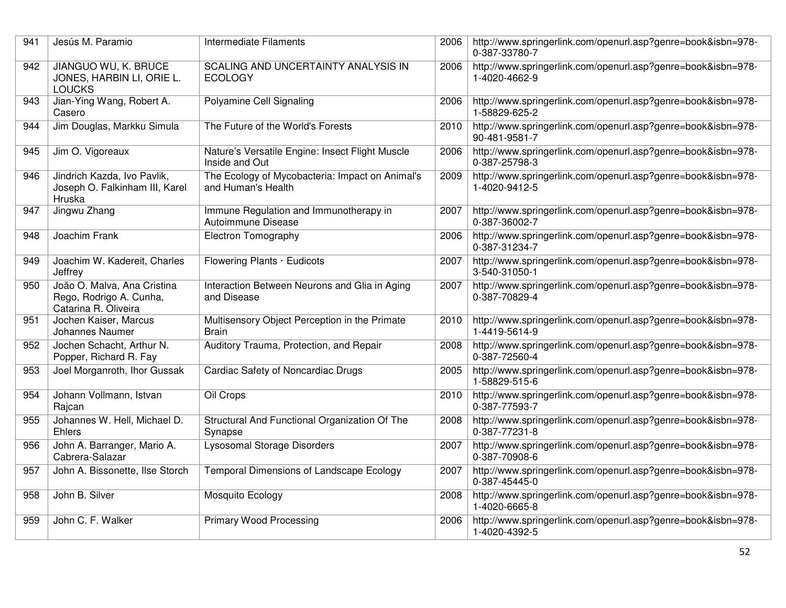| 941 | Jesús M. Paramio                                                               | Intermediate Filaments                                                | 2006 | http://www.springerlink.com/openurl.asp?genre=book&isbn=978-<br>0-387-33780-7 |
|-----|--------------------------------------------------------------------------------|-----------------------------------------------------------------------|------|-------------------------------------------------------------------------------|
| 942 | JIANGUO WU, K. BRUCE<br>JONES, HARBIN LI, ORIE L.<br><b>LOUCKS</b>             | SCALING AND UNCERTAINTY ANALYSIS IN<br><b>ECOLOGY</b>                 | 2006 | http://www.springerlink.com/openurl.asp?genre=book&isbn=978-<br>1-4020-4662-9 |
| 943 | Jian-Ying Wang, Robert A.<br>Casero                                            | Polyamine Cell Signaling                                              | 2006 | http://www.springerlink.com/openurl.asp?genre=book&isbn=978-<br>1-58829-625-2 |
| 944 | Jim Douglas, Markku Simula                                                     | The Future of the World's Forests                                     | 2010 | http://www.springerlink.com/openurl.asp?genre=book&isbn=978-<br>90-481-9581-7 |
| 945 | Jim O. Vigoreaux                                                               | Nature's Versatile Engine: Insect Flight Muscle<br>Inside and Out     | 2006 | http://www.springerlink.com/openurl.asp?genre=book&isbn=978-<br>0-387-25798-3 |
| 946 | Jindrich Kazda, Ivo Pavlik,<br>Joseph O. Falkinham III, Karel<br>Hruska        | The Ecology of Mycobacteria: Impact on Animal's<br>and Human's Health | 2009 | http://www.springerlink.com/openurl.asp?genre=book&isbn=978-<br>1-4020-9412-5 |
| 947 | Jingwu Zhang                                                                   | Immune Regulation and Immunotherapy in<br>Autoimmune Disease          | 2007 | http://www.springerlink.com/openurl.asp?genre=book&isbn=978-<br>0-387-36002-7 |
| 948 | Joachim Frank                                                                  | Electron Tomography                                                   | 2006 | http://www.springerlink.com/openurl.asp?genre=book&isbn=978-<br>0-387-31234-7 |
| 949 | Joachim W. Kadereit, Charles<br>Jeffrey                                        | Flowering Plants · Eudicots                                           | 2007 | http://www.springerlink.com/openurl.asp?genre=book&isbn=978-<br>3-540-31050-1 |
| 950 | João O. Malva, Ana Cristina<br>Rego, Rodrigo A. Cunha,<br>Catarina R. Oliveira | Interaction Between Neurons and Glia in Aging<br>and Disease          | 2007 | http://www.springerlink.com/openurl.asp?genre=book&isbn=978-<br>0-387-70829-4 |
| 951 | Jochen Kaiser, Marcus<br>Johannes Naumer                                       | Multisensory Object Perception in the Primate<br><b>Brain</b>         | 2010 | http://www.springerlink.com/openurl.asp?genre=book&isbn=978-<br>1-4419-5614-9 |
| 952 | Jochen Schacht, Arthur N.<br>Popper, Richard R. Fay                            | Auditory Trauma, Protection, and Repair                               | 2008 | http://www.springerlink.com/openurl.asp?genre=book&isbn=978-<br>0-387-72560-4 |
| 953 | Joel Morganroth, Ihor Gussak                                                   | Cardiac Safety of Noncardiac Drugs                                    | 2005 | http://www.springerlink.com/openurl.asp?genre=book&isbn=978-<br>1-58829-515-6 |
| 954 | Johann Vollmann, Istvan<br>Rajcan                                              | Oil Crops                                                             | 2010 | http://www.springerlink.com/openurl.asp?genre=book&isbn=978-<br>0-387-77593-7 |
| 955 | Johannes W. Hell, Michael D.<br>Ehlers                                         | Structural And Functional Organization Of The<br>Synapse              | 2008 | http://www.springerlink.com/openurl.asp?genre=book&isbn=978-<br>0-387-77231-8 |
| 956 | John A. Barranger, Mario A.<br>Cabrera-Salazar                                 | <b>Lysosomal Storage Disorders</b>                                    | 2007 | http://www.springerlink.com/openurl.asp?genre=book&isbn=978-<br>0-387-70908-6 |
| 957 | John A. Bissonette, Ilse Storch                                                | Temporal Dimensions of Landscape Ecology                              | 2007 | http://www.springerlink.com/openurl.asp?genre=book&isbn=978-<br>0-387-45445-0 |
| 958 | John B. Silver                                                                 | Mosquito Ecology                                                      | 2008 | http://www.springerlink.com/openurl.asp?genre=book&isbn=978-<br>1-4020-6665-8 |
| 959 | John C. F. Walker                                                              | <b>Primary Wood Processing</b>                                        | 2006 | http://www.springerlink.com/openurl.asp?genre=book&isbn=978-<br>1-4020-4392-5 |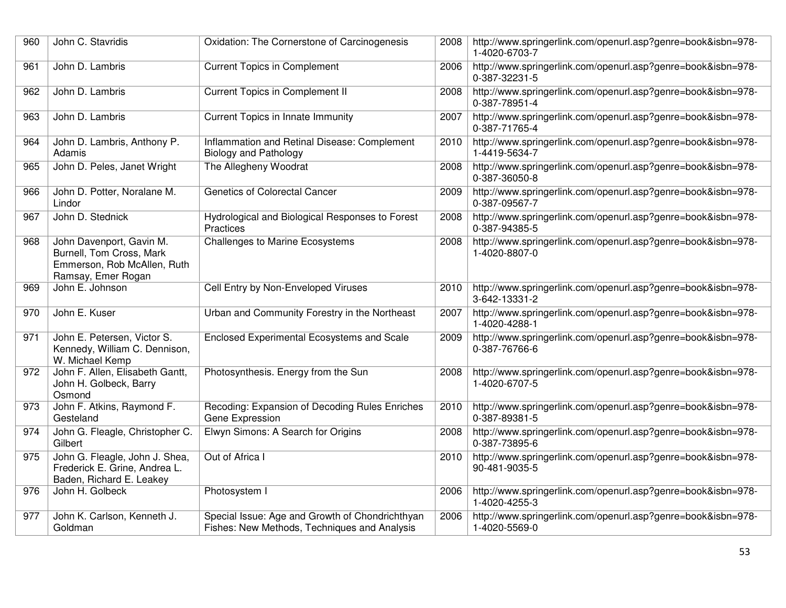| 960 | John C. Stavridis                                                                                         | Oxidation: The Cornerstone of Carcinogenesis                                                    | 2008 | http://www.springerlink.com/openurl.asp?genre=book&isbn=978-<br>1-4020-6703-7 |
|-----|-----------------------------------------------------------------------------------------------------------|-------------------------------------------------------------------------------------------------|------|-------------------------------------------------------------------------------|
| 961 | John D. Lambris                                                                                           | <b>Current Topics in Complement</b>                                                             | 2006 | http://www.springerlink.com/openurl.asp?genre=book&isbn=978-<br>0-387-32231-5 |
| 962 | John D. Lambris                                                                                           | <b>Current Topics in Complement II</b>                                                          | 2008 | http://www.springerlink.com/openurl.asp?genre=book&isbn=978-<br>0-387-78951-4 |
| 963 | John D. Lambris                                                                                           | Current Topics in Innate Immunity                                                               | 2007 | http://www.springerlink.com/openurl.asp?genre=book&isbn=978-<br>0-387-71765-4 |
| 964 | John D. Lambris, Anthony P.<br>Adamis                                                                     | Inflammation and Retinal Disease: Complement<br><b>Biology and Pathology</b>                    | 2010 | http://www.springerlink.com/openurl.asp?genre=book&isbn=978-<br>1-4419-5634-7 |
| 965 | John D. Peles, Janet Wright                                                                               | The Allegheny Woodrat                                                                           | 2008 | http://www.springerlink.com/openurl.asp?genre=book&isbn=978-<br>0-387-36050-8 |
| 966 | John D. Potter, Noralane M.<br>Lindor                                                                     | Genetics of Colorectal Cancer                                                                   | 2009 | http://www.springerlink.com/openurl.asp?genre=book&isbn=978-<br>0-387-09567-7 |
| 967 | John D. Stednick                                                                                          | Hydrological and Biological Responses to Forest<br>Practices                                    | 2008 | http://www.springerlink.com/openurl.asp?genre=book&isbn=978-<br>0-387-94385-5 |
| 968 | John Davenport, Gavin M.<br>Burnell, Tom Cross, Mark<br>Emmerson, Rob McAllen, Ruth<br>Ramsay, Emer Rogan | <b>Challenges to Marine Ecosystems</b>                                                          | 2008 | http://www.springerlink.com/openurl.asp?genre=book&isbn=978-<br>1-4020-8807-0 |
| 969 | John E. Johnson                                                                                           | Cell Entry by Non-Enveloped Viruses                                                             | 2010 | http://www.springerlink.com/openurl.asp?genre=book&isbn=978-<br>3-642-13331-2 |
| 970 | John E. Kuser                                                                                             | Urban and Community Forestry in the Northeast                                                   | 2007 | http://www.springerlink.com/openurl.asp?genre=book&isbn=978-<br>1-4020-4288-1 |
| 971 | John E. Petersen, Victor S.<br>Kennedy, William C. Dennison,<br>W. Michael Kemp                           | Enclosed Experimental Ecosystems and Scale                                                      | 2009 | http://www.springerlink.com/openurl.asp?genre=book&isbn=978-<br>0-387-76766-6 |
| 972 | John F. Allen, Elisabeth Gantt,<br>John H. Golbeck, Barry<br>Osmond                                       | Photosynthesis. Energy from the Sun                                                             | 2008 | http://www.springerlink.com/openurl.asp?genre=book&isbn=978-<br>1-4020-6707-5 |
| 973 | John F. Atkins, Raymond F.<br>Gesteland                                                                   | Recoding: Expansion of Decoding Rules Enriches<br>Gene Expression                               | 2010 | http://www.springerlink.com/openurl.asp?genre=book&isbn=978-<br>0-387-89381-5 |
| 974 | John G. Fleagle, Christopher C.<br>Gilbert                                                                | Elwyn Simons: A Search for Origins                                                              | 2008 | http://www.springerlink.com/openurl.asp?genre=book&isbn=978-<br>0-387-73895-6 |
| 975 | John G. Fleagle, John J. Shea,<br>Frederick E. Grine, Andrea L.<br>Baden, Richard E. Leakey               | Out of Africa I                                                                                 | 2010 | http://www.springerlink.com/openurl.asp?genre=book&isbn=978-<br>90-481-9035-5 |
| 976 | John H. Golbeck                                                                                           | Photosystem I                                                                                   | 2006 | http://www.springerlink.com/openurl.asp?genre=book&isbn=978-<br>1-4020-4255-3 |
| 977 | John K. Carlson, Kenneth J.<br>Goldman                                                                    | Special Issue: Age and Growth of Chondrichthyan<br>Fishes: New Methods, Techniques and Analysis | 2006 | http://www.springerlink.com/openurl.asp?genre=book&isbn=978-<br>1-4020-5569-0 |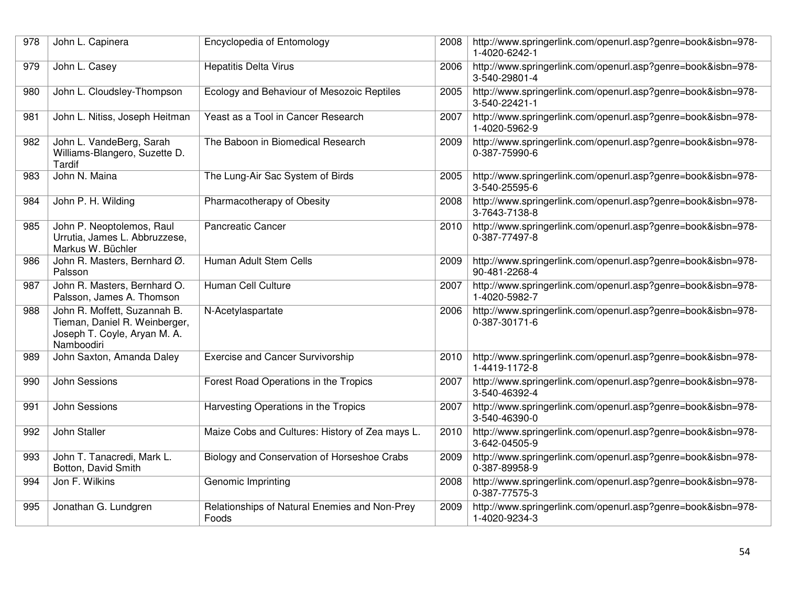| 978 | John L. Capinera                                                                                            | Encyclopedia of Entomology                             | 2008 | http://www.springerlink.com/openurl.asp?genre=book&isbn=978-<br>1-4020-6242-1 |
|-----|-------------------------------------------------------------------------------------------------------------|--------------------------------------------------------|------|-------------------------------------------------------------------------------|
| 979 | John L. Casey                                                                                               | <b>Hepatitis Delta Virus</b>                           | 2006 | http://www.springerlink.com/openurl.asp?genre=book&isbn=978-<br>3-540-29801-4 |
| 980 | John L. Cloudsley-Thompson                                                                                  | Ecology and Behaviour of Mesozoic Reptiles             | 2005 | http://www.springerlink.com/openurl.asp?genre=book&isbn=978-<br>3-540-22421-1 |
| 981 | John L. Nitiss, Joseph Heitman                                                                              | Yeast as a Tool in Cancer Research                     | 2007 | http://www.springerlink.com/openurl.asp?genre=book&isbn=978-<br>1-4020-5962-9 |
| 982 | John L. VandeBerg, Sarah<br>Williams-Blangero, Suzette D.<br>Tardif                                         | The Baboon in Biomedical Research                      | 2009 | http://www.springerlink.com/openurl.asp?genre=book&isbn=978-<br>0-387-75990-6 |
| 983 | John N. Maina                                                                                               | The Lung-Air Sac System of Birds                       | 2005 | http://www.springerlink.com/openurl.asp?genre=book&isbn=978-<br>3-540-25595-6 |
| 984 | John P. H. Wilding                                                                                          | Pharmacotherapy of Obesity                             | 2008 | http://www.springerlink.com/openurl.asp?genre=book&isbn=978-<br>3-7643-7138-8 |
| 985 | John P. Neoptolemos, Raul<br>Urrutia, James L. Abbruzzese,<br>Markus W. Büchler                             | <b>Pancreatic Cancer</b>                               | 2010 | http://www.springerlink.com/openurl.asp?genre=book&isbn=978-<br>0-387-77497-8 |
| 986 | John R. Masters, Bernhard Ø.<br>Palsson                                                                     | Human Adult Stem Cells                                 | 2009 | http://www.springerlink.com/openurl.asp?genre=book&isbn=978-<br>90-481-2268-4 |
| 987 | John R. Masters, Bernhard O.<br>Palsson, James A. Thomson                                                   | Human Cell Culture                                     | 2007 | http://www.springerlink.com/openurl.asp?genre=book&isbn=978-<br>1-4020-5982-7 |
| 988 | John R. Moffett, Suzannah B.<br>Tieman, Daniel R. Weinberger,<br>Joseph T. Coyle, Aryan M. A.<br>Namboodiri | N-Acetylaspartate                                      | 2006 | http://www.springerlink.com/openurl.asp?genre=book&isbn=978-<br>0-387-30171-6 |
| 989 | John Saxton, Amanda Daley                                                                                   | <b>Exercise and Cancer Survivorship</b>                | 2010 | http://www.springerlink.com/openurl.asp?genre=book&isbn=978-<br>1-4419-1172-8 |
| 990 | John Sessions                                                                                               | Forest Road Operations in the Tropics                  | 2007 | http://www.springerlink.com/openurl.asp?genre=book&isbn=978-<br>3-540-46392-4 |
| 991 | John Sessions                                                                                               | Harvesting Operations in the Tropics                   | 2007 | http://www.springerlink.com/openurl.asp?genre=book&isbn=978-<br>3-540-46390-0 |
| 992 | John Staller                                                                                                | Maize Cobs and Cultures: History of Zea mays L.        | 2010 | http://www.springerlink.com/openurl.asp?genre=book&isbn=978-<br>3-642-04505-9 |
| 993 | John T. Tanacredi, Mark L.<br>Botton, David Smith                                                           | Biology and Conservation of Horseshoe Crabs            | 2009 | http://www.springerlink.com/openurl.asp?genre=book&isbn=978-<br>0-387-89958-9 |
| 994 | Jon F. Wilkins                                                                                              | Genomic Imprinting                                     | 2008 | http://www.springerlink.com/openurl.asp?genre=book&isbn=978-<br>0-387-77575-3 |
| 995 | Jonathan G. Lundgren                                                                                        | Relationships of Natural Enemies and Non-Prey<br>Foods | 2009 | http://www.springerlink.com/openurl.asp?genre=book&isbn=978-<br>1-4020-9234-3 |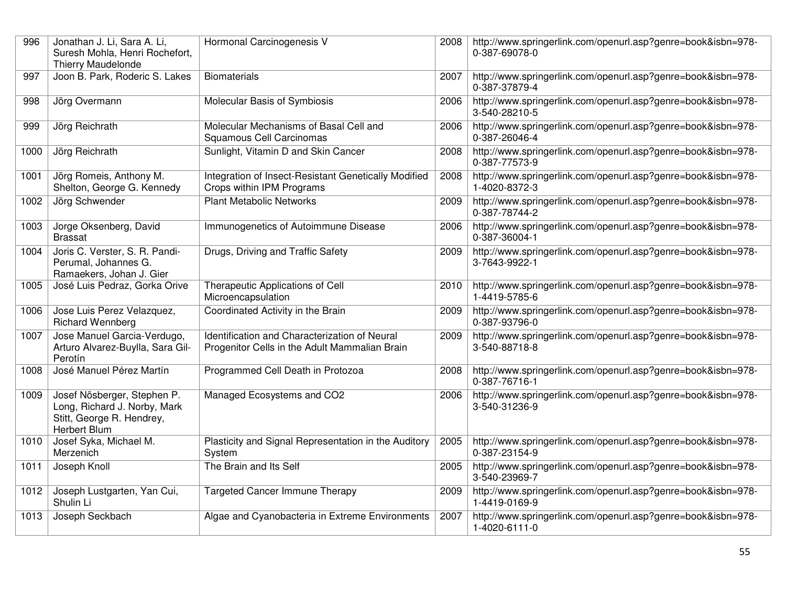| 996  | Jonathan J. Li, Sara A. Li,<br>Suresh Mohla, Henri Rochefort,<br><b>Thierry Maudelonde</b>               | Hormonal Carcinogenesis V                                                                      | 2008 | http://www.springerlink.com/openurl.asp?genre=book&isbn=978-<br>0-387-69078-0 |
|------|----------------------------------------------------------------------------------------------------------|------------------------------------------------------------------------------------------------|------|-------------------------------------------------------------------------------|
| 997  | Joon B. Park, Roderic S. Lakes                                                                           | <b>Biomaterials</b>                                                                            | 2007 | http://www.springerlink.com/openurl.asp?genre=book&isbn=978-<br>0-387-37879-4 |
| 998  | Jörg Overmann                                                                                            | Molecular Basis of Symbiosis                                                                   | 2006 | http://www.springerlink.com/openurl.asp?genre=book&isbn=978-<br>3-540-28210-5 |
| 999  | Jörg Reichrath                                                                                           | Molecular Mechanisms of Basal Cell and<br>Squamous Cell Carcinomas                             | 2006 | http://www.springerlink.com/openurl.asp?genre=book&isbn=978-<br>0-387-26046-4 |
| 1000 | Jörg Reichrath                                                                                           | Sunlight, Vitamin D and Skin Cancer                                                            | 2008 | http://www.springerlink.com/openurl.asp?genre=book&isbn=978-<br>0-387-77573-9 |
| 1001 | Jörg Romeis, Anthony M.<br>Shelton, George G. Kennedy                                                    | Integration of Insect-Resistant Genetically Modified<br>Crops within IPM Programs              | 2008 | http://www.springerlink.com/openurl.asp?genre=book&isbn=978-<br>1-4020-8372-3 |
| 1002 | Jörg Schwender                                                                                           | <b>Plant Metabolic Networks</b>                                                                | 2009 | http://www.springerlink.com/openurl.asp?genre=book&isbn=978-<br>0-387-78744-2 |
| 1003 | Jorge Oksenberg, David<br><b>Brassat</b>                                                                 | Immunogenetics of Autoimmune Disease                                                           | 2006 | http://www.springerlink.com/openurl.asp?genre=book&isbn=978-<br>0-387-36004-1 |
| 1004 | Joris C. Verster, S. R. Pandi-<br>Perumal, Johannes G.<br>Ramaekers, Johan J. Gier                       | Drugs, Driving and Traffic Safety                                                              | 2009 | http://www.springerlink.com/openurl.asp?genre=book&isbn=978-<br>3-7643-9922-1 |
| 1005 | José Luis Pedraz, Gorka Orive                                                                            | Therapeutic Applications of Cell<br>Microencapsulation                                         | 2010 | http://www.springerlink.com/openurl.asp?genre=book&isbn=978-<br>1-4419-5785-6 |
| 1006 | Jose Luis Perez Velazquez,<br><b>Richard Wennberg</b>                                                    | Coordinated Activity in the Brain                                                              | 2009 | http://www.springerlink.com/openurl.asp?genre=book&isbn=978-<br>0-387-93796-0 |
| 1007 | Jose Manuel Garcia-Verdugo,<br>Arturo Alvarez-Buylla, Sara Gil-<br>Perotín                               | Identification and Characterization of Neural<br>Progenitor Cells in the Adult Mammalian Brain | 2009 | http://www.springerlink.com/openurl.asp?genre=book&isbn=978-<br>3-540-88718-8 |
| 1008 | José Manuel Pérez Martín                                                                                 | Programmed Cell Death in Protozoa                                                              | 2008 | http://www.springerlink.com/openurl.asp?genre=book&isbn=978-<br>0-387-76716-1 |
| 1009 | Josef Nösberger, Stephen P.<br>Long, Richard J. Norby, Mark<br>Stitt, George R. Hendrey,<br>Herbert Blum | Managed Ecosystems and CO2                                                                     | 2006 | http://www.springerlink.com/openurl.asp?genre=book&isbn=978-<br>3-540-31236-9 |
| 1010 | Josef Syka, Michael M.<br>Merzenich                                                                      | Plasticity and Signal Representation in the Auditory<br>System                                 | 2005 | http://www.springerlink.com/openurl.asp?genre=book&isbn=978-<br>0-387-23154-9 |
| 1011 | Joseph Knoll                                                                                             | The Brain and Its Self                                                                         | 2005 | http://www.springerlink.com/openurl.asp?genre=book&isbn=978-<br>3-540-23969-7 |
| 1012 | Joseph Lustgarten, Yan Cui,<br>Shulin Li                                                                 | <b>Targeted Cancer Immune Therapy</b>                                                          | 2009 | http://www.springerlink.com/openurl.asp?genre=book&isbn=978-<br>1-4419-0169-9 |
| 1013 | Joseph Seckbach                                                                                          | Algae and Cyanobacteria in Extreme Environments                                                | 2007 | http://www.springerlink.com/openurl.asp?genre=book&isbn=978-<br>1-4020-6111-0 |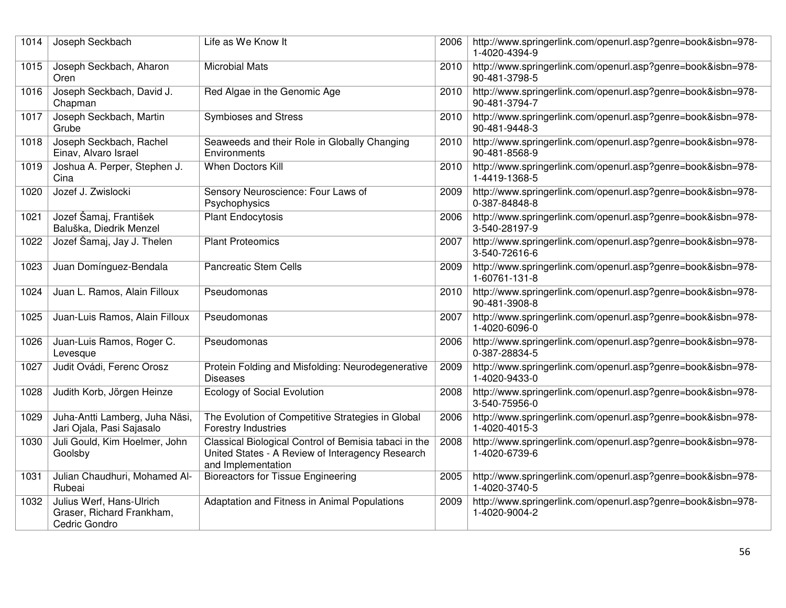| 1014 | Joseph Seckbach                                                        | Life as We Know It                                                                                                              | 2006 | http://www.springerlink.com/openurl.asp?genre=book&isbn=978-<br>1-4020-4394-9 |
|------|------------------------------------------------------------------------|---------------------------------------------------------------------------------------------------------------------------------|------|-------------------------------------------------------------------------------|
| 1015 | Joseph Seckbach, Aharon<br>Oren                                        | <b>Microbial Mats</b>                                                                                                           | 2010 | http://www.springerlink.com/openurl.asp?genre=book&isbn=978-<br>90-481-3798-5 |
| 1016 | Joseph Seckbach, David J.<br>Chapman                                   | Red Algae in the Genomic Age                                                                                                    | 2010 | http://www.springerlink.com/openurl.asp?genre=book&isbn=978-<br>90-481-3794-7 |
| 1017 | Joseph Seckbach, Martin<br>Grube                                       | Symbioses and Stress                                                                                                            | 2010 | http://www.springerlink.com/openurl.asp?genre=book&isbn=978-<br>90-481-9448-3 |
| 1018 | Joseph Seckbach, Rachel<br>Einav, Alvaro Israel                        | Seaweeds and their Role in Globally Changing<br>Environments                                                                    | 2010 | http://www.springerlink.com/openurl.asp?genre=book&isbn=978-<br>90-481-8568-9 |
| 1019 | Joshua A. Perper, Stephen J.<br>Cina                                   | When Doctors Kill                                                                                                               | 2010 | http://www.springerlink.com/openurl.asp?genre=book&isbn=978-<br>1-4419-1368-5 |
| 1020 | Jozef J. Zwislocki                                                     | Sensory Neuroscience: Four Laws of<br>Psychophysics                                                                             | 2009 | http://www.springerlink.com/openurl.asp?genre=book&isbn=978-<br>0-387-84848-8 |
| 1021 | Jozef Šamaj, František<br>Baluška, Diedrik Menzel                      | Plant Endocytosis                                                                                                               | 2006 | http://www.springerlink.com/openurl.asp?genre=book&isbn=978-<br>3-540-28197-9 |
| 1022 | Jozef Šamaj, Jay J. Thelen                                             | <b>Plant Proteomics</b>                                                                                                         | 2007 | http://www.springerlink.com/openurl.asp?genre=book&isbn=978-<br>3-540-72616-6 |
| 1023 | Juan Domínguez-Bendala                                                 | <b>Pancreatic Stem Cells</b>                                                                                                    | 2009 | http://www.springerlink.com/openurl.asp?genre=book&isbn=978-<br>1-60761-131-8 |
| 1024 | Juan L. Ramos, Alain Filloux                                           | Pseudomonas                                                                                                                     | 2010 | http://www.springerlink.com/openurl.asp?genre=book&isbn=978-<br>90-481-3908-8 |
| 1025 | Juan-Luis Ramos, Alain Filloux                                         | Pseudomonas                                                                                                                     | 2007 | http://www.springerlink.com/openurl.asp?genre=book&isbn=978-<br>1-4020-6096-0 |
| 1026 | Juan-Luis Ramos, Roger C.<br>Levesque                                  | Pseudomonas                                                                                                                     | 2006 | http://www.springerlink.com/openurl.asp?genre=book&isbn=978-<br>0-387-28834-5 |
| 1027 | Judit Ovádi, Ferenc Orosz                                              | Protein Folding and Misfolding: Neurodegenerative<br><b>Diseases</b>                                                            | 2009 | http://www.springerlink.com/openurl.asp?genre=book&isbn=978-<br>1-4020-9433-0 |
| 1028 | Judith Korb, Jörgen Heinze                                             | <b>Ecology of Social Evolution</b>                                                                                              | 2008 | http://www.springerlink.com/openurl.asp?genre=book&isbn=978-<br>3-540-75956-0 |
| 1029 | Juha-Antti Lamberg, Juha Näsi,<br>Jari Ojala, Pasi Sajasalo            | The Evolution of Competitive Strategies in Global<br><b>Forestry Industries</b>                                                 | 2006 | http://www.springerlink.com/openurl.asp?genre=book&isbn=978-<br>1-4020-4015-3 |
| 1030 | Juli Gould, Kim Hoelmer, John<br>Goolsby                               | Classical Biological Control of Bemisia tabaci in the<br>United States - A Review of Interagency Research<br>and Implementation | 2008 | http://www.springerlink.com/openurl.asp?genre=book&isbn=978-<br>1-4020-6739-6 |
| 1031 | Julian Chaudhuri, Mohamed Al-<br>Rubeai                                | <b>Bioreactors for Tissue Engineering</b>                                                                                       | 2005 | http://www.springerlink.com/openurl.asp?genre=book&isbn=978-<br>1-4020-3740-5 |
| 1032 | Julius Werf, Hans-Ulrich<br>Graser, Richard Frankham,<br>Cedric Gondro | Adaptation and Fitness in Animal Populations                                                                                    | 2009 | http://www.springerlink.com/openurl.asp?genre=book&isbn=978-<br>1-4020-9004-2 |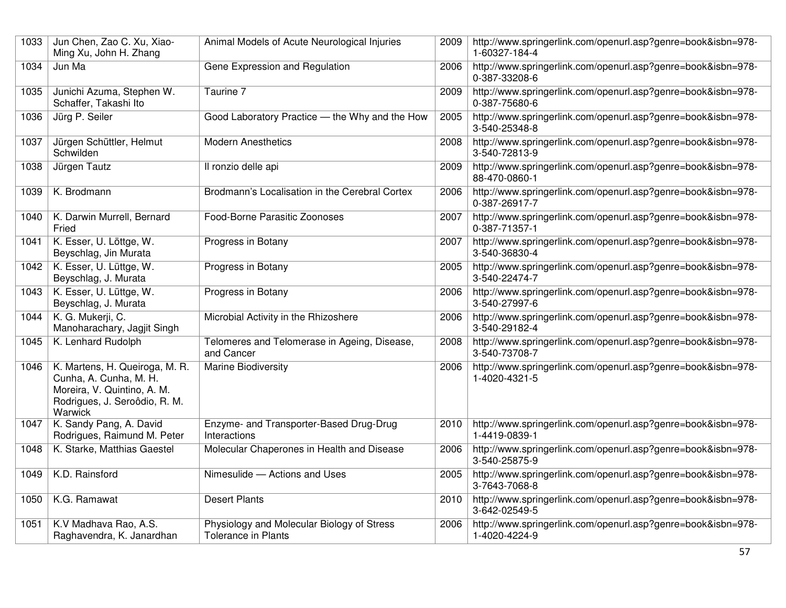| 1033 | Jun Chen, Zao C. Xu, Xiao-<br>Ming Xu, John H. Zhang                                                                                | Animal Models of Acute Neurological Injuries                      | 2009 | http://www.springerlink.com/openurl.asp?genre=book&isbn=978-<br>1-60327-184-4 |
|------|-------------------------------------------------------------------------------------------------------------------------------------|-------------------------------------------------------------------|------|-------------------------------------------------------------------------------|
| 1034 | Jun Ma                                                                                                                              | Gene Expression and Regulation                                    | 2006 | http://www.springerlink.com/openurl.asp?genre=book&isbn=978-<br>0-387-33208-6 |
| 1035 | Junichi Azuma, Stephen W.<br>Schaffer, Takashi Ito                                                                                  | Taurine 7                                                         | 2009 | http://www.springerlink.com/openurl.asp?genre=book&isbn=978-<br>0-387-75680-6 |
| 1036 | Jürg P. Seiler                                                                                                                      | Good Laboratory Practice - the Why and the How                    | 2005 | http://www.springerlink.com/openurl.asp?genre=book&isbn=978-<br>3-540-25348-8 |
| 1037 | Jürgen Schüttler, Helmut<br>Schwilden                                                                                               | <b>Modern Anesthetics</b>                                         | 2008 | http://www.springerlink.com/openurl.asp?genre=book&isbn=978-<br>3-540-72813-9 |
| 1038 | Jürgen Tautz                                                                                                                        | Il ronzio delle api                                               | 2009 | http://www.springerlink.com/openurl.asp?genre=book&isbn=978-<br>88-470-0860-1 |
| 1039 | K. Brodmann                                                                                                                         | Brodmann's Localisation in the Cerebral Cortex                    | 2006 | http://www.springerlink.com/openurl.asp?genre=book&isbn=978-<br>0-387-26917-7 |
| 1040 | K. Darwin Murrell, Bernard<br>Fried                                                                                                 | Food-Borne Parasitic Zoonoses                                     | 2007 | http://www.springerlink.com/openurl.asp?genre=book&isbn=978-<br>0-387-71357-1 |
| 1041 | K. Esser, U. Löttge, W.<br>Beyschlag, Jin Murata                                                                                    | Progress in Botany                                                | 2007 | http://www.springerlink.com/openurl.asp?genre=book&isbn=978-<br>3-540-36830-4 |
| 1042 | K. Esser, U. Lüttge, W.<br>Beyschlag, J. Murata                                                                                     | Progress in Botany                                                | 2005 | http://www.springerlink.com/openurl.asp?genre=book&isbn=978-<br>3-540-22474-7 |
| 1043 | K. Esser, U. Lüttge, W.<br>Beyschlag, J. Murata                                                                                     | Progress in Botany                                                | 2006 | http://www.springerlink.com/openurl.asp?genre=book&isbn=978-<br>3-540-27997-6 |
| 1044 | K. G. Mukerji, C.<br>Manoharachary, Jagjit Singh                                                                                    | Microbial Activity in the Rhizoshere                              | 2006 | http://www.springerlink.com/openurl.asp?genre=book&isbn=978-<br>3-540-29182-4 |
| 1045 | K. Lenhard Rudolph                                                                                                                  | Telomeres and Telomerase in Ageing, Disease,<br>and Cancer        | 2008 | http://www.springerlink.com/openurl.asp?genre=book&isbn=978-<br>3-540-73708-7 |
| 1046 | K. Martens, H. Queiroga, M. R.<br>Cunha, A. Cunha, M. H.<br>Moreira, V. Quintino, A. M.<br>Rodrigues, J. Seroôdio, R. M.<br>Warwick | <b>Marine Biodiversity</b>                                        | 2006 | http://www.springerlink.com/openurl.asp?genre=book&isbn=978-<br>1-4020-4321-5 |
| 1047 | K. Sandy Pang, A. David<br>Rodrigues, Raimund M. Peter                                                                              | Enzyme- and Transporter-Based Drug-Drug<br>Interactions           | 2010 | http://www.springerlink.com/openurl.asp?genre=book&isbn=978-<br>1-4419-0839-1 |
| 1048 | K. Starke, Matthias Gaestel                                                                                                         | Molecular Chaperones in Health and Disease                        | 2006 | http://www.springerlink.com/openurl.asp?genre=book&isbn=978-<br>3-540-25875-9 |
| 1049 | K.D. Rainsford                                                                                                                      | Nimesulide - Actions and Uses                                     | 2005 | http://www.springerlink.com/openurl.asp?genre=book&isbn=978-<br>3-7643-7068-8 |
| 1050 | K.G. Ramawat                                                                                                                        | <b>Desert Plants</b>                                              | 2010 | http://www.springerlink.com/openurl.asp?genre=book&isbn=978-<br>3-642-02549-5 |
| 1051 | K.V Madhava Rao, A.S.<br>Raghavendra, K. Janardhan                                                                                  | Physiology and Molecular Biology of Stress<br>Tolerance in Plants | 2006 | http://www.springerlink.com/openurl.asp?genre=book&isbn=978-<br>1-4020-4224-9 |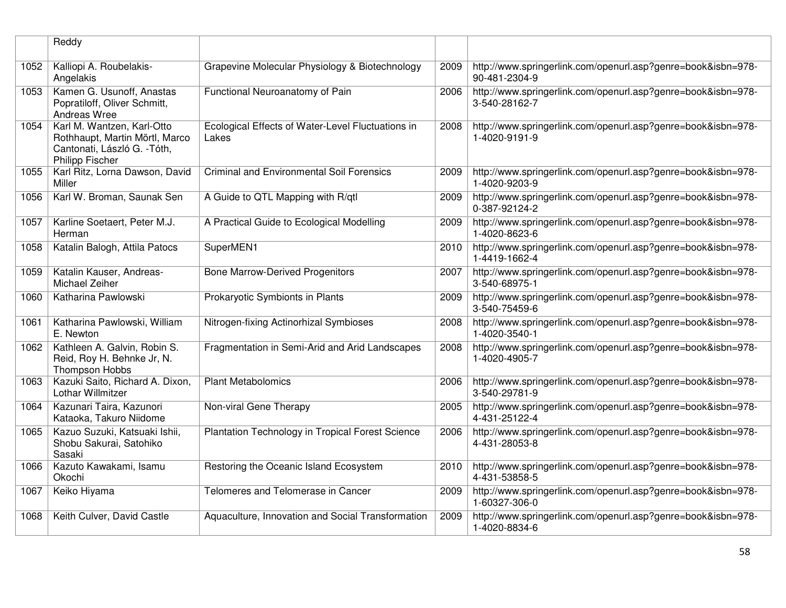|      | Reddy                                                                                                                  |                                                            |      |                                                                               |
|------|------------------------------------------------------------------------------------------------------------------------|------------------------------------------------------------|------|-------------------------------------------------------------------------------|
| 1052 | Kalliopi A. Roubelakis-<br>Angelakis                                                                                   | Grapevine Molecular Physiology & Biotechnology             | 2009 | http://www.springerlink.com/openurl.asp?genre=book&isbn=978-<br>90-481-2304-9 |
| 1053 | Kamen G. Usunoff, Anastas<br>Popratiloff, Oliver Schmitt,<br>Andreas Wree                                              | Functional Neuroanatomy of Pain                            | 2006 | http://www.springerlink.com/openurl.asp?genre=book&isbn=978-<br>3-540-28162-7 |
| 1054 | Karl M. Wantzen, Karl-Otto<br>Rothhaupt, Martin Mörtl, Marco<br>Cantonati, László G. - Tóth,<br><b>Philipp Fischer</b> | Ecological Effects of Water-Level Fluctuations in<br>Lakes | 2008 | http://www.springerlink.com/openurl.asp?genre=book&isbn=978-<br>1-4020-9191-9 |
| 1055 | Karl Ritz, Lorna Dawson, David<br>Miller                                                                               | <b>Criminal and Environmental Soil Forensics</b>           | 2009 | http://www.springerlink.com/openurl.asp?genre=book&isbn=978-<br>1-4020-9203-9 |
| 1056 | Karl W. Broman, Saunak Sen                                                                                             | A Guide to QTL Mapping with R/qtl                          | 2009 | http://www.springerlink.com/openurl.asp?genre=book&isbn=978-<br>0-387-92124-2 |
| 1057 | Karline Soetaert, Peter M.J.<br>Herman                                                                                 | A Practical Guide to Ecological Modelling                  | 2009 | http://www.springerlink.com/openurl.asp?genre=book&isbn=978-<br>1-4020-8623-6 |
| 1058 | Katalin Balogh, Attila Patocs                                                                                          | SuperMEN1                                                  | 2010 | http://www.springerlink.com/openurl.asp?genre=book&isbn=978-<br>1-4419-1662-4 |
| 1059 | Katalin Kauser, Andreas-<br>Michael Zeiher                                                                             | <b>Bone Marrow-Derived Progenitors</b>                     | 2007 | http://www.springerlink.com/openurl.asp?genre=book&isbn=978-<br>3-540-68975-1 |
| 1060 | Katharina Pawlowski                                                                                                    | Prokaryotic Symbionts in Plants                            | 2009 | http://www.springerlink.com/openurl.asp?genre=book&isbn=978-<br>3-540-75459-6 |
| 1061 | Katharina Pawlowski, William<br>E. Newton                                                                              | Nitrogen-fixing Actinorhizal Symbioses                     | 2008 | http://www.springerlink.com/openurl.asp?genre=book&isbn=978-<br>1-4020-3540-1 |
| 1062 | Kathleen A. Galvin, Robin S.<br>Reid, Roy H. Behnke Jr, N.<br>Thompson Hobbs                                           | Fragmentation in Semi-Arid and Arid Landscapes             | 2008 | http://www.springerlink.com/openurl.asp?genre=book&isbn=978-<br>1-4020-4905-7 |
| 1063 | Kazuki Saito, Richard A. Dixon,<br>Lothar Willmitzer                                                                   | <b>Plant Metabolomics</b>                                  | 2006 | http://www.springerlink.com/openurl.asp?genre=book&isbn=978-<br>3-540-29781-9 |
| 1064 | Kazunari Taira, Kazunori<br>Kataoka, Takuro Niidome                                                                    | Non-viral Gene Therapy                                     | 2005 | http://www.springerlink.com/openurl.asp?genre=book&isbn=978-<br>4-431-25122-4 |
| 1065 | Kazuo Suzuki, Katsuaki Ishii,<br>Shobu Sakurai, Satohiko<br>Sasaki                                                     | Plantation Technology in Tropical Forest Science           | 2006 | http://www.springerlink.com/openurl.asp?genre=book&isbn=978-<br>4-431-28053-8 |
| 1066 | Kazuto Kawakami, Isamu<br>Okochi                                                                                       | Restoring the Oceanic Island Ecosystem                     | 2010 | http://www.springerlink.com/openurl.asp?genre=book&isbn=978-<br>4-431-53858-5 |
| 1067 | Keiko Hiyama                                                                                                           | Telomeres and Telomerase in Cancer                         | 2009 | http://www.springerlink.com/openurl.asp?genre=book&isbn=978-<br>1-60327-306-0 |
| 1068 | Keith Culver, David Castle                                                                                             | Aquaculture, Innovation and Social Transformation          | 2009 | http://www.springerlink.com/openurl.asp?genre=book&isbn=978-<br>1-4020-8834-6 |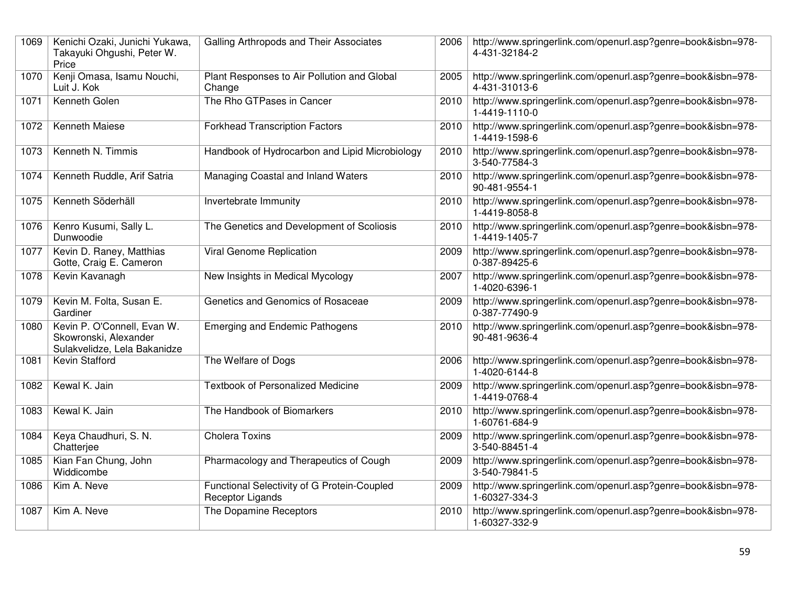| 1069 | Kenichi Ozaki, Junichi Yukawa,<br>Takayuki Ohgushi, Peter W.<br>Price                | Galling Arthropods and Their Associates                                | 2006 | http://www.springerlink.com/openurl.asp?genre=book&isbn=978-<br>4-431-32184-2 |
|------|--------------------------------------------------------------------------------------|------------------------------------------------------------------------|------|-------------------------------------------------------------------------------|
| 1070 | Kenji Omasa, Isamu Nouchi,<br>Luit J. Kok                                            | Plant Responses to Air Pollution and Global<br>Change                  | 2005 | http://www.springerlink.com/openurl.asp?genre=book&isbn=978-<br>4-431-31013-6 |
| 1071 | Kenneth Golen                                                                        | The Rho GTPases in Cancer                                              | 2010 | http://www.springerlink.com/openurl.asp?genre=book&isbn=978-<br>1-4419-1110-0 |
| 1072 | Kenneth Maiese                                                                       | <b>Forkhead Transcription Factors</b>                                  | 2010 | http://www.springerlink.com/openurl.asp?genre=book&isbn=978-<br>1-4419-1598-6 |
| 1073 | Kenneth N. Timmis                                                                    | Handbook of Hydrocarbon and Lipid Microbiology                         | 2010 | http://www.springerlink.com/openurl.asp?genre=book&isbn=978-<br>3-540-77584-3 |
| 1074 | Kenneth Ruddle, Arif Satria                                                          | Managing Coastal and Inland Waters                                     | 2010 | http://www.springerlink.com/openurl.asp?genre=book&isbn=978-<br>90-481-9554-1 |
| 1075 | Kenneth Söderhäll                                                                    | Invertebrate Immunity                                                  | 2010 | http://www.springerlink.com/openurl.asp?genre=book&isbn=978-<br>1-4419-8058-8 |
| 1076 | Kenro Kusumi, Sally L.<br>Dunwoodie                                                  | The Genetics and Development of Scoliosis                              | 2010 | http://www.springerlink.com/openurl.asp?genre=book&isbn=978-<br>1-4419-1405-7 |
| 1077 | Kevin D. Raney, Matthias<br>Gotte, Craig E. Cameron                                  | <b>Viral Genome Replication</b>                                        | 2009 | http://www.springerlink.com/openurl.asp?genre=book&isbn=978-<br>0-387-89425-6 |
| 1078 | Kevin Kavanagh                                                                       | New Insights in Medical Mycology                                       | 2007 | http://www.springerlink.com/openurl.asp?genre=book&isbn=978-<br>1-4020-6396-1 |
| 1079 | Kevin M. Folta, Susan E.<br>Gardiner                                                 | Genetics and Genomics of Rosaceae                                      | 2009 | http://www.springerlink.com/openurl.asp?genre=book&isbn=978-<br>0-387-77490-9 |
| 1080 | Kevin P. O'Connell, Evan W.<br>Skowronski, Alexander<br>Sulakvelidze, Lela Bakanidze | <b>Emerging and Endemic Pathogens</b>                                  | 2010 | http://www.springerlink.com/openurl.asp?genre=book&isbn=978-<br>90-481-9636-4 |
| 1081 | Kevin Stafford                                                                       | The Welfare of Dogs                                                    | 2006 | http://www.springerlink.com/openurl.asp?genre=book&isbn=978-<br>1-4020-6144-8 |
| 1082 | Kewal K. Jain                                                                        | <b>Textbook of Personalized Medicine</b>                               | 2009 | http://www.springerlink.com/openurl.asp?genre=book&isbn=978-<br>1-4419-0768-4 |
| 1083 | Kewal K. Jain                                                                        | The Handbook of Biomarkers                                             | 2010 | http://www.springerlink.com/openurl.asp?genre=book&isbn=978-<br>1-60761-684-9 |
| 1084 | Keya Chaudhuri, S. N.<br>Chatterjee                                                  | <b>Cholera Toxins</b>                                                  | 2009 | http://www.springerlink.com/openurl.asp?genre=book&isbn=978-<br>3-540-88451-4 |
| 1085 | Kian Fan Chung, John<br>Widdicombe                                                   | Pharmacology and Therapeutics of Cough                                 | 2009 | http://www.springerlink.com/openurl.asp?genre=book&isbn=978-<br>3-540-79841-5 |
| 1086 | Kim A. Neve                                                                          | Functional Selectivity of G Protein-Coupled<br><b>Receptor Ligands</b> | 2009 | http://www.springerlink.com/openurl.asp?genre=book&isbn=978-<br>1-60327-334-3 |
| 1087 | Kim A. Neve                                                                          | The Dopamine Receptors                                                 | 2010 | http://www.springerlink.com/openurl.asp?genre=book&isbn=978-<br>1-60327-332-9 |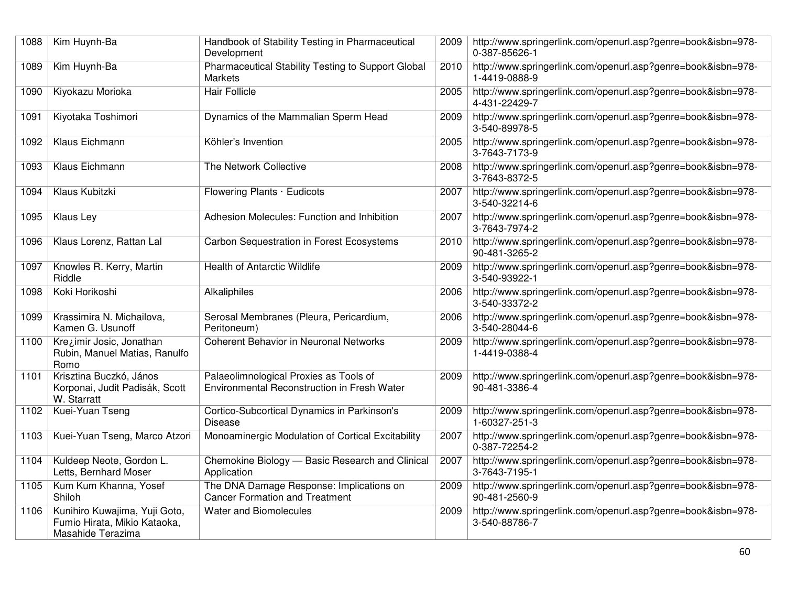| 1088 | Kim Huynh-Ba                                                                       | Handbook of Stability Testing in Pharmaceutical<br>Development                        | 2009 | http://www.springerlink.com/openurl.asp?genre=book&isbn=978-<br>0-387-85626-1 |
|------|------------------------------------------------------------------------------------|---------------------------------------------------------------------------------------|------|-------------------------------------------------------------------------------|
| 1089 | Kim Huynh-Ba                                                                       | Pharmaceutical Stability Testing to Support Global<br><b>Markets</b>                  | 2010 | http://www.springerlink.com/openurl.asp?genre=book&isbn=978-<br>1-4419-0888-9 |
| 1090 | Kiyokazu Morioka                                                                   | <b>Hair Follicle</b>                                                                  | 2005 | http://www.springerlink.com/openurl.asp?genre=book&isbn=978-<br>4-431-22429-7 |
| 1091 | Kiyotaka Toshimori                                                                 | Dynamics of the Mammalian Sperm Head                                                  | 2009 | http://www.springerlink.com/openurl.asp?genre=book&isbn=978-<br>3-540-89978-5 |
| 1092 | Klaus Eichmann                                                                     | Köhler's Invention                                                                    | 2005 | http://www.springerlink.com/openurl.asp?genre=book&isbn=978-<br>3-7643-7173-9 |
| 1093 | Klaus Eichmann                                                                     | The Network Collective                                                                | 2008 | http://www.springerlink.com/openurl.asp?genre=book&isbn=978-<br>3-7643-8372-5 |
| 1094 | <b>Klaus Kubitzki</b>                                                              | Flowering Plants · Eudicots                                                           | 2007 | http://www.springerlink.com/openurl.asp?genre=book&isbn=978-<br>3-540-32214-6 |
| 1095 | Klaus Ley                                                                          | Adhesion Molecules: Function and Inhibition                                           | 2007 | http://www.springerlink.com/openurl.asp?genre=book&isbn=978-<br>3-7643-7974-2 |
| 1096 | Klaus Lorenz, Rattan Lal                                                           | Carbon Sequestration in Forest Ecosystems                                             | 2010 | http://www.springerlink.com/openurl.asp?genre=book&isbn=978-<br>90-481-3265-2 |
| 1097 | Knowles R. Kerry, Martin<br>Riddle                                                 | <b>Health of Antarctic Wildlife</b>                                                   | 2009 | http://www.springerlink.com/openurl.asp?genre=book&isbn=978-<br>3-540-93922-1 |
| 1098 | Koki Horikoshi                                                                     | Alkaliphiles                                                                          | 2006 | http://www.springerlink.com/openurl.asp?genre=book&isbn=978-<br>3-540-33372-2 |
| 1099 | Krassimira N. Michailova,<br>Kamen G. Usunoff                                      | Serosal Membranes (Pleura, Pericardium,<br>Peritoneum)                                | 2006 | http://www.springerlink.com/openurl.asp?genre=book&isbn=978-<br>3-540-28044-6 |
| 1100 | Krezimir Josic, Jonathan<br>Rubin, Manuel Matias, Ranulfo<br>Romo                  | Coherent Behavior in Neuronal Networks                                                | 2009 | http://www.springerlink.com/openurl.asp?genre=book&isbn=978-<br>1-4419-0388-4 |
| 1101 | Krisztina Buczkó, János<br>Korponai, Judit Padisák, Scott<br>W. Starratt           | Palaeolimnological Proxies as Tools of<br>Environmental Reconstruction in Fresh Water | 2009 | http://www.springerlink.com/openurl.asp?genre=book&isbn=978-<br>90-481-3386-4 |
| 1102 | Kuei-Yuan Tseng                                                                    | Cortico-Subcortical Dynamics in Parkinson's<br><b>Disease</b>                         | 2009 | http://www.springerlink.com/openurl.asp?genre=book&isbn=978-<br>1-60327-251-3 |
| 1103 | Kuei-Yuan Tseng, Marco Atzori                                                      | Monoaminergic Modulation of Cortical Excitability                                     | 2007 | http://www.springerlink.com/openurl.asp?genre=book&isbn=978-<br>0-387-72254-2 |
| 1104 | Kuldeep Neote, Gordon L.<br>Letts, Bernhard Moser                                  | Chemokine Biology - Basic Research and Clinical<br>Application                        | 2007 | http://www.springerlink.com/openurl.asp?genre=book&isbn=978-<br>3-7643-7195-1 |
| 1105 | Kum Kum Khanna, Yosef<br>Shiloh                                                    | The DNA Damage Response: Implications on<br><b>Cancer Formation and Treatment</b>     | 2009 | http://www.springerlink.com/openurl.asp?genre=book&isbn=978-<br>90-481-2560-9 |
| 1106 | Kunihiro Kuwajima, Yuji Goto,<br>Fumio Hirata, Mikio Kataoka,<br>Masahide Terazima | Water and Biomolecules                                                                | 2009 | http://www.springerlink.com/openurl.asp?genre=book&isbn=978-<br>3-540-88786-7 |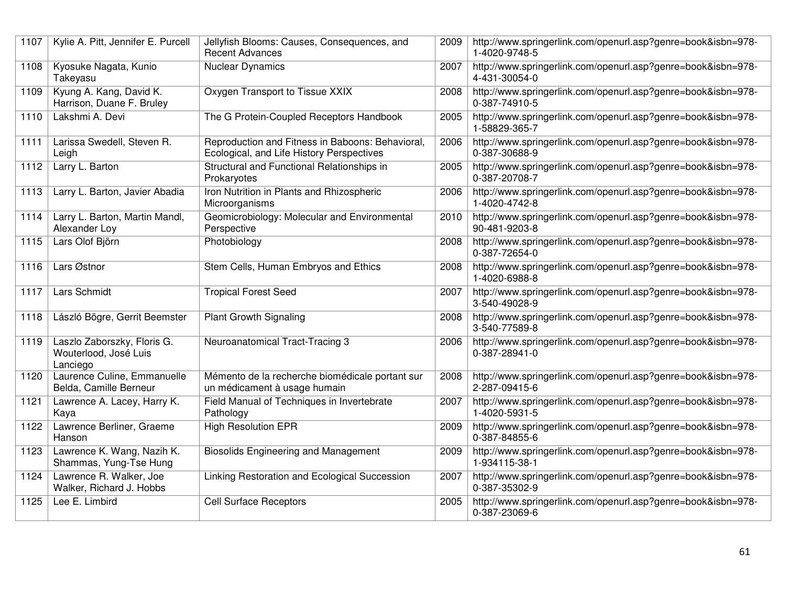| 1107 | Kylie A. Pitt, Jennifer E. Purcell                               | Jellyfish Blooms: Causes, Consequences, and<br><b>Recent Advances</b>                         | 2009 | http://www.springerlink.com/openurl.asp?genre=book&isbn=978-<br>1-4020-9748-5 |
|------|------------------------------------------------------------------|-----------------------------------------------------------------------------------------------|------|-------------------------------------------------------------------------------|
| 1108 | Kyosuke Nagata, Kunio<br>Takeyasu                                | <b>Nuclear Dynamics</b>                                                                       | 2007 | http://www.springerlink.com/openurl.asp?genre=book&isbn=978-<br>4-431-30054-0 |
| 1109 | Kyung A. Kang, David K.<br>Harrison, Duane F. Bruley             | Oxygen Transport to Tissue XXIX                                                               | 2008 | http://www.springerlink.com/openurl.asp?genre=book&isbn=978-<br>0-387-74910-5 |
| 1110 | Lakshmi A. Devi                                                  | The G Protein-Coupled Receptors Handbook                                                      | 2005 | http://www.springerlink.com/openurl.asp?genre=book&isbn=978-<br>1-58829-365-7 |
| 1111 | Larissa Swedell, Steven R.<br>Leigh                              | Reproduction and Fitness in Baboons: Behavioral,<br>Ecological, and Life History Perspectives | 2006 | http://www.springerlink.com/openurl.asp?genre=book&isbn=978-<br>0-387-30688-9 |
| 1112 | Larry L. Barton                                                  | Structural and Functional Relationships in<br>Prokaryotes                                     | 2005 | http://www.springerlink.com/openurl.asp?genre=book&isbn=978-<br>0-387-20708-7 |
| 1113 | Larry L. Barton, Javier Abadia                                   | Iron Nutrition in Plants and Rhizospheric<br>Microorganisms                                   | 2006 | http://www.springerlink.com/openurl.asp?genre=book&isbn=978-<br>1-4020-4742-8 |
| 1114 | Larry L. Barton, Martin Mandl,<br>Alexander Loy                  | Geomicrobiology: Molecular and Environmental<br>Perspective                                   | 2010 | http://www.springerlink.com/openurl.asp?genre=book&isbn=978-<br>90-481-9203-8 |
| 1115 | Lars Olof Björn                                                  | Photobiology                                                                                  | 2008 | http://www.springerlink.com/openurl.asp?genre=book&isbn=978-<br>0-387-72654-0 |
| 1116 | Lars Østnor                                                      | Stem Cells, Human Embryos and Ethics                                                          | 2008 | http://www.springerlink.com/openurl.asp?genre=book&isbn=978-<br>1-4020-6988-8 |
| 1117 | Lars Schmidt                                                     | <b>Tropical Forest Seed</b>                                                                   | 2007 | http://www.springerlink.com/openurl.asp?genre=book&isbn=978-<br>3-540-49028-9 |
| 1118 | László Bögre, Gerrit Beemster                                    | <b>Plant Growth Signaling</b>                                                                 | 2008 | http://www.springerlink.com/openurl.asp?genre=book&isbn=978-<br>3-540-77589-8 |
| 1119 | Laszlo Zaborszky, Floris G.<br>Wouterlood, José Luis<br>Lanciego | Neuroanatomical Tract-Tracing 3                                                               | 2006 | http://www.springerlink.com/openurl.asp?genre=book&isbn=978-<br>0-387-28941-0 |
| 1120 | Laurence Culine, Emmanuelle<br>Belda, Camille Berneur            | Mémento de la recherche biomédicale portant sur<br>un médicament à usage humain               | 2008 | http://www.springerlink.com/openurl.asp?genre=book&isbn=978-<br>2-287-09415-6 |
| 1121 | Lawrence A. Lacey, Harry K.<br>Kaya                              | Field Manual of Techniques in Invertebrate<br>Pathology                                       | 2007 | http://www.springerlink.com/openurl.asp?genre=book&isbn=978-<br>1-4020-5931-5 |
| 1122 | Lawrence Berliner, Graeme<br>Hanson                              | <b>High Resolution EPR</b>                                                                    | 2009 | http://www.springerlink.com/openurl.asp?genre=book&isbn=978-<br>0-387-84855-6 |
| 1123 | Lawrence K. Wang, Nazih K.<br>Shammas, Yung-Tse Hung             | <b>Biosolids Engineering and Management</b>                                                   | 2009 | http://www.springerlink.com/openurl.asp?genre=book&isbn=978-<br>1-934115-38-1 |
| 1124 | Lawrence R. Walker, Joe<br>Walker, Richard J. Hobbs              | Linking Restoration and Ecological Succession                                                 | 2007 | http://www.springerlink.com/openurl.asp?genre=book&isbn=978-<br>0-387-35302-9 |
| 1125 | Lee E. Limbird                                                   | <b>Cell Surface Receptors</b>                                                                 | 2005 | http://www.springerlink.com/openurl.asp?genre=book&isbn=978-<br>0-387-23069-6 |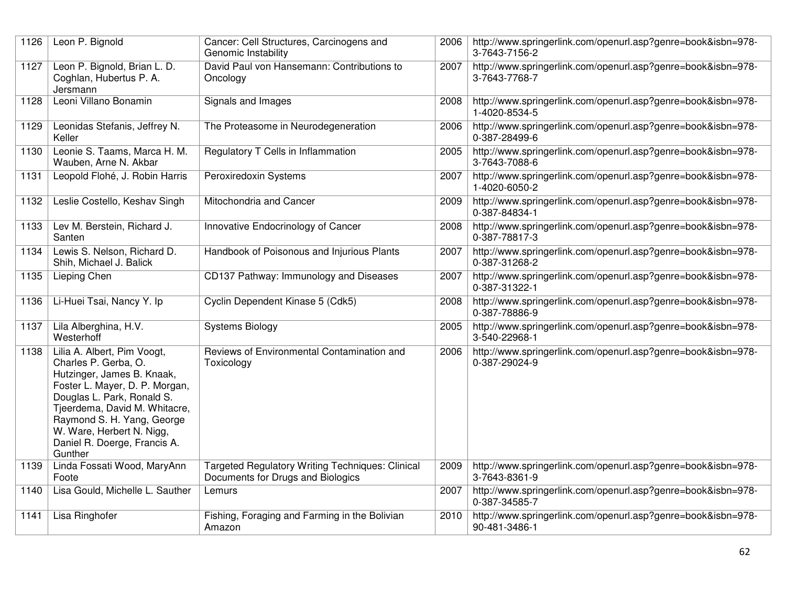| 1126 | Leon P. Bignold                                                                                                                                                                                                                                                                          | Cancer: Cell Structures, Carcinogens and<br>Genomic Instability                              | 2006 | http://www.springerlink.com/openurl.asp?genre=book&isbn=978-<br>3-7643-7156-2 |
|------|------------------------------------------------------------------------------------------------------------------------------------------------------------------------------------------------------------------------------------------------------------------------------------------|----------------------------------------------------------------------------------------------|------|-------------------------------------------------------------------------------|
| 1127 | Leon P. Bignold, Brian L. D.<br>Coghlan, Hubertus P. A.<br>Jersmann                                                                                                                                                                                                                      | David Paul von Hansemann: Contributions to<br>Oncology                                       | 2007 | http://www.springerlink.com/openurl.asp?genre=book&isbn=978-<br>3-7643-7768-7 |
| 1128 | Leoni Villano Bonamin                                                                                                                                                                                                                                                                    | Signals and Images                                                                           | 2008 | http://www.springerlink.com/openurl.asp?genre=book&isbn=978-<br>1-4020-8534-5 |
| 1129 | Leonidas Stefanis, Jeffrey N.<br>Keller                                                                                                                                                                                                                                                  | The Proteasome in Neurodegeneration                                                          | 2006 | http://www.springerlink.com/openurl.asp?genre=book&isbn=978-<br>0-387-28499-6 |
| 1130 | Leonie S. Taams, Marca H. M.<br>Wauben, Arne N. Akbar                                                                                                                                                                                                                                    | Regulatory T Cells in Inflammation                                                           | 2005 | http://www.springerlink.com/openurl.asp?genre=book&isbn=978-<br>3-7643-7088-6 |
| 1131 | Leopold Flohé, J. Robin Harris                                                                                                                                                                                                                                                           | Peroxiredoxin Systems                                                                        | 2007 | http://www.springerlink.com/openurl.asp?genre=book&isbn=978-<br>1-4020-6050-2 |
| 1132 | Leslie Costello, Keshav Singh                                                                                                                                                                                                                                                            | Mitochondria and Cancer                                                                      | 2009 | http://www.springerlink.com/openurl.asp?genre=book&isbn=978-<br>0-387-84834-1 |
| 1133 | Lev M. Berstein, Richard J.<br>Santen                                                                                                                                                                                                                                                    | Innovative Endocrinology of Cancer                                                           | 2008 | http://www.springerlink.com/openurl.asp?genre=book&isbn=978-<br>0-387-78817-3 |
| 1134 | Lewis S. Nelson, Richard D.<br>Shih, Michael J. Balick                                                                                                                                                                                                                                   | Handbook of Poisonous and Injurious Plants                                                   | 2007 | http://www.springerlink.com/openurl.asp?genre=book&isbn=978-<br>0-387-31268-2 |
| 1135 | Lieping Chen                                                                                                                                                                                                                                                                             | CD137 Pathway: Immunology and Diseases                                                       | 2007 | http://www.springerlink.com/openurl.asp?genre=book&isbn=978-<br>0-387-31322-1 |
| 1136 | Li-Huei Tsai, Nancy Y. Ip                                                                                                                                                                                                                                                                | Cyclin Dependent Kinase 5 (Cdk5)                                                             | 2008 | http://www.springerlink.com/openurl.asp?genre=book&isbn=978-<br>0-387-78886-9 |
| 1137 | Lila Alberghina, H.V.<br>Westerhoff                                                                                                                                                                                                                                                      | <b>Systems Biology</b>                                                                       | 2005 | http://www.springerlink.com/openurl.asp?genre=book&isbn=978-<br>3-540-22968-1 |
| 1138 | Lilia A. Albert, Pim Voogt,<br>Charles P. Gerba, O.<br>Hutzinger, James B. Knaak,<br>Foster L. Mayer, D. P. Morgan,<br>Douglas L. Park, Ronald S.<br>Tjeerdema, David M. Whitacre,<br>Raymond S. H. Yang, George<br>W. Ware, Herbert N. Nigg,<br>Daniel R. Doerge, Francis A.<br>Gunther | Reviews of Environmental Contamination and<br>Toxicology                                     | 2006 | http://www.springerlink.com/openurl.asp?genre=book&isbn=978-<br>0-387-29024-9 |
| 1139 | Linda Fossati Wood, MaryAnn<br>Foote                                                                                                                                                                                                                                                     | <b>Targeted Regulatory Writing Techniques: Clinical</b><br>Documents for Drugs and Biologics | 2009 | http://www.springerlink.com/openurl.asp?genre=book&isbn=978-<br>3-7643-8361-9 |
| 1140 | Lisa Gould, Michelle L. Sauther                                                                                                                                                                                                                                                          | Lemurs                                                                                       | 2007 | http://www.springerlink.com/openurl.asp?genre=book&isbn=978-<br>0-387-34585-7 |
| 1141 | Lisa Ringhofer                                                                                                                                                                                                                                                                           | Fishing, Foraging and Farming in the Bolivian<br>Amazon                                      | 2010 | http://www.springerlink.com/openurl.asp?genre=book&isbn=978-<br>90-481-3486-1 |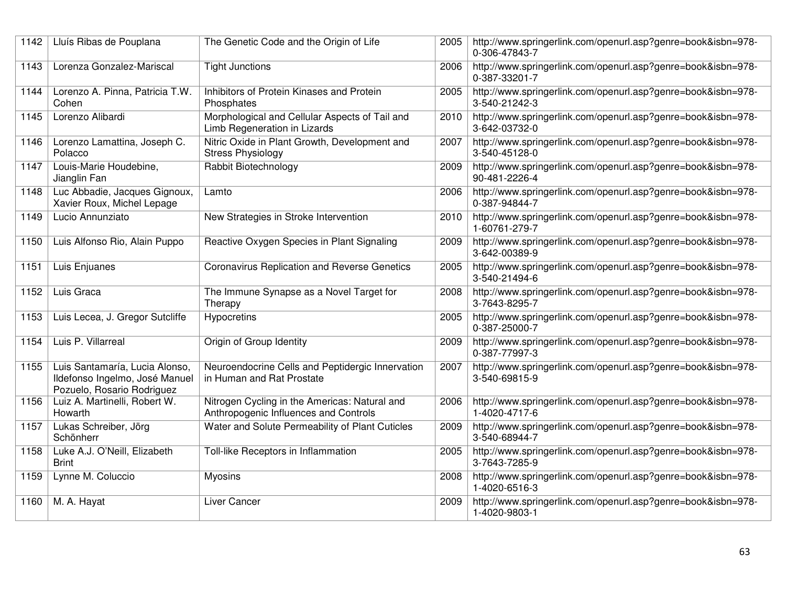| 1142 | Lluís Ribas de Pouplana                                                                        | The Genetic Code and the Origin of Life                                                | 2005 | http://www.springerlink.com/openurl.asp?genre=book&isbn=978-<br>0-306-47843-7 |
|------|------------------------------------------------------------------------------------------------|----------------------------------------------------------------------------------------|------|-------------------------------------------------------------------------------|
| 1143 | Lorenza Gonzalez-Mariscal                                                                      | <b>Tight Junctions</b>                                                                 | 2006 | http://www.springerlink.com/openurl.asp?genre=book&isbn=978-<br>0-387-33201-7 |
| 1144 | Lorenzo A. Pinna, Patricia T.W.<br>Cohen                                                       | Inhibitors of Protein Kinases and Protein<br>Phosphates                                | 2005 | http://www.springerlink.com/openurl.asp?genre=book&isbn=978-<br>3-540-21242-3 |
| 1145 | Lorenzo Alibardi                                                                               | Morphological and Cellular Aspects of Tail and<br>Limb Regeneration in Lizards         | 2010 | http://www.springerlink.com/openurl.asp?genre=book&isbn=978-<br>3-642-03732-0 |
| 1146 | Lorenzo Lamattina, Joseph C.<br>Polacco                                                        | Nitric Oxide in Plant Growth, Development and<br><b>Stress Physiology</b>              | 2007 | http://www.springerlink.com/openurl.asp?genre=book&isbn=978-<br>3-540-45128-0 |
| 1147 | Louis-Marie Houdebine,<br>Jianglin Fan                                                         | Rabbit Biotechnology                                                                   | 2009 | http://www.springerlink.com/openurl.asp?genre=book&isbn=978-<br>90-481-2226-4 |
| 1148 | Luc Abbadie, Jacques Gignoux,<br>Xavier Roux, Michel Lepage                                    | Lamto                                                                                  | 2006 | http://www.springerlink.com/openurl.asp?genre=book&isbn=978-<br>0-387-94844-7 |
| 1149 | Lucio Annunziato                                                                               | New Strategies in Stroke Intervention                                                  | 2010 | http://www.springerlink.com/openurl.asp?genre=book&isbn=978-<br>1-60761-279-7 |
| 1150 | Luis Alfonso Rio, Alain Puppo                                                                  | Reactive Oxygen Species in Plant Signaling                                             | 2009 | http://www.springerlink.com/openurl.asp?genre=book&isbn=978-<br>3-642-00389-9 |
| 1151 | Luis Enjuanes                                                                                  | <b>Coronavirus Replication and Reverse Genetics</b>                                    | 2005 | http://www.springerlink.com/openurl.asp?genre=book&isbn=978-<br>3-540-21494-6 |
| 1152 | Luis Graca                                                                                     | The Immune Synapse as a Novel Target for<br>Therapy                                    | 2008 | http://www.springerlink.com/openurl.asp?genre=book&isbn=978-<br>3-7643-8295-7 |
| 1153 | Luis Lecea, J. Gregor Sutcliffe                                                                | Hypocretins                                                                            | 2005 | http://www.springerlink.com/openurl.asp?genre=book&isbn=978-<br>0-387-25000-7 |
| 1154 | Luis P. Villarreal                                                                             | Origin of Group Identity                                                               | 2009 | http://www.springerlink.com/openurl.asp?genre=book&isbn=978-<br>0-387-77997-3 |
| 1155 | Luis Santamaría, Lucia Alonso,<br>Ildefonso Ingelmo, José Manuel<br>Pozuelo, Rosario Rodriguez | Neuroendocrine Cells and Peptidergic Innervation<br>in Human and Rat Prostate          | 2007 | http://www.springerlink.com/openurl.asp?genre=book&isbn=978-<br>3-540-69815-9 |
| 1156 | Luiz A. Martinelli, Robert W.<br>Howarth                                                       | Nitrogen Cycling in the Americas: Natural and<br>Anthropogenic Influences and Controls | 2006 | http://www.springerlink.com/openurl.asp?genre=book&isbn=978-<br>1-4020-4717-6 |
| 1157 | Lukas Schreiber, Jörg<br>Schönherr                                                             | Water and Solute Permeability of Plant Cuticles                                        | 2009 | http://www.springerlink.com/openurl.asp?genre=book&isbn=978-<br>3-540-68944-7 |
| 1158 | Luke A.J. O'Neill, Elizabeth<br><b>Brint</b>                                                   | Toll-like Receptors in Inflammation                                                    | 2005 | http://www.springerlink.com/openurl.asp?genre=book&isbn=978-<br>3-7643-7285-9 |
| 1159 | Lynne M. Coluccio                                                                              | <b>Myosins</b>                                                                         | 2008 | http://www.springerlink.com/openurl.asp?genre=book&isbn=978-<br>1-4020-6516-3 |
| 1160 | M. A. Hayat                                                                                    | Liver Cancer                                                                           | 2009 | http://www.springerlink.com/openurl.asp?genre=book&isbn=978-<br>1-4020-9803-1 |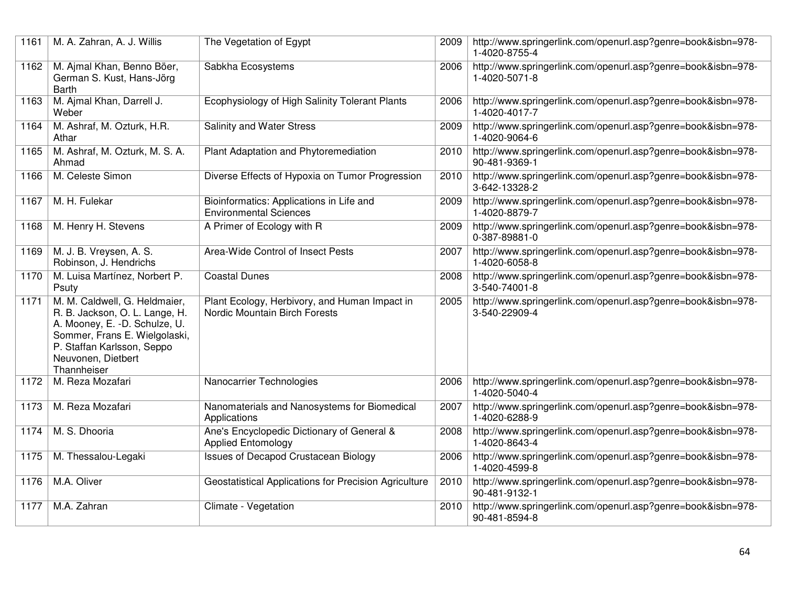| 1161 | M. A. Zahran, A. J. Willis                                                                                                                                                                           | The Vegetation of Egypt                                                        | 2009 | http://www.springerlink.com/openurl.asp?genre=book&isbn=978-<br>1-4020-8755-4   |
|------|------------------------------------------------------------------------------------------------------------------------------------------------------------------------------------------------------|--------------------------------------------------------------------------------|------|---------------------------------------------------------------------------------|
| 1162 | M. Ajmal Khan, Benno Böer,<br>German S. Kust, Hans-Jörg<br>Barth                                                                                                                                     | Sabkha Ecosystems                                                              | 2006 | http://www.springerlink.com/openurl.asp?genre=book&isbn=978-<br>1-4020-5071-8   |
| 1163 | M. Ajmal Khan, Darrell J.<br>Weber                                                                                                                                                                   | Ecophysiology of High Salinity Tolerant Plants                                 | 2006 | http://www.springerlink.com/openurl.asp?genre=book&isbn=978-<br>1-4020-4017-7   |
| 1164 | M. Ashraf, M. Ozturk, H.R.<br>Athar                                                                                                                                                                  | <b>Salinity and Water Stress</b>                                               | 2009 | http://www.springerlink.com/openurl.asp?genre=book&isbn=978-<br>1-4020-9064-6   |
| 1165 | M. Ashraf, M. Ozturk, M. S. A.<br>Ahmad                                                                                                                                                              | Plant Adaptation and Phytoremediation                                          | 2010 | http://www.springerlink.com/openurl.asp?genre=book&isbn=978-<br>90-481-9369-1   |
| 1166 | M. Celeste Simon                                                                                                                                                                                     | Diverse Effects of Hypoxia on Tumor Progression                                | 2010 | http://www.springerlink.com/openurl.asp?genre=book&isbn=978-<br>3-642-13328-2   |
| 1167 | M. H. Fulekar                                                                                                                                                                                        | Bioinformatics: Applications in Life and<br><b>Environmental Sciences</b>      | 2009 | http://www.springerlink.com/openurl.asp?genre=book&isbn=978-<br>1-4020-8879-7   |
| 1168 | M. Henry H. Stevens                                                                                                                                                                                  | A Primer of Ecology with R                                                     | 2009 | http://www.springerlink.com/openurl.asp?genre=book&isbn=978-<br>0-387-89881-0   |
| 1169 | M. J. B. Vreysen, A. S.<br>Robinson, J. Hendrichs                                                                                                                                                    | Area-Wide Control of Insect Pests                                              | 2007 | http://www.springerlink.com/openurl.asp?genre=book&isbn=978-<br>1-4020-6058-8   |
| 1170 | M. Luisa Martínez, Norbert P.<br>Psuty                                                                                                                                                               | <b>Coastal Dunes</b>                                                           | 2008 | http://www.springerlink.com/openurl.asp?genre=book&isbn=978-<br>$3-540-74001-8$ |
| 1171 | M. M. Caldwell, G. Heldmaier,<br>R. B. Jackson, O. L. Lange, H.<br>A. Mooney, E. -D. Schulze, U.<br>Sommer, Frans E. Wielgolaski,<br>P. Staffan Karlsson, Seppo<br>Neuvonen, Dietbert<br>Thannheiser | Plant Ecology, Herbivory, and Human Impact in<br>Nordic Mountain Birch Forests | 2005 | http://www.springerlink.com/openurl.asp?genre=book&isbn=978-<br>3-540-22909-4   |
| 1172 | M. Reza Mozafari                                                                                                                                                                                     | Nanocarrier Technologies                                                       | 2006 | http://www.springerlink.com/openurl.asp?genre=book&isbn=978-<br>1-4020-5040-4   |
| 1173 | M. Reza Mozafari                                                                                                                                                                                     | Nanomaterials and Nanosystems for Biomedical<br>Applications                   | 2007 | http://www.springerlink.com/openurl.asp?genre=book&isbn=978-<br>1-4020-6288-9   |
| 1174 | M. S. Dhooria                                                                                                                                                                                        | Ane's Encyclopedic Dictionary of General &<br><b>Applied Entomology</b>        | 2008 | http://www.springerlink.com/openurl.asp?genre=book&isbn=978-<br>1-4020-8643-4   |
| 1175 | M. Thessalou-Legaki                                                                                                                                                                                  | <b>Issues of Decapod Crustacean Biology</b>                                    | 2006 | http://www.springerlink.com/openurl.asp?genre=book&isbn=978-<br>1-4020-4599-8   |
| 1176 | M.A. Oliver                                                                                                                                                                                          | Geostatistical Applications for Precision Agriculture                          | 2010 | http://www.springerlink.com/openurl.asp?genre=book&isbn=978-<br>90-481-9132-1   |
| 1177 | M.A. Zahran                                                                                                                                                                                          | Climate - Vegetation                                                           | 2010 | http://www.springerlink.com/openurl.asp?genre=book&isbn=978-<br>90-481-8594-8   |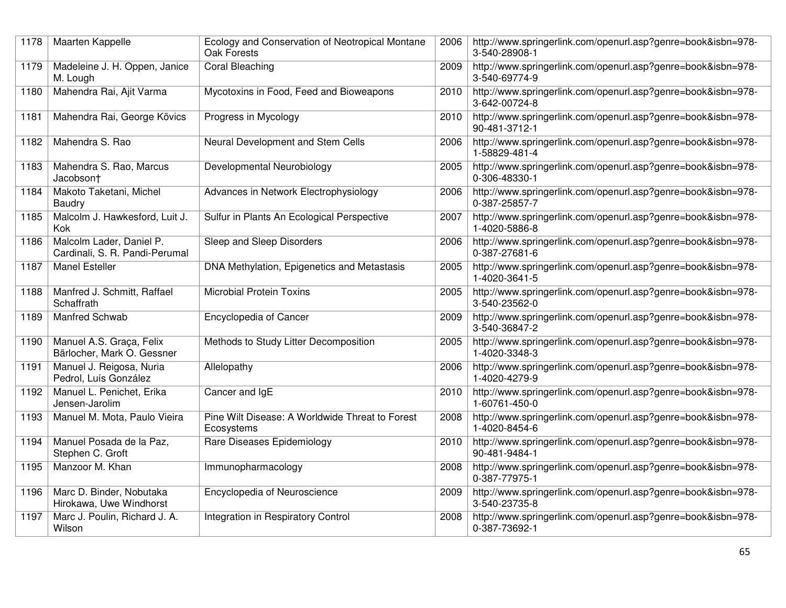| 1178 | Maarten Kappelle                                           | Ecology and Conservation of Neotropical Montane<br>Oak Forests | 2006 | http://www.springerlink.com/openurl.asp?genre=book&isbn=978-<br>3-540-28908-1 |
|------|------------------------------------------------------------|----------------------------------------------------------------|------|-------------------------------------------------------------------------------|
| 1179 | Madeleine J. H. Oppen, Janice<br>M. Lough                  | <b>Coral Bleaching</b>                                         | 2009 | http://www.springerlink.com/openurl.asp?genre=book&isbn=978-<br>3-540-69774-9 |
| 1180 | Mahendra Rai, Ajit Varma                                   | Mycotoxins in Food, Feed and Bioweapons                        | 2010 | http://www.springerlink.com/openurl.asp?genre=book&isbn=978-<br>3-642-00724-8 |
| 1181 | Mahendra Rai, George Kövics                                | Progress in Mycology                                           | 2010 | http://www.springerlink.com/openurl.asp?genre=book&isbn=978-<br>90-481-3712-1 |
| 1182 | Mahendra S. Rao                                            | Neural Development and Stem Cells                              | 2006 | http://www.springerlink.com/openurl.asp?genre=book&isbn=978-<br>1-58829-481-4 |
| 1183 | Mahendra S. Rao, Marcus<br>Jacobsont                       | Developmental Neurobiology                                     | 2005 | http://www.springerlink.com/openurl.asp?genre=book&isbn=978-<br>0-306-48330-1 |
| 1184 | Makoto Taketani, Michel<br>Baudry                          | Advances in Network Electrophysiology                          | 2006 | http://www.springerlink.com/openurl.asp?genre=book&isbn=978-<br>0-387-25857-7 |
| 1185 | Malcolm J. Hawkesford, Luit J.<br>Kok                      | Sulfur in Plants An Ecological Perspective                     | 2007 | http://www.springerlink.com/openurl.asp?genre=book&isbn=978-<br>1-4020-5886-8 |
| 1186 | Malcolm Lader, Daniel P.<br>Cardinali, S. R. Pandi-Perumal | Sleep and Sleep Disorders                                      | 2006 | http://www.springerlink.com/openurl.asp?genre=book&isbn=978-<br>0-387-27681-6 |
| 1187 | <b>Manel Esteller</b>                                      | DNA Methylation, Epigenetics and Metastasis                    | 2005 | http://www.springerlink.com/openurl.asp?genre=book&isbn=978-<br>1-4020-3641-5 |
| 1188 | Manfred J. Schmitt, Raffael<br>Schaffrath                  | <b>Microbial Protein Toxins</b>                                | 2005 | http://www.springerlink.com/openurl.asp?genre=book&isbn=978-<br>3-540-23562-0 |
| 1189 | Manfred Schwab                                             | Encyclopedia of Cancer                                         | 2009 | http://www.springerlink.com/openurl.asp?genre=book&isbn=978-<br>3-540-36847-2 |
| 1190 | Manuel A.S. Graça, Felix<br>Bärlocher, Mark O. Gessner     | Methods to Study Litter Decomposition                          | 2005 | http://www.springerlink.com/openurl.asp?genre=book&isbn=978-<br>1-4020-3348-3 |
| 1191 | Manuel J. Reigosa, Nuria<br>Pedrol, Luís González          | Allelopathy                                                    | 2006 | http://www.springerlink.com/openurl.asp?genre=book&isbn=978-<br>1-4020-4279-9 |
| 1192 | Manuel L. Penichet, Erika<br>Jensen-Jarolim                | Cancer and IgE                                                 | 2010 | http://www.springerlink.com/openurl.asp?genre=book&isbn=978-<br>1-60761-450-0 |
| 1193 | Manuel M. Mota, Paulo Vieira                               | Pine Wilt Disease: A Worldwide Threat to Forest<br>Ecosystems  | 2008 | http://www.springerlink.com/openurl.asp?genre=book&isbn=978-<br>1-4020-8454-6 |
| 1194 | Manuel Posada de la Paz,<br>Stephen C. Groft               | Rare Diseases Epidemiology                                     | 2010 | http://www.springerlink.com/openurl.asp?genre=book&isbn=978-<br>90-481-9484-1 |
| 1195 | Manzoor M. Khan                                            | Immunopharmacology                                             | 2008 | http://www.springerlink.com/openurl.asp?genre=book&isbn=978-<br>0-387-77975-1 |
| 1196 | Marc D. Binder, Nobutaka<br>Hirokawa, Uwe Windhorst        | Encyclopedia of Neuroscience                                   | 2009 | http://www.springerlink.com/openurl.asp?genre=book&isbn=978-<br>3-540-23735-8 |
| 1197 | Marc J. Poulin, Richard J. A.<br>Wilson                    | Integration in Respiratory Control                             | 2008 | http://www.springerlink.com/openurl.asp?genre=book&isbn=978-<br>0-387-73692-1 |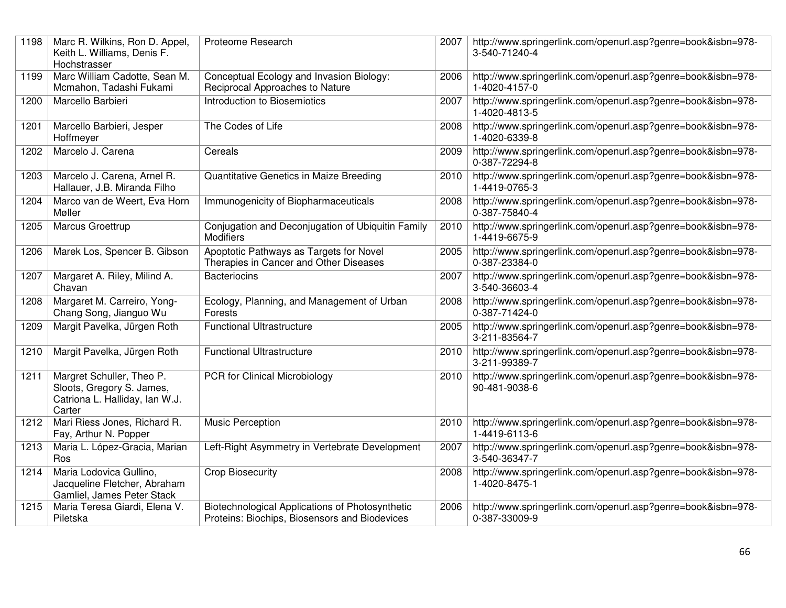| 1198 | Marc R. Wilkins, Ron D. Appel,<br>Keith L. Williams, Denis F.<br>Hochstrasser                      | Proteome Research                                                                                | 2007 | http://www.springerlink.com/openurl.asp?genre=book&isbn=978-<br>3-540-71240-4 |
|------|----------------------------------------------------------------------------------------------------|--------------------------------------------------------------------------------------------------|------|-------------------------------------------------------------------------------|
| 1199 | Marc William Cadotte, Sean M.<br>Mcmahon, Tadashi Fukami                                           | Conceptual Ecology and Invasion Biology:<br>Reciprocal Approaches to Nature                      | 2006 | http://www.springerlink.com/openurl.asp?genre=book&isbn=978-<br>1-4020-4157-0 |
| 1200 | Marcello Barbieri                                                                                  | Introduction to Biosemiotics                                                                     | 2007 | http://www.springerlink.com/openurl.asp?genre=book&isbn=978-<br>1-4020-4813-5 |
| 1201 | Marcello Barbieri, Jesper<br>Hoffmeyer                                                             | The Codes of Life                                                                                | 2008 | http://www.springerlink.com/openurl.asp?genre=book&isbn=978-<br>1-4020-6339-8 |
| 1202 | Marcelo J. Carena                                                                                  | Cereals                                                                                          | 2009 | http://www.springerlink.com/openurl.asp?genre=book&isbn=978-<br>0-387-72294-8 |
| 1203 | Marcelo J. Carena, Arnel R.<br>Hallauer, J.B. Miranda Filho                                        | Quantitative Genetics in Maize Breeding                                                          | 2010 | http://www.springerlink.com/openurl.asp?genre=book&isbn=978-<br>1-4419-0765-3 |
| 1204 | Marco van de Weert, Eva Horn<br>Møller                                                             | Immunogenicity of Biopharmaceuticals                                                             | 2008 | http://www.springerlink.com/openurl.asp?genre=book&isbn=978-<br>0-387-75840-4 |
| 1205 | Marcus Groettrup                                                                                   | Conjugation and Deconjugation of Ubiquitin Family<br><b>Modifiers</b>                            | 2010 | http://www.springerlink.com/openurl.asp?genre=book&isbn=978-<br>1-4419-6675-9 |
| 1206 | Marek Los, Spencer B. Gibson                                                                       | Apoptotic Pathways as Targets for Novel<br>Therapies in Cancer and Other Diseases                | 2005 | http://www.springerlink.com/openurl.asp?genre=book&isbn=978-<br>0-387-23384-0 |
| 1207 | Margaret A. Riley, Milind A.<br>Chavan                                                             | <b>Bacteriocins</b>                                                                              | 2007 | http://www.springerlink.com/openurl.asp?genre=book&isbn=978-<br>3-540-36603-4 |
| 1208 | Margaret M. Carreiro, Yong-<br>Chang Song, Jianguo Wu                                              | Ecology, Planning, and Management of Urban<br>Forests                                            | 2008 | http://www.springerlink.com/openurl.asp?genre=book&isbn=978-<br>0-387-71424-0 |
| 1209 | Margit Pavelka, Jürgen Roth                                                                        | <b>Functional Ultrastructure</b>                                                                 | 2005 | http://www.springerlink.com/openurl.asp?genre=book&isbn=978-<br>3-211-83564-7 |
| 1210 | Margit Pavelka, Jürgen Roth                                                                        | <b>Functional Ultrastructure</b>                                                                 | 2010 | http://www.springerlink.com/openurl.asp?genre=book&isbn=978-<br>3-211-99389-7 |
| 1211 | Margret Schuller, Theo P.<br>Sloots, Gregory S. James,<br>Catriona L. Halliday, Ian W.J.<br>Carter | PCR for Clinical Microbiology                                                                    | 2010 | http://www.springerlink.com/openurl.asp?genre=book&isbn=978-<br>90-481-9038-6 |
| 1212 | Mari Riess Jones, Richard R.<br>Fay, Arthur N. Popper                                              | Music Perception                                                                                 | 2010 | http://www.springerlink.com/openurl.asp?genre=book&isbn=978-<br>1-4419-6113-6 |
| 1213 | Maria L. López-Gracia, Marian<br>Ros                                                               | Left-Right Asymmetry in Vertebrate Development                                                   | 2007 | http://www.springerlink.com/openurl.asp?genre=book&isbn=978-<br>3-540-36347-7 |
| 1214 | Maria Lodovica Gullino,<br>Jacqueline Fletcher, Abraham<br>Gamliel, James Peter Stack              | <b>Crop Biosecurity</b>                                                                          | 2008 | http://www.springerlink.com/openurl.asp?genre=book&isbn=978-<br>1-4020-8475-1 |
| 1215 | Maria Teresa Giardi, Elena V.<br>Piletska                                                          | Biotechnological Applications of Photosynthetic<br>Proteins: Biochips, Biosensors and Biodevices | 2006 | http://www.springerlink.com/openurl.asp?genre=book&isbn=978-<br>0-387-33009-9 |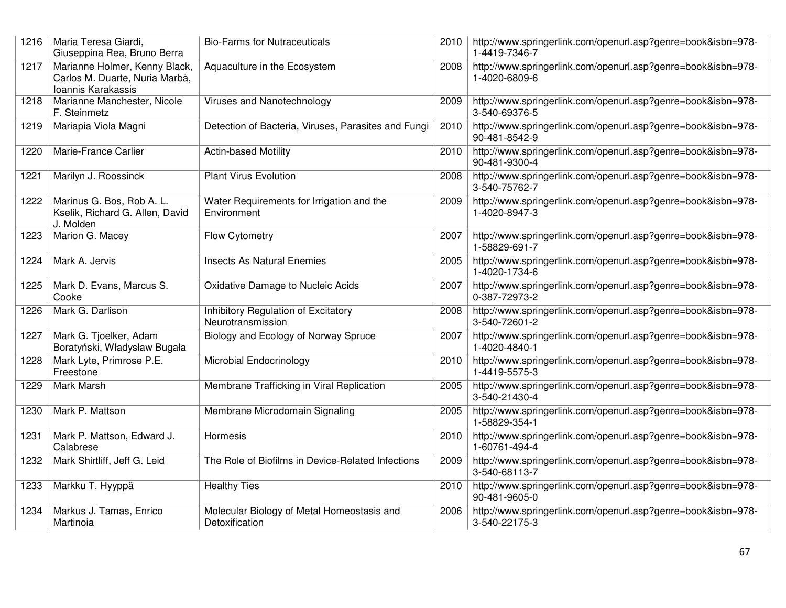| 1216 | Maria Teresa Giardi,<br>Giuseppina Rea, Bruno Berra                                   | <b>Bio-Farms for Nutraceuticals</b>                          | 2010 | http://www.springerlink.com/openurl.asp?genre=book&isbn=978-<br>1-4419-7346-7 |
|------|---------------------------------------------------------------------------------------|--------------------------------------------------------------|------|-------------------------------------------------------------------------------|
| 1217 | Marianne Holmer, Kenny Black,<br>Carlos M. Duarte, Nuria Marbà,<br>Ioannis Karakassis | Aquaculture in the Ecosystem                                 | 2008 | http://www.springerlink.com/openurl.asp?genre=book&isbn=978-<br>1-4020-6809-6 |
| 1218 | Marianne Manchester, Nicole<br>F. Steinmetz                                           | Viruses and Nanotechnology                                   | 2009 | http://www.springerlink.com/openurl.asp?genre=book&isbn=978-<br>3-540-69376-5 |
| 1219 | Mariapia Viola Magni                                                                  | Detection of Bacteria, Viruses, Parasites and Fungi          | 2010 | http://www.springerlink.com/openurl.asp?genre=book&isbn=978-<br>90-481-8542-9 |
| 1220 | Marie-France Carlier                                                                  | <b>Actin-based Motility</b>                                  | 2010 | http://www.springerlink.com/openurl.asp?genre=book&isbn=978-<br>90-481-9300-4 |
| 1221 | Marilyn J. Roossinck                                                                  | <b>Plant Virus Evolution</b>                                 | 2008 | http://www.springerlink.com/openurl.asp?genre=book&isbn=978-<br>3-540-75762-7 |
| 1222 | Marinus G. Bos, Rob A. L.<br>Kselik, Richard G. Allen, David<br>J. Molden             | Water Requirements for Irrigation and the<br>Environment     | 2009 | http://www.springerlink.com/openurl.asp?genre=book&isbn=978-<br>1-4020-8947-3 |
| 1223 | Marion G. Macey                                                                       | Flow Cytometry                                               | 2007 | http://www.springerlink.com/openurl.asp?genre=book&isbn=978-<br>1-58829-691-7 |
| 1224 | Mark A. Jervis                                                                        | <b>Insects As Natural Enemies</b>                            | 2005 | http://www.springerlink.com/openurl.asp?genre=book&isbn=978-<br>1-4020-1734-6 |
| 1225 | Mark D. Evans, Marcus S.<br>Cooke                                                     | <b>Oxidative Damage to Nucleic Acids</b>                     | 2007 | http://www.springerlink.com/openurl.asp?genre=book&isbn=978-<br>0-387-72973-2 |
| 1226 | Mark G. Darlison                                                                      | Inhibitory Regulation of Excitatory<br>Neurotransmission     | 2008 | http://www.springerlink.com/openurl.asp?genre=book&isbn=978-<br>3-540-72601-2 |
| 1227 | Mark G. Tjoelker, Adam<br>Boratyński, Władysław Bugała                                | Biology and Ecology of Norway Spruce                         | 2007 | http://www.springerlink.com/openurl.asp?genre=book&isbn=978-<br>1-4020-4840-1 |
| 1228 | Mark Lyte, Primrose P.E.<br>Freestone                                                 | Microbial Endocrinology                                      | 2010 | http://www.springerlink.com/openurl.asp?genre=book&isbn=978-<br>1-4419-5575-3 |
| 1229 | <b>Mark Marsh</b>                                                                     | Membrane Trafficking in Viral Replication                    | 2005 | http://www.springerlink.com/openurl.asp?genre=book&isbn=978-<br>3-540-21430-4 |
| 1230 | Mark P. Mattson                                                                       | Membrane Microdomain Signaling                               | 2005 | http://www.springerlink.com/openurl.asp?genre=book&isbn=978-<br>1-58829-354-1 |
| 1231 | Mark P. Mattson, Edward J.<br>Calabrese                                               | Hormesis                                                     | 2010 | http://www.springerlink.com/openurl.asp?genre=book&isbn=978-<br>1-60761-494-4 |
| 1232 | Mark Shirtliff, Jeff G. Leid                                                          | The Role of Biofilms in Device-Related Infections            | 2009 | http://www.springerlink.com/openurl.asp?genre=book&isbn=978-<br>3-540-68113-7 |
| 1233 | Markku T. Hyyppä                                                                      | <b>Healthy Ties</b>                                          | 2010 | http://www.springerlink.com/openurl.asp?genre=book&isbn=978-<br>90-481-9605-0 |
| 1234 | Markus J. Tamas, Enrico<br>Martinoia                                                  | Molecular Biology of Metal Homeostasis and<br>Detoxification | 2006 | http://www.springerlink.com/openurl.asp?genre=book&isbn=978-<br>3-540-22175-3 |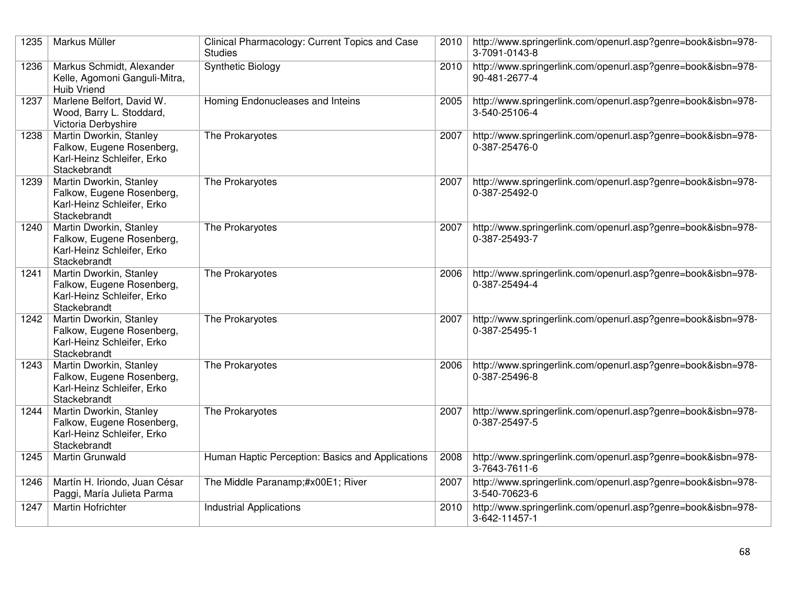| 1235 | Markus Müller                                                                                      | Clinical Pharmacology: Current Topics and Case<br><b>Studies</b> |      | 2010   http://www.springerlink.com/openurl.asp?genre=book&isbn=978-<br>3-7091-0143-8 |
|------|----------------------------------------------------------------------------------------------------|------------------------------------------------------------------|------|--------------------------------------------------------------------------------------|
| 1236 | Markus Schmidt, Alexander<br>Kelle, Agomoni Ganguli-Mitra,<br>Huib Vriend                          | <b>Synthetic Biology</b>                                         | 2010 | http://www.springerlink.com/openurl.asp?genre=book&isbn=978-<br>90-481-2677-4        |
| 1237 | Marlene Belfort, David W.<br>Wood, Barry L. Stoddard,<br>Victoria Derbyshire                       | Homing Endonucleases and Inteins                                 | 2005 | http://www.springerlink.com/openurl.asp?genre=book&isbn=978-<br>3-540-25106-4        |
| 1238 | Martin Dworkin, Stanley<br>Falkow, Eugene Rosenberg,<br>Karl-Heinz Schleifer, Erko<br>Stackebrandt | The Prokaryotes                                                  | 2007 | http://www.springerlink.com/openurl.asp?genre=book&isbn=978-<br>0-387-25476-0        |
| 1239 | Martin Dworkin, Stanley<br>Falkow, Eugene Rosenberg,<br>Karl-Heinz Schleifer, Erko<br>Stackebrandt | The Prokaryotes                                                  | 2007 | http://www.springerlink.com/openurl.asp?genre=book&isbn=978-<br>0-387-25492-0        |
| 1240 | Martin Dworkin, Stanley<br>Falkow, Eugene Rosenberg,<br>Karl-Heinz Schleifer, Erko<br>Stackebrandt | The Prokaryotes                                                  | 2007 | http://www.springerlink.com/openurl.asp?genre=book&isbn=978-<br>0-387-25493-7        |
| 1241 | Martin Dworkin, Stanley<br>Falkow, Eugene Rosenberg,<br>Karl-Heinz Schleifer, Erko<br>Stackebrandt | The Prokaryotes                                                  | 2006 | http://www.springerlink.com/openurl.asp?genre=book&isbn=978-<br>0-387-25494-4        |
| 1242 | Martin Dworkin, Stanley<br>Falkow, Eugene Rosenberg,<br>Karl-Heinz Schleifer, Erko<br>Stackebrandt | The Prokaryotes                                                  | 2007 | http://www.springerlink.com/openurl.asp?genre=book&isbn=978-<br>0-387-25495-1        |
| 1243 | Martin Dworkin, Stanley<br>Falkow, Eugene Rosenberg,<br>Karl-Heinz Schleifer, Erko<br>Stackebrandt | The Prokaryotes                                                  | 2006 | http://www.springerlink.com/openurl.asp?genre=book&isbn=978-<br>0-387-25496-8        |
| 1244 | Martin Dworkin, Stanley<br>Falkow, Eugene Rosenberg,<br>Karl-Heinz Schleifer, Erko<br>Stackebrandt | The Prokaryotes                                                  | 2007 | http://www.springerlink.com/openurl.asp?genre=book&isbn=978-<br>0-387-25497-5        |
| 1245 | <b>Martin Grunwald</b>                                                                             | Human Haptic Perception: Basics and Applications                 | 2008 | http://www.springerlink.com/openurl.asp?genre=book&isbn=978-<br>3-7643-7611-6        |
| 1246 | Martín H. Iriondo, Juan César<br>Paggi, María Julieta Parma                                        | The Middle Paranamp;#x00E1; River                                | 2007 | http://www.springerlink.com/openurl.asp?genre=book&isbn=978-<br>3-540-70623-6        |
| 1247 | <b>Martin Hofrichter</b>                                                                           | <b>Industrial Applications</b>                                   | 2010 | http://www.springerlink.com/openurl.asp?genre=book&isbn=978-<br>3-642-11457-1        |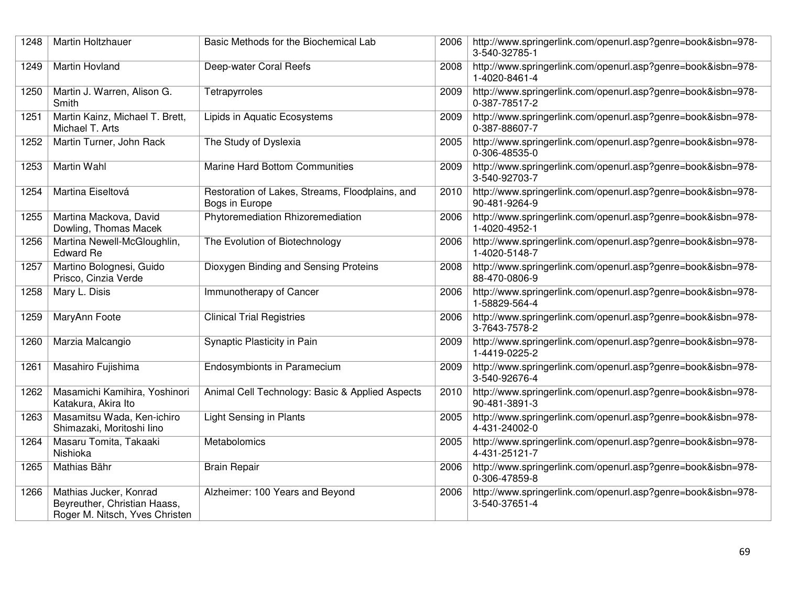| 1248 | Martin Holtzhauer                                                                        | Basic Methods for the Biochemical Lab                             | 2006 | http://www.springerlink.com/openurl.asp?genre=book&isbn=978-<br>3-540-32785-1 |
|------|------------------------------------------------------------------------------------------|-------------------------------------------------------------------|------|-------------------------------------------------------------------------------|
| 1249 | Martin Hovland                                                                           | Deep-water Coral Reefs                                            | 2008 | http://www.springerlink.com/openurl.asp?genre=book&isbn=978-<br>1-4020-8461-4 |
| 1250 | Martin J. Warren, Alison G.<br>Smith                                                     | Tetrapyrroles                                                     | 2009 | http://www.springerlink.com/openurl.asp?genre=book&isbn=978-<br>0-387-78517-2 |
| 1251 | Martin Kainz, Michael T. Brett,<br>Michael T. Arts                                       | Lipids in Aquatic Ecosystems                                      | 2009 | http://www.springerlink.com/openurl.asp?genre=book&isbn=978-<br>0-387-88607-7 |
| 1252 | Martin Turner, John Rack                                                                 | The Study of Dyslexia                                             | 2005 | http://www.springerlink.com/openurl.asp?genre=book&isbn=978-<br>0-306-48535-0 |
| 1253 | Martin Wahl                                                                              | <b>Marine Hard Bottom Communities</b>                             | 2009 | http://www.springerlink.com/openurl.asp?genre=book&isbn=978-<br>3-540-92703-7 |
| 1254 | Martina Eiseltová                                                                        | Restoration of Lakes, Streams, Floodplains, and<br>Bogs in Europe | 2010 | http://www.springerlink.com/openurl.asp?genre=book&isbn=978-<br>90-481-9264-9 |
| 1255 | Martina Mackova, David<br>Dowling, Thomas Macek                                          | Phytoremediation Rhizoremediation                                 | 2006 | http://www.springerlink.com/openurl.asp?genre=book&isbn=978-<br>1-4020-4952-1 |
| 1256 | Martina Newell-McGloughlin,<br><b>Edward Re</b>                                          | The Evolution of Biotechnology                                    | 2006 | http://www.springerlink.com/openurl.asp?genre=book&isbn=978-<br>1-4020-5148-7 |
| 1257 | Martino Bolognesi, Guido<br>Prisco, Cinzia Verde                                         | Dioxygen Binding and Sensing Proteins                             | 2008 | http://www.springerlink.com/openurl.asp?genre=book&isbn=978-<br>88-470-0806-9 |
| 1258 | Mary L. Disis                                                                            | Immunotherapy of Cancer                                           | 2006 | http://www.springerlink.com/openurl.asp?genre=book&isbn=978-<br>1-58829-564-4 |
| 1259 | MaryAnn Foote                                                                            | <b>Clinical Trial Registries</b>                                  | 2006 | http://www.springerlink.com/openurl.asp?genre=book&isbn=978-<br>3-7643-7578-2 |
| 1260 | Marzia Malcangio                                                                         | Synaptic Plasticity in Pain                                       | 2009 | http://www.springerlink.com/openurl.asp?genre=book&isbn=978-<br>1-4419-0225-2 |
| 1261 | Masahiro Fujishima                                                                       | <b>Endosymbionts in Paramecium</b>                                | 2009 | http://www.springerlink.com/openurl.asp?genre=book&isbn=978-<br>3-540-92676-4 |
| 1262 | Masamichi Kamihira, Yoshinori<br>Katakura, Akira Ito                                     | Animal Cell Technology: Basic & Applied Aspects                   | 2010 | http://www.springerlink.com/openurl.asp?genre=book&isbn=978-<br>90-481-3891-3 |
| 1263 | Masamitsu Wada, Ken-ichiro<br>Shimazaki, Moritoshi lino                                  | <b>Light Sensing in Plants</b>                                    | 2005 | http://www.springerlink.com/openurl.asp?genre=book&isbn=978-<br>4-431-24002-0 |
| 1264 | Masaru Tomita, Takaaki<br>Nishioka                                                       | Metabolomics                                                      | 2005 | http://www.springerlink.com/openurl.asp?genre=book&isbn=978-<br>4-431-25121-7 |
| 1265 | Mathias Bähr                                                                             | <b>Brain Repair</b>                                               | 2006 | http://www.springerlink.com/openurl.asp?genre=book&isbn=978-<br>0-306-47859-8 |
| 1266 | Mathias Jucker, Konrad<br>Beyreuther, Christian Haass,<br>Roger M. Nitsch, Yves Christen | Alzheimer: 100 Years and Beyond                                   | 2006 | http://www.springerlink.com/openurl.asp?genre=book&isbn=978-<br>3-540-37651-4 |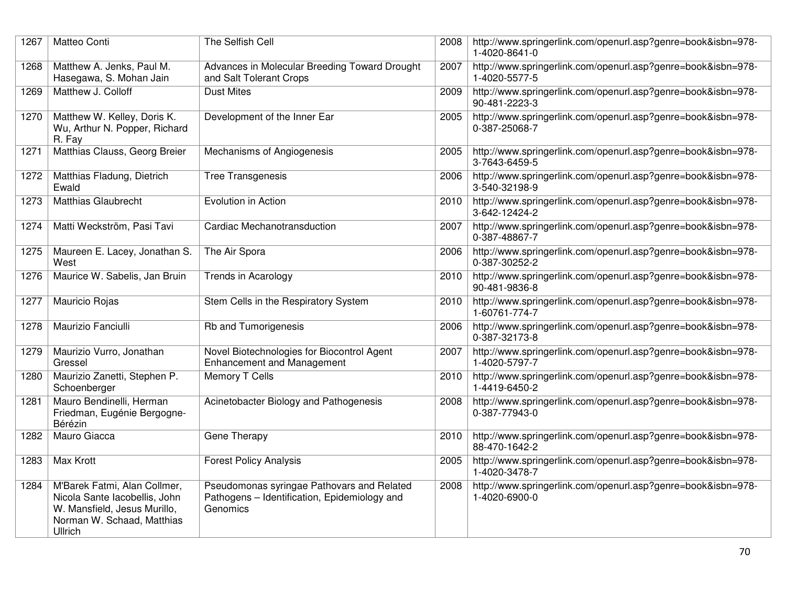| 1267 | Matteo Conti                                                                                                                           | The Selfish Cell                                                                                       | 2008 | http://www.springerlink.com/openurl.asp?genre=book&isbn=978-<br>1-4020-8641-0 |
|------|----------------------------------------------------------------------------------------------------------------------------------------|--------------------------------------------------------------------------------------------------------|------|-------------------------------------------------------------------------------|
| 1268 | Matthew A. Jenks, Paul M.<br>Hasegawa, S. Mohan Jain                                                                                   | Advances in Molecular Breeding Toward Drought<br>and Salt Tolerant Crops                               | 2007 | http://www.springerlink.com/openurl.asp?genre=book&isbn=978-<br>1-4020-5577-5 |
| 1269 | Matthew J. Colloff                                                                                                                     | <b>Dust Mites</b>                                                                                      | 2009 | http://www.springerlink.com/openurl.asp?genre=book&isbn=978-<br>90-481-2223-3 |
| 1270 | Matthew W. Kelley, Doris K.<br>Wu, Arthur N. Popper, Richard<br>R. Fay                                                                 | Development of the Inner Ear                                                                           | 2005 | http://www.springerlink.com/openurl.asp?genre=book&isbn=978-<br>0-387-25068-7 |
| 1271 | Matthias Clauss, Georg Breier                                                                                                          | Mechanisms of Angiogenesis                                                                             | 2005 | http://www.springerlink.com/openurl.asp?genre=book&isbn=978-<br>3-7643-6459-5 |
| 1272 | Matthias Fladung, Dietrich<br>Ewald                                                                                                    | <b>Tree Transgenesis</b>                                                                               | 2006 | http://www.springerlink.com/openurl.asp?genre=book&isbn=978-<br>3-540-32198-9 |
| 1273 | <b>Matthias Glaubrecht</b>                                                                                                             | Evolution in Action                                                                                    | 2010 | http://www.springerlink.com/openurl.asp?genre=book&isbn=978-<br>3-642-12424-2 |
| 1274 | Matti Weckström, Pasi Tavi                                                                                                             | Cardiac Mechanotransduction                                                                            | 2007 | http://www.springerlink.com/openurl.asp?genre=book&isbn=978-<br>0-387-48867-7 |
| 1275 | Maureen E. Lacey, Jonathan S.<br>West                                                                                                  | The Air Spora                                                                                          | 2006 | http://www.springerlink.com/openurl.asp?genre=book&isbn=978-<br>0-387-30252-2 |
| 1276 | Maurice W. Sabelis, Jan Bruin                                                                                                          | <b>Trends in Acarology</b>                                                                             | 2010 | http://www.springerlink.com/openurl.asp?genre=book&isbn=978-<br>90-481-9836-8 |
| 1277 | Mauricio Rojas                                                                                                                         | Stem Cells in the Respiratory System                                                                   | 2010 | http://www.springerlink.com/openurl.asp?genre=book&isbn=978-<br>1-60761-774-7 |
| 1278 | Maurizio Fanciulli                                                                                                                     | Rb and Tumorigenesis                                                                                   | 2006 | http://www.springerlink.com/openurl.asp?genre=book&isbn=978-<br>0-387-32173-8 |
| 1279 | Maurizio Vurro, Jonathan<br>Gressel                                                                                                    | Novel Biotechnologies for Biocontrol Agent<br><b>Enhancement and Management</b>                        | 2007 | http://www.springerlink.com/openurl.asp?genre=book&isbn=978-<br>1-4020-5797-7 |
| 1280 | Maurizio Zanetti, Stephen P.<br>Schoenberger                                                                                           | <b>Memory T Cells</b>                                                                                  | 2010 | http://www.springerlink.com/openurl.asp?genre=book&isbn=978-<br>1-4419-6450-2 |
| 1281 | Mauro Bendinelli, Herman<br>Friedman, Eugénie Bergogne-<br>Bérézin                                                                     | Acinetobacter Biology and Pathogenesis                                                                 | 2008 | http://www.springerlink.com/openurl.asp?genre=book&isbn=978-<br>0-387-77943-0 |
| 1282 | Mauro Giacca                                                                                                                           | Gene Therapy                                                                                           | 2010 | http://www.springerlink.com/openurl.asp?genre=book&isbn=978-<br>88-470-1642-2 |
| 1283 | Max Krott                                                                                                                              | <b>Forest Policy Analysis</b>                                                                          | 2005 | http://www.springerlink.com/openurl.asp?genre=book&isbn=978-<br>1-4020-3478-7 |
| 1284 | M'Barek Fatmi, Alan Collmer,<br>Nicola Sante Iacobellis, John<br>W. Mansfield, Jesus Murillo,<br>Norman W. Schaad, Matthias<br>Ullrich | Pseudomonas syringae Pathovars and Related<br>Pathogens - Identification, Epidemiology and<br>Genomics | 2008 | http://www.springerlink.com/openurl.asp?genre=book&isbn=978-<br>1-4020-6900-0 |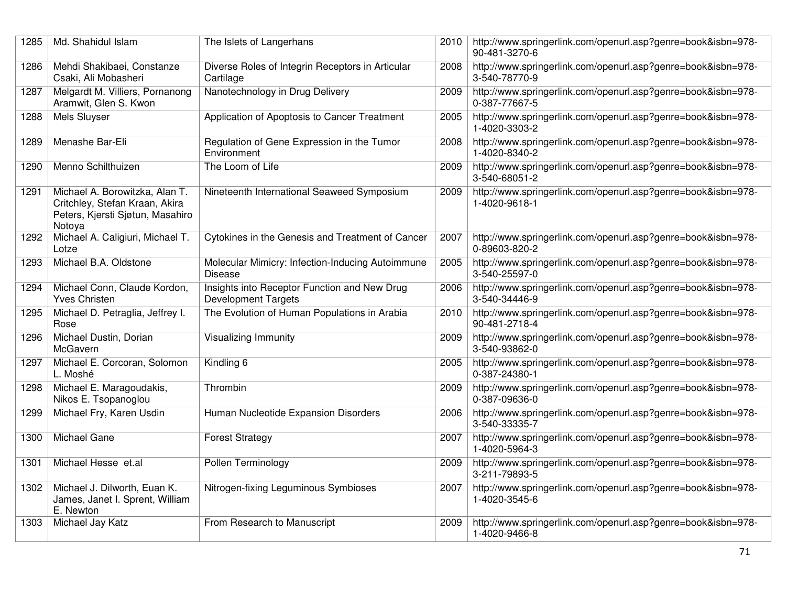| 1285 | Md. Shahidul Islam                                                                                             | The Islets of Langerhans                                                   | 2010 | http://www.springerlink.com/openurl.asp?genre=book&isbn=978-<br>90-481-3270-6 |
|------|----------------------------------------------------------------------------------------------------------------|----------------------------------------------------------------------------|------|-------------------------------------------------------------------------------|
| 1286 | Mehdi Shakibaei, Constanze<br>Csaki, Ali Mobasheri                                                             | Diverse Roles of Integrin Receptors in Articular<br>Cartilage              | 2008 | http://www.springerlink.com/openurl.asp?genre=book&isbn=978-<br>3-540-78770-9 |
| 1287 | Melgardt M. Villiers, Pornanong<br>Aramwit, Glen S. Kwon                                                       | Nanotechnology in Drug Delivery                                            | 2009 | http://www.springerlink.com/openurl.asp?genre=book&isbn=978-<br>0-387-77667-5 |
| 1288 | Mels Sluyser                                                                                                   | Application of Apoptosis to Cancer Treatment                               | 2005 | http://www.springerlink.com/openurl.asp?genre=book&isbn=978-<br>1-4020-3303-2 |
| 1289 | Menashe Bar-Eli                                                                                                | Regulation of Gene Expression in the Tumor<br>Environment                  | 2008 | http://www.springerlink.com/openurl.asp?genre=book&isbn=978-<br>1-4020-8340-2 |
| 1290 | Menno Schilthuizen                                                                                             | The Loom of Life                                                           | 2009 | http://www.springerlink.com/openurl.asp?genre=book&isbn=978-<br>3-540-68051-2 |
| 1291 | Michael A. Borowitzka, Alan T.<br>Critchley, Stefan Kraan, Akira<br>Peters, Kjersti Sjøtun, Masahiro<br>Notoya | Nineteenth International Seaweed Symposium                                 | 2009 | http://www.springerlink.com/openurl.asp?genre=book&isbn=978-<br>1-4020-9618-1 |
| 1292 | Michael A. Caligiuri, Michael T.<br>Lotze                                                                      | Cytokines in the Genesis and Treatment of Cancer                           | 2007 | http://www.springerlink.com/openurl.asp?genre=book&isbn=978-<br>0-89603-820-2 |
| 1293 | Michael B.A. Oldstone                                                                                          | Molecular Mimicry: Infection-Inducing Autoimmune<br><b>Disease</b>         | 2005 | http://www.springerlink.com/openurl.asp?genre=book&isbn=978-<br>3-540-25597-0 |
| 1294 | Michael Conn, Claude Kordon,<br><b>Yves Christen</b>                                                           | Insights into Receptor Function and New Drug<br><b>Development Targets</b> | 2006 | http://www.springerlink.com/openurl.asp?genre=book&isbn=978-<br>3-540-34446-9 |
| 1295 | Michael D. Petraglia, Jeffrey I.<br>Rose                                                                       | The Evolution of Human Populations in Arabia                               | 2010 | http://www.springerlink.com/openurl.asp?genre=book&isbn=978-<br>90-481-2718-4 |
| 1296 | Michael Dustin, Dorian<br>McGavern                                                                             | <b>Visualizing Immunity</b>                                                | 2009 | http://www.springerlink.com/openurl.asp?genre=book&isbn=978-<br>3-540-93862-0 |
| 1297 | Michael E. Corcoran, Solomon<br>L. Moshé                                                                       | Kindling 6                                                                 | 2005 | http://www.springerlink.com/openurl.asp?genre=book&isbn=978-<br>0-387-24380-1 |
| 1298 | Michael E. Maragoudakis,<br>Nikos E. Tsopanoglou                                                               | Thrombin                                                                   | 2009 | http://www.springerlink.com/openurl.asp?genre=book&isbn=978-<br>0-387-09636-0 |
| 1299 | Michael Fry, Karen Usdin                                                                                       | Human Nucleotide Expansion Disorders                                       | 2006 | http://www.springerlink.com/openurl.asp?genre=book&isbn=978-<br>3-540-33335-7 |
| 1300 | Michael Gane                                                                                                   | <b>Forest Strategy</b>                                                     | 2007 | http://www.springerlink.com/openurl.asp?genre=book&isbn=978-<br>1-4020-5964-3 |
| 1301 | Michael Hesse et.al                                                                                            | Pollen Terminology                                                         | 2009 | http://www.springerlink.com/openurl.asp?genre=book&isbn=978-<br>3-211-79893-5 |
| 1302 | Michael J. Dilworth, Euan K.<br>James, Janet I. Sprent, William<br>E. Newton                                   | Nitrogen-fixing Leguminous Symbioses                                       | 2007 | http://www.springerlink.com/openurl.asp?genre=book&isbn=978-<br>1-4020-3545-6 |
| 1303 | Michael Jay Katz                                                                                               | From Research to Manuscript                                                | 2009 | http://www.springerlink.com/openurl.asp?genre=book&isbn=978-<br>1-4020-9466-8 |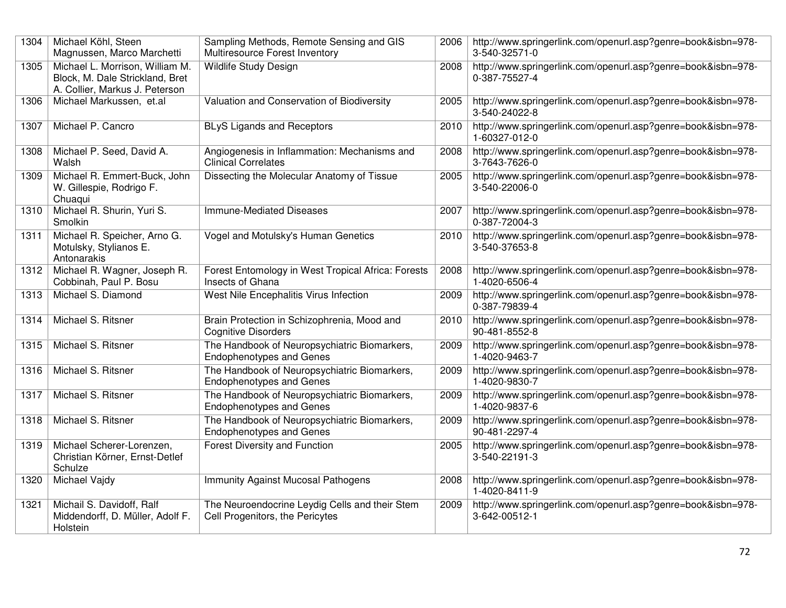| 1304 | Michael Köhl, Steen<br>Magnussen, Marco Marchetti                                                    | Sampling Methods, Remote Sensing and GIS<br>Multiresource Forest Inventory        | 2006 | http://www.springerlink.com/openurl.asp?genre=book&isbn=978-<br>3-540-32571-0 |
|------|------------------------------------------------------------------------------------------------------|-----------------------------------------------------------------------------------|------|-------------------------------------------------------------------------------|
| 1305 | Michael L. Morrison, William M.<br>Block, M. Dale Strickland, Bret<br>A. Collier, Markus J. Peterson | <b>Wildlife Study Design</b>                                                      | 2008 | http://www.springerlink.com/openurl.asp?genre=book&isbn=978-<br>0-387-75527-4 |
| 1306 | Michael Markussen, et.al                                                                             | Valuation and Conservation of Biodiversity                                        | 2005 | http://www.springerlink.com/openurl.asp?genre=book&isbn=978-<br>3-540-24022-8 |
| 1307 | Michael P. Cancro                                                                                    | <b>BLyS Ligands and Receptors</b>                                                 | 2010 | http://www.springerlink.com/openurl.asp?genre=book&isbn=978-<br>1-60327-012-0 |
| 1308 | Michael P. Seed, David A.<br>Walsh                                                                   | Angiogenesis in Inflammation: Mechanisms and<br><b>Clinical Correlates</b>        | 2008 | http://www.springerlink.com/openurl.asp?genre=book&isbn=978-<br>3-7643-7626-0 |
| 1309 | Michael R. Emmert-Buck, John<br>W. Gillespie, Rodrigo F.<br>Chuaqui                                  | Dissecting the Molecular Anatomy of Tissue                                        | 2005 | http://www.springerlink.com/openurl.asp?genre=book&isbn=978-<br>3-540-22006-0 |
| 1310 | Michael R. Shurin, Yuri S.<br>Smolkin                                                                | <b>Immune-Mediated Diseases</b>                                                   | 2007 | http://www.springerlink.com/openurl.asp?genre=book&isbn=978-<br>0-387-72004-3 |
| 1311 | Michael R. Speicher, Arno G.<br>Motulsky, Stylianos E.<br>Antonarakis                                | Vogel and Motulsky's Human Genetics                                               | 2010 | http://www.springerlink.com/openurl.asp?genre=book&isbn=978-<br>3-540-37653-8 |
| 1312 | Michael R. Wagner, Joseph R.<br>Cobbinah, Paul P. Bosu                                               | Forest Entomology in West Tropical Africa: Forests<br>Insects of Ghana            | 2008 | http://www.springerlink.com/openurl.asp?genre=book&isbn=978-<br>1-4020-6506-4 |
| 1313 | Michael S. Diamond                                                                                   | West Nile Encephalitis Virus Infection                                            | 2009 | http://www.springerlink.com/openurl.asp?genre=book&isbn=978-<br>0-387-79839-4 |
| 1314 | Michael S. Ritsner                                                                                   | Brain Protection in Schizophrenia, Mood and<br><b>Cognitive Disorders</b>         | 2010 | http://www.springerlink.com/openurl.asp?genre=book&isbn=978-<br>90-481-8552-8 |
| 1315 | Michael S. Ritsner                                                                                   | The Handbook of Neuropsychiatric Biomarkers,<br><b>Endophenotypes and Genes</b>   | 2009 | http://www.springerlink.com/openurl.asp?genre=book&isbn=978-<br>1-4020-9463-7 |
| 1316 | Michael S. Ritsner                                                                                   | The Handbook of Neuropsychiatric Biomarkers,<br><b>Endophenotypes and Genes</b>   | 2009 | http://www.springerlink.com/openurl.asp?genre=book&isbn=978-<br>1-4020-9830-7 |
| 1317 | Michael S. Ritsner                                                                                   | The Handbook of Neuropsychiatric Biomarkers,<br><b>Endophenotypes and Genes</b>   | 2009 | http://www.springerlink.com/openurl.asp?genre=book&isbn=978-<br>1-4020-9837-6 |
| 1318 | Michael S. Ritsner                                                                                   | The Handbook of Neuropsychiatric Biomarkers,<br><b>Endophenotypes and Genes</b>   | 2009 | http://www.springerlink.com/openurl.asp?genre=book&isbn=978-<br>90-481-2297-4 |
| 1319 | Michael Scherer-Lorenzen,<br>Christian Körner, Ernst-Detlef<br>Schulze                               | Forest Diversity and Function                                                     | 2005 | http://www.springerlink.com/openurl.asp?genre=book&isbn=978-<br>3-540-22191-3 |
| 1320 | Michael Vajdy                                                                                        | <b>Immunity Against Mucosal Pathogens</b>                                         | 2008 | http://www.springerlink.com/openurl.asp?genre=book&isbn=978-<br>1-4020-8411-9 |
| 1321 | Michail S. Davidoff, Ralf<br>Middendorff, D. Müller, Adolf F.<br>Holstein                            | The Neuroendocrine Leydig Cells and their Stem<br>Cell Progenitors, the Pericytes | 2009 | http://www.springerlink.com/openurl.asp?genre=book&isbn=978-<br>3-642-00512-1 |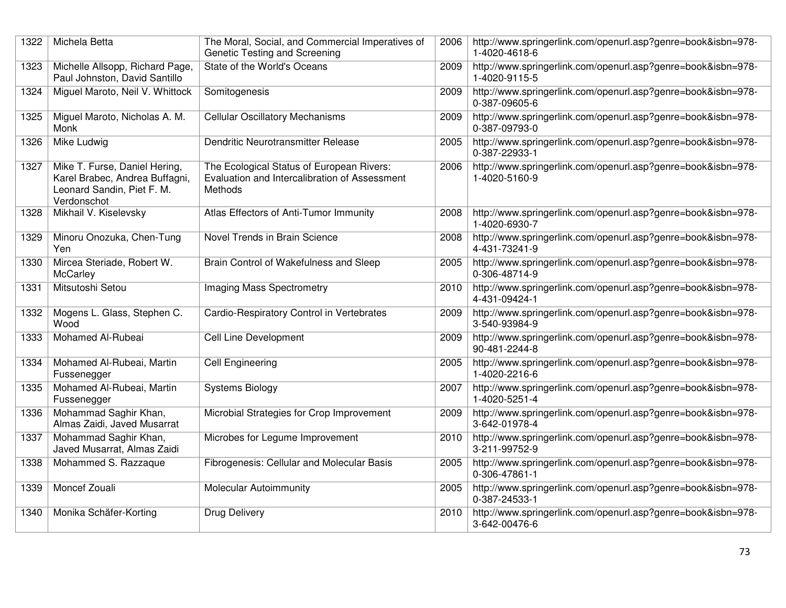| 1322 | Michela Betta                                                                                                | The Moral, Social, and Commercial Imperatives of<br>Genetic Testing and Screening                     | 2006 | http://www.springerlink.com/openurl.asp?genre=book&isbn=978-<br>1-4020-4618-6 |
|------|--------------------------------------------------------------------------------------------------------------|-------------------------------------------------------------------------------------------------------|------|-------------------------------------------------------------------------------|
| 1323 | Michelle Allsopp, Richard Page,<br>Paul Johnston, David Santillo                                             | State of the World's Oceans                                                                           | 2009 | http://www.springerlink.com/openurl.asp?genre=book&isbn=978-<br>1-4020-9115-5 |
| 1324 | Miguel Maroto, Neil V. Whittock                                                                              | Somitogenesis                                                                                         | 2009 | http://www.springerlink.com/openurl.asp?genre=book&isbn=978-<br>0-387-09605-6 |
| 1325 | Miguel Maroto, Nicholas A. M.<br>Monk                                                                        | <b>Cellular Oscillatory Mechanisms</b>                                                                | 2009 | http://www.springerlink.com/openurl.asp?genre=book&isbn=978-<br>0-387-09793-0 |
| 1326 | Mike Ludwig                                                                                                  | Dendritic Neurotransmitter Release                                                                    | 2005 | http://www.springerlink.com/openurl.asp?genre=book&isbn=978-<br>0-387-22933-1 |
| 1327 | Mike T. Furse, Daniel Hering,<br>Karel Brabec, Andrea Buffagni,<br>Leonard Sandin, Piet F. M.<br>Verdonschot | The Ecological Status of European Rivers:<br>Evaluation and Intercalibration of Assessment<br>Methods | 2006 | http://www.springerlink.com/openurl.asp?genre=book&isbn=978-<br>1-4020-5160-9 |
| 1328 | Mikhail V. Kiselevsky                                                                                        | Atlas Effectors of Anti-Tumor Immunity                                                                | 2008 | http://www.springerlink.com/openurl.asp?genre=book&isbn=978-<br>1-4020-6930-7 |
| 1329 | Minoru Onozuka, Chen-Tung<br>Yen                                                                             | Novel Trends in Brain Science                                                                         | 2008 | http://www.springerlink.com/openurl.asp?genre=book&isbn=978-<br>4-431-73241-9 |
| 1330 | Mircea Steriade, Robert W.<br>McCarley                                                                       | Brain Control of Wakefulness and Sleep                                                                | 2005 | http://www.springerlink.com/openurl.asp?genre=book&isbn=978-<br>0-306-48714-9 |
| 1331 | Mitsutoshi Setou                                                                                             | Imaging Mass Spectrometry                                                                             | 2010 | http://www.springerlink.com/openurl.asp?genre=book&isbn=978-<br>4-431-09424-1 |
| 1332 | Mogens L. Glass, Stephen C.<br>Wood                                                                          | Cardio-Respiratory Control in Vertebrates                                                             | 2009 | http://www.springerlink.com/openurl.asp?genre=book&isbn=978-<br>3-540-93984-9 |
| 1333 | Mohamed Al-Rubeai                                                                                            | <b>Cell Line Development</b>                                                                          | 2009 | http://www.springerlink.com/openurl.asp?genre=book&isbn=978-<br>90-481-2244-8 |
| 1334 | Mohamed Al-Rubeai, Martin<br>Fussenegger                                                                     | <b>Cell Engineering</b>                                                                               | 2005 | http://www.springerlink.com/openurl.asp?genre=book&isbn=978-<br>1-4020-2216-6 |
| 1335 | Mohamed Al-Rubeai, Martin<br>Fussenegger                                                                     | <b>Systems Biology</b>                                                                                | 2007 | http://www.springerlink.com/openurl.asp?genre=book&isbn=978-<br>1-4020-5251-4 |
| 1336 | Mohammad Saghir Khan,<br>Almas Zaidi, Javed Musarrat                                                         | Microbial Strategies for Crop Improvement                                                             | 2009 | http://www.springerlink.com/openurl.asp?genre=book&isbn=978-<br>3-642-01978-4 |
| 1337 | Mohammad Saghir Khan,<br>Javed Musarrat, Almas Zaidi                                                         | Microbes for Legume Improvement                                                                       | 2010 | http://www.springerlink.com/openurl.asp?genre=book&isbn=978-<br>3-211-99752-9 |
| 1338 | Mohammed S. Razzaque                                                                                         | Fibrogenesis: Cellular and Molecular Basis                                                            | 2005 | http://www.springerlink.com/openurl.asp?genre=book&isbn=978-<br>0-306-47861-1 |
| 1339 | Moncef Zouali                                                                                                | <b>Molecular Autoimmunity</b>                                                                         | 2005 | http://www.springerlink.com/openurl.asp?genre=book&isbn=978-<br>0-387-24533-1 |
| 1340 | Monika Schäfer-Korting                                                                                       | Drug Delivery                                                                                         | 2010 | http://www.springerlink.com/openurl.asp?genre=book&isbn=978-<br>3-642-00476-6 |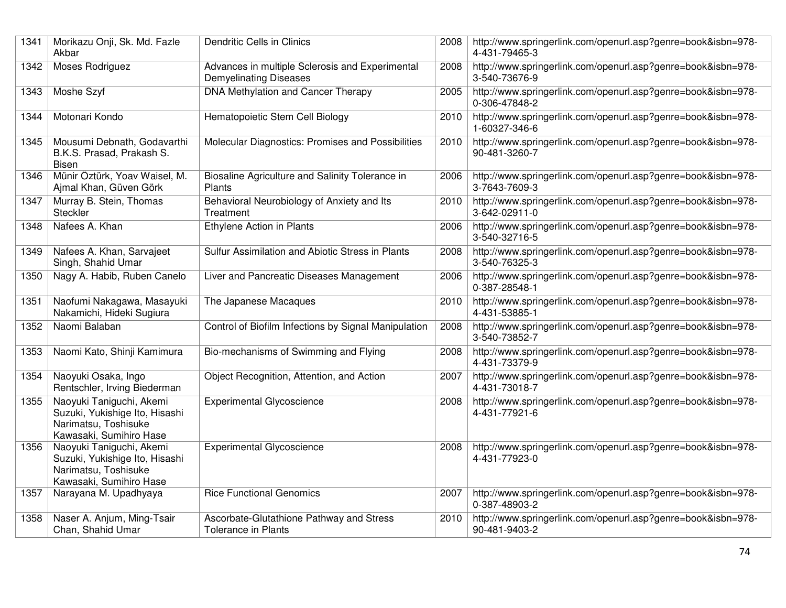| 1341 | Morikazu Onji, Sk. Md. Fazle<br>Akbar                                                                         | <b>Dendritic Cells in Clinics</b>                                                | 2008 | http://www.springerlink.com/openurl.asp?genre=book&isbn=978-<br>4-431-79465-3 |
|------|---------------------------------------------------------------------------------------------------------------|----------------------------------------------------------------------------------|------|-------------------------------------------------------------------------------|
| 1342 | Moses Rodriguez                                                                                               | Advances in multiple Sclerosis and Experimental<br><b>Demyelinating Diseases</b> | 2008 | http://www.springerlink.com/openurl.asp?genre=book&isbn=978-<br>3-540-73676-9 |
| 1343 | Moshe Szyf                                                                                                    | DNA Methylation and Cancer Therapy                                               | 2005 | http://www.springerlink.com/openurl.asp?genre=book&isbn=978-<br>0-306-47848-2 |
| 1344 | Motonari Kondo                                                                                                | Hematopoietic Stem Cell Biology                                                  | 2010 | http://www.springerlink.com/openurl.asp?genre=book&isbn=978-<br>1-60327-346-6 |
| 1345 | Mousumi Debnath, Godavarthi<br>B.K.S. Prasad, Prakash S.<br><b>Bisen</b>                                      | Molecular Diagnostics: Promises and Possibilities                                | 2010 | http://www.springerlink.com/openurl.asp?genre=book&isbn=978-<br>90-481-3260-7 |
| 1346 | Münir Öztürk, Yoav Waisel, M.<br>Ajmal Khan, Güven Görk                                                       | Biosaline Agriculture and Salinity Tolerance in<br>Plants                        | 2006 | http://www.springerlink.com/openurl.asp?genre=book&isbn=978-<br>3-7643-7609-3 |
| 1347 | Murray B. Stein, Thomas<br>Steckler                                                                           | Behavioral Neurobiology of Anxiety and Its<br>Treatment                          | 2010 | http://www.springerlink.com/openurl.asp?genre=book&isbn=978-<br>3-642-02911-0 |
| 1348 | Nafees A. Khan                                                                                                | Ethylene Action in Plants                                                        | 2006 | http://www.springerlink.com/openurl.asp?genre=book&isbn=978-<br>3-540-32716-5 |
| 1349 | Nafees A. Khan, Sarvajeet<br>Singh, Shahid Umar                                                               | Sulfur Assimilation and Abiotic Stress in Plants                                 | 2008 | http://www.springerlink.com/openurl.asp?genre=book&isbn=978-<br>3-540-76325-3 |
| 1350 | Nagy A. Habib, Ruben Canelo                                                                                   | Liver and Pancreatic Diseases Management                                         | 2006 | http://www.springerlink.com/openurl.asp?genre=book&isbn=978-<br>0-387-28548-1 |
| 1351 | Naofumi Nakagawa, Masayuki<br>Nakamichi, Hideki Sugiura                                                       | The Japanese Macaques                                                            | 2010 | http://www.springerlink.com/openurl.asp?genre=book&isbn=978-<br>4-431-53885-1 |
| 1352 | Naomi Balaban                                                                                                 | Control of Biofilm Infections by Signal Manipulation                             | 2008 | http://www.springerlink.com/openurl.asp?genre=book&isbn=978-<br>3-540-73852-7 |
| 1353 | Naomi Kato, Shinji Kamimura                                                                                   | Bio-mechanisms of Swimming and Flying                                            | 2008 | http://www.springerlink.com/openurl.asp?genre=book&isbn=978-<br>4-431-73379-9 |
| 1354 | Naoyuki Osaka, Ingo<br>Rentschler, Irving Biederman                                                           | Object Recognition, Attention, and Action                                        | 2007 | http://www.springerlink.com/openurl.asp?genre=book&isbn=978-<br>4-431-73018-7 |
| 1355 | Naoyuki Taniguchi, Akemi<br>Suzuki, Yukishige Ito, Hisashi<br>Narimatsu, Toshisuke<br>Kawasaki, Sumihiro Hase | <b>Experimental Glycoscience</b>                                                 | 2008 | http://www.springerlink.com/openurl.asp?genre=book&isbn=978-<br>4-431-77921-6 |
| 1356 | Naoyuki Taniguchi, Akemi<br>Suzuki, Yukishige Ito, Hisashi<br>Narimatsu, Toshisuke<br>Kawasaki, Sumihiro Hase | <b>Experimental Glycoscience</b>                                                 | 2008 | http://www.springerlink.com/openurl.asp?genre=book&isbn=978-<br>4-431-77923-0 |
| 1357 | Narayana M. Upadhyaya                                                                                         | <b>Rice Functional Genomics</b>                                                  | 2007 | http://www.springerlink.com/openurl.asp?genre=book&isbn=978-<br>0-387-48903-2 |
| 1358 | Naser A. Anjum, Ming-Tsair<br>Chan, Shahid Umar                                                               | Ascorbate-Glutathione Pathway and Stress<br><b>Tolerance in Plants</b>           | 2010 | http://www.springerlink.com/openurl.asp?genre=book&isbn=978-<br>90-481-9403-2 |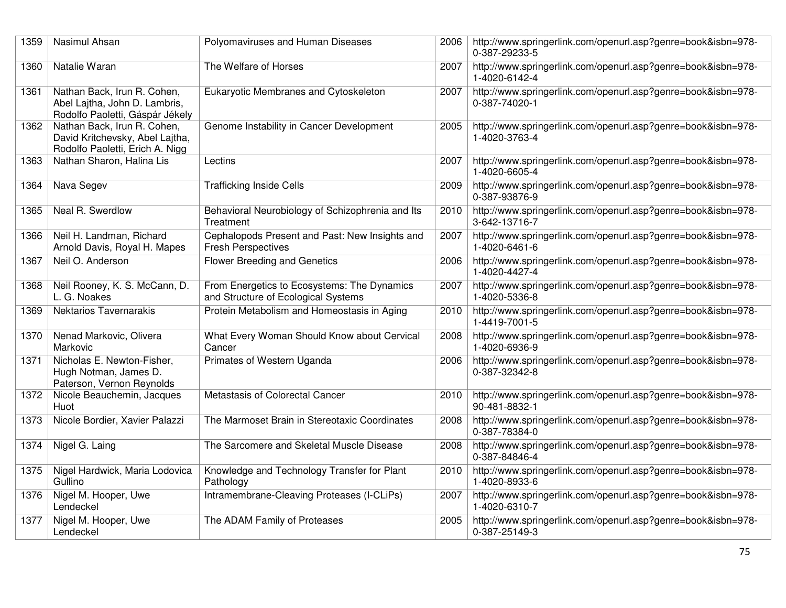| 1359 | Nasimul Ahsan                                                                                     | Polyomaviruses and Human Diseases                                                  | 2006 | http://www.springerlink.com/openurl.asp?genre=book&isbn=978-<br>0-387-29233-5 |
|------|---------------------------------------------------------------------------------------------------|------------------------------------------------------------------------------------|------|-------------------------------------------------------------------------------|
| 1360 | Natalie Waran                                                                                     | The Welfare of Horses                                                              | 2007 | http://www.springerlink.com/openurl.asp?genre=book&isbn=978-<br>1-4020-6142-4 |
| 1361 | Nathan Back, Irun R. Cohen,<br>Abel Lajtha, John D. Lambris,<br>Rodolfo Paoletti, Gáspár Jékely   | Eukaryotic Membranes and Cytoskeleton                                              | 2007 | http://www.springerlink.com/openurl.asp?genre=book&isbn=978-<br>0-387-74020-1 |
| 1362 | Nathan Back, Irun R. Cohen,<br>David Kritchevsky, Abel Lajtha,<br>Rodolfo Paoletti, Erich A. Nigg | Genome Instability in Cancer Development                                           | 2005 | http://www.springerlink.com/openurl.asp?genre=book&isbn=978-<br>1-4020-3763-4 |
| 1363 | Nathan Sharon, Halina Lis                                                                         | Lectins                                                                            | 2007 | http://www.springerlink.com/openurl.asp?genre=book&isbn=978-<br>1-4020-6605-4 |
| 1364 | Nava Segev                                                                                        | <b>Trafficking Inside Cells</b>                                                    | 2009 | http://www.springerlink.com/openurl.asp?genre=book&isbn=978-<br>0-387-93876-9 |
| 1365 | Neal R. Swerdlow                                                                                  | Behavioral Neurobiology of Schizophrenia and Its<br>Treatment                      | 2010 | http://www.springerlink.com/openurl.asp?genre=book&isbn=978-<br>3-642-13716-7 |
| 1366 | Neil H. Landman, Richard<br>Arnold Davis, Royal H. Mapes                                          | Cephalopods Present and Past: New Insights and<br><b>Fresh Perspectives</b>        | 2007 | http://www.springerlink.com/openurl.asp?genre=book&isbn=978-<br>1-4020-6461-6 |
| 1367 | Neil O. Anderson                                                                                  | <b>Flower Breeding and Genetics</b>                                                | 2006 | http://www.springerlink.com/openurl.asp?genre=book&isbn=978-<br>1-4020-4427-4 |
| 1368 | Neil Rooney, K. S. McCann, D.<br>L. G. Noakes                                                     | From Energetics to Ecosystems: The Dynamics<br>and Structure of Ecological Systems | 2007 | http://www.springerlink.com/openurl.asp?genre=book&isbn=978-<br>1-4020-5336-8 |
| 1369 | <b>Nektarios Tavernarakis</b>                                                                     | Protein Metabolism and Homeostasis in Aging                                        | 2010 | http://www.springerlink.com/openurl.asp?genre=book&isbn=978-<br>1-4419-7001-5 |
| 1370 | Nenad Markovic, Olivera<br>Markovic                                                               | What Every Woman Should Know about Cervical<br>Cancer                              | 2008 | http://www.springerlink.com/openurl.asp?genre=book&isbn=978-<br>1-4020-6936-9 |
| 1371 | Nicholas E. Newton-Fisher,<br>Hugh Notman, James D.<br>Paterson, Vernon Reynolds                  | Primates of Western Uganda                                                         | 2006 | http://www.springerlink.com/openurl.asp?genre=book&isbn=978-<br>0-387-32342-8 |
| 1372 | Nicole Beauchemin, Jacques<br>Huot                                                                | Metastasis of Colorectal Cancer                                                    | 2010 | http://www.springerlink.com/openurl.asp?genre=book&isbn=978-<br>90-481-8832-1 |
| 1373 | Nicole Bordier, Xavier Palazzi                                                                    | The Marmoset Brain in Stereotaxic Coordinates                                      | 2008 | http://www.springerlink.com/openurl.asp?genre=book&isbn=978-<br>0-387-78384-0 |
| 1374 | Nigel G. Laing                                                                                    | The Sarcomere and Skeletal Muscle Disease                                          | 2008 | http://www.springerlink.com/openurl.asp?genre=book&isbn=978-<br>0-387-84846-4 |
| 1375 | Nigel Hardwick, Maria Lodovica<br>Gullino                                                         | Knowledge and Technology Transfer for Plant<br>Pathology                           | 2010 | http://www.springerlink.com/openurl.asp?genre=book&isbn=978-<br>1-4020-8933-6 |
| 1376 | Nigel M. Hooper, Uwe<br>Lendeckel                                                                 | Intramembrane-Cleaving Proteases (I-CLiPs)                                         | 2007 | http://www.springerlink.com/openurl.asp?genre=book&isbn=978-<br>1-4020-6310-7 |
| 1377 | Nigel M. Hooper, Uwe<br>Lendeckel                                                                 | The ADAM Family of Proteases                                                       | 2005 | http://www.springerlink.com/openurl.asp?genre=book&isbn=978-<br>0-387-25149-3 |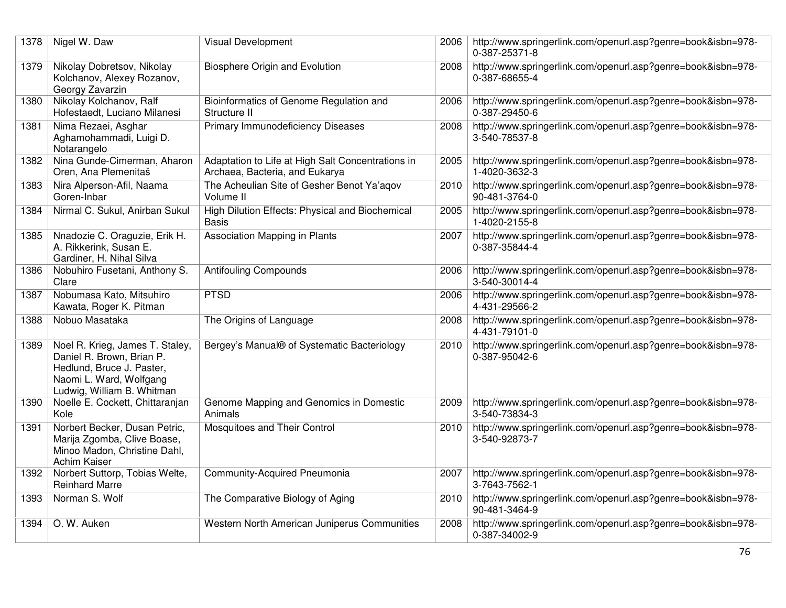| 1378 | Nigel W. Daw                                                                                                                                       | <b>Visual Development</b>                                                           | 2006 | http://www.springerlink.com/openurl.asp?genre=book&isbn=978-<br>0-387-25371-8 |
|------|----------------------------------------------------------------------------------------------------------------------------------------------------|-------------------------------------------------------------------------------------|------|-------------------------------------------------------------------------------|
| 1379 | Nikolay Dobretsov, Nikolay<br>Kolchanov, Alexey Rozanov,<br>Georgy Zavarzin                                                                        | Biosphere Origin and Evolution                                                      | 2008 | http://www.springerlink.com/openurl.asp?genre=book&isbn=978-<br>0-387-68655-4 |
| 1380 | Nikolay Kolchanov, Ralf<br>Hofestaedt, Luciano Milanesi                                                                                            | Bioinformatics of Genome Regulation and<br>Structure II                             | 2006 | http://www.springerlink.com/openurl.asp?genre=book&isbn=978-<br>0-387-29450-6 |
| 1381 | Nima Rezaei, Asghar<br>Aghamohammadi, Luigi D.<br>Notarangelo                                                                                      | Primary Immunodeficiency Diseases                                                   | 2008 | http://www.springerlink.com/openurl.asp?genre=book&isbn=978-<br>3-540-78537-8 |
| 1382 | Nina Gunde-Cimerman, Aharon<br>Oren, Ana Plemenitaš                                                                                                | Adaptation to Life at High Salt Concentrations in<br>Archaea, Bacteria, and Eukarya | 2005 | http://www.springerlink.com/openurl.asp?genre=book&isbn=978-<br>1-4020-3632-3 |
| 1383 | Nira Alperson-Afil, Naama<br>Goren-Inbar                                                                                                           | The Acheulian Site of Gesher Benot Ya'agov<br>Volume II                             | 2010 | http://www.springerlink.com/openurl.asp?genre=book&isbn=978-<br>90-481-3764-0 |
| 1384 | Nirmal C. Sukul, Anirban Sukul                                                                                                                     | High Dilution Effects: Physical and Biochemical<br><b>Basis</b>                     | 2005 | http://www.springerlink.com/openurl.asp?genre=book&isbn=978-<br>1-4020-2155-8 |
| 1385 | Nnadozie C. Oraguzie, Erik H.<br>A. Rikkerink, Susan E.<br>Gardiner, H. Nihal Silva                                                                | Association Mapping in Plants                                                       | 2007 | http://www.springerlink.com/openurl.asp?genre=book&isbn=978-<br>0-387-35844-4 |
| 1386 | Nobuhiro Fusetani, Anthony S.<br>Clare                                                                                                             | <b>Antifouling Compounds</b>                                                        | 2006 | http://www.springerlink.com/openurl.asp?genre=book&isbn=978-<br>3-540-30014-4 |
| 1387 | Nobumasa Kato, Mitsuhiro<br>Kawata, Roger K. Pitman                                                                                                | <b>PTSD</b>                                                                         | 2006 | http://www.springerlink.com/openurl.asp?genre=book&isbn=978-<br>4-431-29566-2 |
| 1388 | Nobuo Masataka                                                                                                                                     | The Origins of Language                                                             | 2008 | http://www.springerlink.com/openurl.asp?genre=book&isbn=978-<br>4-431-79101-0 |
| 1389 | Noel R. Krieg, James T. Staley,<br>Daniel R. Brown, Brian P.<br>Hedlund, Bruce J. Paster,<br>Naomi L. Ward, Wolfgang<br>Ludwig, William B. Whitman | Bergey's Manual® of Systematic Bacteriology                                         | 2010 | http://www.springerlink.com/openurl.asp?genre=book&isbn=978-<br>0-387-95042-6 |
| 1390 | Noelle E. Cockett, Chittaranjan<br>Kole                                                                                                            | Genome Mapping and Genomics in Domestic<br>Animals                                  | 2009 | http://www.springerlink.com/openurl.asp?genre=book&isbn=978-<br>3-540-73834-3 |
| 1391 | Norbert Becker, Dusan Petric,<br>Marija Zgomba, Clive Boase,<br>Minoo Madon, Christine Dahl,<br>Achim Kaiser                                       | Mosquitoes and Their Control                                                        | 2010 | http://www.springerlink.com/openurl.asp?genre=book&isbn=978-<br>3-540-92873-7 |
| 1392 | Norbert Suttorp, Tobias Welte,<br><b>Reinhard Marre</b>                                                                                            | Community-Acquired Pneumonia                                                        | 2007 | http://www.springerlink.com/openurl.asp?genre=book&isbn=978-<br>3-7643-7562-1 |
| 1393 | Norman S. Wolf                                                                                                                                     | The Comparative Biology of Aging                                                    | 2010 | http://www.springerlink.com/openurl.asp?genre=book&isbn=978-<br>90-481-3464-9 |
| 1394 | O. W. Auken                                                                                                                                        | Western North American Juniperus Communities                                        | 2008 | http://www.springerlink.com/openurl.asp?genre=book&isbn=978-<br>0-387-34002-9 |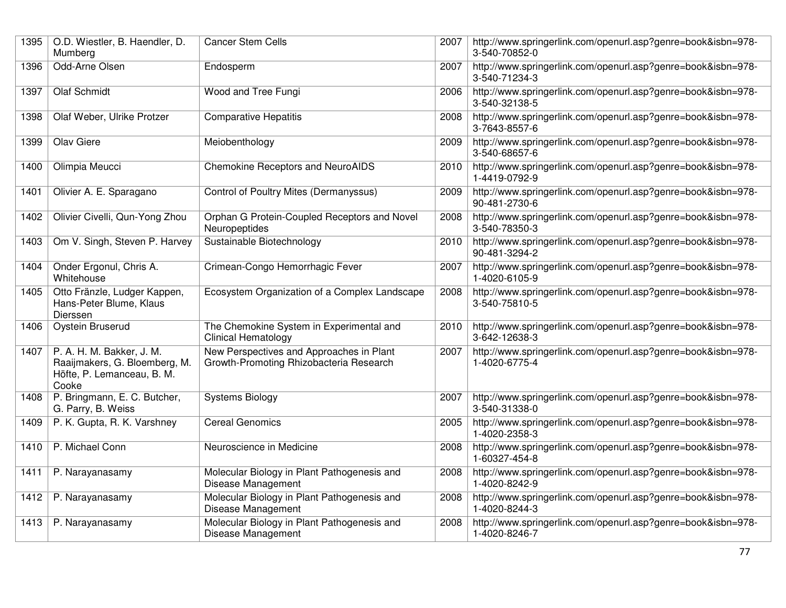| 1395 | O.D. Wiestler, B. Haendler, D.<br>Mumberg                                                         | <b>Cancer Stem Cells</b>                                                            | 2007 | http://www.springerlink.com/openurl.asp?genre=book&isbn=978-<br>3-540-70852-0 |
|------|---------------------------------------------------------------------------------------------------|-------------------------------------------------------------------------------------|------|-------------------------------------------------------------------------------|
| 1396 | Odd-Arne Olsen                                                                                    | Endosperm                                                                           | 2007 | http://www.springerlink.com/openurl.asp?genre=book&isbn=978-<br>3-540-71234-3 |
| 1397 | <b>Olaf Schmidt</b>                                                                               | Wood and Tree Fungi                                                                 | 2006 | http://www.springerlink.com/openurl.asp?genre=book&isbn=978-<br>3-540-32138-5 |
| 1398 | Olaf Weber, Ulrike Protzer                                                                        | <b>Comparative Hepatitis</b>                                                        | 2008 | http://www.springerlink.com/openurl.asp?genre=book&isbn=978-<br>3-7643-8557-6 |
| 1399 | <b>Olav Giere</b>                                                                                 | Meiobenthology                                                                      | 2009 | http://www.springerlink.com/openurl.asp?genre=book&isbn=978-<br>3-540-68657-6 |
| 1400 | Olimpia Meucci                                                                                    | <b>Chemokine Receptors and NeuroAIDS</b>                                            | 2010 | http://www.springerlink.com/openurl.asp?genre=book&isbn=978-<br>1-4419-0792-9 |
| 1401 | Olivier A. E. Sparagano                                                                           | Control of Poultry Mites (Dermanyssus)                                              | 2009 | http://www.springerlink.com/openurl.asp?genre=book&isbn=978-<br>90-481-2730-6 |
| 1402 | Olivier Civelli, Qun-Yong Zhou                                                                    | Orphan G Protein-Coupled Receptors and Novel<br>Neuropeptides                       | 2008 | http://www.springerlink.com/openurl.asp?genre=book&isbn=978-<br>3-540-78350-3 |
| 1403 | Om V. Singh, Steven P. Harvey                                                                     | Sustainable Biotechnology                                                           | 2010 | http://www.springerlink.com/openurl.asp?genre=book&isbn=978-<br>90-481-3294-2 |
| 1404 | Onder Ergonul, Chris A.<br>Whitehouse                                                             | Crimean-Congo Hemorrhagic Fever                                                     | 2007 | http://www.springerlink.com/openurl.asp?genre=book&isbn=978-<br>1-4020-6105-9 |
| 1405 | Otto Fränzle, Ludger Kappen,<br>Hans-Peter Blume, Klaus<br>Dierssen                               | Ecosystem Organization of a Complex Landscape                                       | 2008 | http://www.springerlink.com/openurl.asp?genre=book&isbn=978-<br>3-540-75810-5 |
| 1406 | <b>Oystein Bruserud</b>                                                                           | The Chemokine System in Experimental and<br><b>Clinical Hematology</b>              | 2010 | http://www.springerlink.com/openurl.asp?genre=book&isbn=978-<br>3-642-12638-3 |
| 1407 | P. A. H. M. Bakker, J. M.<br>Raaijmakers, G. Bloemberg, M.<br>Höfte, P. Lemanceau, B. M.<br>Cooke | New Perspectives and Approaches in Plant<br>Growth-Promoting Rhizobacteria Research | 2007 | http://www.springerlink.com/openurl.asp?genre=book&isbn=978-<br>1-4020-6775-4 |
| 1408 | P. Bringmann, E. C. Butcher,<br>G. Parry, B. Weiss                                                | <b>Systems Biology</b>                                                              | 2007 | http://www.springerlink.com/openurl.asp?genre=book&isbn=978-<br>3-540-31338-0 |
| 1409 | P. K. Gupta, R. K. Varshney                                                                       | <b>Cereal Genomics</b>                                                              | 2005 | http://www.springerlink.com/openurl.asp?genre=book&isbn=978-<br>1-4020-2358-3 |
| 1410 | P. Michael Conn                                                                                   | Neuroscience in Medicine                                                            | 2008 | http://www.springerlink.com/openurl.asp?genre=book&isbn=978-<br>1-60327-454-8 |
| 1411 | P. Narayanasamy                                                                                   | Molecular Biology in Plant Pathogenesis and<br>Disease Management                   | 2008 | http://www.springerlink.com/openurl.asp?genre=book&isbn=978-<br>1-4020-8242-9 |
| 1412 | P. Narayanasamy                                                                                   | Molecular Biology in Plant Pathogenesis and<br>Disease Management                   | 2008 | http://www.springerlink.com/openurl.asp?genre=book&isbn=978-<br>1-4020-8244-3 |
| 1413 | P. Narayanasamy                                                                                   | Molecular Biology in Plant Pathogenesis and<br>Disease Management                   | 2008 | http://www.springerlink.com/openurl.asp?genre=book&isbn=978-<br>1-4020-8246-7 |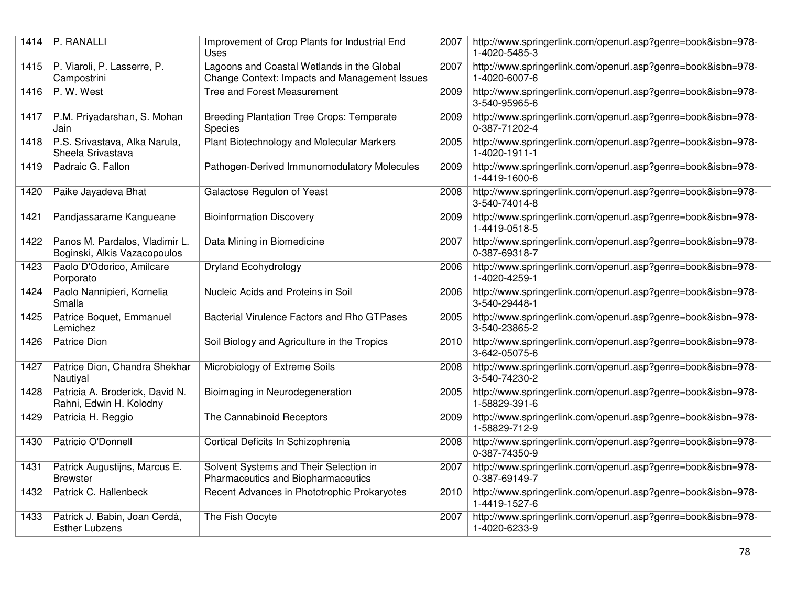| 1414 | P. RANALLI                                                     | Improvement of Crop Plants for Industrial End<br>Uses                                       | 2007 | http://www.springerlink.com/openurl.asp?genre=book&isbn=978-<br>1-4020-5485-3 |
|------|----------------------------------------------------------------|---------------------------------------------------------------------------------------------|------|-------------------------------------------------------------------------------|
| 1415 | P. Viaroli, P. Lasserre, P.<br>Campostrini                     | Lagoons and Coastal Wetlands in the Global<br>Change Context: Impacts and Management Issues | 2007 | http://www.springerlink.com/openurl.asp?genre=book&isbn=978-<br>1-4020-6007-6 |
| 1416 | P. W. West                                                     | Tree and Forest Measurement                                                                 | 2009 | http://www.springerlink.com/openurl.asp?genre=book&isbn=978-<br>3-540-95965-6 |
| 1417 | P.M. Priyadarshan, S. Mohan<br>Jain                            | <b>Breeding Plantation Tree Crops: Temperate</b><br>Species                                 | 2009 | http://www.springerlink.com/openurl.asp?genre=book&isbn=978-<br>0-387-71202-4 |
| 1418 | P.S. Srivastava, Alka Narula,<br>Sheela Srivastava             | Plant Biotechnology and Molecular Markers                                                   | 2005 | http://www.springerlink.com/openurl.asp?genre=book&isbn=978-<br>1-4020-1911-1 |
| 1419 | Padraic G. Fallon                                              | Pathogen-Derived Immunomodulatory Molecules                                                 | 2009 | http://www.springerlink.com/openurl.asp?genre=book&isbn=978-<br>1-4419-1600-6 |
| 1420 | Paike Jayadeva Bhat                                            | Galactose Regulon of Yeast                                                                  | 2008 | http://www.springerlink.com/openurl.asp?genre=book&isbn=978-<br>3-540-74014-8 |
| 1421 | Pandjassarame Kangueane                                        | <b>Bioinformation Discovery</b>                                                             | 2009 | http://www.springerlink.com/openurl.asp?genre=book&isbn=978-<br>1-4419-0518-5 |
| 1422 | Panos M. Pardalos, Vladimir L.<br>Boginski, Alkis Vazacopoulos | Data Mining in Biomedicine                                                                  | 2007 | http://www.springerlink.com/openurl.asp?genre=book&isbn=978-<br>0-387-69318-7 |
| 1423 | Paolo D'Odorico, Amilcare<br>Porporato                         | <b>Dryland Ecohydrology</b>                                                                 | 2006 | http://www.springerlink.com/openurl.asp?genre=book&isbn=978-<br>1-4020-4259-1 |
| 1424 | Paolo Nannipieri, Kornelia<br>Smalla                           | Nucleic Acids and Proteins in Soil                                                          | 2006 | http://www.springerlink.com/openurl.asp?genre=book&isbn=978-<br>3-540-29448-1 |
| 1425 | Patrice Boquet, Emmanuel<br>Lemichez                           | <b>Bacterial Virulence Factors and Rho GTPases</b>                                          | 2005 | http://www.springerlink.com/openurl.asp?genre=book&isbn=978-<br>3-540-23865-2 |
| 1426 | Patrice Dion                                                   | Soil Biology and Agriculture in the Tropics                                                 | 2010 | http://www.springerlink.com/openurl.asp?genre=book&isbn=978-<br>3-642-05075-6 |
| 1427 | Patrice Dion, Chandra Shekhar<br>Nautiyal                      | Microbiology of Extreme Soils                                                               | 2008 | http://www.springerlink.com/openurl.asp?genre=book&isbn=978-<br>3-540-74230-2 |
| 1428 | Patricia A. Broderick, David N.<br>Rahni, Edwin H. Kolodny     | Bioimaging in Neurodegeneration                                                             | 2005 | http://www.springerlink.com/openurl.asp?genre=book&isbn=978-<br>1-58829-391-6 |
| 1429 | Patricia H. Reggio                                             | The Cannabinoid Receptors                                                                   | 2009 | http://www.springerlink.com/openurl.asp?genre=book&isbn=978-<br>1-58829-712-9 |
| 1430 | Patricio O'Donnell                                             | Cortical Deficits In Schizophrenia                                                          | 2008 | http://www.springerlink.com/openurl.asp?genre=book&isbn=978-<br>0-387-74350-9 |
| 1431 | Patrick Augustijns, Marcus E.<br><b>Brewster</b>               | Solvent Systems and Their Selection in<br>Pharmaceutics and Biopharmaceutics                | 2007 | http://www.springerlink.com/openurl.asp?genre=book&isbn=978-<br>0-387-69149-7 |
| 1432 | Patrick C. Hallenbeck                                          | Recent Advances in Phototrophic Prokaryotes                                                 | 2010 | http://www.springerlink.com/openurl.asp?genre=book&isbn=978-<br>1-4419-1527-6 |
| 1433 | Patrick J. Babin, Joan Cerdà,<br><b>Esther Lubzens</b>         | The Fish Oocyte                                                                             | 2007 | http://www.springerlink.com/openurl.asp?genre=book&isbn=978-<br>1-4020-6233-9 |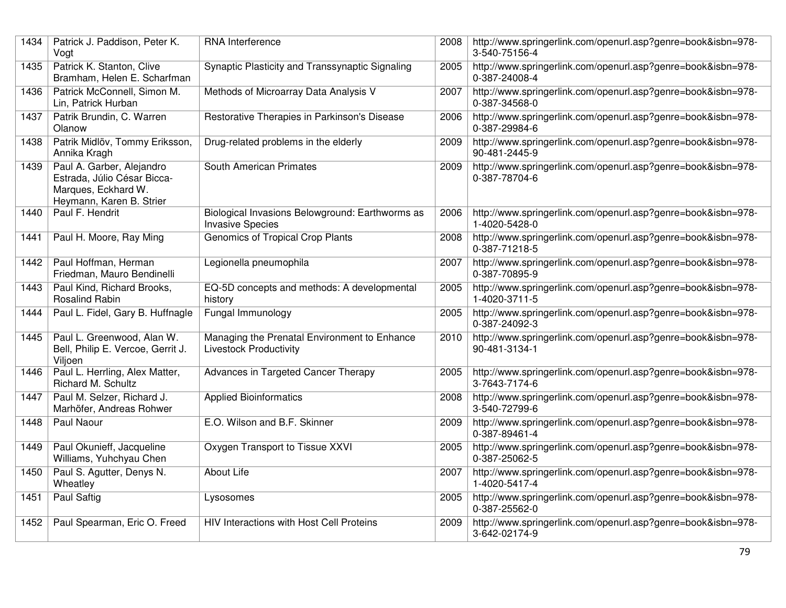| 1434 | Patrick J. Paddison, Peter K.<br>Vogt                                                                       | RNA Interference                                                              | 2008 | http://www.springerlink.com/openurl.asp?genre=book&isbn=978-<br>3-540-75156-4 |
|------|-------------------------------------------------------------------------------------------------------------|-------------------------------------------------------------------------------|------|-------------------------------------------------------------------------------|
| 1435 | Patrick K. Stanton, Clive<br>Bramham, Helen E. Scharfman                                                    | Synaptic Plasticity and Transsynaptic Signaling                               | 2005 | http://www.springerlink.com/openurl.asp?genre=book&isbn=978-<br>0-387-24008-4 |
| 1436 | Patrick McConnell, Simon M.<br>Lin, Patrick Hurban                                                          | Methods of Microarray Data Analysis V                                         | 2007 | http://www.springerlink.com/openurl.asp?genre=book&isbn=978-<br>0-387-34568-0 |
| 1437 | Patrik Brundin, C. Warren<br>Olanow                                                                         | Restorative Therapies in Parkinson's Disease                                  | 2006 | http://www.springerlink.com/openurl.asp?genre=book&isbn=978-<br>0-387-29984-6 |
| 1438 | Patrik Midlöv, Tommy Eriksson,<br>Annika Kragh                                                              | Drug-related problems in the elderly                                          | 2009 | http://www.springerlink.com/openurl.asp?genre=book&isbn=978-<br>90-481-2445-9 |
| 1439 | Paul A. Garber, Alejandro<br>Estrada, Júlio César Bicca-<br>Marques, Eckhard W.<br>Heymann, Karen B. Strier | South American Primates                                                       | 2009 | http://www.springerlink.com/openurl.asp?genre=book&isbn=978-<br>0-387-78704-6 |
| 1440 | Paul F. Hendrit                                                                                             | Biological Invasions Belowground: Earthworms as<br><b>Invasive Species</b>    | 2006 | http://www.springerlink.com/openurl.asp?genre=book&isbn=978-<br>1-4020-5428-0 |
| 1441 | Paul H. Moore, Ray Ming                                                                                     | Genomics of Tropical Crop Plants                                              | 2008 | http://www.springerlink.com/openurl.asp?genre=book&isbn=978-<br>0-387-71218-5 |
| 1442 | Paul Hoffman, Herman<br>Friedman, Mauro Bendinelli                                                          | Legionella pneumophila                                                        | 2007 | http://www.springerlink.com/openurl.asp?genre=book&isbn=978-<br>0-387-70895-9 |
| 1443 | Paul Kind, Richard Brooks,<br><b>Rosalind Rabin</b>                                                         | EQ-5D concepts and methods: A developmental<br>history                        | 2005 | http://www.springerlink.com/openurl.asp?genre=book&isbn=978-<br>1-4020-3711-5 |
| 1444 | Paul L. Fidel, Gary B. Huffnagle                                                                            | Fungal Immunology                                                             | 2005 | http://www.springerlink.com/openurl.asp?genre=book&isbn=978-<br>0-387-24092-3 |
| 1445 | Paul L. Greenwood, Alan W.<br>Bell, Philip E. Vercoe, Gerrit J.<br>Viljoen                                  | Managing the Prenatal Environment to Enhance<br><b>Livestock Productivity</b> | 2010 | http://www.springerlink.com/openurl.asp?genre=book&isbn=978-<br>90-481-3134-1 |
| 1446 | Paul L. Herrling, Alex Matter,<br>Richard M. Schultz                                                        | Advances in Targeted Cancer Therapy                                           | 2005 | http://www.springerlink.com/openurl.asp?genre=book&isbn=978-<br>3-7643-7174-6 |
| 1447 | Paul M. Selzer, Richard J.<br>Marhöfer, Andreas Rohwer                                                      | <b>Applied Bioinformatics</b>                                                 | 2008 | http://www.springerlink.com/openurl.asp?genre=book&isbn=978-<br>3-540-72799-6 |
| 1448 | Paul Naour                                                                                                  | E.O. Wilson and B.F. Skinner                                                  | 2009 | http://www.springerlink.com/openurl.asp?genre=book&isbn=978-<br>0-387-89461-4 |
| 1449 | Paul Okunieff, Jacqueline<br>Williams, Yuhchyau Chen                                                        | Oxygen Transport to Tissue XXVI                                               | 2005 | http://www.springerlink.com/openurl.asp?genre=book&isbn=978-<br>0-387-25062-5 |
| 1450 | Paul S. Agutter, Denys N.<br>Wheatley                                                                       | <b>About Life</b>                                                             | 2007 | http://www.springerlink.com/openurl.asp?genre=book&isbn=978-<br>1-4020-5417-4 |
| 1451 | <b>Paul Saftig</b>                                                                                          | Lysosomes                                                                     | 2005 | http://www.springerlink.com/openurl.asp?genre=book&isbn=978-<br>0-387-25562-0 |
| 1452 | Paul Spearman, Eric O. Freed                                                                                | HIV Interactions with Host Cell Proteins                                      | 2009 | http://www.springerlink.com/openurl.asp?genre=book&isbn=978-<br>3-642-02174-9 |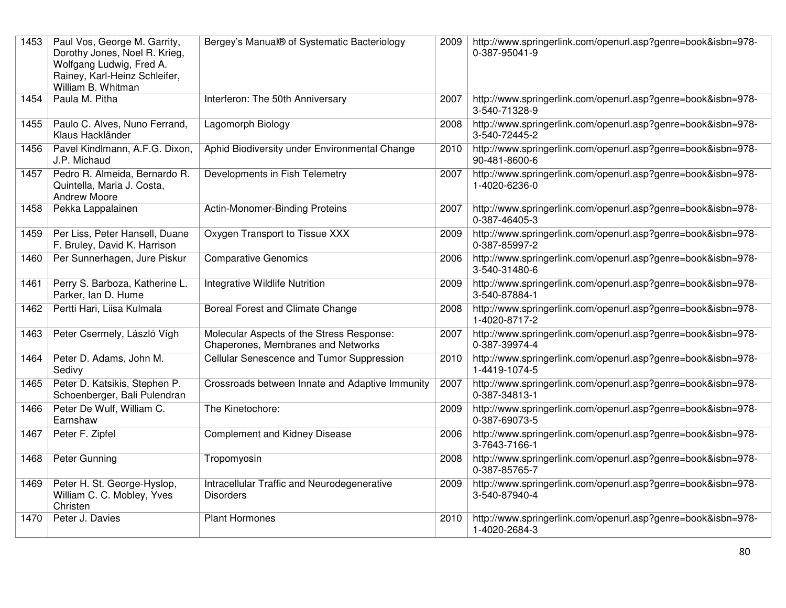| 1453 | Paul Vos, George M. Garrity,<br>Dorothy Jones, Noel R. Krieg,<br>Wolfgang Ludwig, Fred A.<br>Rainey, Karl-Heinz Schleifer,<br>William B. Whitman | Bergey's Manual® of Systematic Bacteriology                                     | 2009 | http://www.springerlink.com/openurl.asp?genre=book&isbn=978-<br>0-387-95041-9 |
|------|--------------------------------------------------------------------------------------------------------------------------------------------------|---------------------------------------------------------------------------------|------|-------------------------------------------------------------------------------|
| 1454 | Paula M. Pitha                                                                                                                                   | Interferon: The 50th Anniversary                                                | 2007 | http://www.springerlink.com/openurl.asp?genre=book&isbn=978-<br>3-540-71328-9 |
| 1455 | Paulo C. Alves, Nuno Ferrand,<br>Klaus Hackländer                                                                                                | Lagomorph Biology                                                               | 2008 | http://www.springerlink.com/openurl.asp?genre=book&isbn=978-<br>3-540-72445-2 |
| 1456 | Pavel Kindlmann, A.F.G. Dixon,<br>J.P. Michaud                                                                                                   | Aphid Biodiversity under Environmental Change                                   | 2010 | http://www.springerlink.com/openurl.asp?genre=book&isbn=978-<br>90-481-8600-6 |
| 1457 | Pedro R. Almeida, Bernardo R.<br>Quintella, Maria J. Costa,<br><b>Andrew Moore</b>                                                               | Developments in Fish Telemetry                                                  | 2007 | http://www.springerlink.com/openurl.asp?genre=book&isbn=978-<br>1-4020-6236-0 |
| 1458 | Pekka Lappalainen                                                                                                                                | Actin-Monomer-Binding Proteins                                                  | 2007 | http://www.springerlink.com/openurl.asp?genre=book&isbn=978-<br>0-387-46405-3 |
| 1459 | Per Liss, Peter Hansell, Duane<br>F. Bruley, David K. Harrison                                                                                   | Oxygen Transport to Tissue XXX                                                  | 2009 | http://www.springerlink.com/openurl.asp?genre=book&isbn=978-<br>0-387-85997-2 |
| 1460 | Per Sunnerhagen, Jure Piskur                                                                                                                     | <b>Comparative Genomics</b>                                                     | 2006 | http://www.springerlink.com/openurl.asp?genre=book&isbn=978-<br>3-540-31480-6 |
| 1461 | Perry S. Barboza, Katherine L.<br>Parker, Ian D. Hume                                                                                            | <b>Integrative Wildlife Nutrition</b>                                           | 2009 | http://www.springerlink.com/openurl.asp?genre=book&isbn=978-<br>3-540-87884-1 |
| 1462 | Pertti Hari, Liisa Kulmala                                                                                                                       | Boreal Forest and Climate Change                                                | 2008 | http://www.springerlink.com/openurl.asp?genre=book&isbn=978-<br>1-4020-8717-2 |
| 1463 | Peter Csermely, László Vígh                                                                                                                      | Molecular Aspects of the Stress Response:<br>Chaperones, Membranes and Networks | 2007 | http://www.springerlink.com/openurl.asp?genre=book&isbn=978-<br>0-387-39974-4 |
| 1464 | Peter D. Adams, John M.<br>Sedivy                                                                                                                | Cellular Senescence and Tumor Suppression                                       | 2010 | http://www.springerlink.com/openurl.asp?genre=book&isbn=978-<br>1-4419-1074-5 |
| 1465 | Peter D. Katsikis, Stephen P.<br>Schoenberger, Bali Pulendran                                                                                    | Crossroads between Innate and Adaptive Immunity                                 | 2007 | http://www.springerlink.com/openurl.asp?genre=book&isbn=978-<br>0-387-34813-1 |
| 1466 | Peter De Wulf, William C.<br>Earnshaw                                                                                                            | The Kinetochore:                                                                | 2009 | http://www.springerlink.com/openurl.asp?genre=book&isbn=978-<br>0-387-69073-5 |
| 1467 | Peter F. Zipfel                                                                                                                                  | Complement and Kidney Disease                                                   | 2006 | http://www.springerlink.com/openurl.asp?genre=book&isbn=978-<br>3-7643-7166-1 |
| 1468 | Peter Gunning                                                                                                                                    | Tropomyosin                                                                     | 2008 | http://www.springerlink.com/openurl.asp?genre=book&isbn=978-<br>0-387-85765-7 |
| 1469 | Peter H. St. George-Hyslop,<br>William C. C. Mobley, Yves<br>Christen                                                                            | Intracellular Traffic and Neurodegenerative<br><b>Disorders</b>                 | 2009 | http://www.springerlink.com/openurl.asp?genre=book&isbn=978-<br>3-540-87940-4 |
| 1470 | Peter J. Davies                                                                                                                                  | <b>Plant Hormones</b>                                                           | 2010 | http://www.springerlink.com/openurl.asp?genre=book&isbn=978-<br>1-4020-2684-3 |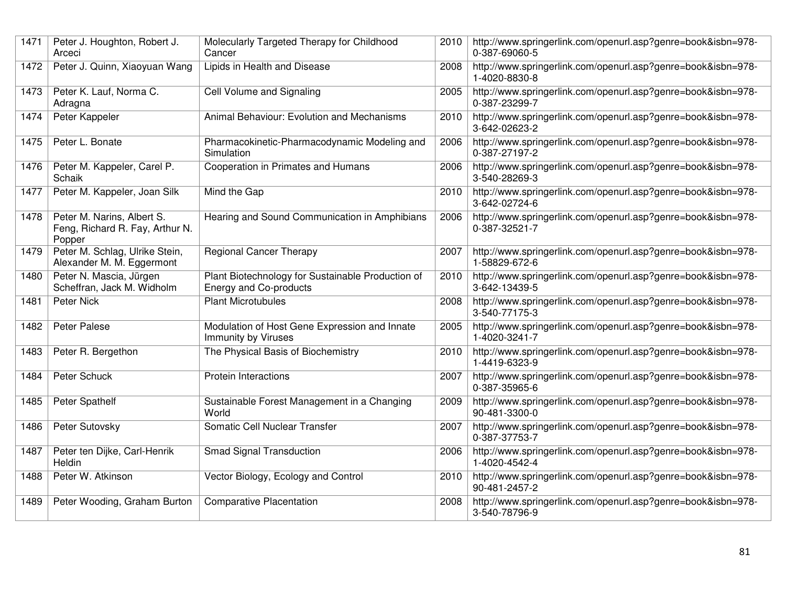| 1471 | Peter J. Houghton, Robert J.<br>Arceci                                  | Molecularly Targeted Therapy for Childhood<br>Cancer                        | 2010 | http://www.springerlink.com/openurl.asp?genre=book&isbn=978-<br>0-387-69060-5 |
|------|-------------------------------------------------------------------------|-----------------------------------------------------------------------------|------|-------------------------------------------------------------------------------|
| 1472 | Peter J. Quinn, Xiaoyuan Wang                                           | Lipids in Health and Disease                                                | 2008 | http://www.springerlink.com/openurl.asp?genre=book&isbn=978-<br>1-4020-8830-8 |
| 1473 | Peter K. Lauf, Norma C.<br>Adragna                                      | Cell Volume and Signaling                                                   | 2005 | http://www.springerlink.com/openurl.asp?genre=book&isbn=978-<br>0-387-23299-7 |
| 1474 | Peter Kappeler                                                          | Animal Behaviour: Evolution and Mechanisms                                  | 2010 | http://www.springerlink.com/openurl.asp?genre=book&isbn=978-<br>3-642-02623-2 |
| 1475 | Peter L. Bonate                                                         | Pharmacokinetic-Pharmacodynamic Modeling and<br>Simulation                  | 2006 | http://www.springerlink.com/openurl.asp?genre=book&isbn=978-<br>0-387-27197-2 |
| 1476 | Peter M. Kappeler, Carel P.<br>Schaik                                   | Cooperation in Primates and Humans                                          | 2006 | http://www.springerlink.com/openurl.asp?genre=book&isbn=978-<br>3-540-28269-3 |
| 1477 | Peter M. Kappeler, Joan Silk                                            | Mind the Gap                                                                | 2010 | http://www.springerlink.com/openurl.asp?genre=book&isbn=978-<br>3-642-02724-6 |
| 1478 | Peter M. Narins, Albert S.<br>Feng, Richard R. Fay, Arthur N.<br>Popper | Hearing and Sound Communication in Amphibians                               | 2006 | http://www.springerlink.com/openurl.asp?genre=book&isbn=978-<br>0-387-32521-7 |
| 1479 | Peter M. Schlag, Ulrike Stein,<br>Alexander M. M. Eggermont             | <b>Regional Cancer Therapy</b>                                              | 2007 | http://www.springerlink.com/openurl.asp?genre=book&isbn=978-<br>1-58829-672-6 |
| 1480 | Peter N. Mascia, Jürgen<br>Scheffran, Jack M. Widholm                   | Plant Biotechnology for Sustainable Production of<br>Energy and Co-products | 2010 | http://www.springerlink.com/openurl.asp?genre=book&isbn=978-<br>3-642-13439-5 |
| 1481 | Peter Nick                                                              | <b>Plant Microtubules</b>                                                   | 2008 | http://www.springerlink.com/openurl.asp?genre=book&isbn=978-<br>3-540-77175-3 |
| 1482 | <b>Peter Palese</b>                                                     | Modulation of Host Gene Expression and Innate<br><b>Immunity by Viruses</b> | 2005 | http://www.springerlink.com/openurl.asp?genre=book&isbn=978-<br>1-4020-3241-7 |
| 1483 | Peter R. Bergethon                                                      | The Physical Basis of Biochemistry                                          | 2010 | http://www.springerlink.com/openurl.asp?genre=book&isbn=978-<br>1-4419-6323-9 |
| 1484 | <b>Peter Schuck</b>                                                     | <b>Protein Interactions</b>                                                 | 2007 | http://www.springerlink.com/openurl.asp?genre=book&isbn=978-<br>0-387-35965-6 |
| 1485 | Peter Spathelf                                                          | Sustainable Forest Management in a Changing<br>World                        | 2009 | http://www.springerlink.com/openurl.asp?genre=book&isbn=978-<br>90-481-3300-0 |
| 1486 | Peter Sutovsky                                                          | Somatic Cell Nuclear Transfer                                               | 2007 | http://www.springerlink.com/openurl.asp?genre=book&isbn=978-<br>0-387-37753-7 |
| 1487 | Peter ten Dijke, Carl-Henrik<br>Heldin                                  | <b>Smad Signal Transduction</b>                                             | 2006 | http://www.springerlink.com/openurl.asp?genre=book&isbn=978-<br>1-4020-4542-4 |
| 1488 | Peter W. Atkinson                                                       | Vector Biology, Ecology and Control                                         | 2010 | http://www.springerlink.com/openurl.asp?genre=book&isbn=978-<br>90-481-2457-2 |
| 1489 | Peter Wooding, Graham Burton                                            | <b>Comparative Placentation</b>                                             | 2008 | http://www.springerlink.com/openurl.asp?genre=book&isbn=978-<br>3-540-78796-9 |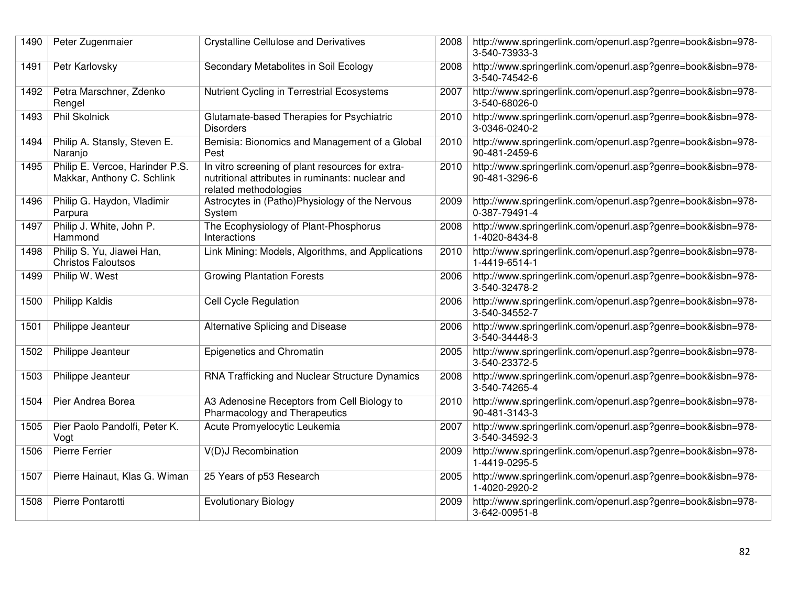| 1490 | Peter Zugenmaier                                              | <b>Crystalline Cellulose and Derivatives</b>                                                                                  | 2008 | http://www.springerlink.com/openurl.asp?genre=book&isbn=978-<br>3-540-73933-3 |
|------|---------------------------------------------------------------|-------------------------------------------------------------------------------------------------------------------------------|------|-------------------------------------------------------------------------------|
| 1491 | Petr Karlovsky                                                | Secondary Metabolites in Soil Ecology                                                                                         | 2008 | http://www.springerlink.com/openurl.asp?genre=book&isbn=978-<br>3-540-74542-6 |
| 1492 | Petra Marschner, Zdenko<br>Rengel                             | Nutrient Cycling in Terrestrial Ecosystems                                                                                    | 2007 | http://www.springerlink.com/openurl.asp?genre=book&isbn=978-<br>3-540-68026-0 |
| 1493 | <b>Phil Skolnick</b>                                          | Glutamate-based Therapies for Psychiatric<br><b>Disorders</b>                                                                 | 2010 | http://www.springerlink.com/openurl.asp?genre=book&isbn=978-<br>3-0346-0240-2 |
| 1494 | Philip A. Stansly, Steven E.<br>Naranjo                       | Bemisia: Bionomics and Management of a Global<br>Pest                                                                         | 2010 | http://www.springerlink.com/openurl.asp?genre=book&isbn=978-<br>90-481-2459-6 |
| 1495 | Philip E. Vercoe, Harinder P.S.<br>Makkar, Anthony C. Schlink | In vitro screening of plant resources for extra-<br>nutritional attributes in ruminants: nuclear and<br>related methodologies | 2010 | http://www.springerlink.com/openurl.asp?genre=book&isbn=978-<br>90-481-3296-6 |
| 1496 | Philip G. Haydon, Vladimir<br>Parpura                         | Astrocytes in (Patho)Physiology of the Nervous<br>System                                                                      | 2009 | http://www.springerlink.com/openurl.asp?genre=book&isbn=978-<br>0-387-79491-4 |
| 1497 | Philip J. White, John P.<br>Hammond                           | The Ecophysiology of Plant-Phosphorus<br>Interactions                                                                         | 2008 | http://www.springerlink.com/openurl.asp?genre=book&isbn=978-<br>1-4020-8434-8 |
| 1498 | Philip S. Yu, Jiawei Han,<br><b>Christos Faloutsos</b>        | Link Mining: Models, Algorithms, and Applications                                                                             | 2010 | http://www.springerlink.com/openurl.asp?genre=book&isbn=978-<br>1-4419-6514-1 |
| 1499 | Philip W. West                                                | <b>Growing Plantation Forests</b>                                                                                             | 2006 | http://www.springerlink.com/openurl.asp?genre=book&isbn=978-<br>3-540-32478-2 |
| 1500 | <b>Philipp Kaldis</b>                                         | <b>Cell Cycle Regulation</b>                                                                                                  | 2006 | http://www.springerlink.com/openurl.asp?genre=book&isbn=978-<br>3-540-34552-7 |
| 1501 | Philippe Jeanteur                                             | Alternative Splicing and Disease                                                                                              | 2006 | http://www.springerlink.com/openurl.asp?genre=book&isbn=978-<br>3-540-34448-3 |
| 1502 | Philippe Jeanteur                                             | Epigenetics and Chromatin                                                                                                     | 2005 | http://www.springerlink.com/openurl.asp?genre=book&isbn=978-<br>3-540-23372-5 |
| 1503 | Philippe Jeanteur                                             | RNA Trafficking and Nuclear Structure Dynamics                                                                                | 2008 | http://www.springerlink.com/openurl.asp?genre=book&isbn=978-<br>3-540-74265-4 |
| 1504 | Pier Andrea Borea                                             | A3 Adenosine Receptors from Cell Biology to<br>Pharmacology and Therapeutics                                                  | 2010 | http://www.springerlink.com/openurl.asp?genre=book&isbn=978-<br>90-481-3143-3 |
| 1505 | Pier Paolo Pandolfi, Peter K.<br>Vogt                         | Acute Promyelocytic Leukemia                                                                                                  | 2007 | http://www.springerlink.com/openurl.asp?genre=book&isbn=978-<br>3-540-34592-3 |
| 1506 | Pierre Ferrier                                                | V(D)J Recombination                                                                                                           | 2009 | http://www.springerlink.com/openurl.asp?genre=book&isbn=978-<br>1-4419-0295-5 |
| 1507 | Pierre Hainaut, Klas G. Wiman                                 | 25 Years of p53 Research                                                                                                      | 2005 | http://www.springerlink.com/openurl.asp?genre=book&isbn=978-<br>1-4020-2920-2 |
| 1508 | Pierre Pontarotti                                             | <b>Evolutionary Biology</b>                                                                                                   | 2009 | http://www.springerlink.com/openurl.asp?genre=book&isbn=978-<br>3-642-00951-8 |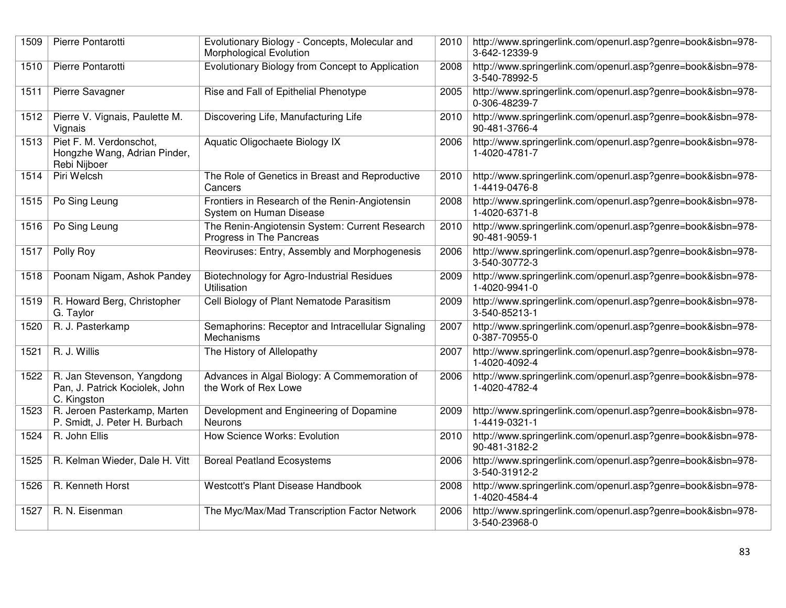| 1509 | Pierre Pontarotti                                                           | Evolutionary Biology - Concepts, Molecular and<br>Morphological Evolution  | 2010 | http://www.springerlink.com/openurl.asp?genre=book&isbn=978-<br>3-642-12339-9 |
|------|-----------------------------------------------------------------------------|----------------------------------------------------------------------------|------|-------------------------------------------------------------------------------|
| 1510 | Pierre Pontarotti                                                           | Evolutionary Biology from Concept to Application                           | 2008 | http://www.springerlink.com/openurl.asp?genre=book&isbn=978-<br>3-540-78992-5 |
| 1511 | Pierre Savagner                                                             | Rise and Fall of Epithelial Phenotype                                      | 2005 | http://www.springerlink.com/openurl.asp?genre=book&isbn=978-<br>0-306-48239-7 |
| 1512 | Pierre V. Vignais, Paulette M.<br>Vignais                                   | Discovering Life, Manufacturing Life                                       | 2010 | http://www.springerlink.com/openurl.asp?genre=book&isbn=978-<br>90-481-3766-4 |
| 1513 | Piet F. M. Verdonschot,<br>Hongzhe Wang, Adrian Pinder,<br>Rebi Nijboer     | Aquatic Oligochaete Biology IX                                             | 2006 | http://www.springerlink.com/openurl.asp?genre=book&isbn=978-<br>1-4020-4781-7 |
| 1514 | Piri Welcsh                                                                 | The Role of Genetics in Breast and Reproductive<br>Cancers                 | 2010 | http://www.springerlink.com/openurl.asp?genre=book&isbn=978-<br>1-4419-0476-8 |
| 1515 | Po Sing Leung                                                               | Frontiers in Research of the Renin-Angiotensin<br>System on Human Disease  | 2008 | http://www.springerlink.com/openurl.asp?genre=book&isbn=978-<br>1-4020-6371-8 |
| 1516 | Po Sing Leung                                                               | The Renin-Angiotensin System: Current Research<br>Progress in The Pancreas | 2010 | http://www.springerlink.com/openurl.asp?genre=book&isbn=978-<br>90-481-9059-1 |
| 1517 | Polly Roy                                                                   | Reoviruses: Entry, Assembly and Morphogenesis                              | 2006 | http://www.springerlink.com/openurl.asp?genre=book&isbn=978-<br>3-540-30772-3 |
| 1518 | Poonam Nigam, Ashok Pandey                                                  | Biotechnology for Agro-Industrial Residues<br>Utilisation                  | 2009 | http://www.springerlink.com/openurl.asp?genre=book&isbn=978-<br>1-4020-9941-0 |
| 1519 | R. Howard Berg, Christopher<br>G. Taylor                                    | Cell Biology of Plant Nematode Parasitism                                  | 2009 | http://www.springerlink.com/openurl.asp?genre=book&isbn=978-<br>3-540-85213-1 |
| 1520 | R. J. Pasterkamp                                                            | Semaphorins: Receptor and Intracellular Signaling<br>Mechanisms            | 2007 | http://www.springerlink.com/openurl.asp?genre=book&isbn=978-<br>0-387-70955-0 |
| 1521 | R. J. Willis                                                                | The History of Allelopathy                                                 | 2007 | http://www.springerlink.com/openurl.asp?genre=book&isbn=978-<br>1-4020-4092-4 |
| 1522 | R. Jan Stevenson, Yangdong<br>Pan, J. Patrick Kociolek, John<br>C. Kingston | Advances in Algal Biology: A Commemoration of<br>the Work of Rex Lowe      | 2006 | http://www.springerlink.com/openurl.asp?genre=book&isbn=978-<br>1-4020-4782-4 |
| 1523 | R. Jeroen Pasterkamp, Marten<br>P. Smidt, J. Peter H. Burbach               | Development and Engineering of Dopamine<br><b>Neurons</b>                  | 2009 | http://www.springerlink.com/openurl.asp?genre=book&isbn=978-<br>1-4419-0321-1 |
| 1524 | R. John Ellis                                                               | How Science Works: Evolution                                               | 2010 | http://www.springerlink.com/openurl.asp?genre=book&isbn=978-<br>90-481-3182-2 |
| 1525 | R. Kelman Wieder, Dale H. Vitt                                              | <b>Boreal Peatland Ecosystems</b>                                          | 2006 | http://www.springerlink.com/openurl.asp?genre=book&isbn=978-<br>3-540-31912-2 |
| 1526 | R. Kenneth Horst                                                            | Westcott's Plant Disease Handbook                                          | 2008 | http://www.springerlink.com/openurl.asp?genre=book&isbn=978-<br>1-4020-4584-4 |
| 1527 | R. N. Eisenman                                                              | The Myc/Max/Mad Transcription Factor Network                               | 2006 | http://www.springerlink.com/openurl.asp?genre=book&isbn=978-<br>3-540-23968-0 |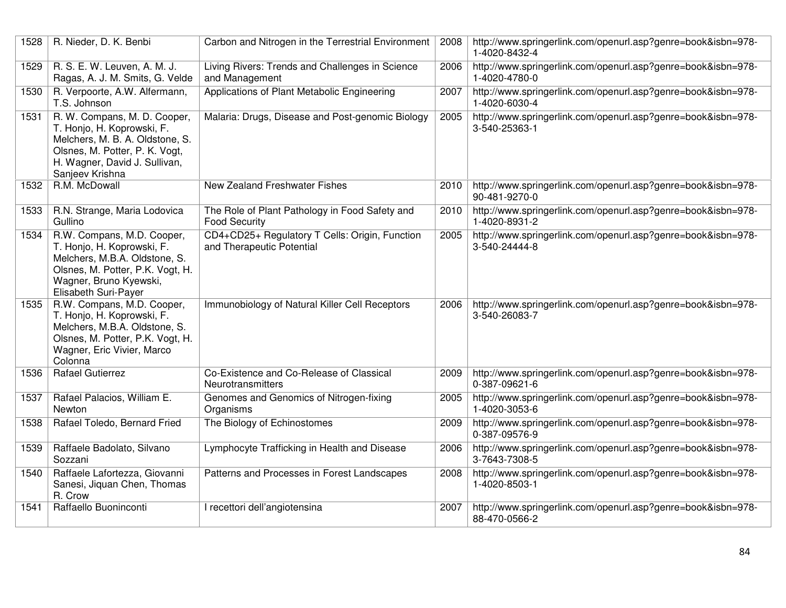| 1528 | R. Nieder, D. K. Benbi                                                                                                                                                              | Carbon and Nitrogen in the Terrestrial Environment                          | 2008 | http://www.springerlink.com/openurl.asp?genre=book&isbn=978-<br>1-4020-8432-4 |
|------|-------------------------------------------------------------------------------------------------------------------------------------------------------------------------------------|-----------------------------------------------------------------------------|------|-------------------------------------------------------------------------------|
| 1529 | R. S. E. W. Leuven, A. M. J.<br>Ragas, A. J. M. Smits, G. Velde                                                                                                                     | Living Rivers: Trends and Challenges in Science<br>and Management           | 2006 | http://www.springerlink.com/openurl.asp?genre=book&isbn=978-<br>1-4020-4780-0 |
| 1530 | R. Verpoorte, A.W. Alfermann,<br>T.S. Johnson                                                                                                                                       | Applications of Plant Metabolic Engineering                                 | 2007 | http://www.springerlink.com/openurl.asp?genre=book&isbn=978-<br>1-4020-6030-4 |
| 1531 | R. W. Compans, M. D. Cooper,<br>T. Honjo, H. Koprowski, F.<br>Melchers, M. B. A. Oldstone, S.<br>Olsnes, M. Potter, P. K. Vogt,<br>H. Wagner, David J. Sullivan,<br>Sanjeev Krishna | Malaria: Drugs, Disease and Post-genomic Biology                            | 2005 | http://www.springerlink.com/openurl.asp?genre=book&isbn=978-<br>3-540-25363-1 |
| 1532 | R.M. McDowall                                                                                                                                                                       | New Zealand Freshwater Fishes                                               | 2010 | http://www.springerlink.com/openurl.asp?genre=book&isbn=978-<br>90-481-9270-0 |
| 1533 | R.N. Strange, Maria Lodovica<br>Gullino                                                                                                                                             | The Role of Plant Pathology in Food Safety and<br><b>Food Security</b>      | 2010 | http://www.springerlink.com/openurl.asp?genre=book&isbn=978-<br>1-4020-8931-2 |
| 1534 | R.W. Compans, M.D. Cooper,<br>T. Honjo, H. Koprowski, F.<br>Melchers, M.B.A. Oldstone, S.<br>Olsnes, M. Potter, P.K. Vogt, H.<br>Wagner, Bruno Kyewski,<br>Elisabeth Suri-Payer     | CD4+CD25+ Regulatory T Cells: Origin, Function<br>and Therapeutic Potential | 2005 | http://www.springerlink.com/openurl.asp?genre=book&isbn=978-<br>3-540-24444-8 |
| 1535 | R.W. Compans, M.D. Cooper,<br>T. Honjo, H. Koprowski, F.<br>Melchers, M.B.A. Oldstone, S.<br>Olsnes, M. Potter, P.K. Vogt, H.<br>Wagner, Eric Vivier, Marco<br>Colonna              | Immunobiology of Natural Killer Cell Receptors                              | 2006 | http://www.springerlink.com/openurl.asp?genre=book&isbn=978-<br>3-540-26083-7 |
| 1536 | <b>Rafael Gutierrez</b>                                                                                                                                                             | Co-Existence and Co-Release of Classical<br>Neurotransmitters               | 2009 | http://www.springerlink.com/openurl.asp?genre=book&isbn=978-<br>0-387-09621-6 |
| 1537 | Rafael Palacios, William E.<br>Newton                                                                                                                                               | Genomes and Genomics of Nitrogen-fixing<br>Organisms                        | 2005 | http://www.springerlink.com/openurl.asp?genre=book&isbn=978-<br>1-4020-3053-6 |
| 1538 | Rafael Toledo, Bernard Fried                                                                                                                                                        | The Biology of Echinostomes                                                 | 2009 | http://www.springerlink.com/openurl.asp?genre=book&isbn=978-<br>0-387-09576-9 |
| 1539 | Raffaele Badolato, Silvano<br>Sozzani                                                                                                                                               | Lymphocyte Trafficking in Health and Disease                                | 2006 | http://www.springerlink.com/openurl.asp?genre=book&isbn=978-<br>3-7643-7308-5 |
| 1540 | Raffaele Lafortezza, Giovanni<br>Sanesi, Jiquan Chen, Thomas<br>R. Crow                                                                                                             | Patterns and Processes in Forest Landscapes                                 | 2008 | http://www.springerlink.com/openurl.asp?genre=book&isbn=978-<br>1-4020-8503-1 |
| 1541 | Raffaello Buoninconti                                                                                                                                                               | I recettori dell'angiotensina                                               | 2007 | http://www.springerlink.com/openurl.asp?genre=book&isbn=978-<br>88-470-0566-2 |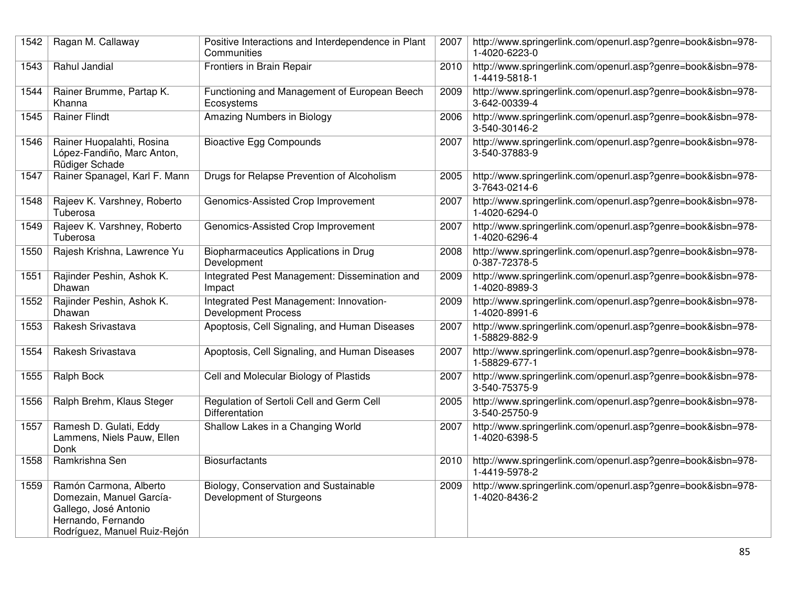| 1542 | Ragan M. Callaway                                                                                                                 | Positive Interactions and Interdependence in Plant<br>Communities     | 2007 | http://www.springerlink.com/openurl.asp?genre=book&isbn=978-<br>1-4020-6223-0 |
|------|-----------------------------------------------------------------------------------------------------------------------------------|-----------------------------------------------------------------------|------|-------------------------------------------------------------------------------|
| 1543 | Rahul Jandial                                                                                                                     | Frontiers in Brain Repair                                             | 2010 | http://www.springerlink.com/openurl.asp?genre=book&isbn=978-<br>1-4419-5818-1 |
| 1544 | Rainer Brumme, Partap K.<br>Khanna                                                                                                | Functioning and Management of European Beech<br>Ecosystems            | 2009 | http://www.springerlink.com/openurl.asp?genre=book&isbn=978-<br>3-642-00339-4 |
| 1545 | <b>Rainer Flindt</b>                                                                                                              | Amazing Numbers in Biology                                            | 2006 | http://www.springerlink.com/openurl.asp?genre=book&isbn=978-<br>3-540-30146-2 |
| 1546 | Rainer Huopalahti, Rosina<br>López-Fandiño, Marc Anton,<br>Rüdiger Schade                                                         | <b>Bioactive Egg Compounds</b>                                        | 2007 | http://www.springerlink.com/openurl.asp?genre=book&isbn=978-<br>3-540-37883-9 |
| 1547 | Rainer Spanagel, Karl F. Mann                                                                                                     | Drugs for Relapse Prevention of Alcoholism                            | 2005 | http://www.springerlink.com/openurl.asp?genre=book&isbn=978-<br>3-7643-0214-6 |
| 1548 | Rajeev K. Varshney, Roberto<br>Tuberosa                                                                                           | Genomics-Assisted Crop Improvement                                    | 2007 | http://www.springerlink.com/openurl.asp?genre=book&isbn=978-<br>1-4020-6294-0 |
| 1549 | Rajeev K. Varshney, Roberto<br>Tuberosa                                                                                           | Genomics-Assisted Crop Improvement                                    | 2007 | http://www.springerlink.com/openurl.asp?genre=book&isbn=978-<br>1-4020-6296-4 |
| 1550 | Rajesh Krishna, Lawrence Yu                                                                                                       | Biopharmaceutics Applications in Drug<br>Development                  | 2008 | http://www.springerlink.com/openurl.asp?genre=book&isbn=978-<br>0-387-72378-5 |
| 1551 | Rajinder Peshin, Ashok K.<br>Dhawan                                                                                               | Integrated Pest Management: Dissemination and<br>Impact               | 2009 | http://www.springerlink.com/openurl.asp?genre=book&isbn=978-<br>1-4020-8989-3 |
| 1552 | Rajinder Peshin, Ashok K.<br>Dhawan                                                                                               | Integrated Pest Management: Innovation-<br><b>Development Process</b> | 2009 | http://www.springerlink.com/openurl.asp?genre=book&isbn=978-<br>1-4020-8991-6 |
| 1553 | Rakesh Srivastava                                                                                                                 | Apoptosis, Cell Signaling, and Human Diseases                         | 2007 | http://www.springerlink.com/openurl.asp?genre=book&isbn=978-<br>1-58829-882-9 |
| 1554 | Rakesh Srivastava                                                                                                                 | Apoptosis, Cell Signaling, and Human Diseases                         | 2007 | http://www.springerlink.com/openurl.asp?genre=book&isbn=978-<br>1-58829-677-1 |
| 1555 | Ralph Bock                                                                                                                        | Cell and Molecular Biology of Plastids                                | 2007 | http://www.springerlink.com/openurl.asp?genre=book&isbn=978-<br>3-540-75375-9 |
| 1556 | Ralph Brehm, Klaus Steger                                                                                                         | Regulation of Sertoli Cell and Germ Cell<br>Differentation            | 2005 | http://www.springerlink.com/openurl.asp?genre=book&isbn=978-<br>3-540-25750-9 |
| 1557 | Ramesh D. Gulati, Eddy<br>Lammens, Niels Pauw, Ellen<br>Donk                                                                      | Shallow Lakes in a Changing World                                     | 2007 | http://www.springerlink.com/openurl.asp?genre=book&isbn=978-<br>1-4020-6398-5 |
| 1558 | Ramkrishna Sen                                                                                                                    | <b>Biosurfactants</b>                                                 | 2010 | http://www.springerlink.com/openurl.asp?genre=book&isbn=978-<br>1-4419-5978-2 |
| 1559 | Ramón Carmona, Alberto<br>Domezain, Manuel García-<br>Gallego, José Antonio<br>Hernando, Fernando<br>Rodríguez, Manuel Ruiz-Rejón | Biology, Conservation and Sustainable<br>Development of Sturgeons     | 2009 | http://www.springerlink.com/openurl.asp?genre=book&isbn=978-<br>1-4020-8436-2 |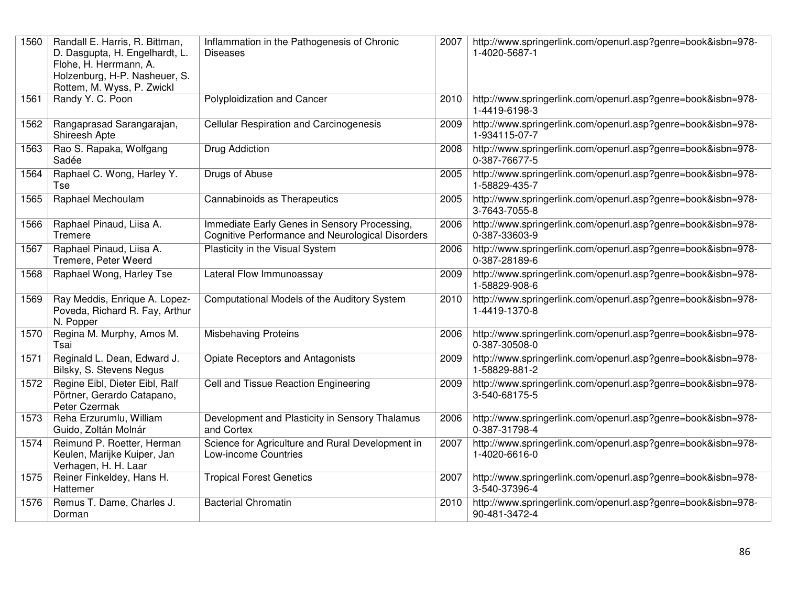| 1560 | Randall E. Harris, R. Bittman,<br>D. Dasgupta, H. Engelhardt, L.<br>Flohe, H. Herrmann, A.<br>Holzenburg, H-P. Nasheuer, S.<br>Rottem, M. Wyss, P. Zwickl | Inflammation in the Pathogenesis of Chronic<br><b>Diseases</b>                                   | 2007 | http://www.springerlink.com/openurl.asp?genre=book&isbn=978-<br>1-4020-5687-1 |
|------|-----------------------------------------------------------------------------------------------------------------------------------------------------------|--------------------------------------------------------------------------------------------------|------|-------------------------------------------------------------------------------|
| 1561 | Randy Y. C. Poon                                                                                                                                          | Polyploidization and Cancer                                                                      | 2010 | http://www.springerlink.com/openurl.asp?genre=book&isbn=978-<br>1-4419-6198-3 |
| 1562 | Rangaprasad Sarangarajan,<br>Shireesh Apte                                                                                                                | <b>Cellular Respiration and Carcinogenesis</b>                                                   | 2009 | http://www.springerlink.com/openurl.asp?genre=book&isbn=978-<br>1-934115-07-7 |
| 1563 | Rao S. Rapaka, Wolfgang<br>Sadée                                                                                                                          | Drug Addiction                                                                                   | 2008 | http://www.springerlink.com/openurl.asp?genre=book&isbn=978-<br>0-387-76677-5 |
| 1564 | Raphael C. Wong, Harley Y.<br>Tse                                                                                                                         | Drugs of Abuse                                                                                   | 2005 | http://www.springerlink.com/openurl.asp?genre=book&isbn=978-<br>1-58829-435-7 |
| 1565 | Raphael Mechoulam                                                                                                                                         | Cannabinoids as Therapeutics                                                                     | 2005 | http://www.springerlink.com/openurl.asp?genre=book&isbn=978-<br>3-7643-7055-8 |
| 1566 | Raphael Pinaud, Liisa A.<br>Tremere                                                                                                                       | Immediate Early Genes in Sensory Processing,<br>Cognitive Performance and Neurological Disorders | 2006 | http://www.springerlink.com/openurl.asp?genre=book&isbn=978-<br>0-387-33603-9 |
| 1567 | Raphael Pinaud, Liisa A.<br>Tremere, Peter Weerd                                                                                                          | Plasticity in the Visual System                                                                  | 2006 | http://www.springerlink.com/openurl.asp?genre=book&isbn=978-<br>0-387-28189-6 |
| 1568 | Raphael Wong, Harley Tse                                                                                                                                  | Lateral Flow Immunoassay                                                                         | 2009 | http://www.springerlink.com/openurl.asp?genre=book&isbn=978-<br>1-58829-908-6 |
| 1569 | Ray Meddis, Enrique A. Lopez-<br>Poveda, Richard R. Fay, Arthur<br>N. Popper                                                                              | Computational Models of the Auditory System                                                      | 2010 | http://www.springerlink.com/openurl.asp?genre=book&isbn=978-<br>1-4419-1370-8 |
| 1570 | Regina M. Murphy, Amos M.<br>Tsai                                                                                                                         | <b>Misbehaving Proteins</b>                                                                      | 2006 | http://www.springerlink.com/openurl.asp?genre=book&isbn=978-<br>0-387-30508-0 |
| 1571 | Reginald L. Dean, Edward J.<br>Bilsky, S. Stevens Negus                                                                                                   | <b>Opiate Receptors and Antagonists</b>                                                          | 2009 | http://www.springerlink.com/openurl.asp?genre=book&isbn=978-<br>1-58829-881-2 |
| 1572 | Regine Eibl, Dieter Eibl, Ralf<br>Pörtner, Gerardo Catapano,<br>Peter Czermak                                                                             | Cell and Tissue Reaction Engineering                                                             | 2009 | http://www.springerlink.com/openurl.asp?genre=book&isbn=978-<br>3-540-68175-5 |
| 1573 | Reha Erzurumlu, William<br>Guido, Zoltán Molnár                                                                                                           | Development and Plasticity in Sensory Thalamus<br>and Cortex                                     | 2006 | http://www.springerlink.com/openurl.asp?genre=book&isbn=978-<br>0-387-31798-4 |
| 1574 | Reimund P. Roetter, Herman<br>Keulen, Marijke Kuiper, Jan<br>Verhagen, H. H. Laar                                                                         | Science for Agriculture and Rural Development in<br>Low-income Countries                         | 2007 | http://www.springerlink.com/openurl.asp?genre=book&isbn=978-<br>1-4020-6616-0 |
| 1575 | Reiner Finkeldey, Hans H.<br>Hattemer                                                                                                                     | <b>Tropical Forest Genetics</b>                                                                  | 2007 | http://www.springerlink.com/openurl.asp?genre=book&isbn=978-<br>3-540-37396-4 |
| 1576 | Remus T. Dame, Charles J.<br>Dorman                                                                                                                       | <b>Bacterial Chromatin</b>                                                                       | 2010 | http://www.springerlink.com/openurl.asp?genre=book&isbn=978-<br>90-481-3472-4 |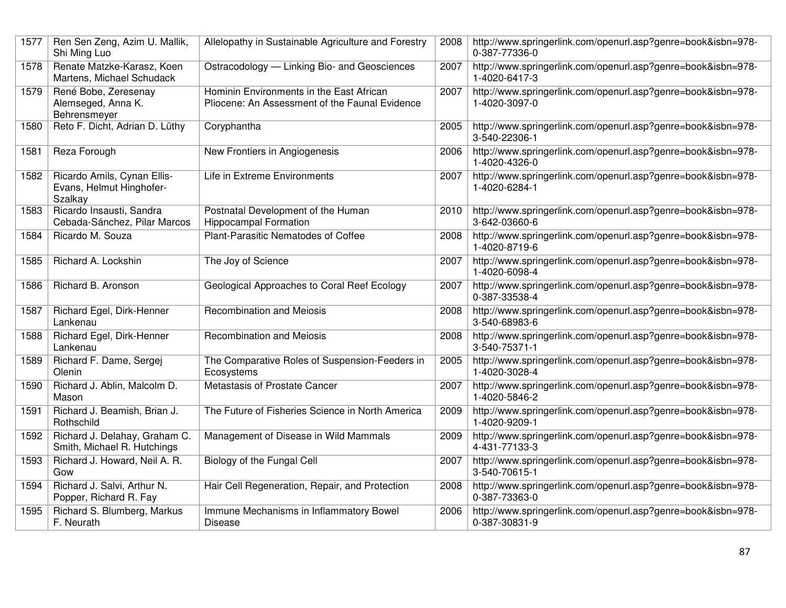| 1577 | Ren Sen Zeng, Azim U. Mallik,<br>Shi Ming Luo                      | Allelopathy in Sustainable Agriculture and Forestry                                        | 2008 | http://www.springerlink.com/openurl.asp?genre=book&isbn=978-<br>0-387-77336-0 |
|------|--------------------------------------------------------------------|--------------------------------------------------------------------------------------------|------|-------------------------------------------------------------------------------|
| 1578 | Renate Matzke-Karasz, Koen<br>Martens, Michael Schudack            | Ostracodology - Linking Bio- and Geosciences                                               | 2007 | http://www.springerlink.com/openurl.asp?genre=book&isbn=978-<br>1-4020-6417-3 |
| 1579 | René Bobe, Zeresenay<br>Alemseged, Anna K.<br>Behrensmeyer         | Hominin Environments in the East African<br>Pliocene: An Assessment of the Faunal Evidence | 2007 | http://www.springerlink.com/openurl.asp?genre=book&isbn=978-<br>1-4020-3097-0 |
| 1580 | Reto F. Dicht, Adrian D. Lüthy                                     | Coryphantha                                                                                | 2005 | http://www.springerlink.com/openurl.asp?genre=book&isbn=978-<br>3-540-22306-1 |
| 1581 | Reza Forough                                                       | New Frontiers in Angiogenesis                                                              | 2006 | http://www.springerlink.com/openurl.asp?genre=book&isbn=978-<br>1-4020-4326-0 |
| 1582 | Ricardo Amils, Cynan Ellis-<br>Evans, Helmut Hinghofer-<br>Szalkay | Life in Extreme Environments                                                               | 2007 | http://www.springerlink.com/openurl.asp?genre=book&isbn=978-<br>1-4020-6284-1 |
| 1583 | Ricardo Insausti, Sandra<br>Cebada-Sánchez, Pilar Marcos           | Postnatal Development of the Human<br><b>Hippocampal Formation</b>                         | 2010 | http://www.springerlink.com/openurl.asp?genre=book&isbn=978-<br>3-642-03660-6 |
| 1584 | Ricardo M. Souza                                                   | Plant-Parasitic Nematodes of Coffee                                                        | 2008 | http://www.springerlink.com/openurl.asp?genre=book&isbn=978-<br>1-4020-8719-6 |
| 1585 | Richard A. Lockshin                                                | The Joy of Science                                                                         | 2007 | http://www.springerlink.com/openurl.asp?genre=book&isbn=978-<br>1-4020-6098-4 |
| 1586 | Richard B. Aronson                                                 | Geological Approaches to Coral Reef Ecology                                                | 2007 | http://www.springerlink.com/openurl.asp?genre=book&isbn=978-<br>0-387-33538-4 |
| 1587 | Richard Egel, Dirk-Henner<br>Lankenau                              | Recombination and Meiosis                                                                  | 2008 | http://www.springerlink.com/openurl.asp?genre=book&isbn=978-<br>3-540-68983-6 |
| 1588 | Richard Egel, Dirk-Henner<br>Lankenau                              | Recombination and Meiosis                                                                  | 2008 | http://www.springerlink.com/openurl.asp?genre=book&isbn=978-<br>3-540-75371-1 |
| 1589 | Richard F. Dame, Sergej<br>Olenin                                  | The Comparative Roles of Suspension-Feeders in<br>Ecosystems                               | 2005 | http://www.springerlink.com/openurl.asp?genre=book&isbn=978-<br>1-4020-3028-4 |
| 1590 | Richard J. Ablin, Malcolm D.<br>Mason                              | Metastasis of Prostate Cancer                                                              | 2007 | http://www.springerlink.com/openurl.asp?genre=book&isbn=978-<br>1-4020-5846-2 |
| 1591 | Richard J. Beamish, Brian J.<br>Rothschild                         | The Future of Fisheries Science in North America                                           | 2009 | http://www.springerlink.com/openurl.asp?genre=book&isbn=978-<br>1-4020-9209-1 |
| 1592 | Richard J. Delahay, Graham C.<br>Smith, Michael R. Hutchings       | Management of Disease in Wild Mammals                                                      | 2009 | http://www.springerlink.com/openurl.asp?genre=book&isbn=978-<br>4-431-77133-3 |
| 1593 | Richard J. Howard, Neil A. R.<br>Gow                               | Biology of the Fungal Cell                                                                 | 2007 | http://www.springerlink.com/openurl.asp?genre=book&isbn=978-<br>3-540-70615-1 |
| 1594 | Richard J. Salvi, Arthur N.<br>Popper, Richard R. Fay              | Hair Cell Regeneration, Repair, and Protection                                             | 2008 | http://www.springerlink.com/openurl.asp?genre=book&isbn=978-<br>0-387-73363-0 |
| 1595 | Richard S. Blumberg, Markus<br>F. Neurath                          | Immune Mechanisms in Inflammatory Bowel<br>Disease                                         | 2006 | http://www.springerlink.com/openurl.asp?genre=book&isbn=978-<br>0-387-30831-9 |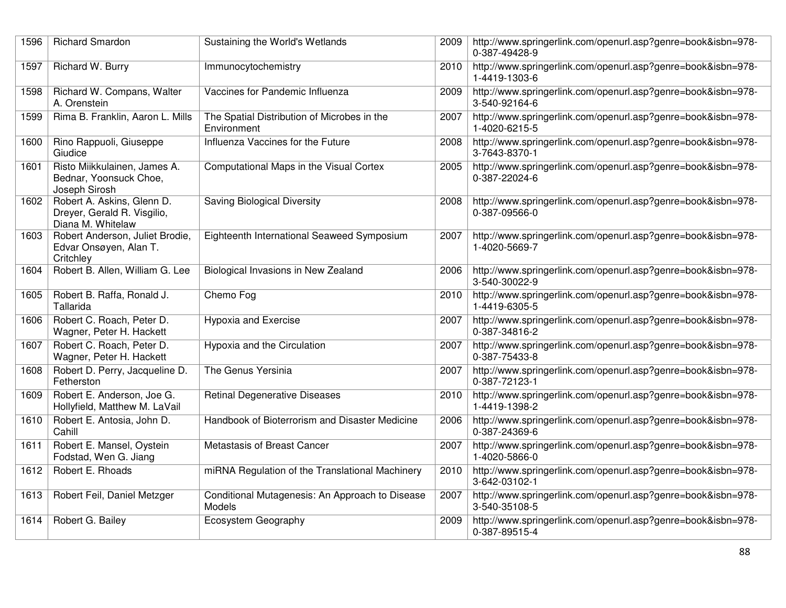| 1596 | <b>Richard Smardon</b>                                                         | Sustaining the World's Wetlands                            | 2009 | http://www.springerlink.com/openurl.asp?genre=book&isbn=978-<br>0-387-49428-9 |
|------|--------------------------------------------------------------------------------|------------------------------------------------------------|------|-------------------------------------------------------------------------------|
| 1597 | Richard W. Burry                                                               | Immunocytochemistry                                        | 2010 | http://www.springerlink.com/openurl.asp?genre=book&isbn=978-<br>1-4419-1303-6 |
| 1598 | Richard W. Compans, Walter<br>A. Orenstein                                     | Vaccines for Pandemic Influenza                            | 2009 | http://www.springerlink.com/openurl.asp?genre=book&isbn=978-<br>3-540-92164-6 |
| 1599 | Rima B. Franklin, Aaron L. Mills                                               | The Spatial Distribution of Microbes in the<br>Environment | 2007 | http://www.springerlink.com/openurl.asp?genre=book&isbn=978-<br>1-4020-6215-5 |
| 1600 | Rino Rappuoli, Giuseppe<br>Giudice                                             | Influenza Vaccines for the Future                          | 2008 | http://www.springerlink.com/openurl.asp?genre=book&isbn=978-<br>3-7643-8370-1 |
| 1601 | Risto Miikkulainen, James A.<br>Bednar, Yoonsuck Choe,<br>Joseph Sirosh        | Computational Maps in the Visual Cortex                    | 2005 | http://www.springerlink.com/openurl.asp?genre=book&isbn=978-<br>0-387-22024-6 |
| 1602 | Robert A. Askins, Glenn D.<br>Dreyer, Gerald R. Visgilio,<br>Diana M. Whitelaw | <b>Saving Biological Diversity</b>                         | 2008 | http://www.springerlink.com/openurl.asp?genre=book&isbn=978-<br>0-387-09566-0 |
| 1603 | Robert Anderson, Juliet Brodie,<br>Edvar Onsøyen, Alan T.<br>Critchley         | Eighteenth International Seaweed Symposium                 | 2007 | http://www.springerlink.com/openurl.asp?genre=book&isbn=978-<br>1-4020-5669-7 |
| 1604 | Robert B. Allen, William G. Lee                                                | Biological Invasions in New Zealand                        | 2006 | http://www.springerlink.com/openurl.asp?genre=book&isbn=978-<br>3-540-30022-9 |
| 1605 | Robert B. Raffa, Ronald J.<br>Tallarida                                        | Chemo Fog                                                  | 2010 | http://www.springerlink.com/openurl.asp?genre=book&isbn=978-<br>1-4419-6305-5 |
| 1606 | Robert C. Roach, Peter D.<br>Wagner, Peter H. Hackett                          | <b>Hypoxia and Exercise</b>                                | 2007 | http://www.springerlink.com/openurl.asp?genre=book&isbn=978-<br>0-387-34816-2 |
| 1607 | Robert C. Roach, Peter D.<br>Wagner, Peter H. Hackett                          | Hypoxia and the Circulation                                | 2007 | http://www.springerlink.com/openurl.asp?genre=book&isbn=978-<br>0-387-75433-8 |
| 1608 | Robert D. Perry, Jacqueline D.<br>Fetherston                                   | The Genus Yersinia                                         | 2007 | http://www.springerlink.com/openurl.asp?genre=book&isbn=978-<br>0-387-72123-1 |
| 1609 | Robert E. Anderson, Joe G.<br>Hollyfield, Matthew M. LaVail                    | <b>Retinal Degenerative Diseases</b>                       | 2010 | http://www.springerlink.com/openurl.asp?genre=book&isbn=978-<br>1-4419-1398-2 |
| 1610 | Robert E. Antosia, John D.<br>Cahill                                           | Handbook of Bioterrorism and Disaster Medicine             | 2006 | http://www.springerlink.com/openurl.asp?genre=book&isbn=978-<br>0-387-24369-6 |
| 1611 | Robert E. Mansel, Oystein<br>Fodstad, Wen G. Jiang                             | Metastasis of Breast Cancer                                | 2007 | http://www.springerlink.com/openurl.asp?genre=book&isbn=978-<br>1-4020-5866-0 |
| 1612 | Robert E. Rhoads                                                               | miRNA Regulation of the Translational Machinery            | 2010 | http://www.springerlink.com/openurl.asp?genre=book&isbn=978-<br>3-642-03102-1 |
| 1613 | Robert Feil, Daniel Metzger                                                    | Conditional Mutagenesis: An Approach to Disease<br>Models  | 2007 | http://www.springerlink.com/openurl.asp?genre=book&isbn=978-<br>3-540-35108-5 |
| 1614 | Robert G. Bailey                                                               | Ecosystem Geography                                        | 2009 | http://www.springerlink.com/openurl.asp?genre=book&isbn=978-<br>0-387-89515-4 |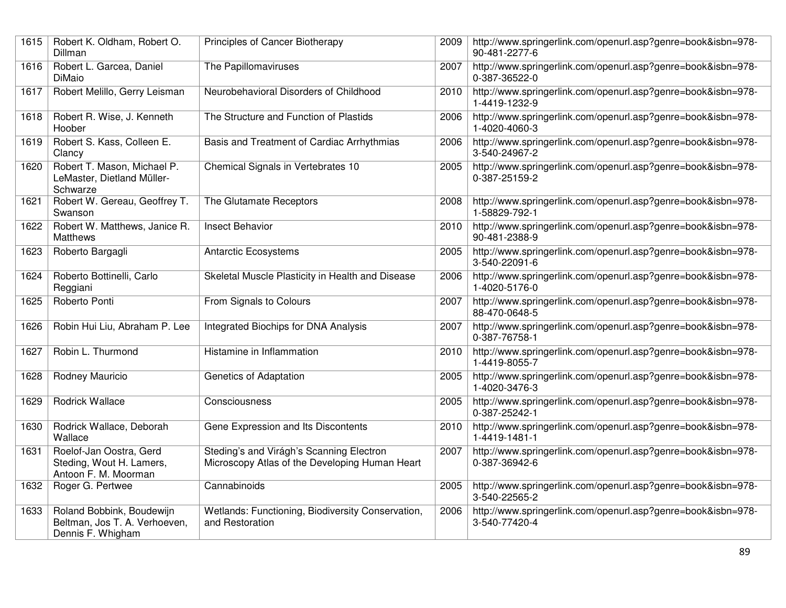| 1615 | Robert K. Oldham, Robert O.<br>Dillman                                          | Principles of Cancer Biotherapy                                                            | 2009 | http://www.springerlink.com/openurl.asp?genre=book&isbn=978-<br>90-481-2277-6 |
|------|---------------------------------------------------------------------------------|--------------------------------------------------------------------------------------------|------|-------------------------------------------------------------------------------|
| 1616 | Robert L. Garcea, Daniel<br>DiMaio                                              | The Papillomaviruses                                                                       | 2007 | http://www.springerlink.com/openurl.asp?genre=book&isbn=978-<br>0-387-36522-0 |
| 1617 | Robert Melillo, Gerry Leisman                                                   | Neurobehavioral Disorders of Childhood                                                     | 2010 | http://www.springerlink.com/openurl.asp?genre=book&isbn=978-<br>1-4419-1232-9 |
| 1618 | Robert R. Wise, J. Kenneth<br>Hoober                                            | The Structure and Function of Plastids                                                     | 2006 | http://www.springerlink.com/openurl.asp?genre=book&isbn=978-<br>1-4020-4060-3 |
| 1619 | Robert S. Kass, Colleen E.<br>Clancy                                            | Basis and Treatment of Cardiac Arrhythmias                                                 | 2006 | http://www.springerlink.com/openurl.asp?genre=book&isbn=978-<br>3-540-24967-2 |
| 1620 | Robert T. Mason, Michael P.<br>LeMaster, Dietland Müller-<br>Schwarze           | Chemical Signals in Vertebrates 10                                                         | 2005 | http://www.springerlink.com/openurl.asp?genre=book&isbn=978-<br>0-387-25159-2 |
| 1621 | Robert W. Gereau, Geoffrey T.<br>Swanson                                        | The Glutamate Receptors                                                                    | 2008 | http://www.springerlink.com/openurl.asp?genre=book&isbn=978-<br>1-58829-792-1 |
| 1622 | Robert W. Matthews, Janice R.<br><b>Matthews</b>                                | <b>Insect Behavior</b>                                                                     | 2010 | http://www.springerlink.com/openurl.asp?genre=book&isbn=978-<br>90-481-2388-9 |
| 1623 | Roberto Bargagli                                                                | <b>Antarctic Ecosystems</b>                                                                | 2005 | http://www.springerlink.com/openurl.asp?genre=book&isbn=978-<br>3-540-22091-6 |
| 1624 | Roberto Bottinelli, Carlo<br>Reggiani                                           | Skeletal Muscle Plasticity in Health and Disease                                           | 2006 | http://www.springerlink.com/openurl.asp?genre=book&isbn=978-<br>1-4020-5176-0 |
| 1625 | Roberto Ponti                                                                   | From Signals to Colours                                                                    | 2007 | http://www.springerlink.com/openurl.asp?genre=book&isbn=978-<br>88-470-0648-5 |
| 1626 | Robin Hui Liu, Abraham P. Lee                                                   | Integrated Biochips for DNA Analysis                                                       | 2007 | http://www.springerlink.com/openurl.asp?genre=book&isbn=978-<br>0-387-76758-1 |
| 1627 | Robin L. Thurmond                                                               | Histamine in Inflammation                                                                  | 2010 | http://www.springerlink.com/openurl.asp?genre=book&isbn=978-<br>1-4419-8055-7 |
| 1628 | Rodney Mauricio                                                                 | <b>Genetics of Adaptation</b>                                                              | 2005 | http://www.springerlink.com/openurl.asp?genre=book&isbn=978-<br>1-4020-3476-3 |
| 1629 | <b>Rodrick Wallace</b>                                                          | Consciousness                                                                              | 2005 | http://www.springerlink.com/openurl.asp?genre=book&isbn=978-<br>0-387-25242-1 |
| 1630 | Rodrick Wallace, Deborah<br>Wallace                                             | Gene Expression and Its Discontents                                                        | 2010 | http://www.springerlink.com/openurl.asp?genre=book&isbn=978-<br>1-4419-1481-1 |
| 1631 | Roelof-Jan Oostra, Gerd<br>Steding, Wout H. Lamers,<br>Antoon F. M. Moorman     | Steding's and Virágh's Scanning Electron<br>Microscopy Atlas of the Developing Human Heart | 2007 | http://www.springerlink.com/openurl.asp?genre=book&isbn=978-<br>0-387-36942-6 |
| 1632 | Roger G. Pertwee                                                                | Cannabinoids                                                                               | 2005 | http://www.springerlink.com/openurl.asp?genre=book&isbn=978-<br>3-540-22565-2 |
| 1633 | Roland Bobbink, Boudewijn<br>Beltman, Jos T. A. Verhoeven,<br>Dennis F. Whigham | Wetlands: Functioning, Biodiversity Conservation,<br>and Restoration                       | 2006 | http://www.springerlink.com/openurl.asp?genre=book&isbn=978-<br>3-540-77420-4 |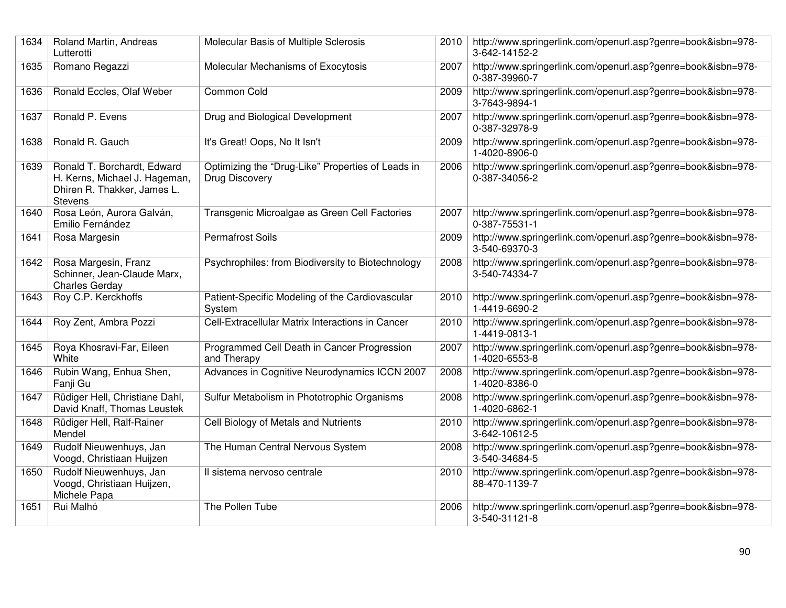| 1634 | Roland Martin, Andreas<br>Lutterotti                                                                          | Molecular Basis of Multiple Sclerosis                               | 2010 | http://www.springerlink.com/openurl.asp?genre=book&isbn=978-<br>3-642-14152-2 |
|------|---------------------------------------------------------------------------------------------------------------|---------------------------------------------------------------------|------|-------------------------------------------------------------------------------|
| 1635 | Romano Regazzi                                                                                                | Molecular Mechanisms of Exocytosis                                  | 2007 | http://www.springerlink.com/openurl.asp?genre=book&isbn=978-<br>0-387-39960-7 |
| 1636 | Ronald Eccles, Olaf Weber                                                                                     | Common Cold                                                         | 2009 | http://www.springerlink.com/openurl.asp?genre=book&isbn=978-<br>3-7643-9894-1 |
| 1637 | Ronald P. Evens                                                                                               | Drug and Biological Development                                     | 2007 | http://www.springerlink.com/openurl.asp?genre=book&isbn=978-<br>0-387-32978-9 |
| 1638 | Ronald R. Gauch                                                                                               | It's Great! Oops, No It Isn't                                       | 2009 | http://www.springerlink.com/openurl.asp?genre=book&isbn=978-<br>1-4020-8906-0 |
| 1639 | Ronald T. Borchardt, Edward<br>H. Kerns, Michael J. Hageman,<br>Dhiren R. Thakker, James L.<br><b>Stevens</b> | Optimizing the "Drug-Like" Properties of Leads in<br>Drug Discovery | 2006 | http://www.springerlink.com/openurl.asp?genre=book&isbn=978-<br>0-387-34056-2 |
| 1640 | Rosa León, Aurora Galván,<br>Emilio Fernández                                                                 | Transgenic Microalgae as Green Cell Factories                       | 2007 | http://www.springerlink.com/openurl.asp?genre=book&isbn=978-<br>0-387-75531-1 |
| 1641 | Rosa Margesin                                                                                                 | Permafrost Soils                                                    | 2009 | http://www.springerlink.com/openurl.asp?genre=book&isbn=978-<br>3-540-69370-3 |
| 1642 | Rosa Margesin, Franz<br>Schinner, Jean-Claude Marx,<br><b>Charles Gerday</b>                                  | Psychrophiles: from Biodiversity to Biotechnology                   | 2008 | http://www.springerlink.com/openurl.asp?genre=book&isbn=978-<br>3-540-74334-7 |
| 1643 | Roy C.P. Kerckhoffs                                                                                           | Patient-Specific Modeling of the Cardiovascular<br>System           | 2010 | http://www.springerlink.com/openurl.asp?genre=book&isbn=978-<br>1-4419-6690-2 |
| 1644 | Roy Zent, Ambra Pozzi                                                                                         | Cell-Extracellular Matrix Interactions in Cancer                    | 2010 | http://www.springerlink.com/openurl.asp?genre=book&isbn=978-<br>1-4419-0813-1 |
| 1645 | Roya Khosravi-Far, Eileen<br>White                                                                            | Programmed Cell Death in Cancer Progression<br>and Therapy          | 2007 | http://www.springerlink.com/openurl.asp?genre=book&isbn=978-<br>1-4020-6553-8 |
| 1646 | Rubin Wang, Enhua Shen,<br>Fanji Gu                                                                           | Advances in Cognitive Neurodynamics ICCN 2007                       | 2008 | http://www.springerlink.com/openurl.asp?genre=book&isbn=978-<br>1-4020-8386-0 |
| 1647 | Rüdiger Hell, Christiane Dahl,<br>David Knaff, Thomas Leustek                                                 | Sulfur Metabolism in Phototrophic Organisms                         | 2008 | http://www.springerlink.com/openurl.asp?genre=book&isbn=978-<br>1-4020-6862-1 |
| 1648 | Rüdiger Hell, Ralf-Rainer<br>Mendel                                                                           | Cell Biology of Metals and Nutrients                                | 2010 | http://www.springerlink.com/openurl.asp?genre=book&isbn=978-<br>3-642-10612-5 |
| 1649 | Rudolf Nieuwenhuys, Jan<br>Voogd, Christiaan Huijzen                                                          | The Human Central Nervous System                                    | 2008 | http://www.springerlink.com/openurl.asp?genre=book&isbn=978-<br>3-540-34684-5 |
| 1650 | Rudolf Nieuwenhuys, Jan<br>Voogd, Christiaan Huijzen,<br>Michele Papa                                         | Il sistema nervoso centrale                                         | 2010 | http://www.springerlink.com/openurl.asp?genre=book&isbn=978-<br>88-470-1139-7 |
| 1651 | Rui Malhó                                                                                                     | The Pollen Tube                                                     | 2006 | http://www.springerlink.com/openurl.asp?genre=book&isbn=978-<br>3-540-31121-8 |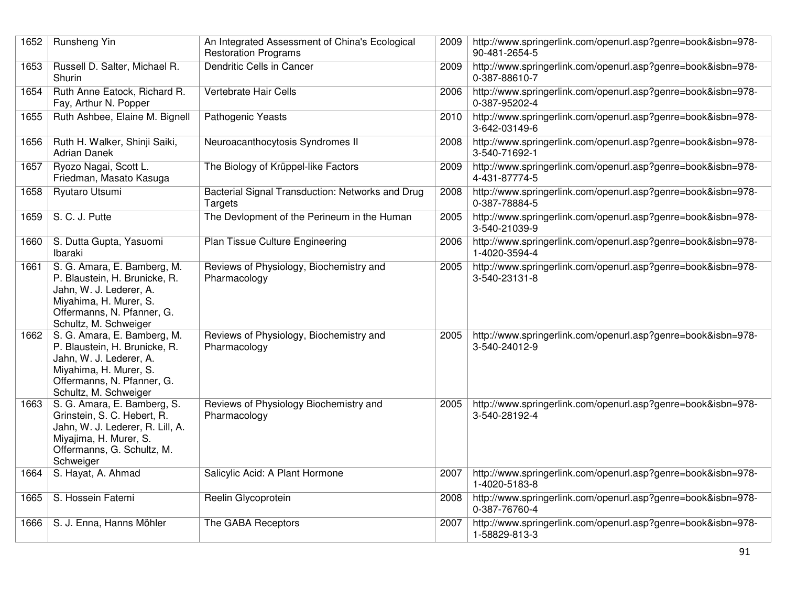| 1652 | Runsheng Yin                                                                                                                                                             | An Integrated Assessment of China's Ecological<br><b>Restoration Programs</b> | 2009 | http://www.springerlink.com/openurl.asp?genre=book&isbn=978-<br>90-481-2654-5 |
|------|--------------------------------------------------------------------------------------------------------------------------------------------------------------------------|-------------------------------------------------------------------------------|------|-------------------------------------------------------------------------------|
| 1653 | Russell D. Salter, Michael R.<br>Shurin                                                                                                                                  | Dendritic Cells in Cancer                                                     | 2009 | http://www.springerlink.com/openurl.asp?genre=book&isbn=978-<br>0-387-88610-7 |
| 1654 | Ruth Anne Eatock, Richard R.<br>Fay, Arthur N. Popper                                                                                                                    | Vertebrate Hair Cells                                                         | 2006 | http://www.springerlink.com/openurl.asp?genre=book&isbn=978-<br>0-387-95202-4 |
| 1655 | Ruth Ashbee, Elaine M. Bignell                                                                                                                                           | Pathogenic Yeasts                                                             | 2010 | http://www.springerlink.com/openurl.asp?genre=book&isbn=978-<br>3-642-03149-6 |
| 1656 | Ruth H. Walker, Shinji Saiki,<br><b>Adrian Danek</b>                                                                                                                     | Neuroacanthocytosis Syndromes II                                              | 2008 | http://www.springerlink.com/openurl.asp?genre=book&isbn=978-<br>3-540-71692-1 |
| 1657 | Ryozo Nagai, Scott L.<br>Friedman, Masato Kasuga                                                                                                                         | The Biology of Krüppel-like Factors                                           | 2009 | http://www.springerlink.com/openurl.asp?genre=book&isbn=978-<br>4-431-87774-5 |
| 1658 | Ryutaro Utsumi                                                                                                                                                           | Bacterial Signal Transduction: Networks and Drug<br>Targets                   | 2008 | http://www.springerlink.com/openurl.asp?genre=book&isbn=978-<br>0-387-78884-5 |
| 1659 | S. C. J. Putte                                                                                                                                                           | The Devlopment of the Perineum in the Human                                   | 2005 | http://www.springerlink.com/openurl.asp?genre=book&isbn=978-<br>3-540-21039-9 |
| 1660 | S. Dutta Gupta, Yasuomi<br>Ibaraki                                                                                                                                       | Plan Tissue Culture Engineering                                               | 2006 | http://www.springerlink.com/openurl.asp?genre=book&isbn=978-<br>1-4020-3594-4 |
| 1661 | S. G. Amara, E. Bamberg, M.<br>P. Blaustein, H. Brunicke, R.<br>Jahn, W. J. Lederer, A.<br>Miyahima, H. Murer, S.<br>Offermanns, N. Pfanner, G.<br>Schultz, M. Schweiger | Reviews of Physiology, Biochemistry and<br>Pharmacology                       | 2005 | http://www.springerlink.com/openurl.asp?genre=book&isbn=978-<br>3-540-23131-8 |
| 1662 | S. G. Amara, E. Bamberg, M.<br>P. Blaustein, H. Brunicke, R.<br>Jahn, W. J. Lederer, A.<br>Miyahima, H. Murer, S.<br>Offermanns, N. Pfanner, G.<br>Schultz, M. Schweiger | Reviews of Physiology, Biochemistry and<br>Pharmacology                       | 2005 | http://www.springerlink.com/openurl.asp?genre=book&isbn=978-<br>3-540-24012-9 |
| 1663 | S. G. Amara, E. Bamberg, S.<br>Grinstein, S. C. Hebert, R.<br>Jahn, W. J. Lederer, R. Lill, A.<br>Miyajima, H. Murer, S.<br>Offermanns, G. Schultz, M.<br>Schweiger      | Reviews of Physiology Biochemistry and<br>Pharmacology                        | 2005 | http://www.springerlink.com/openurl.asp?genre=book&isbn=978-<br>3-540-28192-4 |
| 1664 | S. Hayat, A. Ahmad                                                                                                                                                       | Salicylic Acid: A Plant Hormone                                               | 2007 | http://www.springerlink.com/openurl.asp?genre=book&isbn=978-<br>1-4020-5183-8 |
| 1665 | S. Hossein Fatemi                                                                                                                                                        | Reelin Glycoprotein                                                           | 2008 | http://www.springerlink.com/openurl.asp?genre=book&isbn=978-<br>0-387-76760-4 |
| 1666 | S. J. Enna, Hanns Möhler                                                                                                                                                 | The GABA Receptors                                                            | 2007 | http://www.springerlink.com/openurl.asp?genre=book&isbn=978-<br>1-58829-813-3 |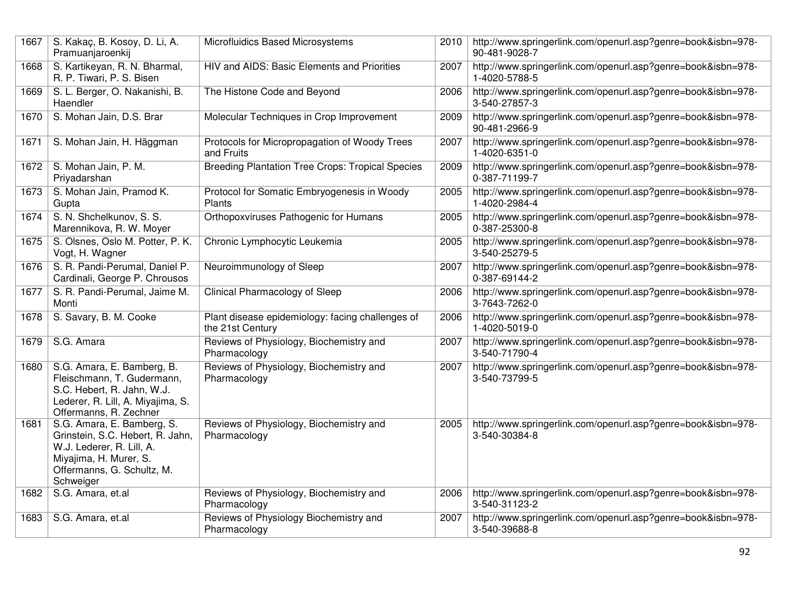| 1667 | S. Kakaç, B. Kosoy, D. Li, A.<br>Pramuanjaroenkij                                                                                                                | Microfluidics Based Microsystems                                     | 2010 | http://www.springerlink.com/openurl.asp?genre=book&isbn=978-<br>90-481-9028-7 |
|------|------------------------------------------------------------------------------------------------------------------------------------------------------------------|----------------------------------------------------------------------|------|-------------------------------------------------------------------------------|
| 1668 | S. Kartikeyan, R. N. Bharmal,<br>R. P. Tiwari, P. S. Bisen                                                                                                       | HIV and AIDS: Basic Elements and Priorities                          | 2007 | http://www.springerlink.com/openurl.asp?genre=book&isbn=978-<br>1-4020-5788-5 |
| 1669 | S. L. Berger, O. Nakanishi, B.<br>Haendler                                                                                                                       | The Histone Code and Beyond                                          | 2006 | http://www.springerlink.com/openurl.asp?genre=book&isbn=978-<br>3-540-27857-3 |
| 1670 | S. Mohan Jain, D.S. Brar                                                                                                                                         | Molecular Techniques in Crop Improvement                             | 2009 | http://www.springerlink.com/openurl.asp?genre=book&isbn=978-<br>90-481-2966-9 |
| 1671 | S. Mohan Jain, H. Häggman                                                                                                                                        | Protocols for Micropropagation of Woody Trees<br>and Fruits          | 2007 | http://www.springerlink.com/openurl.asp?genre=book&isbn=978-<br>1-4020-6351-0 |
| 1672 | S. Mohan Jain, P. M.<br>Priyadarshan                                                                                                                             | <b>Breeding Plantation Tree Crops: Tropical Species</b>              | 2009 | http://www.springerlink.com/openurl.asp?genre=book&isbn=978-<br>0-387-71199-7 |
| 1673 | S. Mohan Jain, Pramod K.<br>Gupta                                                                                                                                | Protocol for Somatic Embryogenesis in Woody<br>Plants                | 2005 | http://www.springerlink.com/openurl.asp?genre=book&isbn=978-<br>1-4020-2984-4 |
| 1674 | S. N. Shchelkunov, S. S.<br>Marennikova, R. W. Moyer                                                                                                             | Orthopoxviruses Pathogenic for Humans                                | 2005 | http://www.springerlink.com/openurl.asp?genre=book&isbn=978-<br>0-387-25300-8 |
| 1675 | S. Olsnes, Oslo M. Potter, P. K.<br>Vogt, H. Wagner                                                                                                              | Chronic Lymphocytic Leukemia                                         | 2005 | http://www.springerlink.com/openurl.asp?genre=book&isbn=978-<br>3-540-25279-5 |
| 1676 | S. R. Pandi-Perumal, Daniel P.<br>Cardinali, George P. Chrousos                                                                                                  | Neuroimmunology of Sleep                                             | 2007 | http://www.springerlink.com/openurl.asp?genre=book&isbn=978-<br>0-387-69144-2 |
| 1677 | S. R. Pandi-Perumal, Jaime M.<br>Monti                                                                                                                           | Clinical Pharmacology of Sleep                                       | 2006 | http://www.springerlink.com/openurl.asp?genre=book&isbn=978-<br>3-7643-7262-0 |
| 1678 | S. Savary, B. M. Cooke                                                                                                                                           | Plant disease epidemiology: facing challenges of<br>the 21st Century | 2006 | http://www.springerlink.com/openurl.asp?genre=book&isbn=978-<br>1-4020-5019-0 |
| 1679 | S.G. Amara                                                                                                                                                       | Reviews of Physiology, Biochemistry and<br>Pharmacology              | 2007 | http://www.springerlink.com/openurl.asp?genre=book&isbn=978-<br>3-540-71790-4 |
| 1680 | S.G. Amara, E. Bamberg, B.<br>Fleischmann, T. Gudermann,<br>S.C. Hebert, R. Jahn, W.J.<br>Lederer, R. Lill, A. Miyajima, S.<br>Offermanns, R. Zechner            | Reviews of Physiology, Biochemistry and<br>Pharmacology              | 2007 | http://www.springerlink.com/openurl.asp?genre=book&isbn=978-<br>3-540-73799-5 |
| 1681 | S.G. Amara, E. Bamberg, S.<br>Grinstein, S.C. Hebert, R. Jahn,<br>W.J. Lederer, R. Lill, A.<br>Miyajima, H. Murer, S.<br>Offermanns, G. Schultz, M.<br>Schweiger | Reviews of Physiology, Biochemistry and<br>Pharmacology              | 2005 | http://www.springerlink.com/openurl.asp?genre=book&isbn=978-<br>3-540-30384-8 |
| 1682 | S.G. Amara, et.al                                                                                                                                                | Reviews of Physiology, Biochemistry and<br>Pharmacology              | 2006 | http://www.springerlink.com/openurl.asp?genre=book&isbn=978-<br>3-540-31123-2 |
| 1683 | S.G. Amara, et.al                                                                                                                                                | Reviews of Physiology Biochemistry and<br>Pharmacology               | 2007 | http://www.springerlink.com/openurl.asp?genre=book&isbn=978-<br>3-540-39688-8 |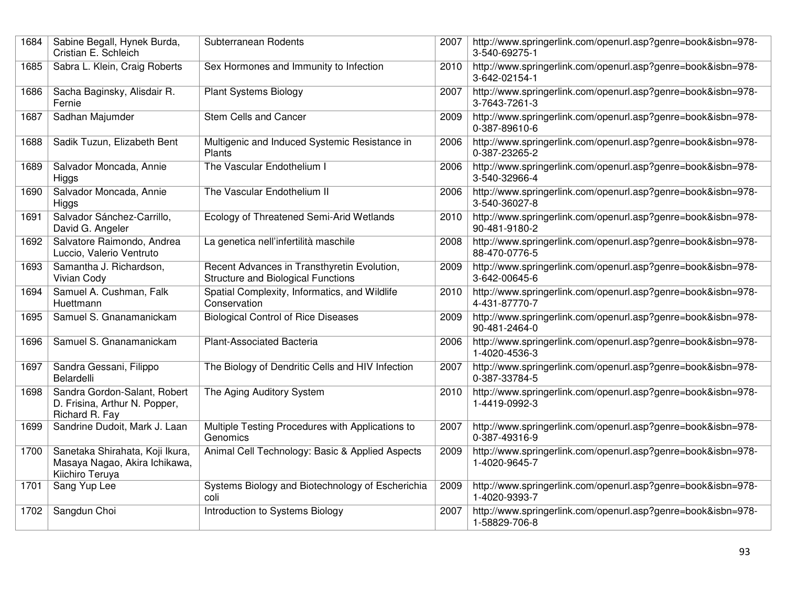| 1684 | Sabine Begall, Hynek Burda,<br>Cristian E. Schleich                                 | Subterranean Rodents                                                                     | 2007 | http://www.springerlink.com/openurl.asp?genre=book&isbn=978-<br>3-540-69275-1 |
|------|-------------------------------------------------------------------------------------|------------------------------------------------------------------------------------------|------|-------------------------------------------------------------------------------|
| 1685 | Sabra L. Klein, Craig Roberts                                                       | Sex Hormones and Immunity to Infection                                                   | 2010 | http://www.springerlink.com/openurl.asp?genre=book&isbn=978-<br>3-642-02154-1 |
| 1686 | Sacha Baginsky, Alisdair R.<br>Fernie                                               | <b>Plant Systems Biology</b>                                                             | 2007 | http://www.springerlink.com/openurl.asp?genre=book&isbn=978-<br>3-7643-7261-3 |
| 1687 | Sadhan Majumder                                                                     | Stem Cells and Cancer                                                                    | 2009 | http://www.springerlink.com/openurl.asp?genre=book&isbn=978-<br>0-387-89610-6 |
| 1688 | Sadik Tuzun, Elizabeth Bent                                                         | Multigenic and Induced Systemic Resistance in<br>Plants                                  | 2006 | http://www.springerlink.com/openurl.asp?genre=book&isbn=978-<br>0-387-23265-2 |
| 1689 | Salvador Moncada, Annie<br>Higgs                                                    | The Vascular Endothelium I                                                               | 2006 | http://www.springerlink.com/openurl.asp?genre=book&isbn=978-<br>3-540-32966-4 |
| 1690 | Salvador Moncada, Annie<br>Higgs                                                    | The Vascular Endothelium II                                                              | 2006 | http://www.springerlink.com/openurl.asp?genre=book&isbn=978-<br>3-540-36027-8 |
| 1691 | Salvador Sánchez-Carrillo,<br>David G. Angeler                                      | Ecology of Threatened Semi-Arid Wetlands                                                 | 2010 | http://www.springerlink.com/openurl.asp?genre=book&isbn=978-<br>90-481-9180-2 |
| 1692 | Salvatore Raimondo, Andrea<br>Luccio, Valerio Ventruto                              | La genetica nell'infertilità maschile                                                    | 2008 | http://www.springerlink.com/openurl.asp?genre=book&isbn=978-<br>88-470-0776-5 |
| 1693 | Samantha J. Richardson,<br>Vivian Cody                                              | Recent Advances in Transthyretin Evolution,<br><b>Structure and Biological Functions</b> | 2009 | http://www.springerlink.com/openurl.asp?genre=book&isbn=978-<br>3-642-00645-6 |
| 1694 | Samuel A. Cushman, Falk<br>Huettmann                                                | Spatial Complexity, Informatics, and Wildlife<br>Conservation                            | 2010 | http://www.springerlink.com/openurl.asp?genre=book&isbn=978-<br>4-431-87770-7 |
| 1695 | Samuel S. Gnanamanickam                                                             | <b>Biological Control of Rice Diseases</b>                                               | 2009 | http://www.springerlink.com/openurl.asp?genre=book&isbn=978-<br>90-481-2464-0 |
| 1696 | Samuel S. Gnanamanickam                                                             | Plant-Associated Bacteria                                                                | 2006 | http://www.springerlink.com/openurl.asp?genre=book&isbn=978-<br>1-4020-4536-3 |
| 1697 | Sandra Gessani, Filippo<br>Belardelli                                               | The Biology of Dendritic Cells and HIV Infection                                         | 2007 | http://www.springerlink.com/openurl.asp?genre=book&isbn=978-<br>0-387-33784-5 |
| 1698 | Sandra Gordon-Salant, Robert<br>D. Frisina, Arthur N. Popper,<br>Richard R. Fay     | The Aging Auditory System                                                                | 2010 | http://www.springerlink.com/openurl.asp?genre=book&isbn=978-<br>1-4419-0992-3 |
| 1699 | Sandrine Dudoit, Mark J. Laan                                                       | Multiple Testing Procedures with Applications to<br>Genomics                             | 2007 | http://www.springerlink.com/openurl.asp?genre=book&isbn=978-<br>0-387-49316-9 |
| 1700 | Sanetaka Shirahata, Koji Ikura,<br>Masaya Nagao, Akira Ichikawa,<br>Kiichiro Teruya | Animal Cell Technology: Basic & Applied Aspects                                          | 2009 | http://www.springerlink.com/openurl.asp?genre=book&isbn=978-<br>1-4020-9645-7 |
| 1701 | Sang Yup Lee                                                                        | Systems Biology and Biotechnology of Escherichia<br>coli                                 | 2009 | http://www.springerlink.com/openurl.asp?genre=book&isbn=978-<br>1-4020-9393-7 |
| 1702 | Sangdun Choi                                                                        | Introduction to Systems Biology                                                          | 2007 | http://www.springerlink.com/openurl.asp?genre=book&isbn=978-<br>1-58829-706-8 |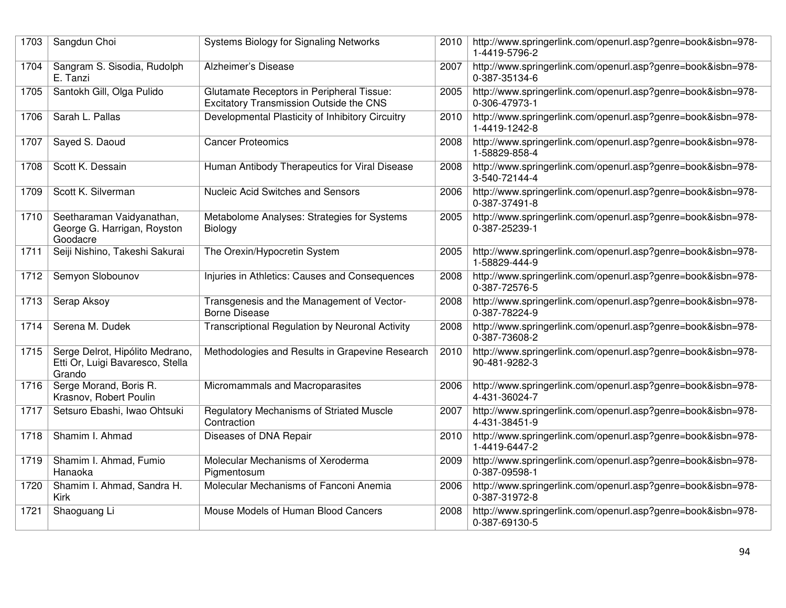| 1703 | Sangdun Choi                                                                  | Systems Biology for Signaling Networks                                                      | 2010 | http://www.springerlink.com/openurl.asp?genre=book&isbn=978-<br>1-4419-5796-2 |
|------|-------------------------------------------------------------------------------|---------------------------------------------------------------------------------------------|------|-------------------------------------------------------------------------------|
| 1704 | Sangram S. Sisodia, Rudolph<br>E. Tanzi                                       | Alzheimer's Disease                                                                         | 2007 | http://www.springerlink.com/openurl.asp?genre=book&isbn=978-<br>0-387-35134-6 |
| 1705 | Santokh Gill, Olga Pulido                                                     | <b>Glutamate Receptors in Peripheral Tissue:</b><br>Excitatory Transmission Outside the CNS | 2005 | http://www.springerlink.com/openurl.asp?genre=book&isbn=978-<br>0-306-47973-1 |
| 1706 | Sarah L. Pallas                                                               | Developmental Plasticity of Inhibitory Circuitry                                            | 2010 | http://www.springerlink.com/openurl.asp?genre=book&isbn=978-<br>1-4419-1242-8 |
| 1707 | Sayed S. Daoud                                                                | <b>Cancer Proteomics</b>                                                                    | 2008 | http://www.springerlink.com/openurl.asp?genre=book&isbn=978-<br>1-58829-858-4 |
| 1708 | Scott K. Dessain                                                              | Human Antibody Therapeutics for Viral Disease                                               | 2008 | http://www.springerlink.com/openurl.asp?genre=book&isbn=978-<br>3-540-72144-4 |
| 1709 | Scott K. Silverman                                                            | <b>Nucleic Acid Switches and Sensors</b>                                                    | 2006 | http://www.springerlink.com/openurl.asp?genre=book&isbn=978-<br>0-387-37491-8 |
| 1710 | Seetharaman Vaidyanathan,<br>George G. Harrigan, Royston<br>Goodacre          | Metabolome Analyses: Strategies for Systems<br>Biology                                      | 2005 | http://www.springerlink.com/openurl.asp?genre=book&isbn=978-<br>0-387-25239-1 |
| 1711 | Seiji Nishino, Takeshi Sakurai                                                | The Orexin/Hypocretin System                                                                | 2005 | http://www.springerlink.com/openurl.asp?genre=book&isbn=978-<br>1-58829-444-9 |
| 1712 | Semyon Slobounov                                                              | Injuries in Athletics: Causes and Consequences                                              | 2008 | http://www.springerlink.com/openurl.asp?genre=book&isbn=978-<br>0-387-72576-5 |
| 1713 | Serap Aksoy                                                                   | Transgenesis and the Management of Vector-<br><b>Borne Disease</b>                          | 2008 | http://www.springerlink.com/openurl.asp?genre=book&isbn=978-<br>0-387-78224-9 |
| 1714 | Serena M. Dudek                                                               | Transcriptional Regulation by Neuronal Activity                                             | 2008 | http://www.springerlink.com/openurl.asp?genre=book&isbn=978-<br>0-387-73608-2 |
| 1715 | Serge Delrot, Hipólito Medrano,<br>Etti Or, Luigi Bavaresco, Stella<br>Grando | Methodologies and Results in Grapevine Research                                             | 2010 | http://www.springerlink.com/openurl.asp?genre=book&isbn=978-<br>90-481-9282-3 |
| 1716 | Serge Morand, Boris R.<br>Krasnov, Robert Poulin                              | Micromammals and Macroparasites                                                             | 2006 | http://www.springerlink.com/openurl.asp?genre=book&isbn=978-<br>4-431-36024-7 |
| 1717 | Setsuro Ebashi, Iwao Ohtsuki                                                  | <b>Regulatory Mechanisms of Striated Muscle</b><br>Contraction                              | 2007 | http://www.springerlink.com/openurl.asp?genre=book&isbn=978-<br>4-431-38451-9 |
| 1718 | Shamim I. Ahmad                                                               | Diseases of DNA Repair                                                                      | 2010 | http://www.springerlink.com/openurl.asp?genre=book&isbn=978-<br>1-4419-6447-2 |
| 1719 | Shamim I. Ahmad, Fumio<br>Hanaoka                                             | Molecular Mechanisms of Xeroderma<br>Pigmentosum                                            | 2009 | http://www.springerlink.com/openurl.asp?genre=book&isbn=978-<br>0-387-09598-1 |
| 1720 | Shamim I. Ahmad, Sandra H.<br>Kirk                                            | Molecular Mechanisms of Fanconi Anemia                                                      | 2006 | http://www.springerlink.com/openurl.asp?genre=book&isbn=978-<br>0-387-31972-8 |
| 1721 | Shaoguang Li                                                                  | Mouse Models of Human Blood Cancers                                                         | 2008 | http://www.springerlink.com/openurl.asp?genre=book&isbn=978-<br>0-387-69130-5 |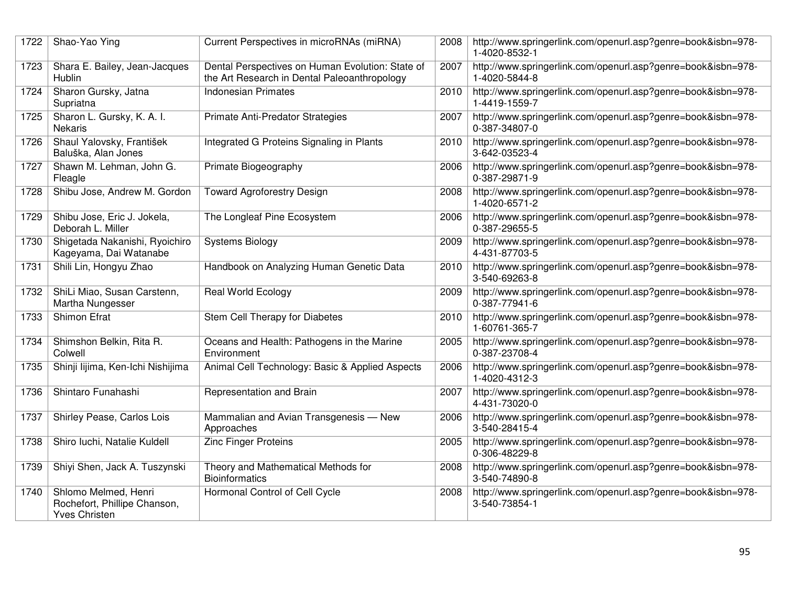| 1722 | Shao-Yao Ying                                                                | Current Perspectives in microRNAs (miRNA)                                                        | 2008 | http://www.springerlink.com/openurl.asp?genre=book&isbn=978-<br>1-4020-8532-1 |
|------|------------------------------------------------------------------------------|--------------------------------------------------------------------------------------------------|------|-------------------------------------------------------------------------------|
| 1723 | Shara E. Bailey, Jean-Jacques<br>Hublin                                      | Dental Perspectives on Human Evolution: State of<br>the Art Research in Dental Paleoanthropology | 2007 | http://www.springerlink.com/openurl.asp?genre=book&isbn=978-<br>1-4020-5844-8 |
| 1724 | Sharon Gursky, Jatna<br>Supriatna                                            | <b>Indonesian Primates</b>                                                                       | 2010 | http://www.springerlink.com/openurl.asp?genre=book&isbn=978-<br>1-4419-1559-7 |
| 1725 | Sharon L. Gursky, K. A. I.<br><b>Nekaris</b>                                 | Primate Anti-Predator Strategies                                                                 | 2007 | http://www.springerlink.com/openurl.asp?genre=book&isbn=978-<br>0-387-34807-0 |
| 1726 | Shaul Yalovsky, František<br>Baluška, Alan Jones                             | Integrated G Proteins Signaling in Plants                                                        | 2010 | http://www.springerlink.com/openurl.asp?genre=book&isbn=978-<br>3-642-03523-4 |
| 1727 | Shawn M. Lehman, John G.<br>Fleagle                                          | Primate Biogeography                                                                             | 2006 | http://www.springerlink.com/openurl.asp?genre=book&isbn=978-<br>0-387-29871-9 |
| 1728 | Shibu Jose, Andrew M. Gordon                                                 | <b>Toward Agroforestry Design</b>                                                                | 2008 | http://www.springerlink.com/openurl.asp?genre=book&isbn=978-<br>1-4020-6571-2 |
| 1729 | Shibu Jose, Eric J. Jokela,<br>Deborah L. Miller                             | The Longleaf Pine Ecosystem                                                                      | 2006 | http://www.springerlink.com/openurl.asp?genre=book&isbn=978-<br>0-387-29655-5 |
| 1730 | Shigetada Nakanishi, Ryoichiro<br>Kageyama, Dai Watanabe                     | <b>Systems Biology</b>                                                                           | 2009 | http://www.springerlink.com/openurl.asp?genre=book&isbn=978-<br>4-431-87703-5 |
| 1731 | Shili Lin, Hongyu Zhao                                                       | Handbook on Analyzing Human Genetic Data                                                         | 2010 | http://www.springerlink.com/openurl.asp?genre=book&isbn=978-<br>3-540-69263-8 |
| 1732 | ShiLi Miao, Susan Carstenn,<br>Martha Nungesser                              | <b>Real World Ecology</b>                                                                        | 2009 | http://www.springerlink.com/openurl.asp?genre=book&isbn=978-<br>0-387-77941-6 |
| 1733 | <b>Shimon Efrat</b>                                                          | Stem Cell Therapy for Diabetes                                                                   | 2010 | http://www.springerlink.com/openurl.asp?genre=book&isbn=978-<br>1-60761-365-7 |
| 1734 | Shimshon Belkin, Rita R.<br>Colwell                                          | Oceans and Health: Pathogens in the Marine<br>Environment                                        | 2005 | http://www.springerlink.com/openurl.asp?genre=book&isbn=978-<br>0-387-23708-4 |
| 1735 | Shinji lijima, Ken-Ichi Nishijima                                            | Animal Cell Technology: Basic & Applied Aspects                                                  | 2006 | http://www.springerlink.com/openurl.asp?genre=book&isbn=978-<br>1-4020-4312-3 |
| 1736 | Shintaro Funahashi                                                           | Representation and Brain                                                                         | 2007 | http://www.springerlink.com/openurl.asp?genre=book&isbn=978-<br>4-431-73020-0 |
| 1737 | Shirley Pease, Carlos Lois                                                   | Mammalian and Avian Transgenesis - New<br>Approaches                                             | 2006 | http://www.springerlink.com/openurl.asp?genre=book&isbn=978-<br>3-540-28415-4 |
| 1738 | Shiro luchi, Natalie Kuldell                                                 | <b>Zinc Finger Proteins</b>                                                                      | 2005 | http://www.springerlink.com/openurl.asp?genre=book&isbn=978-<br>0-306-48229-8 |
| 1739 | Shiyi Shen, Jack A. Tuszynski                                                | Theory and Mathematical Methods for<br><b>Bioinformatics</b>                                     | 2008 | http://www.springerlink.com/openurl.asp?genre=book&isbn=978-<br>3-540-74890-8 |
| 1740 | Shlomo Melmed, Henri<br>Rochefort, Phillipe Chanson,<br><b>Yves Christen</b> | Hormonal Control of Cell Cycle                                                                   | 2008 | http://www.springerlink.com/openurl.asp?genre=book&isbn=978-<br>3-540-73854-1 |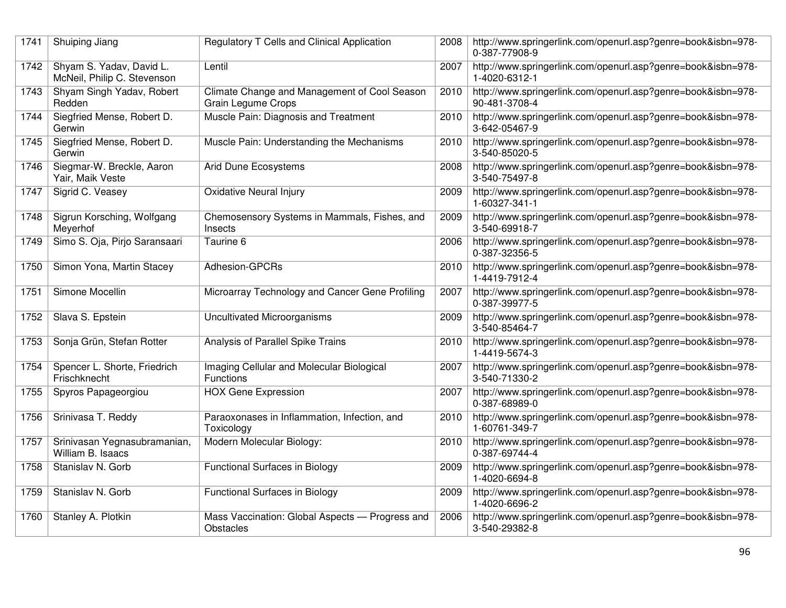| 1741 | Shuiping Jiang                                          | Regulatory T Cells and Clinical Application                               | 2008 | http://www.springerlink.com/openurl.asp?genre=book&isbn=978-<br>0-387-77908-9 |
|------|---------------------------------------------------------|---------------------------------------------------------------------------|------|-------------------------------------------------------------------------------|
| 1742 | Shyam S. Yadav, David L.<br>McNeil, Philip C. Stevenson | Lentil                                                                    | 2007 | http://www.springerlink.com/openurl.asp?genre=book&isbn=978-<br>1-4020-6312-1 |
| 1743 | Shyam Singh Yadav, Robert<br>Redden                     | Climate Change and Management of Cool Season<br><b>Grain Legume Crops</b> | 2010 | http://www.springerlink.com/openurl.asp?genre=book&isbn=978-<br>90-481-3708-4 |
| 1744 | Siegfried Mense, Robert D.<br>Gerwin                    | Muscle Pain: Diagnosis and Treatment                                      | 2010 | http://www.springerlink.com/openurl.asp?genre=book&isbn=978-<br>3-642-05467-9 |
| 1745 | Siegfried Mense, Robert D.<br>Gerwin                    | Muscle Pain: Understanding the Mechanisms                                 | 2010 | http://www.springerlink.com/openurl.asp?genre=book&isbn=978-<br>3-540-85020-5 |
| 1746 | Siegmar-W. Breckle, Aaron<br>Yair, Maik Veste           | Arid Dune Ecosystems                                                      | 2008 | http://www.springerlink.com/openurl.asp?genre=book&isbn=978-<br>3-540-75497-8 |
| 1747 | Sigrid C. Veasey                                        | <b>Oxidative Neural Injury</b>                                            | 2009 | http://www.springerlink.com/openurl.asp?genre=book&isbn=978-<br>1-60327-341-1 |
| 1748 | Sigrun Korsching, Wolfgang<br>Meyerhof                  | Chemosensory Systems in Mammals, Fishes, and<br>Insects                   | 2009 | http://www.springerlink.com/openurl.asp?genre=book&isbn=978-<br>3-540-69918-7 |
| 1749 | Simo S. Oja, Pirjo Saransaari                           | Taurine 6                                                                 | 2006 | http://www.springerlink.com/openurl.asp?genre=book&isbn=978-<br>0-387-32356-5 |
| 1750 | Simon Yona, Martin Stacey                               | Adhesion-GPCRs                                                            | 2010 | http://www.springerlink.com/openurl.asp?genre=book&isbn=978-<br>1-4419-7912-4 |
| 1751 | Simone Mocellin                                         | Microarray Technology and Cancer Gene Profiling                           | 2007 | http://www.springerlink.com/openurl.asp?genre=book&isbn=978-<br>0-387-39977-5 |
| 1752 | Slava S. Epstein                                        | Uncultivated Microorganisms                                               | 2009 | http://www.springerlink.com/openurl.asp?genre=book&isbn=978-<br>3-540-85464-7 |
| 1753 | Sonja Grün, Stefan Rotter                               | Analysis of Parallel Spike Trains                                         | 2010 | http://www.springerlink.com/openurl.asp?genre=book&isbn=978-<br>1-4419-5674-3 |
| 1754 | Spencer L. Shorte, Friedrich<br>Frischknecht            | Imaging Cellular and Molecular Biological<br>Functions                    | 2007 | http://www.springerlink.com/openurl.asp?genre=book&isbn=978-<br>3-540-71330-2 |
| 1755 | Spyros Papageorgiou                                     | <b>HOX Gene Expression</b>                                                | 2007 | http://www.springerlink.com/openurl.asp?genre=book&isbn=978-<br>0-387-68989-0 |
| 1756 | Srinivasa T. Reddy                                      | Paraoxonases in Inflammation, Infection, and<br>Toxicology                | 2010 | http://www.springerlink.com/openurl.asp?genre=book&isbn=978-<br>1-60761-349-7 |
| 1757 | Srinivasan Yegnasubramanian,<br>William B. Isaacs       | Modern Molecular Biology:                                                 | 2010 | http://www.springerlink.com/openurl.asp?genre=book&isbn=978-<br>0-387-69744-4 |
| 1758 | Stanislav N. Gorb                                       | <b>Functional Surfaces in Biology</b>                                     | 2009 | http://www.springerlink.com/openurl.asp?genre=book&isbn=978-<br>1-4020-6694-8 |
| 1759 | Stanislav N. Gorb                                       | <b>Functional Surfaces in Biology</b>                                     | 2009 | http://www.springerlink.com/openurl.asp?genre=book&isbn=978-<br>1-4020-6696-2 |
| 1760 | Stanley A. Plotkin                                      | Mass Vaccination: Global Aspects - Progress and<br>Obstacles              | 2006 | http://www.springerlink.com/openurl.asp?genre=book&isbn=978-<br>3-540-29382-8 |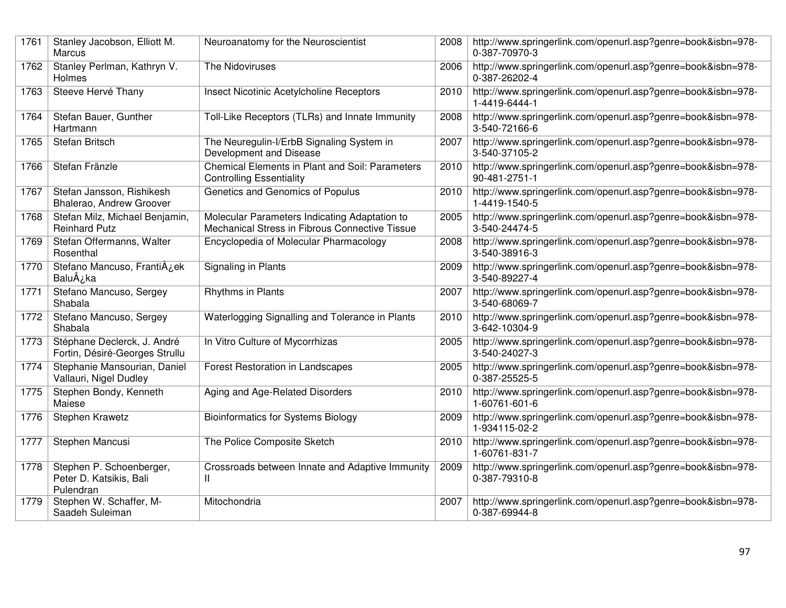| 1761 | Stanley Jacobson, Elliott M.<br>Marcus                           | Neuroanatomy for the Neuroscientist                                                             | 2008 | http://www.springerlink.com/openurl.asp?genre=book&isbn=978-<br>0-387-70970-3 |
|------|------------------------------------------------------------------|-------------------------------------------------------------------------------------------------|------|-------------------------------------------------------------------------------|
| 1762 | Stanley Perlman, Kathryn V.<br>Holmes                            | The Nidoviruses                                                                                 | 2006 | http://www.springerlink.com/openurl.asp?genre=book&isbn=978-<br>0-387-26202-4 |
| 1763 | Steeve Hervé Thany                                               | Insect Nicotinic Acetylcholine Receptors                                                        | 2010 | http://www.springerlink.com/openurl.asp?genre=book&isbn=978-<br>1-4419-6444-1 |
| 1764 | Stefan Bauer, Gunther<br>Hartmann                                | Toll-Like Receptors (TLRs) and Innate Immunity                                                  | 2008 | http://www.springerlink.com/openurl.asp?genre=book&isbn=978-<br>3-540-72166-6 |
| 1765 | <b>Stefan Britsch</b>                                            | The Neuregulin-I/ErbB Signaling System in<br>Development and Disease                            | 2007 | http://www.springerlink.com/openurl.asp?genre=book&isbn=978-<br>3-540-37105-2 |
| 1766 | Stefan Fränzle                                                   | Chemical Elements in Plant and Soil: Parameters<br><b>Controlling Essentiality</b>              | 2010 | http://www.springerlink.com/openurl.asp?genre=book&isbn=978-<br>90-481-2751-1 |
| 1767 | Stefan Jansson, Rishikesh<br>Bhalerao, Andrew Groover            | Genetics and Genomics of Populus                                                                | 2010 | http://www.springerlink.com/openurl.asp?genre=book&isbn=978-<br>1-4419-1540-5 |
| 1768 | Stefan Milz, Michael Benjamin,<br><b>Reinhard Putz</b>           | Molecular Parameters Indicating Adaptation to<br>Mechanical Stress in Fibrous Connective Tissue | 2005 | http://www.springerlink.com/openurl.asp?genre=book&isbn=978-<br>3-540-24474-5 |
| 1769 | Stefan Offermanns, Walter<br>Rosenthal                           | Encyclopedia of Molecular Pharmacology                                                          | 2008 | http://www.springerlink.com/openurl.asp?genre=book&isbn=978-<br>3-540-38916-3 |
| 1770 | Stefano Mancuso, Franti¿ek<br>BaluÂ <sub><i>i</i>,</sub> ka      | Signaling in Plants                                                                             | 2009 | http://www.springerlink.com/openurl.asp?genre=book&isbn=978-<br>3-540-89227-4 |
| 1771 | Stefano Mancuso, Sergey<br>Shabala                               | <b>Rhythms in Plants</b>                                                                        | 2007 | http://www.springerlink.com/openurl.asp?genre=book&isbn=978-<br>3-540-68069-7 |
| 1772 | Stefano Mancuso, Sergey<br>Shabala                               | Waterlogging Signalling and Tolerance in Plants                                                 | 2010 | http://www.springerlink.com/openurl.asp?genre=book&isbn=978-<br>3-642-10304-9 |
| 1773 | Stéphane Declerck, J. André<br>Fortin, Désiré-Georges Strullu    | In Vitro Culture of Mycorrhizas                                                                 | 2005 | http://www.springerlink.com/openurl.asp?genre=book&isbn=978-<br>3-540-24027-3 |
| 1774 | Stephanie Mansourian, Daniel<br>Vallauri, Nigel Dudley           | <b>Forest Restoration in Landscapes</b>                                                         | 2005 | http://www.springerlink.com/openurl.asp?genre=book&isbn=978-<br>0-387-25525-5 |
| 1775 | Stephen Bondy, Kenneth<br>Maiese                                 | Aging and Age-Related Disorders                                                                 | 2010 | http://www.springerlink.com/openurl.asp?genre=book&isbn=978-<br>1-60761-601-6 |
| 1776 | Stephen Krawetz                                                  | <b>Bioinformatics for Systems Biology</b>                                                       | 2009 | http://www.springerlink.com/openurl.asp?genre=book&isbn=978-<br>1-934115-02-2 |
| 1777 | Stephen Mancusi                                                  | The Police Composite Sketch                                                                     | 2010 | http://www.springerlink.com/openurl.asp?genre=book&isbn=978-<br>1-60761-831-7 |
| 1778 | Stephen P. Schoenberger,<br>Peter D. Katsikis, Bali<br>Pulendran | Crossroads between Innate and Adaptive Immunity<br>Ш                                            | 2009 | http://www.springerlink.com/openurl.asp?genre=book&isbn=978-<br>0-387-79310-8 |
| 1779 | Stephen W. Schaffer, M-<br>Saadeh Suleiman                       | Mitochondria                                                                                    | 2007 | http://www.springerlink.com/openurl.asp?genre=book&isbn=978-<br>0-387-69944-8 |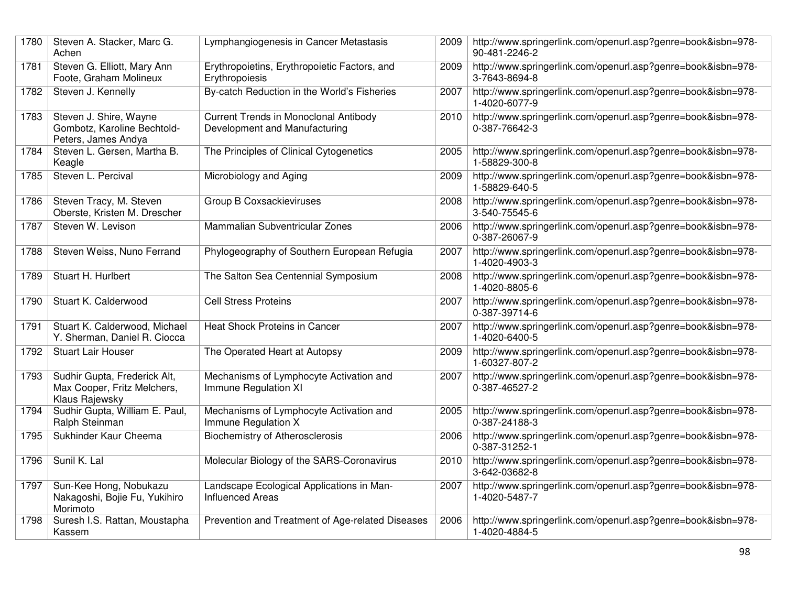| 1780 | Steven A. Stacker, Marc G.<br>Achen                                           | Lymphangiogenesis in Cancer Metastasis                                        | 2009 | http://www.springerlink.com/openurl.asp?genre=book&isbn=978-<br>90-481-2246-2 |
|------|-------------------------------------------------------------------------------|-------------------------------------------------------------------------------|------|-------------------------------------------------------------------------------|
| 1781 | Steven G. Elliott, Mary Ann<br>Foote, Graham Molineux                         | Erythropoietins, Erythropoietic Factors, and<br>Erythropoiesis                | 2009 | http://www.springerlink.com/openurl.asp?genre=book&isbn=978-<br>3-7643-8694-8 |
| 1782 | Steven J. Kennelly                                                            | By-catch Reduction in the World's Fisheries                                   | 2007 | http://www.springerlink.com/openurl.asp?genre=book&isbn=978-<br>1-4020-6077-9 |
| 1783 | Steven J. Shire, Wayne<br>Gombotz, Karoline Bechtold-<br>Peters, James Andya  | <b>Current Trends in Monoclonal Antibody</b><br>Development and Manufacturing | 2010 | http://www.springerlink.com/openurl.asp?genre=book&isbn=978-<br>0-387-76642-3 |
| 1784 | Steven L. Gersen, Martha B.<br>Keagle                                         | The Principles of Clinical Cytogenetics                                       | 2005 | http://www.springerlink.com/openurl.asp?genre=book&isbn=978-<br>1-58829-300-8 |
| 1785 | Steven L. Percival                                                            | Microbiology and Aging                                                        | 2009 | http://www.springerlink.com/openurl.asp?genre=book&isbn=978-<br>1-58829-640-5 |
| 1786 | Steven Tracy, M. Steven<br>Oberste, Kristen M. Drescher                       | Group B Coxsackieviruses                                                      | 2008 | http://www.springerlink.com/openurl.asp?genre=book&isbn=978-<br>3-540-75545-6 |
| 1787 | Steven W. Levison                                                             | Mammalian Subventricular Zones                                                | 2006 | http://www.springerlink.com/openurl.asp?genre=book&isbn=978-<br>0-387-26067-9 |
| 1788 | Steven Weiss, Nuno Ferrand                                                    | Phylogeography of Southern European Refugia                                   | 2007 | http://www.springerlink.com/openurl.asp?genre=book&isbn=978-<br>1-4020-4903-3 |
| 1789 | Stuart H. Hurlbert                                                            | The Salton Sea Centennial Symposium                                           | 2008 | http://www.springerlink.com/openurl.asp?genre=book&isbn=978-<br>1-4020-8805-6 |
| 1790 | Stuart K. Calderwood                                                          | <b>Cell Stress Proteins</b>                                                   | 2007 | http://www.springerlink.com/openurl.asp?genre=book&isbn=978-<br>0-387-39714-6 |
| 1791 | Stuart K. Calderwood, Michael<br>Y. Sherman, Daniel R. Ciocca                 | <b>Heat Shock Proteins in Cancer</b>                                          | 2007 | http://www.springerlink.com/openurl.asp?genre=book&isbn=978-<br>1-4020-6400-5 |
| 1792 | <b>Stuart Lair Houser</b>                                                     | The Operated Heart at Autopsy                                                 | 2009 | http://www.springerlink.com/openurl.asp?genre=book&isbn=978-<br>1-60327-807-2 |
| 1793 | Sudhir Gupta, Frederick Alt,<br>Max Cooper, Fritz Melchers,<br>Klaus Rajewsky | Mechanisms of Lymphocyte Activation and<br>Immune Regulation XI               | 2007 | http://www.springerlink.com/openurl.asp?genre=book&isbn=978-<br>0-387-46527-2 |
| 1794 | Sudhir Gupta, William E. Paul,<br>Ralph Steinman                              | Mechanisms of Lymphocyte Activation and<br>Immune Regulation X                | 2005 | http://www.springerlink.com/openurl.asp?genre=book&isbn=978-<br>0-387-24188-3 |
| 1795 | Sukhinder Kaur Cheema                                                         | <b>Biochemistry of Atherosclerosis</b>                                        | 2006 | http://www.springerlink.com/openurl.asp?genre=book&isbn=978-<br>0-387-31252-1 |
| 1796 | Sunil K. Lal                                                                  | Molecular Biology of the SARS-Coronavirus                                     | 2010 | http://www.springerlink.com/openurl.asp?genre=book&isbn=978-<br>3-642-03682-8 |
| 1797 | Sun-Kee Hong, Nobukazu<br>Nakagoshi, Bojie Fu, Yukihiro<br>Morimoto           | Landscape Ecological Applications in Man-<br><b>Influenced Areas</b>          | 2007 | http://www.springerlink.com/openurl.asp?genre=book&isbn=978-<br>1-4020-5487-7 |
| 1798 | Suresh I.S. Rattan, Moustapha<br>Kassem                                       | Prevention and Treatment of Age-related Diseases                              | 2006 | http://www.springerlink.com/openurl.asp?genre=book&isbn=978-<br>1-4020-4884-5 |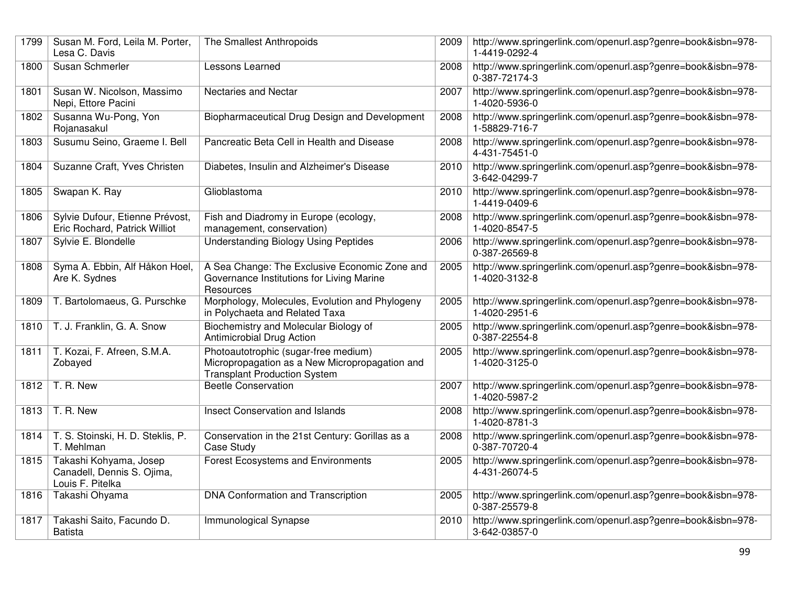| 1799 | Susan M. Ford, Leila M. Porter,<br>Lesa C. Davis                         | The Smallest Anthropoids                                                                                                      | 2009 | http://www.springerlink.com/openurl.asp?genre=book&isbn=978-<br>1-4419-0292-4 |
|------|--------------------------------------------------------------------------|-------------------------------------------------------------------------------------------------------------------------------|------|-------------------------------------------------------------------------------|
| 1800 | Susan Schmerler                                                          | Lessons Learned                                                                                                               | 2008 | http://www.springerlink.com/openurl.asp?genre=book&isbn=978-<br>0-387-72174-3 |
| 1801 | Susan W. Nicolson, Massimo<br>Nepi, Ettore Pacini                        | Nectaries and Nectar                                                                                                          | 2007 | http://www.springerlink.com/openurl.asp?genre=book&isbn=978-<br>1-4020-5936-0 |
| 1802 | Susanna Wu-Pong, Yon<br>Rojanasakul                                      | Biopharmaceutical Drug Design and Development                                                                                 | 2008 | http://www.springerlink.com/openurl.asp?genre=book&isbn=978-<br>1-58829-716-7 |
| 1803 | Susumu Seino, Graeme I. Bell                                             | Pancreatic Beta Cell in Health and Disease                                                                                    | 2008 | http://www.springerlink.com/openurl.asp?genre=book&isbn=978-<br>4-431-75451-0 |
| 1804 | Suzanne Craft, Yves Christen                                             | Diabetes, Insulin and Alzheimer's Disease                                                                                     | 2010 | http://www.springerlink.com/openurl.asp?genre=book&isbn=978-<br>3-642-04299-7 |
| 1805 | Swapan K. Ray                                                            | Glioblastoma                                                                                                                  | 2010 | http://www.springerlink.com/openurl.asp?genre=book&isbn=978-<br>1-4419-0409-6 |
| 1806 | Sylvie Dufour, Etienne Prévost,<br>Eric Rochard, Patrick Williot         | Fish and Diadromy in Europe (ecology,<br>management, conservation)                                                            | 2008 | http://www.springerlink.com/openurl.asp?genre=book&isbn=978-<br>1-4020-8547-5 |
| 1807 | Sylvie E. Blondelle                                                      | <b>Understanding Biology Using Peptides</b>                                                                                   | 2006 | http://www.springerlink.com/openurl.asp?genre=book&isbn=978-<br>0-387-26569-8 |
| 1808 | Syma A. Ebbin, Alf Håkon Hoel,<br>Are K. Sydnes                          | A Sea Change: The Exclusive Economic Zone and<br>Governance Institutions for Living Marine<br>Resources                       | 2005 | http://www.springerlink.com/openurl.asp?genre=book&isbn=978-<br>1-4020-3132-8 |
| 1809 | T. Bartolomaeus, G. Purschke                                             | Morphology, Molecules, Evolution and Phylogeny<br>in Polychaeta and Related Taxa                                              | 2005 | http://www.springerlink.com/openurl.asp?genre=book&isbn=978-<br>1-4020-2951-6 |
| 1810 | T. J. Franklin, G. A. Snow                                               | Biochemistry and Molecular Biology of<br>Antimicrobial Drug Action                                                            | 2005 | http://www.springerlink.com/openurl.asp?genre=book&isbn=978-<br>0-387-22554-8 |
| 1811 | T. Kozai, F. Afreen, S.M.A.<br>Zobayed                                   | Photoautotrophic (sugar-free medium)<br>Micropropagation as a New Micropropagation and<br><b>Transplant Production System</b> | 2005 | http://www.springerlink.com/openurl.asp?genre=book&isbn=978-<br>1-4020-3125-0 |
| 1812 | T. R. New                                                                | <b>Beetle Conservation</b>                                                                                                    | 2007 | http://www.springerlink.com/openurl.asp?genre=book&isbn=978-<br>1-4020-5987-2 |
| 1813 | T. R. New                                                                | <b>Insect Conservation and Islands</b>                                                                                        | 2008 | http://www.springerlink.com/openurl.asp?genre=book&isbn=978-<br>1-4020-8781-3 |
| 1814 | T. S. Stoinski, H. D. Steklis, P.<br>T. Mehlman                          | Conservation in the 21st Century: Gorillas as a<br>Case Study                                                                 | 2008 | http://www.springerlink.com/openurl.asp?genre=book&isbn=978-<br>0-387-70720-4 |
| 1815 | Takashi Kohyama, Josep<br>Canadell, Dennis S. Ojima,<br>Louis F. Pitelka | <b>Forest Ecosystems and Environments</b>                                                                                     | 2005 | http://www.springerlink.com/openurl.asp?genre=book&isbn=978-<br>4-431-26074-5 |
| 1816 | Takashi Ohyama                                                           | DNA Conformation and Transcription                                                                                            | 2005 | http://www.springerlink.com/openurl.asp?genre=book&isbn=978-<br>0-387-25579-8 |
| 1817 | Takashi Saito, Facundo D.<br><b>Batista</b>                              | Immunological Synapse                                                                                                         | 2010 | http://www.springerlink.com/openurl.asp?genre=book&isbn=978-<br>3-642-03857-0 |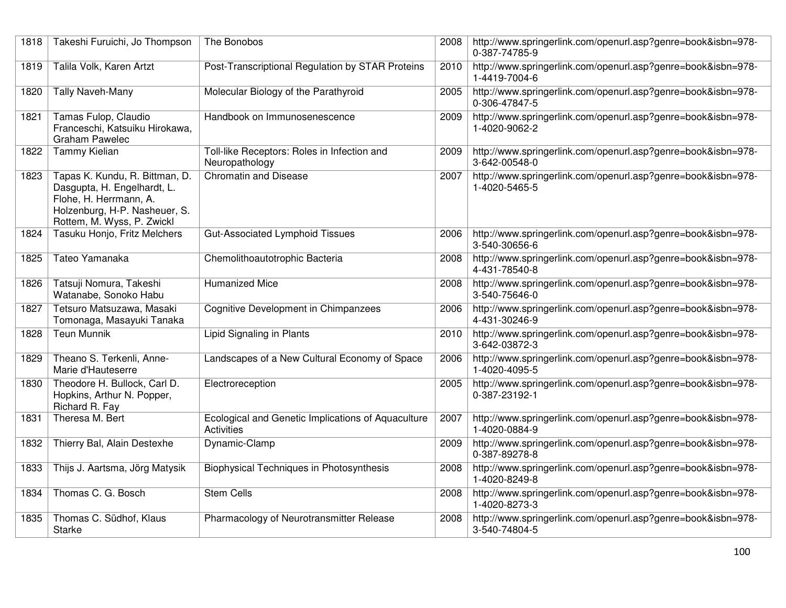| 1818 | Takeshi Furuichi, Jo Thompson                                                                                                                          | The Bonobos                                                             | 2008 | http://www.springerlink.com/openurl.asp?genre=book&isbn=978-<br>0-387-74785-9 |
|------|--------------------------------------------------------------------------------------------------------------------------------------------------------|-------------------------------------------------------------------------|------|-------------------------------------------------------------------------------|
| 1819 | Talila Volk, Karen Artzt                                                                                                                               | Post-Transcriptional Regulation by STAR Proteins                        | 2010 | http://www.springerlink.com/openurl.asp?genre=book&isbn=978-<br>1-4419-7004-6 |
| 1820 | <b>Tally Naveh-Many</b>                                                                                                                                | Molecular Biology of the Parathyroid                                    | 2005 | http://www.springerlink.com/openurl.asp?genre=book&isbn=978-<br>0-306-47847-5 |
| 1821 | Tamas Fulop, Claudio<br>Franceschi, Katsuiku Hirokawa,<br><b>Graham Pawelec</b>                                                                        | Handbook on Immunosenescence                                            | 2009 | http://www.springerlink.com/openurl.asp?genre=book&isbn=978-<br>1-4020-9062-2 |
| 1822 | Tammy Kielian                                                                                                                                          | Toll-like Receptors: Roles in Infection and<br>Neuropathology           | 2009 | http://www.springerlink.com/openurl.asp?genre=book&isbn=978-<br>3-642-00548-0 |
| 1823 | Tapas K. Kundu, R. Bittman, D.<br>Dasgupta, H. Engelhardt, L.<br>Flohe, H. Herrmann, A.<br>Holzenburg, H-P. Nasheuer, S.<br>Rottem, M. Wyss, P. Zwickl | <b>Chromatin and Disease</b>                                            | 2007 | http://www.springerlink.com/openurl.asp?genre=book&isbn=978-<br>1-4020-5465-5 |
| 1824 | Tasuku Honjo, Fritz Melchers                                                                                                                           | <b>Gut-Associated Lymphoid Tissues</b>                                  | 2006 | http://www.springerlink.com/openurl.asp?genre=book&isbn=978-<br>3-540-30656-6 |
| 1825 | Tateo Yamanaka                                                                                                                                         | Chemolithoautotrophic Bacteria                                          | 2008 | http://www.springerlink.com/openurl.asp?genre=book&isbn=978-<br>4-431-78540-8 |
| 1826 | Tatsuji Nomura, Takeshi<br>Watanabe, Sonoko Habu                                                                                                       | <b>Humanized Mice</b>                                                   | 2008 | http://www.springerlink.com/openurl.asp?genre=book&isbn=978-<br>3-540-75646-0 |
| 1827 | Tetsuro Matsuzawa, Masaki<br>Tomonaga, Masayuki Tanaka                                                                                                 | Cognitive Development in Chimpanzees                                    | 2006 | http://www.springerlink.com/openurl.asp?genre=book&isbn=978-<br>4-431-30246-9 |
| 1828 | <b>Teun Munnik</b>                                                                                                                                     | Lipid Signaling in Plants                                               | 2010 | http://www.springerlink.com/openurl.asp?genre=book&isbn=978-<br>3-642-03872-3 |
| 1829 | Theano S. Terkenli, Anne-<br>Marie d'Hauteserre                                                                                                        | Landscapes of a New Cultural Economy of Space                           | 2006 | http://www.springerlink.com/openurl.asp?genre=book&isbn=978-<br>1-4020-4095-5 |
| 1830 | Theodore H. Bullock, Carl D.<br>Hopkins, Arthur N. Popper,<br>Richard R. Fay                                                                           | Electroreception                                                        | 2005 | http://www.springerlink.com/openurl.asp?genre=book&isbn=978-<br>0-387-23192-1 |
| 1831 | Theresa M. Bert                                                                                                                                        | Ecological and Genetic Implications of Aquaculture<br><b>Activities</b> | 2007 | http://www.springerlink.com/openurl.asp?genre=book&isbn=978-<br>1-4020-0884-9 |
| 1832 | Thierry Bal, Alain Destexhe                                                                                                                            | Dynamic-Clamp                                                           | 2009 | http://www.springerlink.com/openurl.asp?genre=book&isbn=978-<br>0-387-89278-8 |
| 1833 | Thijs J. Aartsma, Jörg Matysik                                                                                                                         | <b>Biophysical Techniques in Photosynthesis</b>                         | 2008 | http://www.springerlink.com/openurl.asp?genre=book&isbn=978-<br>1-4020-8249-8 |
| 1834 | Thomas C. G. Bosch                                                                                                                                     | <b>Stem Cells</b>                                                       | 2008 | http://www.springerlink.com/openurl.asp?genre=book&isbn=978-<br>1-4020-8273-3 |
| 1835 | Thomas C. Südhof, Klaus<br><b>Starke</b>                                                                                                               | Pharmacology of Neurotransmitter Release                                | 2008 | http://www.springerlink.com/openurl.asp?genre=book&isbn=978-<br>3-540-74804-5 |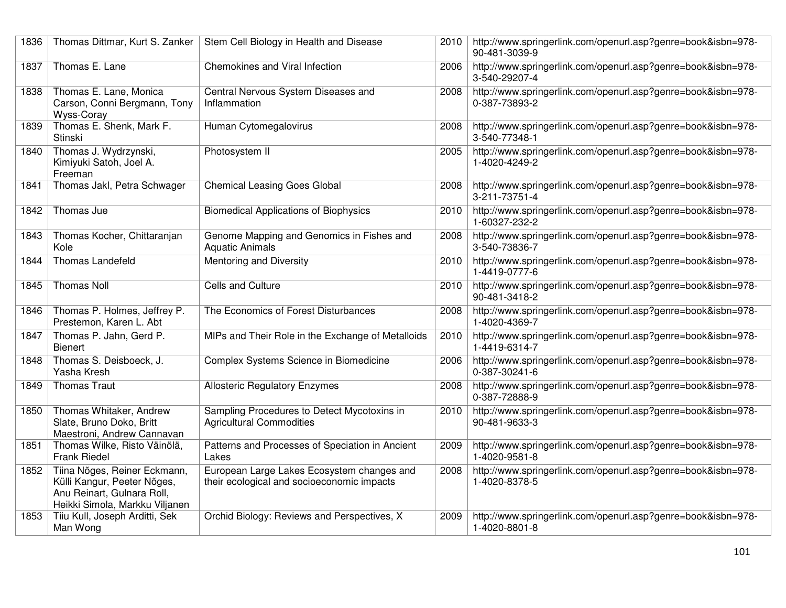| 1836 | Thomas Dittmar, Kurt S. Zanker                                                                                              | Stem Cell Biology in Health and Disease                                                  | 2010 | http://www.springerlink.com/openurl.asp?genre=book&isbn=978-<br>90-481-3039-9 |
|------|-----------------------------------------------------------------------------------------------------------------------------|------------------------------------------------------------------------------------------|------|-------------------------------------------------------------------------------|
| 1837 | Thomas E. Lane                                                                                                              | <b>Chemokines and Viral Infection</b>                                                    | 2006 | http://www.springerlink.com/openurl.asp?genre=book&isbn=978-<br>3-540-29207-4 |
| 1838 | Thomas E. Lane, Monica<br>Carson, Conni Bergmann, Tony<br>Wyss-Coray                                                        | Central Nervous System Diseases and<br>Inflammation                                      | 2008 | http://www.springerlink.com/openurl.asp?genre=book&isbn=978-<br>0-387-73893-2 |
| 1839 | Thomas E. Shenk, Mark F.<br>Stinski                                                                                         | Human Cytomegalovirus                                                                    | 2008 | http://www.springerlink.com/openurl.asp?genre=book&isbn=978-<br>3-540-77348-1 |
| 1840 | Thomas J. Wydrzynski,<br>Kimiyuki Satoh, Joel A.<br>Freeman                                                                 | Photosystem II                                                                           | 2005 | http://www.springerlink.com/openurl.asp?genre=book&isbn=978-<br>1-4020-4249-2 |
| 1841 | Thomas Jakl, Petra Schwager                                                                                                 | <b>Chemical Leasing Goes Global</b>                                                      | 2008 | http://www.springerlink.com/openurl.asp?genre=book&isbn=978-<br>3-211-73751-4 |
| 1842 | Thomas Jue                                                                                                                  | <b>Biomedical Applications of Biophysics</b>                                             | 2010 | http://www.springerlink.com/openurl.asp?genre=book&isbn=978-<br>1-60327-232-2 |
| 1843 | Thomas Kocher, Chittaranjan<br>Kole                                                                                         | Genome Mapping and Genomics in Fishes and<br><b>Aquatic Animals</b>                      | 2008 | http://www.springerlink.com/openurl.asp?genre=book&isbn=978-<br>3-540-73836-7 |
| 1844 | Thomas Landefeld                                                                                                            | Mentoring and Diversity                                                                  | 2010 | http://www.springerlink.com/openurl.asp?genre=book&isbn=978-<br>1-4419-0777-6 |
| 1845 | <b>Thomas Noll</b>                                                                                                          | Cells and Culture                                                                        | 2010 | http://www.springerlink.com/openurl.asp?genre=book&isbn=978-<br>90-481-3418-2 |
| 1846 | Thomas P. Holmes, Jeffrey P.<br>Prestemon, Karen L. Abt                                                                     | The Economics of Forest Disturbances                                                     | 2008 | http://www.springerlink.com/openurl.asp?genre=book&isbn=978-<br>1-4020-4369-7 |
| 1847 | Thomas P. Jahn, Gerd P.<br><b>Bienert</b>                                                                                   | MIPs and Their Role in the Exchange of Metalloids                                        | 2010 | http://www.springerlink.com/openurl.asp?genre=book&isbn=978-<br>1-4419-6314-7 |
| 1848 | Thomas S. Deisboeck, J.<br>Yasha Kresh                                                                                      | Complex Systems Science in Biomedicine                                                   | 2006 | http://www.springerlink.com/openurl.asp?genre=book&isbn=978-<br>0-387-30241-6 |
| 1849 | <b>Thomas Traut</b>                                                                                                         | <b>Allosteric Regulatory Enzymes</b>                                                     | 2008 | http://www.springerlink.com/openurl.asp?genre=book&isbn=978-<br>0-387-72888-9 |
| 1850 | Thomas Whitaker, Andrew<br>Slate, Bruno Doko, Britt<br>Maestroni, Andrew Cannavan                                           | Sampling Procedures to Detect Mycotoxins in<br><b>Agricultural Commodities</b>           | 2010 | http://www.springerlink.com/openurl.asp?genre=book&isbn=978-<br>90-481-9633-3 |
| 1851 | Thomas Wilke, Risto Väinölä,<br><b>Frank Riedel</b>                                                                         | Patterns and Processes of Speciation in Ancient<br>Lakes                                 | 2009 | http://www.springerlink.com/openurl.asp?genre=book&isbn=978-<br>1-4020-9581-8 |
| 1852 | Tiina Nõges, Reiner Eckmann,<br>Külli Kangur, Peeter Nõges,<br>Anu Reinart, Gulnara Roll,<br>Heikki Simola, Markku Viljanen | European Large Lakes Ecosystem changes and<br>their ecological and socioeconomic impacts | 2008 | http://www.springerlink.com/openurl.asp?genre=book&isbn=978-<br>1-4020-8378-5 |
| 1853 | Tiiu Kull, Joseph Arditti, Sek<br>Man Wong                                                                                  | Orchid Biology: Reviews and Perspectives, X                                              | 2009 | http://www.springerlink.com/openurl.asp?genre=book&isbn=978-<br>1-4020-8801-8 |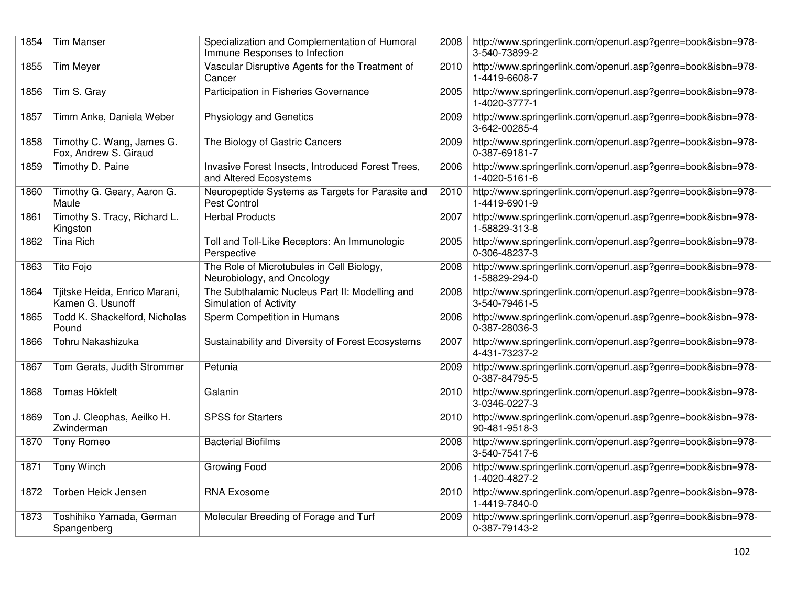| 1854 | <b>Tim Manser</b>                                  | Specialization and Complementation of Humoral<br>Immune Responses to Infection | 2008 | http://www.springerlink.com/openurl.asp?genre=book&isbn=978-<br>3-540-73899-2 |
|------|----------------------------------------------------|--------------------------------------------------------------------------------|------|-------------------------------------------------------------------------------|
| 1855 | Tim Meyer                                          | Vascular Disruptive Agents for the Treatment of<br>Cancer                      | 2010 | http://www.springerlink.com/openurl.asp?genre=book&isbn=978-<br>1-4419-6608-7 |
| 1856 | Tim S. Gray                                        | Participation in Fisheries Governance                                          | 2005 | http://www.springerlink.com/openurl.asp?genre=book&isbn=978-<br>1-4020-3777-1 |
| 1857 | Timm Anke, Daniela Weber                           | <b>Physiology and Genetics</b>                                                 | 2009 | http://www.springerlink.com/openurl.asp?genre=book&isbn=978-<br>3-642-00285-4 |
| 1858 | Timothy C. Wang, James G.<br>Fox, Andrew S. Giraud | The Biology of Gastric Cancers                                                 | 2009 | http://www.springerlink.com/openurl.asp?genre=book&isbn=978-<br>0-387-69181-7 |
| 1859 | Timothy D. Paine                                   | Invasive Forest Insects, Introduced Forest Trees,<br>and Altered Ecosystems    | 2006 | http://www.springerlink.com/openurl.asp?genre=book&isbn=978-<br>1-4020-5161-6 |
| 1860 | Timothy G. Geary, Aaron G.<br>Maule                | Neuropeptide Systems as Targets for Parasite and<br>Pest Control               | 2010 | http://www.springerlink.com/openurl.asp?genre=book&isbn=978-<br>1-4419-6901-9 |
| 1861 | Timothy S. Tracy, Richard L.<br>Kingston           | <b>Herbal Products</b>                                                         | 2007 | http://www.springerlink.com/openurl.asp?genre=book&isbn=978-<br>1-58829-313-8 |
| 1862 | <b>Tina Rich</b>                                   | Toll and Toll-Like Receptors: An Immunologic<br>Perspective                    | 2005 | http://www.springerlink.com/openurl.asp?genre=book&isbn=978-<br>0-306-48237-3 |
| 1863 | Tito Fojo                                          | The Role of Microtubules in Cell Biology,<br>Neurobiology, and Oncology        | 2008 | http://www.springerlink.com/openurl.asp?genre=book&isbn=978-<br>1-58829-294-0 |
| 1864 | Tjitske Heida, Enrico Marani,<br>Kamen G. Usunoff  | The Subthalamic Nucleus Part II: Modelling and<br>Simulation of Activity       | 2008 | http://www.springerlink.com/openurl.asp?genre=book&isbn=978-<br>3-540-79461-5 |
| 1865 | Todd K. Shackelford, Nicholas<br>Pound             | Sperm Competition in Humans                                                    | 2006 | http://www.springerlink.com/openurl.asp?genre=book&isbn=978-<br>0-387-28036-3 |
| 1866 | Tohru Nakashizuka                                  | Sustainability and Diversity of Forest Ecosystems                              | 2007 | http://www.springerlink.com/openurl.asp?genre=book&isbn=978-<br>4-431-73237-2 |
| 1867 | Tom Gerats, Judith Strommer                        | Petunia                                                                        | 2009 | http://www.springerlink.com/openurl.asp?genre=book&isbn=978-<br>0-387-84795-5 |
| 1868 | Tomas Hökfelt                                      | Galanin                                                                        | 2010 | http://www.springerlink.com/openurl.asp?genre=book&isbn=978-<br>3-0346-0227-3 |
| 1869 | Ton J. Cleophas, Aeilko H.<br>Zwinderman           | <b>SPSS for Starters</b>                                                       | 2010 | http://www.springerlink.com/openurl.asp?genre=book&isbn=978-<br>90-481-9518-3 |
| 1870 | Tony Romeo                                         | <b>Bacterial Biofilms</b>                                                      | 2008 | http://www.springerlink.com/openurl.asp?genre=book&isbn=978-<br>3-540-75417-6 |
| 1871 | Tony Winch                                         | Growing Food                                                                   | 2006 | http://www.springerlink.com/openurl.asp?genre=book&isbn=978-<br>1-4020-4827-2 |
| 1872 | Torben Heick Jensen                                | <b>RNA Exosome</b>                                                             | 2010 | http://www.springerlink.com/openurl.asp?genre=book&isbn=978-<br>1-4419-7840-0 |
| 1873 | Toshihiko Yamada, German<br>Spangenberg            | Molecular Breeding of Forage and Turf                                          | 2009 | http://www.springerlink.com/openurl.asp?genre=book&isbn=978-<br>0-387-79143-2 |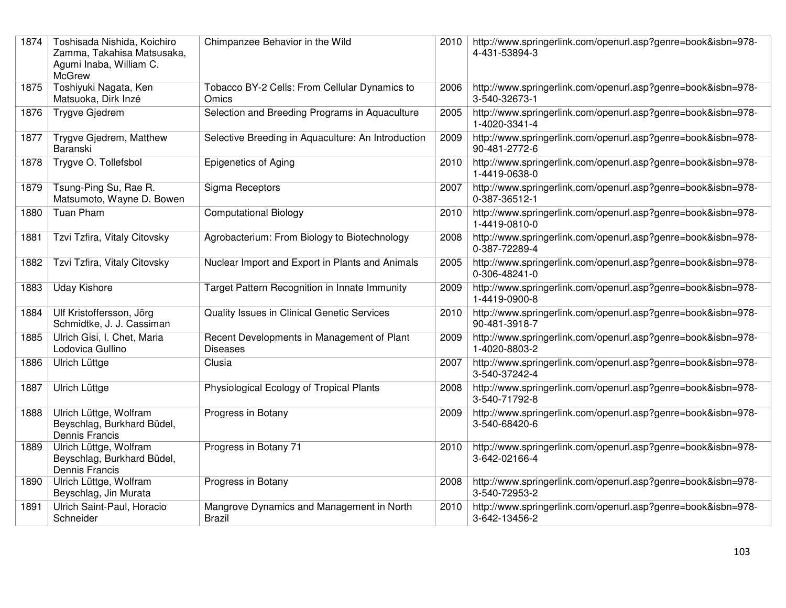| 1874 | Toshisada Nishida, Koichiro<br>Zamma, Takahisa Matsusaka,<br>Agumi Inaba, William C.<br><b>McGrew</b> | Chimpanzee Behavior in the Wild                               | 2010∣ | http://www.springerlink.com/openurl.asp?genre=book&isbn=978-<br>4-431-53894-3 |
|------|-------------------------------------------------------------------------------------------------------|---------------------------------------------------------------|-------|-------------------------------------------------------------------------------|
| 1875 | Toshiyuki Nagata, Ken<br>Matsuoka, Dirk Inzé                                                          | Tobacco BY-2 Cells: From Cellular Dynamics to<br>Omics        | 2006  | http://www.springerlink.com/openurl.asp?genre=book&isbn=978-<br>3-540-32673-1 |
| 1876 | <b>Trygve Gjedrem</b>                                                                                 | Selection and Breeding Programs in Aquaculture                | 2005  | http://www.springerlink.com/openurl.asp?genre=book&isbn=978-<br>1-4020-3341-4 |
| 1877 | Trygve Gjedrem, Matthew<br>Baranski                                                                   | Selective Breeding in Aquaculture: An Introduction            | 2009  | http://www.springerlink.com/openurl.asp?genre=book&isbn=978-<br>90-481-2772-6 |
| 1878 | Trygve O. Tollefsbol                                                                                  | <b>Epigenetics of Aging</b>                                   | 2010  | http://www.springerlink.com/openurl.asp?genre=book&isbn=978-<br>1-4419-0638-0 |
| 1879 | Tsung-Ping Su, Rae R.<br>Matsumoto, Wayne D. Bowen                                                    | Sigma Receptors                                               | 2007  | http://www.springerlink.com/openurl.asp?genre=book&isbn=978-<br>0-387-36512-1 |
| 1880 | <b>Tuan Pham</b>                                                                                      | <b>Computational Biology</b>                                  | 2010  | http://www.springerlink.com/openurl.asp?genre=book&isbn=978-<br>1-4419-0810-0 |
| 1881 | Tzvi Tzfira, Vitaly Citovsky                                                                          | Agrobacterium: From Biology to Biotechnology                  | 2008  | http://www.springerlink.com/openurl.asp?genre=book&isbn=978-<br>0-387-72289-4 |
| 1882 | Tzvi Tzfira, Vitaly Citovsky                                                                          | Nuclear Import and Export in Plants and Animals               | 2005  | http://www.springerlink.com/openurl.asp?genre=book&isbn=978-<br>0-306-48241-0 |
| 1883 | <b>Uday Kishore</b>                                                                                   | Target Pattern Recognition in Innate Immunity                 | 2009  | http://www.springerlink.com/openurl.asp?genre=book&isbn=978-<br>1-4419-0900-8 |
| 1884 | Ulf Kristoffersson, Jörg<br>Schmidtke, J. J. Cassiman                                                 | Quality Issues in Clinical Genetic Services                   | 2010  | http://www.springerlink.com/openurl.asp?genre=book&isbn=978-<br>90-481-3918-7 |
| 1885 | Ulrich Gisi, I. Chet, Maria<br>Lodovica Gullino                                                       | Recent Developments in Management of Plant<br><b>Diseases</b> | 2009  | http://www.springerlink.com/openurl.asp?genre=book&isbn=978-<br>1-4020-8803-2 |
| 1886 | Ulrich Lüttge                                                                                         | Clusia                                                        | 2007  | http://www.springerlink.com/openurl.asp?genre=book&isbn=978-<br>3-540-37242-4 |
| 1887 | Ulrich Lüttge                                                                                         | Physiological Ecology of Tropical Plants                      | 2008  | http://www.springerlink.com/openurl.asp?genre=book&isbn=978-<br>3-540-71792-8 |
| 1888 | Ulrich Lüttge, Wolfram<br>Beyschlag, Burkhard Büdel,<br>Dennis Francis                                | Progress in Botany                                            | 2009  | http://www.springerlink.com/openurl.asp?genre=book&isbn=978-<br>3-540-68420-6 |
| 1889 | Ulrich Lüttge, Wolfram<br>Beyschlag, Burkhard Büdel,<br>Dennis Francis                                | Progress in Botany 71                                         | 2010  | http://www.springerlink.com/openurl.asp?genre=book&isbn=978-<br>3-642-02166-4 |
| 1890 | Ulrich Lüttge, Wolfram<br>Beyschlag, Jin Murata                                                       | Progress in Botany                                            | 2008  | http://www.springerlink.com/openurl.asp?genre=book&isbn=978-<br>3-540-72953-2 |
| 1891 | Ulrich Saint-Paul, Horacio<br>Schneider                                                               | Mangrove Dynamics and Management in North<br><b>Brazil</b>    | 2010  | http://www.springerlink.com/openurl.asp?genre=book&isbn=978-<br>3-642-13456-2 |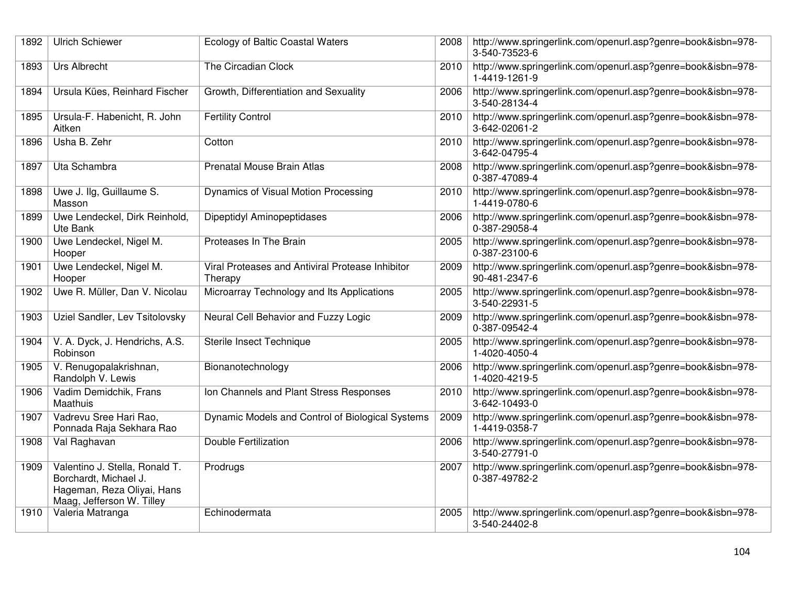| 1892 | <b>Ulrich Schiewer</b>                                                                                             | <b>Ecology of Baltic Coastal Waters</b>                     | 2008 | http://www.springerlink.com/openurl.asp?genre=book&isbn=978-<br>3-540-73523-6 |
|------|--------------------------------------------------------------------------------------------------------------------|-------------------------------------------------------------|------|-------------------------------------------------------------------------------|
| 1893 | <b>Urs Albrecht</b>                                                                                                | The Circadian Clock                                         | 2010 | http://www.springerlink.com/openurl.asp?genre=book&isbn=978-<br>1-4419-1261-9 |
| 1894 | Ursula Kües, Reinhard Fischer                                                                                      | Growth, Differentiation and Sexuality                       | 2006 | http://www.springerlink.com/openurl.asp?genre=book&isbn=978-<br>3-540-28134-4 |
| 1895 | Ursula-F. Habenicht, R. John<br>Aitken                                                                             | <b>Fertility Control</b>                                    | 2010 | http://www.springerlink.com/openurl.asp?genre=book&isbn=978-<br>3-642-02061-2 |
| 1896 | Usha B. Zehr                                                                                                       | Cotton                                                      | 2010 | http://www.springerlink.com/openurl.asp?genre=book&isbn=978-<br>3-642-04795-4 |
| 1897 | Uta Schambra                                                                                                       | Prenatal Mouse Brain Atlas                                  | 2008 | http://www.springerlink.com/openurl.asp?genre=book&isbn=978-<br>0-387-47089-4 |
| 1898 | Uwe J. Ilg, Guillaume S.<br>Masson                                                                                 | Dynamics of Visual Motion Processing                        | 2010 | http://www.springerlink.com/openurl.asp?genre=book&isbn=978-<br>1-4419-0780-6 |
| 1899 | Uwe Lendeckel, Dirk Reinhold,<br>Ute Bank                                                                          | Dipeptidyl Aminopeptidases                                  | 2006 | http://www.springerlink.com/openurl.asp?genre=book&isbn=978-<br>0-387-29058-4 |
| 1900 | Uwe Lendeckel, Nigel M.<br>Hooper                                                                                  | Proteases In The Brain                                      | 2005 | http://www.springerlink.com/openurl.asp?genre=book&isbn=978-<br>0-387-23100-6 |
| 1901 | Uwe Lendeckel, Nigel M.<br>Hooper                                                                                  | Viral Proteases and Antiviral Protease Inhibitor<br>Therapy | 2009 | http://www.springerlink.com/openurl.asp?genre=book&isbn=978-<br>90-481-2347-6 |
| 1902 | Uwe R. Müller, Dan V. Nicolau                                                                                      | Microarray Technology and Its Applications                  | 2005 | http://www.springerlink.com/openurl.asp?genre=book&isbn=978-<br>3-540-22931-5 |
| 1903 | Uziel Sandler, Lev Tsitolovsky                                                                                     | Neural Cell Behavior and Fuzzy Logic                        | 2009 | http://www.springerlink.com/openurl.asp?genre=book&isbn=978-<br>0-387-09542-4 |
| 1904 | V. A. Dyck, J. Hendrichs, A.S.<br>Robinson                                                                         | Sterile Insect Technique                                    | 2005 | http://www.springerlink.com/openurl.asp?genre=book&isbn=978-<br>1-4020-4050-4 |
| 1905 | V. Renugopalakrishnan,<br>Randolph V. Lewis                                                                        | Bionanotechnology                                           | 2006 | http://www.springerlink.com/openurl.asp?genre=book&isbn=978-<br>1-4020-4219-5 |
| 1906 | Vadim Demidchik, Frans<br><b>Maathuis</b>                                                                          | Ion Channels and Plant Stress Responses                     | 2010 | http://www.springerlink.com/openurl.asp?genre=book&isbn=978-<br>3-642-10493-0 |
| 1907 | Vadrevu Sree Hari Rao,<br>Ponnada Raja Sekhara Rao                                                                 | Dynamic Models and Control of Biological Systems            | 2009 | http://www.springerlink.com/openurl.asp?genre=book&isbn=978-<br>1-4419-0358-7 |
| 1908 | Val Raghavan                                                                                                       | <b>Double Fertilization</b>                                 | 2006 | http://www.springerlink.com/openurl.asp?genre=book&isbn=978-<br>3-540-27791-0 |
| 1909 | Valentino J. Stella, Ronald T.<br>Borchardt, Michael J.<br>Hageman, Reza Oliyai, Hans<br>Maag, Jefferson W. Tilley | Prodrugs                                                    | 2007 | http://www.springerlink.com/openurl.asp?genre=book&isbn=978-<br>0-387-49782-2 |
| 1910 | Valeria Matranga                                                                                                   | Echinodermata                                               | 2005 | http://www.springerlink.com/openurl.asp?genre=book&isbn=978-<br>3-540-24402-8 |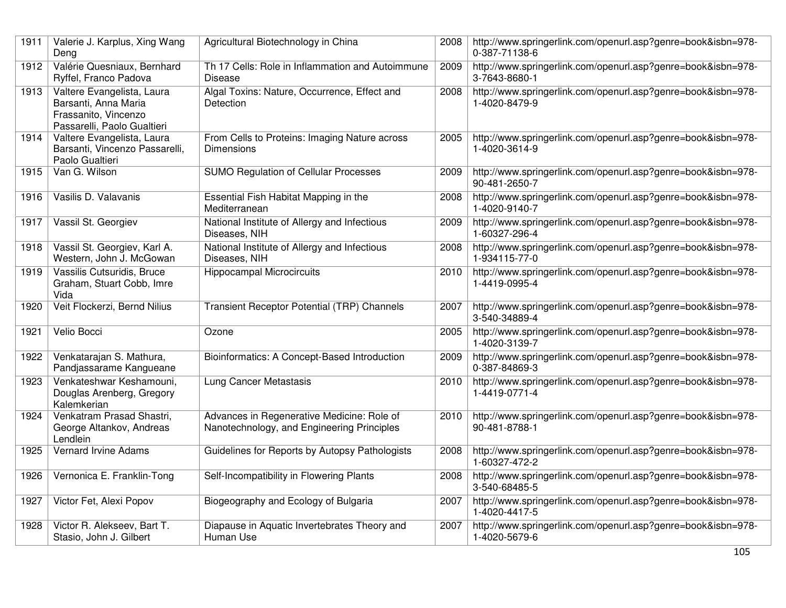| 1911 | Valerie J. Karplus, Xing Wang<br>Deng                                                                     | Agricultural Biotechnology in China                                                      | 2008 | http://www.springerlink.com/openurl.asp?genre=book&isbn=978-<br>0-387-71138-6 |
|------|-----------------------------------------------------------------------------------------------------------|------------------------------------------------------------------------------------------|------|-------------------------------------------------------------------------------|
| 1912 | Valérie Quesniaux, Bernhard<br>Ryffel, Franco Padova                                                      | Th 17 Cells: Role in Inflammation and Autoimmune<br><b>Disease</b>                       | 2009 | http://www.springerlink.com/openurl.asp?genre=book&isbn=978-<br>3-7643-8680-1 |
| 1913 | Valtere Evangelista, Laura<br>Barsanti, Anna Maria<br>Frassanito, Vincenzo<br>Passarelli, Paolo Gualtieri | Algal Toxins: Nature, Occurrence, Effect and<br>Detection                                | 2008 | http://www.springerlink.com/openurl.asp?genre=book&isbn=978-<br>1-4020-8479-9 |
| 1914 | Valtere Evangelista, Laura<br>Barsanti, Vincenzo Passarelli,<br>Paolo Gualtieri                           | From Cells to Proteins: Imaging Nature across<br><b>Dimensions</b>                       | 2005 | http://www.springerlink.com/openurl.asp?genre=book&isbn=978-<br>1-4020-3614-9 |
| 1915 | Van G. Wilson                                                                                             | <b>SUMO Regulation of Cellular Processes</b>                                             | 2009 | http://www.springerlink.com/openurl.asp?genre=book&isbn=978-<br>90-481-2650-7 |
| 1916 | Vasilis D. Valavanis                                                                                      | Essential Fish Habitat Mapping in the<br>Mediterranean                                   | 2008 | http://www.springerlink.com/openurl.asp?genre=book&isbn=978-<br>1-4020-9140-7 |
| 1917 | Vassil St. Georgiev                                                                                       | National Institute of Allergy and Infectious<br>Diseases, NIH                            | 2009 | http://www.springerlink.com/openurl.asp?genre=book&isbn=978-<br>1-60327-296-4 |
| 1918 | Vassil St. Georgiev, Karl A.<br>Western, John J. McGowan                                                  | National Institute of Allergy and Infectious<br>Diseases, NIH                            | 2008 | http://www.springerlink.com/openurl.asp?genre=book&isbn=978-<br>1-934115-77-0 |
| 1919 | Vassilis Cutsuridis, Bruce<br>Graham, Stuart Cobb, Imre<br>Vida                                           | <b>Hippocampal Microcircuits</b>                                                         | 2010 | http://www.springerlink.com/openurl.asp?genre=book&isbn=978-<br>1-4419-0995-4 |
| 1920 | Veit Flockerzi, Bernd Nilius                                                                              | Transient Receptor Potential (TRP) Channels                                              | 2007 | http://www.springerlink.com/openurl.asp?genre=book&isbn=978-<br>3-540-34889-4 |
| 1921 | Velio Bocci                                                                                               | Ozone                                                                                    | 2005 | http://www.springerlink.com/openurl.asp?genre=book&isbn=978-<br>1-4020-3139-7 |
| 1922 | Venkatarajan S. Mathura,<br>Pandjassarame Kangueane                                                       | Bioinformatics: A Concept-Based Introduction                                             | 2009 | http://www.springerlink.com/openurl.asp?genre=book&isbn=978-<br>0-387-84869-3 |
| 1923 | Venkateshwar Keshamouni,<br>Douglas Arenberg, Gregory<br>Kalemkerian                                      | Lung Cancer Metastasis                                                                   | 2010 | http://www.springerlink.com/openurl.asp?genre=book&isbn=978-<br>1-4419-0771-4 |
| 1924 | Venkatram Prasad Shastri,<br>George Altankov, Andreas<br>Lendlein                                         | Advances in Regenerative Medicine: Role of<br>Nanotechnology, and Engineering Principles | 2010 | http://www.springerlink.com/openurl.asp?genre=book&isbn=978-<br>90-481-8788-1 |
| 1925 | <b>Vernard Irvine Adams</b>                                                                               | Guidelines for Reports by Autopsy Pathologists                                           | 2008 | http://www.springerlink.com/openurl.asp?genre=book&isbn=978-<br>1-60327-472-2 |
| 1926 | Vernonica E. Franklin-Tong                                                                                | Self-Incompatibility in Flowering Plants                                                 | 2008 | http://www.springerlink.com/openurl.asp?genre=book&isbn=978-<br>3-540-68485-5 |
| 1927 | Victor Fet, Alexi Popov                                                                                   | Biogeography and Ecology of Bulgaria                                                     | 2007 | http://www.springerlink.com/openurl.asp?genre=book&isbn=978-<br>1-4020-4417-5 |
| 1928 | Victor R. Alekseev, Bart T.<br>Stasio, John J. Gilbert                                                    | Diapause in Aquatic Invertebrates Theory and<br>Human Use                                | 2007 | http://www.springerlink.com/openurl.asp?genre=book&isbn=978-<br>1-4020-5679-6 |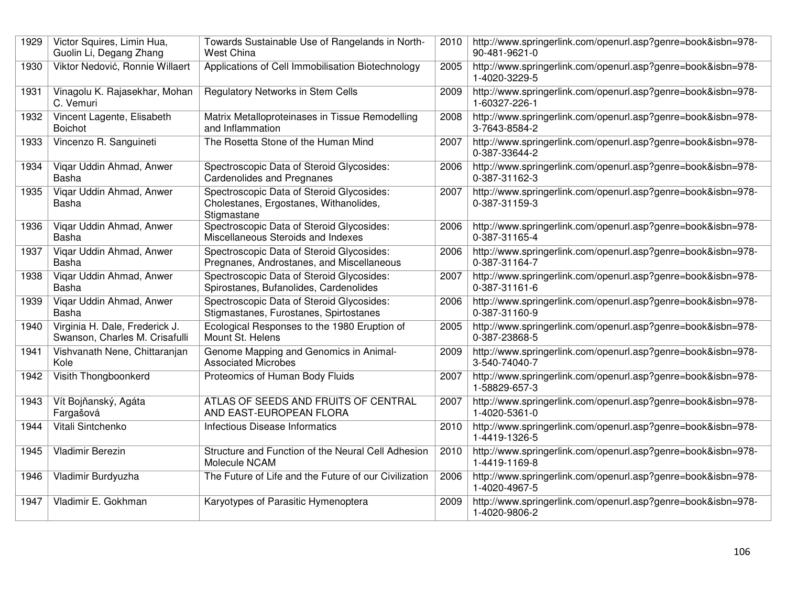| 1929 | Victor Squires, Limin Hua,<br>Guolin Li, Degang Zhang            | Towards Sustainable Use of Rangelands in North-<br><b>West China</b>                               | 2010 | http://www.springerlink.com/openurl.asp?genre=book&isbn=978-<br>90-481-9621-0 |
|------|------------------------------------------------------------------|----------------------------------------------------------------------------------------------------|------|-------------------------------------------------------------------------------|
| 1930 | Viktor Nedović, Ronnie Willaert                                  | Applications of Cell Immobilisation Biotechnology                                                  | 2005 | http://www.springerlink.com/openurl.asp?genre=book&isbn=978-<br>1-4020-3229-5 |
| 1931 | Vinagolu K. Rajasekhar, Mohan<br>C. Vemuri                       | Regulatory Networks in Stem Cells                                                                  | 2009 | http://www.springerlink.com/openurl.asp?genre=book&isbn=978-<br>1-60327-226-1 |
| 1932 | Vincent Lagente, Elisabeth<br>Boichot                            | Matrix Metalloproteinases in Tissue Remodelling<br>and Inflammation                                | 2008 | http://www.springerlink.com/openurl.asp?genre=book&isbn=978-<br>3-7643-8584-2 |
| 1933 | Vincenzo R. Sanguineti                                           | The Rosetta Stone of the Human Mind                                                                | 2007 | http://www.springerlink.com/openurl.asp?genre=book&isbn=978-<br>0-387-33644-2 |
| 1934 | Vigar Uddin Ahmad, Anwer<br>Basha                                | Spectroscopic Data of Steroid Glycosides:<br><b>Cardenolides and Pregnanes</b>                     | 2006 | http://www.springerlink.com/openurl.asp?genre=book&isbn=978-<br>0-387-31162-3 |
| 1935 | Vigar Uddin Ahmad, Anwer<br>Basha                                | Spectroscopic Data of Steroid Glycosides:<br>Cholestanes, Ergostanes, Withanolides,<br>Stigmastane | 2007 | http://www.springerlink.com/openurl.asp?genre=book&isbn=978-<br>0-387-31159-3 |
| 1936 | Vigar Uddin Ahmad, Anwer<br>Basha                                | Spectroscopic Data of Steroid Glycosides:<br>Miscellaneous Steroids and Indexes                    | 2006 | http://www.springerlink.com/openurl.asp?genre=book&isbn=978-<br>0-387-31165-4 |
| 1937 | Vigar Uddin Ahmad, Anwer<br>Basha                                | Spectroscopic Data of Steroid Glycosides:<br>Pregnanes, Androstanes, and Miscellaneous             | 2006 | http://www.springerlink.com/openurl.asp?genre=book&isbn=978-<br>0-387-31164-7 |
| 1938 | Vigar Uddin Ahmad, Anwer<br>Basha                                | Spectroscopic Data of Steroid Glycosides:<br>Spirostanes, Bufanolides, Cardenolides                | 2007 | http://www.springerlink.com/openurl.asp?genre=book&isbn=978-<br>0-387-31161-6 |
| 1939 | Vigar Uddin Ahmad, Anwer<br>Basha                                | Spectroscopic Data of Steroid Glycosides:<br>Stigmastanes, Furostanes, Spirtostanes                | 2006 | http://www.springerlink.com/openurl.asp?genre=book&isbn=978-<br>0-387-31160-9 |
| 1940 | Virginia H. Dale, Frederick J.<br>Swanson, Charles M. Crisafulli | Ecological Responses to the 1980 Eruption of<br>Mount St. Helens                                   | 2005 | http://www.springerlink.com/openurl.asp?genre=book&isbn=978-<br>0-387-23868-5 |
| 1941 | Vishvanath Nene, Chittaranjan<br>Kole                            | Genome Mapping and Genomics in Animal-<br><b>Associated Microbes</b>                               | 2009 | http://www.springerlink.com/openurl.asp?genre=book&isbn=978-<br>3-540-74040-7 |
| 1942 | Visith Thongboonkerd                                             | Proteomics of Human Body Fluids                                                                    | 2007 | http://www.springerlink.com/openurl.asp?genre=book&isbn=978-<br>1-58829-657-3 |
| 1943 | Vít Bojňanský, Agáta<br>Fargašová                                | ATLAS OF SEEDS AND FRUITS OF CENTRAL<br>AND EAST-EUROPEAN FLORA                                    | 2007 | http://www.springerlink.com/openurl.asp?genre=book&isbn=978-<br>1-4020-5361-0 |
| 1944 | Vitali Sintchenko                                                | Infectious Disease Informatics                                                                     | 2010 | http://www.springerlink.com/openurl.asp?genre=book&isbn=978-<br>1-4419-1326-5 |
| 1945 | <b>Vladimir Berezin</b>                                          | Structure and Function of the Neural Cell Adhesion<br>Molecule NCAM                                | 2010 | http://www.springerlink.com/openurl.asp?genre=book&isbn=978-<br>1-4419-1169-8 |
| 1946 | Vladimir Burdyuzha                                               | The Future of Life and the Future of our Civilization                                              | 2006 | http://www.springerlink.com/openurl.asp?genre=book&isbn=978-<br>1-4020-4967-5 |
| 1947 | Vladimir E. Gokhman                                              | Karyotypes of Parasitic Hymenoptera                                                                | 2009 | http://www.springerlink.com/openurl.asp?genre=book&isbn=978-<br>1-4020-9806-2 |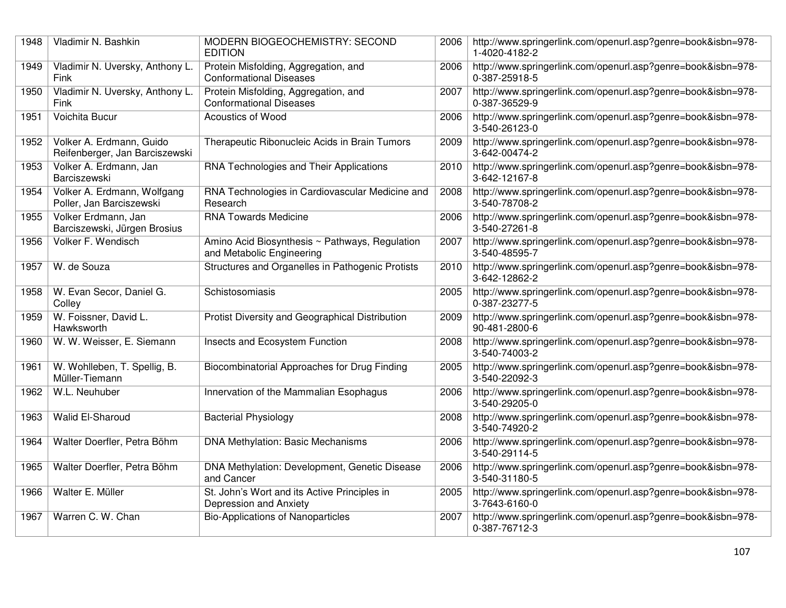| 1948 | Vladimir N. Bashkin                                        | MODERN BIOGEOCHEMISTRY: SECOND<br><b>EDITION</b>                            | 2006 | http://www.springerlink.com/openurl.asp?genre=book&isbn=978-<br>1-4020-4182-2 |
|------|------------------------------------------------------------|-----------------------------------------------------------------------------|------|-------------------------------------------------------------------------------|
| 1949 | Vladimir N. Uversky, Anthony L.<br>Fink                    | Protein Misfolding, Aggregation, and<br><b>Conformational Diseases</b>      | 2006 | http://www.springerlink.com/openurl.asp?genre=book&isbn=978-<br>0-387-25918-5 |
| 1950 | Vladimir N. Uversky, Anthony L.<br>Fink                    | Protein Misfolding, Aggregation, and<br><b>Conformational Diseases</b>      | 2007 | http://www.springerlink.com/openurl.asp?genre=book&isbn=978-<br>0-387-36529-9 |
| 1951 | Voichita Bucur                                             | Acoustics of Wood                                                           | 2006 | http://www.springerlink.com/openurl.asp?genre=book&isbn=978-<br>3-540-26123-0 |
| 1952 | Volker A. Erdmann, Guido<br>Reifenberger, Jan Barciszewski | Therapeutic Ribonucleic Acids in Brain Tumors                               | 2009 | http://www.springerlink.com/openurl.asp?genre=book&isbn=978-<br>3-642-00474-2 |
| 1953 | Volker A. Erdmann, Jan<br>Barciszewski                     | RNA Technologies and Their Applications                                     | 2010 | http://www.springerlink.com/openurl.asp?genre=book&isbn=978-<br>3-642-12167-8 |
| 1954 | Volker A. Erdmann, Wolfgang<br>Poller, Jan Barciszewski    | RNA Technologies in Cardiovascular Medicine and<br>Research                 | 2008 | http://www.springerlink.com/openurl.asp?genre=book&isbn=978-<br>3-540-78708-2 |
| 1955 | Volker Erdmann, Jan<br>Barciszewski, Jürgen Brosius        | <b>RNA Towards Medicine</b>                                                 | 2006 | http://www.springerlink.com/openurl.asp?genre=book&isbn=978-<br>3-540-27261-8 |
| 1956 | Volker F. Wendisch                                         | Amino Acid Biosynthesis ~ Pathways, Regulation<br>and Metabolic Engineering | 2007 | http://www.springerlink.com/openurl.asp?genre=book&isbn=978-<br>3-540-48595-7 |
| 1957 | W. de Souza                                                | Structures and Organelles in Pathogenic Protists                            | 2010 | http://www.springerlink.com/openurl.asp?genre=book&isbn=978-<br>3-642-12862-2 |
| 1958 | W. Evan Secor, Daniel G.<br>Colley                         | Schistosomiasis                                                             | 2005 | http://www.springerlink.com/openurl.asp?genre=book&isbn=978-<br>0-387-23277-5 |
| 1959 | W. Foissner, David L.<br>Hawksworth                        | Protist Diversity and Geographical Distribution                             | 2009 | http://www.springerlink.com/openurl.asp?genre=book&isbn=978-<br>90-481-2800-6 |
| 1960 | W. W. Weisser, E. Siemann                                  | Insects and Ecosystem Function                                              | 2008 | http://www.springerlink.com/openurl.asp?genre=book&isbn=978-<br>3-540-74003-2 |
| 1961 | W. Wohlleben, T. Spellig, B.<br>Müller-Tiemann             | Biocombinatorial Approaches for Drug Finding                                | 2005 | http://www.springerlink.com/openurl.asp?genre=book&isbn=978-<br>3-540-22092-3 |
| 1962 | W.L. Neuhuber                                              | Innervation of the Mammalian Esophagus                                      | 2006 | http://www.springerlink.com/openurl.asp?genre=book&isbn=978-<br>3-540-29205-0 |
| 1963 | Walid El-Sharoud                                           | <b>Bacterial Physiology</b>                                                 | 2008 | http://www.springerlink.com/openurl.asp?genre=book&isbn=978-<br>3-540-74920-2 |
| 1964 | Walter Doerfler, Petra Böhm                                | <b>DNA Methylation: Basic Mechanisms</b>                                    | 2006 | http://www.springerlink.com/openurl.asp?genre=book&isbn=978-<br>3-540-29114-5 |
| 1965 | Walter Doerfler, Petra Böhm                                | DNA Methylation: Development, Genetic Disease<br>and Cancer                 | 2006 | http://www.springerlink.com/openurl.asp?genre=book&isbn=978-<br>3-540-31180-5 |
| 1966 | Walter E. Müller                                           | St. John's Wort and its Active Principles in<br>Depression and Anxiety      | 2005 | http://www.springerlink.com/openurl.asp?genre=book&isbn=978-<br>3-7643-6160-0 |
| 1967 | Warren C. W. Chan                                          | <b>Bio-Applications of Nanoparticles</b>                                    | 2007 | http://www.springerlink.com/openurl.asp?genre=book&isbn=978-<br>0-387-76712-3 |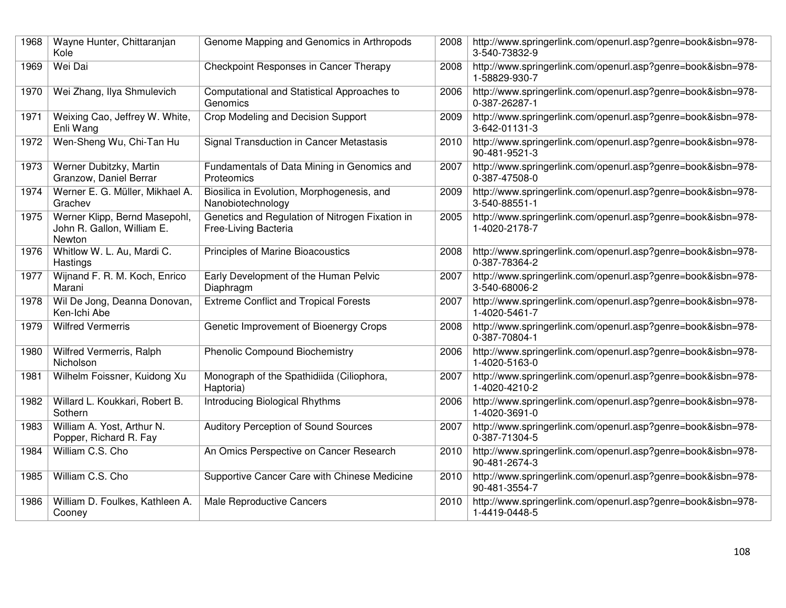| 1968 | Wayne Hunter, Chittaranjan<br>Kole                                    | Genome Mapping and Genomics in Arthropods                               | 2008 | http://www.springerlink.com/openurl.asp?genre=book&isbn=978-<br>3-540-73832-9 |
|------|-----------------------------------------------------------------------|-------------------------------------------------------------------------|------|-------------------------------------------------------------------------------|
| 1969 | Wei Dai                                                               | Checkpoint Responses in Cancer Therapy                                  | 2008 | http://www.springerlink.com/openurl.asp?genre=book&isbn=978-<br>1-58829-930-7 |
| 1970 | Wei Zhang, Ilya Shmulevich                                            | Computational and Statistical Approaches to<br>Genomics                 | 2006 | http://www.springerlink.com/openurl.asp?genre=book&isbn=978-<br>0-387-26287-1 |
| 1971 | Weixing Cao, Jeffrey W. White,<br>Enli Wang                           | Crop Modeling and Decision Support                                      | 2009 | http://www.springerlink.com/openurl.asp?genre=book&isbn=978-<br>3-642-01131-3 |
| 1972 | Wen-Sheng Wu, Chi-Tan Hu                                              | Signal Transduction in Cancer Metastasis                                | 2010 | http://www.springerlink.com/openurl.asp?genre=book&isbn=978-<br>90-481-9521-3 |
| 1973 | Werner Dubitzky, Martin<br>Granzow, Daniel Berrar                     | Fundamentals of Data Mining in Genomics and<br>Proteomics               | 2007 | http://www.springerlink.com/openurl.asp?genre=book&isbn=978-<br>0-387-47508-0 |
| 1974 | Werner E. G. Müller, Mikhael A.<br>Grachev                            | Biosilica in Evolution, Morphogenesis, and<br>Nanobiotechnology         | 2009 | http://www.springerlink.com/openurl.asp?genre=book&isbn=978-<br>3-540-88551-1 |
| 1975 | Werner Klipp, Bernd Masepohl,<br>John R. Gallon, William E.<br>Newton | Genetics and Regulation of Nitrogen Fixation in<br>Free-Living Bacteria | 2005 | http://www.springerlink.com/openurl.asp?genre=book&isbn=978-<br>1-4020-2178-7 |
| 1976 | Whitlow W. L. Au, Mardi C.<br>Hastings                                | <b>Principles of Marine Bioacoustics</b>                                | 2008 | http://www.springerlink.com/openurl.asp?genre=book&isbn=978-<br>0-387-78364-2 |
| 1977 | Wijnand F. R. M. Koch, Enrico<br>Marani                               | Early Development of the Human Pelvic<br>Diaphragm                      | 2007 | http://www.springerlink.com/openurl.asp?genre=book&isbn=978-<br>3-540-68006-2 |
| 1978 | Wil De Jong, Deanna Donovan,<br>Ken-Ichi Abe                          | <b>Extreme Conflict and Tropical Forests</b>                            | 2007 | http://www.springerlink.com/openurl.asp?genre=book&isbn=978-<br>1-4020-5461-7 |
| 1979 | <b>Wilfred Vermerris</b>                                              | Genetic Improvement of Bioenergy Crops                                  | 2008 | http://www.springerlink.com/openurl.asp?genre=book&isbn=978-<br>0-387-70804-1 |
| 1980 | Wilfred Vermerris, Ralph<br>Nicholson                                 | <b>Phenolic Compound Biochemistry</b>                                   | 2006 | http://www.springerlink.com/openurl.asp?genre=book&isbn=978-<br>1-4020-5163-0 |
| 1981 | Wilhelm Foissner, Kuidong Xu                                          | Monograph of the Spathidiida (Ciliophora,<br>Haptoria)                  | 2007 | http://www.springerlink.com/openurl.asp?genre=book&isbn=978-<br>1-4020-4210-2 |
| 1982 | Willard L. Koukkari, Robert B.<br>Sothern                             | Introducing Biological Rhythms                                          | 2006 | http://www.springerlink.com/openurl.asp?genre=book&isbn=978-<br>1-4020-3691-0 |
| 1983 | William A. Yost, Arthur N.<br>Popper, Richard R. Fay                  | Auditory Perception of Sound Sources                                    | 2007 | http://www.springerlink.com/openurl.asp?genre=book&isbn=978-<br>0-387-71304-5 |
| 1984 | William C.S. Cho                                                      | An Omics Perspective on Cancer Research                                 | 2010 | http://www.springerlink.com/openurl.asp?genre=book&isbn=978-<br>90-481-2674-3 |
| 1985 | William C.S. Cho                                                      | Supportive Cancer Care with Chinese Medicine                            | 2010 | http://www.springerlink.com/openurl.asp?genre=book&isbn=978-<br>90-481-3554-7 |
| 1986 | William D. Foulkes, Kathleen A.<br>Cooney                             | Male Reproductive Cancers                                               | 2010 | http://www.springerlink.com/openurl.asp?genre=book&isbn=978-<br>1-4419-0448-5 |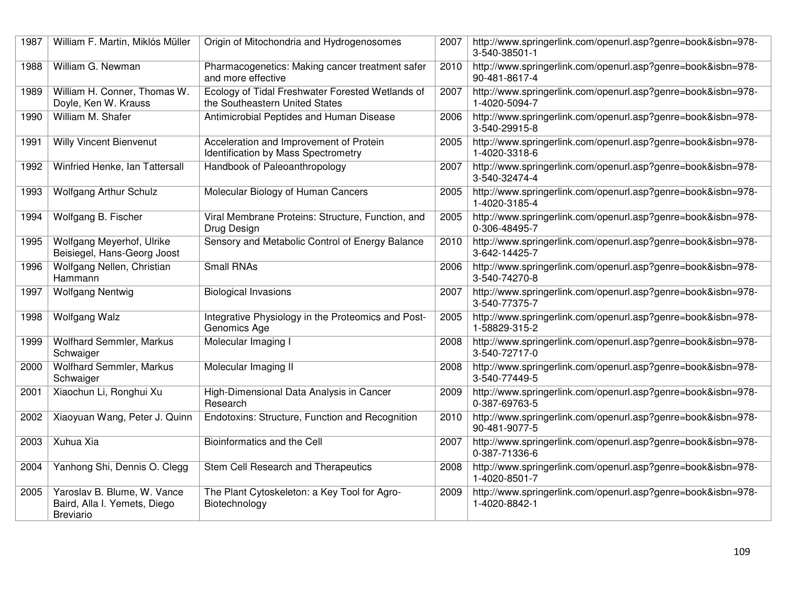| 1987 | William F. Martin, Miklós Müller                                                | Origin of Mitochondria and Hydrogenosomes                                          | 2007 | http://www.springerlink.com/openurl.asp?genre=book&isbn=978-<br>3-540-38501-1 |
|------|---------------------------------------------------------------------------------|------------------------------------------------------------------------------------|------|-------------------------------------------------------------------------------|
| 1988 | William G. Newman                                                               | Pharmacogenetics: Making cancer treatment safer<br>and more effective              | 2010 | http://www.springerlink.com/openurl.asp?genre=book&isbn=978-<br>90-481-8617-4 |
| 1989 | William H. Conner, Thomas W.<br>Doyle, Ken W. Krauss                            | Ecology of Tidal Freshwater Forested Wetlands of<br>the Southeastern United States | 2007 | http://www.springerlink.com/openurl.asp?genre=book&isbn=978-<br>1-4020-5094-7 |
| 1990 | William M. Shafer                                                               | Antimicrobial Peptides and Human Disease                                           | 2006 | http://www.springerlink.com/openurl.asp?genre=book&isbn=978-<br>3-540-29915-8 |
| 1991 | <b>Willy Vincent Bienvenut</b>                                                  | Acceleration and Improvement of Protein<br>Identification by Mass Spectrometry     | 2005 | http://www.springerlink.com/openurl.asp?genre=book&isbn=978-<br>1-4020-3318-6 |
| 1992 | Winfried Henke, Ian Tattersall                                                  | Handbook of Paleoanthropology                                                      | 2007 | http://www.springerlink.com/openurl.asp?genre=book&isbn=978-<br>3-540-32474-4 |
| 1993 | <b>Wolfgang Arthur Schulz</b>                                                   | Molecular Biology of Human Cancers                                                 | 2005 | http://www.springerlink.com/openurl.asp?genre=book&isbn=978-<br>1-4020-3185-4 |
| 1994 | Wolfgang B. Fischer                                                             | Viral Membrane Proteins: Structure, Function, and<br>Drug Design                   | 2005 | http://www.springerlink.com/openurl.asp?genre=book&isbn=978-<br>0-306-48495-7 |
| 1995 | Wolfgang Meyerhof, Ulrike<br>Beisiegel, Hans-Georg Joost                        | Sensory and Metabolic Control of Energy Balance                                    | 2010 | http://www.springerlink.com/openurl.asp?genre=book&isbn=978-<br>3-642-14425-7 |
| 1996 | Wolfgang Nellen, Christian<br>Hammann                                           | <b>Small RNAs</b>                                                                  | 2006 | http://www.springerlink.com/openurl.asp?genre=book&isbn=978-<br>3-540-74270-8 |
| 1997 | <b>Wolfgang Nentwig</b>                                                         | <b>Biological Invasions</b>                                                        | 2007 | http://www.springerlink.com/openurl.asp?genre=book&isbn=978-<br>3-540-77375-7 |
| 1998 | <b>Wolfgang Walz</b>                                                            | Integrative Physiology in the Proteomics and Post-<br>Genomics Age                 | 2005 | http://www.springerlink.com/openurl.asp?genre=book&isbn=978-<br>1-58829-315-2 |
| 1999 | Wolfhard Semmler, Markus<br>Schwaiger                                           | Molecular Imaging I                                                                | 2008 | http://www.springerlink.com/openurl.asp?genre=book&isbn=978-<br>3-540-72717-0 |
| 2000 | Wolfhard Semmler, Markus<br>Schwaiger                                           | Molecular Imaging II                                                               | 2008 | http://www.springerlink.com/openurl.asp?genre=book&isbn=978-<br>3-540-77449-5 |
| 2001 | Xiaochun Li, Ronghui Xu                                                         | High-Dimensional Data Analysis in Cancer<br>Research                               | 2009 | http://www.springerlink.com/openurl.asp?genre=book&isbn=978-<br>0-387-69763-5 |
| 2002 | Xiaoyuan Wang, Peter J. Quinn                                                   | Endotoxins: Structure, Function and Recognition                                    | 2010 | http://www.springerlink.com/openurl.asp?genre=book&isbn=978-<br>90-481-9077-5 |
| 2003 | <b>Xuhua Xia</b>                                                                | Bioinformatics and the Cell                                                        | 2007 | http://www.springerlink.com/openurl.asp?genre=book&isbn=978-<br>0-387-71336-6 |
| 2004 | Yanhong Shi, Dennis O. Clegg                                                    | Stem Cell Research and Therapeutics                                                | 2008 | http://www.springerlink.com/openurl.asp?genre=book&isbn=978-<br>1-4020-8501-7 |
| 2005 | Yaroslav B. Blume, W. Vance<br>Baird, Alla I. Yemets, Diego<br><b>Breviario</b> | The Plant Cytoskeleton: a Key Tool for Agro-<br>Biotechnology                      | 2009 | http://www.springerlink.com/openurl.asp?genre=book&isbn=978-<br>1-4020-8842-1 |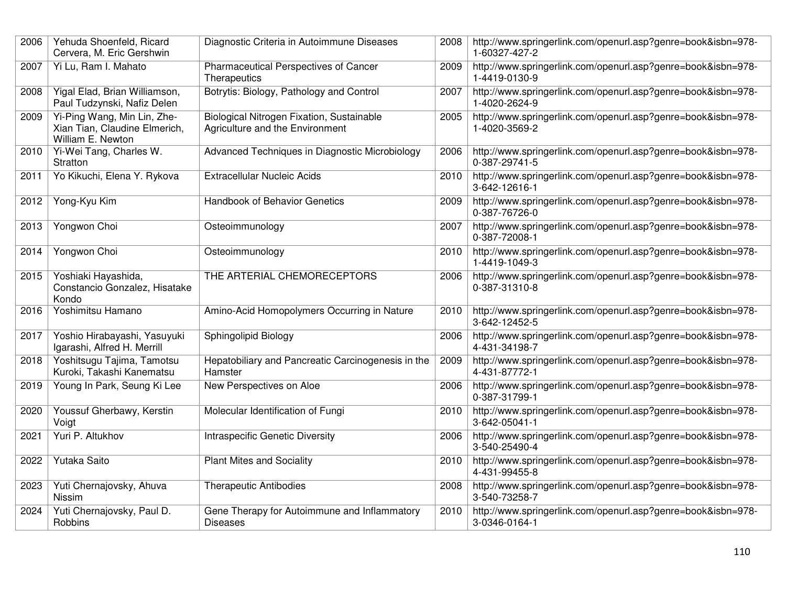| 2006 | Yehuda Shoenfeld, Ricard<br>Cervera, M. Eric Gershwin                             | Diagnostic Criteria in Autoimmune Diseases                                   | 2008 | http://www.springerlink.com/openurl.asp?genre=book&isbn=978-<br>1-60327-427-2 |
|------|-----------------------------------------------------------------------------------|------------------------------------------------------------------------------|------|-------------------------------------------------------------------------------|
| 2007 | Yi Lu, Ram I. Mahato                                                              | Pharmaceutical Perspectives of Cancer<br>Therapeutics                        | 2009 | http://www.springerlink.com/openurl.asp?genre=book&isbn=978-<br>1-4419-0130-9 |
| 2008 | Yigal Elad, Brian Williamson,<br>Paul Tudzynski, Nafiz Delen                      | Botrytis: Biology, Pathology and Control                                     | 2007 | http://www.springerlink.com/openurl.asp?genre=book&isbn=978-<br>1-4020-2624-9 |
| 2009 | Yi-Ping Wang, Min Lin, Zhe-<br>Xian Tian, Claudine Elmerich,<br>William E. Newton | Biological Nitrogen Fixation, Sustainable<br>Agriculture and the Environment | 2005 | http://www.springerlink.com/openurl.asp?genre=book&isbn=978-<br>1-4020-3569-2 |
| 2010 | Yi-Wei Tang, Charles W.<br>Stratton                                               | Advanced Techniques in Diagnostic Microbiology                               | 2006 | http://www.springerlink.com/openurl.asp?genre=book&isbn=978-<br>0-387-29741-5 |
| 2011 | Yo Kikuchi, Elena Y. Rykova                                                       | <b>Extracellular Nucleic Acids</b>                                           | 2010 | http://www.springerlink.com/openurl.asp?genre=book&isbn=978-<br>3-642-12616-1 |
| 2012 | Yong-Kyu Kim                                                                      | <b>Handbook of Behavior Genetics</b>                                         | 2009 | http://www.springerlink.com/openurl.asp?genre=book&isbn=978-<br>0-387-76726-0 |
| 2013 | Yongwon Choi                                                                      | Osteoimmunology                                                              | 2007 | http://www.springerlink.com/openurl.asp?genre=book&isbn=978-<br>0-387-72008-1 |
| 2014 | Yongwon Choi                                                                      | Osteoimmunology                                                              | 2010 | http://www.springerlink.com/openurl.asp?genre=book&isbn=978-<br>1-4419-1049-3 |
| 2015 | Yoshiaki Hayashida,<br>Constancio Gonzalez, Hisatake<br>Kondo                     | THE ARTERIAL CHEMORECEPTORS                                                  | 2006 | http://www.springerlink.com/openurl.asp?genre=book&isbn=978-<br>0-387-31310-8 |
| 2016 | Yoshimitsu Hamano                                                                 | Amino-Acid Homopolymers Occurring in Nature                                  | 2010 | http://www.springerlink.com/openurl.asp?genre=book&isbn=978-<br>3-642-12452-5 |
| 2017 | Yoshio Hirabayashi, Yasuyuki<br>Igarashi, Alfred H. Merrill                       | Sphingolipid Biology                                                         | 2006 | http://www.springerlink.com/openurl.asp?genre=book&isbn=978-<br>4-431-34198-7 |
| 2018 | Yoshitsugu Tajima, Tamotsu<br>Kuroki, Takashi Kanematsu                           | Hepatobiliary and Pancreatic Carcinogenesis in the<br>Hamster                | 2009 | http://www.springerlink.com/openurl.asp?genre=book&isbn=978-<br>4-431-87772-1 |
| 2019 | Young In Park, Seung Ki Lee                                                       | New Perspectives on Aloe                                                     | 2006 | http://www.springerlink.com/openurl.asp?genre=book&isbn=978-<br>0-387-31799-1 |
| 2020 | Youssuf Gherbawy, Kerstin<br>Voigt                                                | Molecular Identification of Fungi                                            | 2010 | http://www.springerlink.com/openurl.asp?genre=book&isbn=978-<br>3-642-05041-1 |
| 2021 | Yuri P. Altukhov                                                                  | <b>Intraspecific Genetic Diversity</b>                                       | 2006 | http://www.springerlink.com/openurl.asp?genre=book&isbn=978-<br>3-540-25490-4 |
| 2022 | Yutaka Saito                                                                      | <b>Plant Mites and Sociality</b>                                             | 2010 | http://www.springerlink.com/openurl.asp?genre=book&isbn=978-<br>4-431-99455-8 |
| 2023 | Yuti Chernajovsky, Ahuva<br>Nissim                                                | <b>Therapeutic Antibodies</b>                                                | 2008 | http://www.springerlink.com/openurl.asp?genre=book&isbn=978-<br>3-540-73258-7 |
| 2024 | Yuti Chernajovsky, Paul D.<br>Robbins                                             | Gene Therapy for Autoimmune and Inflammatory<br><b>Diseases</b>              | 2010 | http://www.springerlink.com/openurl.asp?genre=book&isbn=978-<br>3-0346-0164-1 |